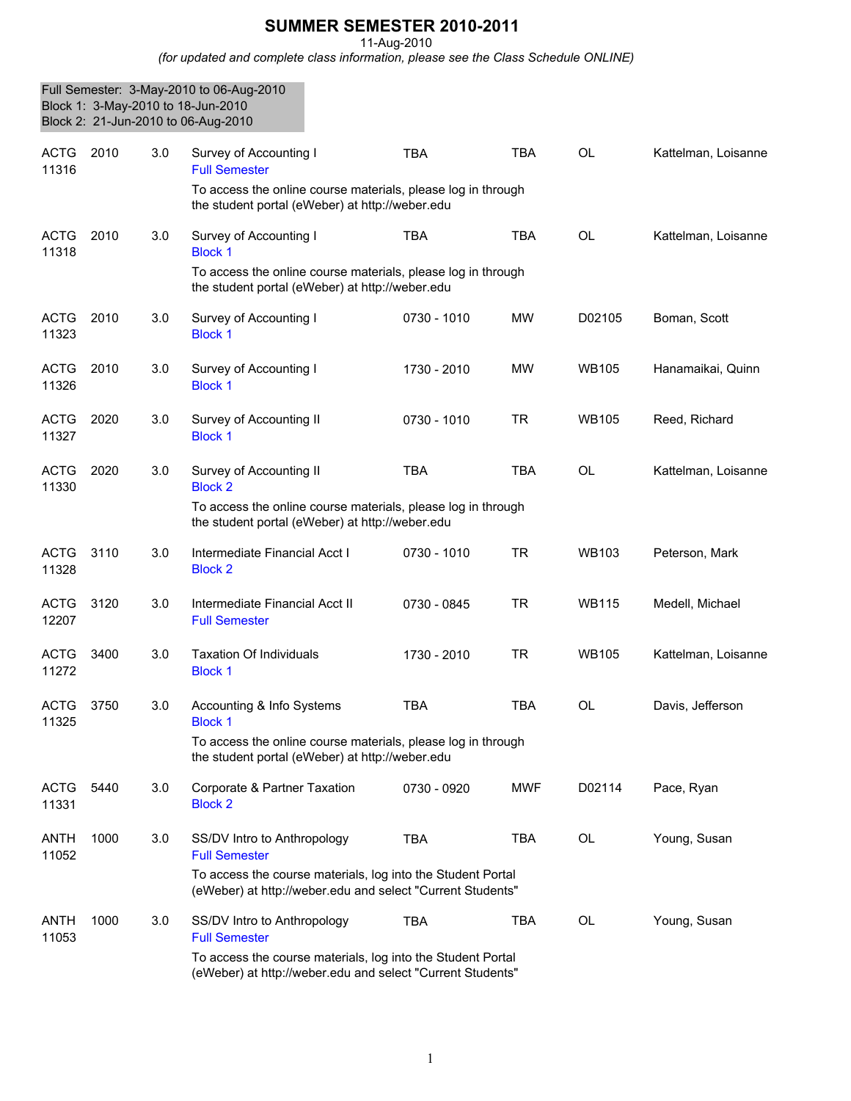## **SUMMER SEMESTER 2010-2011**

11-Aug-2010

*(for updated and complete class information, please see the Class Schedule ONLINE)*

|                      |      |     | Full Semester: 3-May-2010 to 06-Aug-2010<br>Block 1: 3-May-2010 to 18-Jun-2010<br>Block 2: 21-Jun-2010 to 06-Aug-2010     |             |            |              |                     |
|----------------------|------|-----|---------------------------------------------------------------------------------------------------------------------------|-------------|------------|--------------|---------------------|
| <b>ACTG</b><br>11316 | 2010 | 3.0 | Survey of Accounting I<br><b>Full Semester</b>                                                                            | <b>TBA</b>  | <b>TBA</b> | <b>OL</b>    | Kattelman, Loisanne |
|                      |      |     | To access the online course materials, please log in through<br>the student portal (eWeber) at http://weber.edu           |             |            |              |                     |
| <b>ACTG</b><br>11318 | 2010 | 3.0 | Survey of Accounting I<br><b>Block 1</b>                                                                                  | <b>TBA</b>  | <b>TBA</b> | <b>OL</b>    | Kattelman, Loisanne |
|                      |      |     | To access the online course materials, please log in through<br>the student portal (eWeber) at http://weber.edu           |             |            |              |                     |
| <b>ACTG</b><br>11323 | 2010 | 3.0 | Survey of Accounting I<br><b>Block 1</b>                                                                                  | 0730 - 1010 | MW         | D02105       | Boman, Scott        |
| <b>ACTG</b><br>11326 | 2010 | 3.0 | Survey of Accounting I<br><b>Block 1</b>                                                                                  | 1730 - 2010 | <b>MW</b>  | <b>WB105</b> | Hanamaikai, Quinn   |
| <b>ACTG</b><br>11327 | 2020 | 3.0 | Survey of Accounting II<br><b>Block 1</b>                                                                                 | 0730 - 1010 | <b>TR</b>  | <b>WB105</b> | Reed, Richard       |
| <b>ACTG</b><br>11330 | 2020 | 3.0 | Survey of Accounting II<br><b>Block 2</b>                                                                                 | <b>TBA</b>  | <b>TBA</b> | <b>OL</b>    | Kattelman, Loisanne |
|                      |      |     | To access the online course materials, please log in through<br>the student portal (eWeber) at http://weber.edu           |             |            |              |                     |
| <b>ACTG</b><br>11328 | 3110 | 3.0 | Intermediate Financial Acct I<br><b>Block 2</b>                                                                           | 0730 - 1010 | <b>TR</b>  | <b>WB103</b> | Peterson, Mark      |
| <b>ACTG</b><br>12207 | 3120 | 3.0 | Intermediate Financial Acct II<br><b>Full Semester</b>                                                                    | 0730 - 0845 | <b>TR</b>  | <b>WB115</b> | Medell, Michael     |
| <b>ACTG</b><br>11272 | 3400 | 3.0 | <b>Taxation Of Individuals</b><br><b>Block 1</b>                                                                          | 1730 - 2010 | <b>TR</b>  | <b>WB105</b> | Kattelman, Loisanne |
| <b>ACTG</b><br>11325 | 3750 | 3.0 | Accounting & Info Systems<br><b>Block 1</b>                                                                               | TBA         | TBA        | OL           | Davis, Jefferson    |
|                      |      |     | To access the online course materials, please log in through<br>the student portal (eWeber) at http://weber.edu           |             |            |              |                     |
| <b>ACTG</b><br>11331 | 5440 | 3.0 | Corporate & Partner Taxation<br><b>Block 2</b>                                                                            | 0730 - 0920 | <b>MWF</b> | D02114       | Pace, Ryan          |
| <b>ANTH</b><br>11052 | 1000 | 3.0 | SS/DV Intro to Anthropology<br><b>Full Semester</b>                                                                       | <b>TBA</b>  | TBA        | OL           | Young, Susan        |
|                      |      |     | To access the course materials, log into the Student Portal<br>(eWeber) at http://weber.edu and select "Current Students" |             |            |              |                     |
| ANTH<br>11053        | 1000 | 3.0 | SS/DV Intro to Anthropology<br><b>Full Semester</b>                                                                       | <b>TBA</b>  | <b>TBA</b> | OL           | Young, Susan        |
|                      |      |     | To access the course materials, log into the Student Portal<br>(eWeber) at http://weber.edu and select "Current Students" |             |            |              |                     |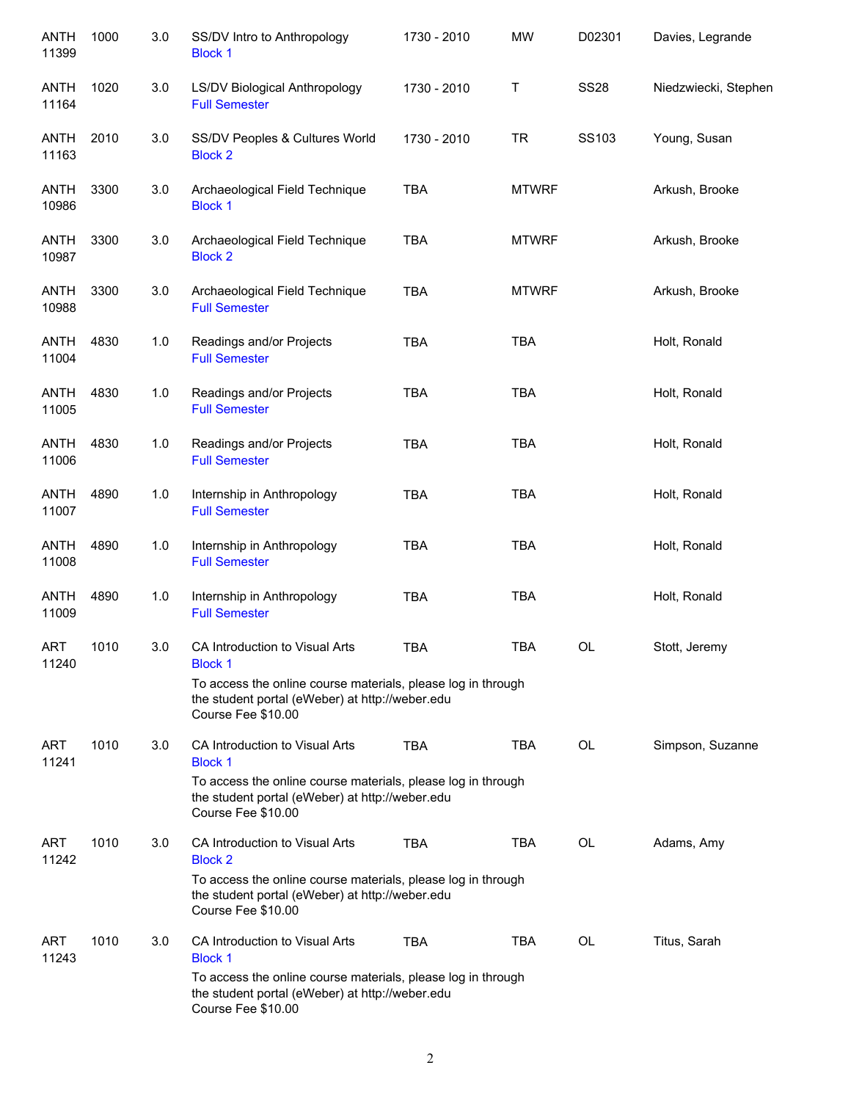| <b>ANTH</b><br>11399 | 1000 | 3.0 | SS/DV Intro to Anthropology<br><b>Block 1</b>                                                                                         | 1730 - 2010 | <b>MW</b>    | D02301      | Davies, Legrande     |
|----------------------|------|-----|---------------------------------------------------------------------------------------------------------------------------------------|-------------|--------------|-------------|----------------------|
| <b>ANTH</b><br>11164 | 1020 | 3.0 | LS/DV Biological Anthropology<br><b>Full Semester</b>                                                                                 | 1730 - 2010 | Τ            | <b>SS28</b> | Niedzwiecki, Stephen |
| ANTH<br>11163        | 2010 | 3.0 | SS/DV Peoples & Cultures World<br><b>Block 2</b>                                                                                      | 1730 - 2010 | <b>TR</b>    | SS103       | Young, Susan         |
| ANTH<br>10986        | 3300 | 3.0 | Archaeological Field Technique<br><b>Block 1</b>                                                                                      | <b>TBA</b>  | <b>MTWRF</b> |             | Arkush, Brooke       |
| ANTH<br>10987        | 3300 | 3.0 | Archaeological Field Technique<br><b>Block 2</b>                                                                                      | <b>TBA</b>  | <b>MTWRF</b> |             | Arkush, Brooke       |
| <b>ANTH</b><br>10988 | 3300 | 3.0 | Archaeological Field Technique<br><b>Full Semester</b>                                                                                | <b>TBA</b>  | <b>MTWRF</b> |             | Arkush, Brooke       |
| <b>ANTH</b><br>11004 | 4830 | 1.0 | Readings and/or Projects<br><b>Full Semester</b>                                                                                      | <b>TBA</b>  | <b>TBA</b>   |             | Holt, Ronald         |
| <b>ANTH</b><br>11005 | 4830 | 1.0 | Readings and/or Projects<br><b>Full Semester</b>                                                                                      | <b>TBA</b>  | <b>TBA</b>   |             | Holt, Ronald         |
| <b>ANTH</b><br>11006 | 4830 | 1.0 | Readings and/or Projects<br><b>Full Semester</b>                                                                                      | <b>TBA</b>  | <b>TBA</b>   |             | Holt, Ronald         |
| <b>ANTH</b><br>11007 | 4890 | 1.0 | Internship in Anthropology<br><b>Full Semester</b>                                                                                    | <b>TBA</b>  | <b>TBA</b>   |             | Holt, Ronald         |
| <b>ANTH</b><br>11008 | 4890 | 1.0 | Internship in Anthropology<br><b>Full Semester</b>                                                                                    | <b>TBA</b>  | <b>TBA</b>   |             | Holt, Ronald         |
| <b>ANTH</b><br>11009 | 4890 | 1.0 | Internship in Anthropology<br><b>Full Semester</b>                                                                                    | <b>TBA</b>  | <b>TBA</b>   |             | Holt, Ronald         |
| <b>ART</b><br>11240  | 1010 | 3.0 | CA Introduction to Visual Arts<br><b>Block 1</b>                                                                                      | <b>TBA</b>  | <b>TBA</b>   | <b>OL</b>   | Stott, Jeremy        |
|                      |      |     | To access the online course materials, please log in through<br>the student portal (eWeber) at http://weber.edu<br>Course Fee \$10.00 |             |              |             |                      |
| <b>ART</b><br>11241  | 1010 | 3.0 | CA Introduction to Visual Arts<br><b>Block 1</b>                                                                                      | <b>TBA</b>  | <b>TBA</b>   | <b>OL</b>   | Simpson, Suzanne     |
|                      |      |     | To access the online course materials, please log in through<br>the student portal (eWeber) at http://weber.edu<br>Course Fee \$10.00 |             |              |             |                      |
| ART<br>11242         | 1010 | 3.0 | CA Introduction to Visual Arts<br><b>Block 2</b>                                                                                      | <b>TBA</b>  | <b>TBA</b>   | <b>OL</b>   | Adams, Amy           |
|                      |      |     | To access the online course materials, please log in through<br>the student portal (eWeber) at http://weber.edu<br>Course Fee \$10.00 |             |              |             |                      |
| ART<br>11243         | 1010 | 3.0 | CA Introduction to Visual Arts<br><b>Block 1</b>                                                                                      | <b>TBA</b>  | <b>TBA</b>   | <b>OL</b>   | Titus, Sarah         |
|                      |      |     | To access the online course materials, please log in through<br>the student portal (eWeber) at http://weber.edu<br>Course Fee \$10.00 |             |              |             |                      |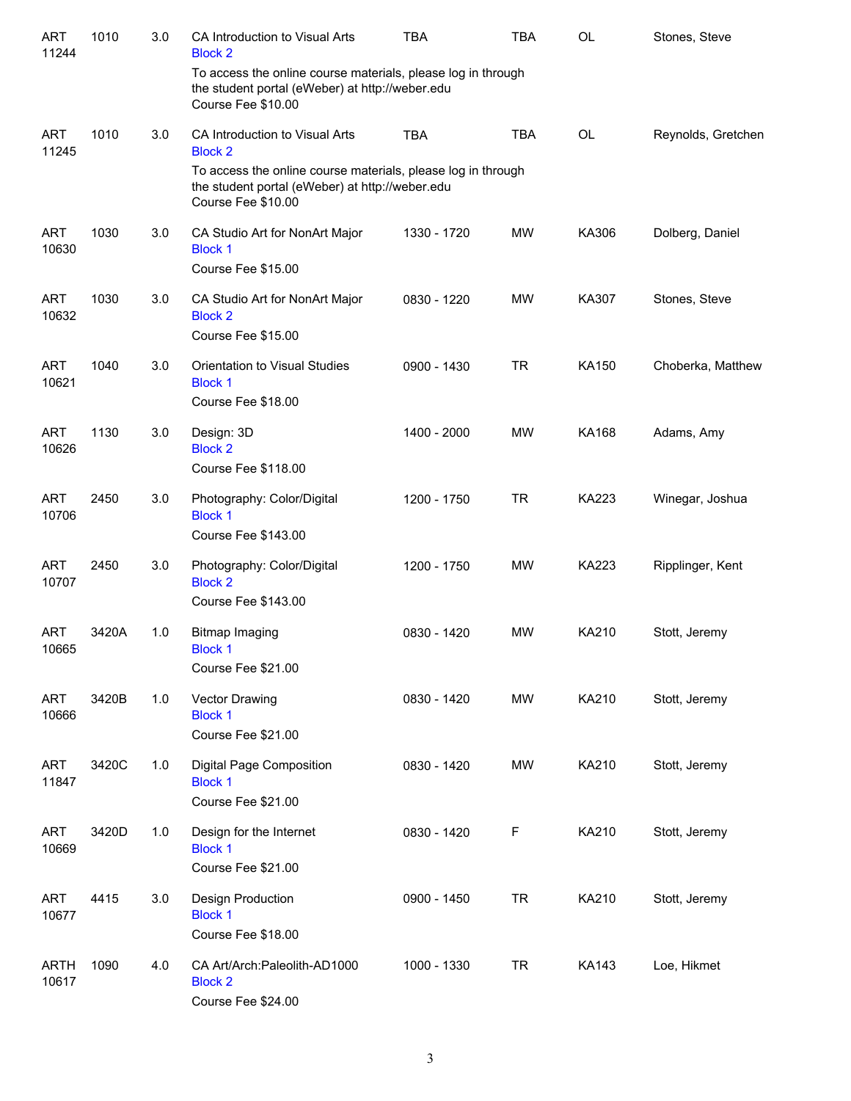| <b>ART</b><br>11244  | 1010  | 3.0 | CA Introduction to Visual Arts<br><b>Block 2</b>                                                                                      | <b>TBA</b>  | <b>TBA</b> | <b>OL</b>    | Stones, Steve      |
|----------------------|-------|-----|---------------------------------------------------------------------------------------------------------------------------------------|-------------|------------|--------------|--------------------|
|                      |       |     | To access the online course materials, please log in through<br>the student portal (eWeber) at http://weber.edu<br>Course Fee \$10.00 |             |            |              |                    |
| <b>ART</b><br>11245  | 1010  | 3.0 | CA Introduction to Visual Arts<br><b>Block 2</b>                                                                                      | <b>TBA</b>  | <b>TBA</b> | OL           | Reynolds, Gretchen |
|                      |       |     | To access the online course materials, please log in through<br>the student portal (eWeber) at http://weber.edu<br>Course Fee \$10.00 |             |            |              |                    |
| <b>ART</b><br>10630  | 1030  | 3.0 | CA Studio Art for NonArt Major<br><b>Block 1</b><br>Course Fee \$15.00                                                                | 1330 - 1720 | <b>MW</b>  | KA306        | Dolberg, Daniel    |
| <b>ART</b><br>10632  | 1030  | 3.0 | CA Studio Art for NonArt Major<br><b>Block 2</b><br>Course Fee \$15.00                                                                | 0830 - 1220 | <b>MW</b>  | KA307        | Stones, Steve      |
| <b>ART</b><br>10621  | 1040  | 3.0 | Orientation to Visual Studies<br><b>Block 1</b><br>Course Fee \$18.00                                                                 | 0900 - 1430 | <b>TR</b>  | KA150        | Choberka, Matthew  |
| <b>ART</b><br>10626  | 1130  | 3.0 | Design: 3D<br><b>Block 2</b><br>Course Fee \$118.00                                                                                   | 1400 - 2000 | <b>MW</b>  | <b>KA168</b> | Adams, Amy         |
| <b>ART</b><br>10706  | 2450  | 3.0 | Photography: Color/Digital<br><b>Block 1</b><br>Course Fee \$143.00                                                                   | 1200 - 1750 | <b>TR</b>  | <b>KA223</b> | Winegar, Joshua    |
| <b>ART</b><br>10707  | 2450  | 3.0 | Photography: Color/Digital<br><b>Block 2</b><br>Course Fee \$143.00                                                                   | 1200 - 1750 | <b>MW</b>  | <b>KA223</b> | Ripplinger, Kent   |
| <b>ART</b><br>10665  | 3420A | 1.0 | <b>Bitmap Imaging</b><br><b>Block 1</b><br>Course Fee \$21.00                                                                         | 0830 - 1420 | <b>MW</b>  | KA210        | Stott, Jeremy      |
| <b>ART</b><br>10666  | 3420B | 1.0 | Vector Drawing<br><b>Block 1</b><br>Course Fee \$21.00                                                                                | 0830 - 1420 | MW         | KA210        | Stott, Jeremy      |
| <b>ART</b><br>11847  | 3420C | 1.0 | Digital Page Composition<br><b>Block 1</b><br>Course Fee \$21.00                                                                      | 0830 - 1420 | <b>MW</b>  | KA210        | Stott, Jeremy      |
| <b>ART</b><br>10669  | 3420D | 1.0 | Design for the Internet<br><b>Block 1</b><br>Course Fee \$21.00                                                                       | 0830 - 1420 | F          | KA210        | Stott, Jeremy      |
| <b>ART</b><br>10677  | 4415  | 3.0 | <b>Design Production</b><br><b>Block 1</b><br>Course Fee \$18.00                                                                      | 0900 - 1450 | <b>TR</b>  | KA210        | Stott, Jeremy      |
| <b>ARTH</b><br>10617 | 1090  | 4.0 | CA Art/Arch: Paleolith-AD1000<br><b>Block 2</b><br>Course Fee \$24.00                                                                 | 1000 - 1330 | <b>TR</b>  | KA143        | Loe, Hikmet        |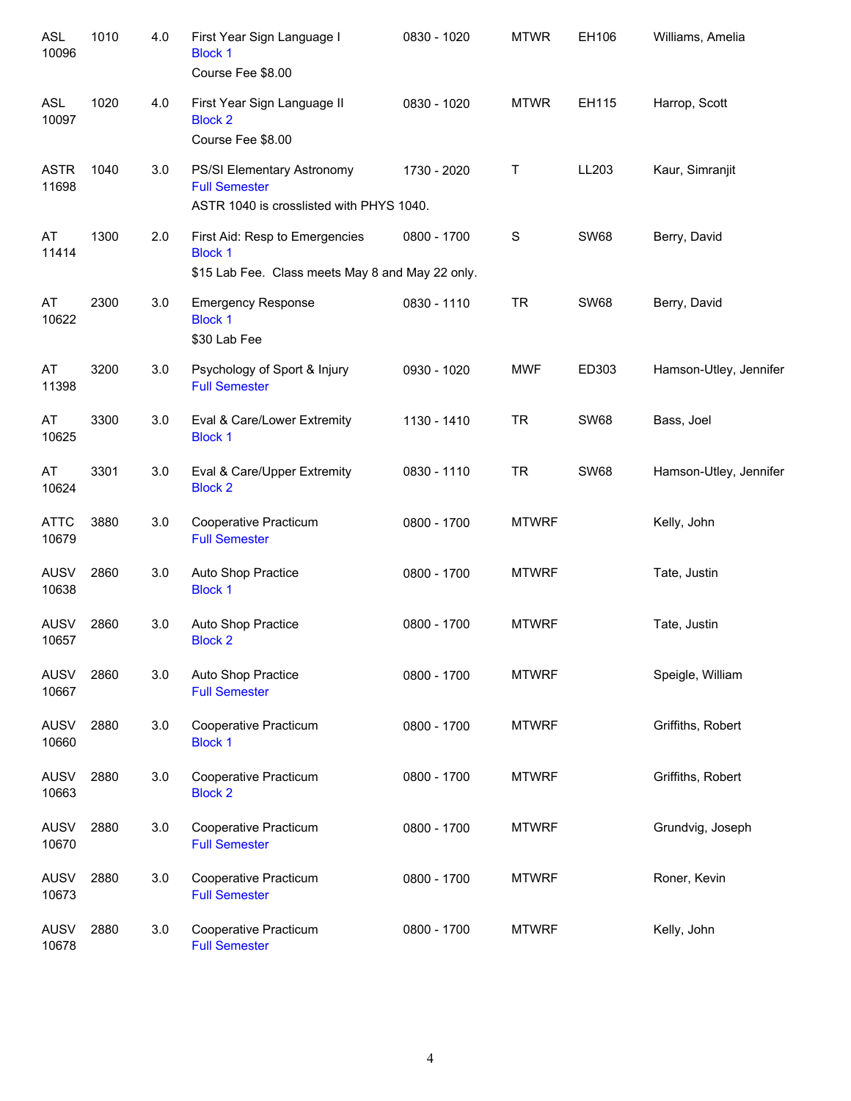| <b>ASL</b><br>10096  | 1010 | 4.0 | First Year Sign Language I<br><b>Block 1</b><br>Course Fee \$8.00                                    | 0830 - 1020 | <b>MTWR</b>  | EH106       | Williams, Amelia       |
|----------------------|------|-----|------------------------------------------------------------------------------------------------------|-------------|--------------|-------------|------------------------|
| <b>ASL</b><br>10097  | 1020 | 4.0 | First Year Sign Language II<br><b>Block 2</b><br>Course Fee \$8.00                                   | 0830 - 1020 | <b>MTWR</b>  | EH115       | Harrop, Scott          |
| <b>ASTR</b><br>11698 | 1040 | 3.0 | PS/SI Elementary Astronomy<br><b>Full Semester</b><br>ASTR 1040 is crosslisted with PHYS 1040.       | 1730 - 2020 | Τ            | LL203       | Kaur, Simranjit        |
| AT<br>11414          | 1300 | 2.0 | First Aid: Resp to Emergencies<br><b>Block 1</b><br>\$15 Lab Fee. Class meets May 8 and May 22 only. | 0800 - 1700 | S            | <b>SW68</b> | Berry, David           |
| AT<br>10622          | 2300 | 3.0 | <b>Emergency Response</b><br><b>Block 1</b><br>\$30 Lab Fee                                          | 0830 - 1110 | <b>TR</b>    | <b>SW68</b> | Berry, David           |
| AT<br>11398          | 3200 | 3.0 | Psychology of Sport & Injury<br><b>Full Semester</b>                                                 | 0930 - 1020 | <b>MWF</b>   | ED303       | Hamson-Utley, Jennifer |
| AT<br>10625          | 3300 | 3.0 | Eval & Care/Lower Extremity<br><b>Block 1</b>                                                        | 1130 - 1410 | <b>TR</b>    | <b>SW68</b> | Bass, Joel             |
| AT<br>10624          | 3301 | 3.0 | Eval & Care/Upper Extremity<br><b>Block 2</b>                                                        | 0830 - 1110 | <b>TR</b>    | <b>SW68</b> | Hamson-Utley, Jennifer |
| <b>ATTC</b><br>10679 | 3880 | 3.0 | Cooperative Practicum<br><b>Full Semester</b>                                                        | 0800 - 1700 | <b>MTWRF</b> |             | Kelly, John            |
| <b>AUSV</b><br>10638 | 2860 | 3.0 | Auto Shop Practice<br><b>Block 1</b>                                                                 | 0800 - 1700 | <b>MTWRF</b> |             | Tate, Justin           |
| <b>AUSV</b><br>10657 | 2860 | 3.0 | Auto Shop Practice<br><b>Block 2</b>                                                                 | 0800 - 1700 | <b>MTWRF</b> |             | Tate, Justin           |
| <b>AUSV</b><br>10667 | 2860 | 3.0 | Auto Shop Practice<br><b>Full Semester</b>                                                           | 0800 - 1700 | <b>MTWRF</b> |             | Speigle, William       |
| <b>AUSV</b><br>10660 | 2880 | 3.0 | Cooperative Practicum<br><b>Block 1</b>                                                              | 0800 - 1700 | <b>MTWRF</b> |             | Griffiths, Robert      |
| <b>AUSV</b><br>10663 | 2880 | 3.0 | Cooperative Practicum<br><b>Block 2</b>                                                              | 0800 - 1700 | <b>MTWRF</b> |             | Griffiths, Robert      |
| <b>AUSV</b><br>10670 | 2880 | 3.0 | Cooperative Practicum<br><b>Full Semester</b>                                                        | 0800 - 1700 | <b>MTWRF</b> |             | Grundvig, Joseph       |
| <b>AUSV</b><br>10673 | 2880 | 3.0 | Cooperative Practicum<br><b>Full Semester</b>                                                        | 0800 - 1700 | <b>MTWRF</b> |             | Roner, Kevin           |
| <b>AUSV</b><br>10678 | 2880 | 3.0 | Cooperative Practicum<br><b>Full Semester</b>                                                        | 0800 - 1700 | <b>MTWRF</b> |             | Kelly, John            |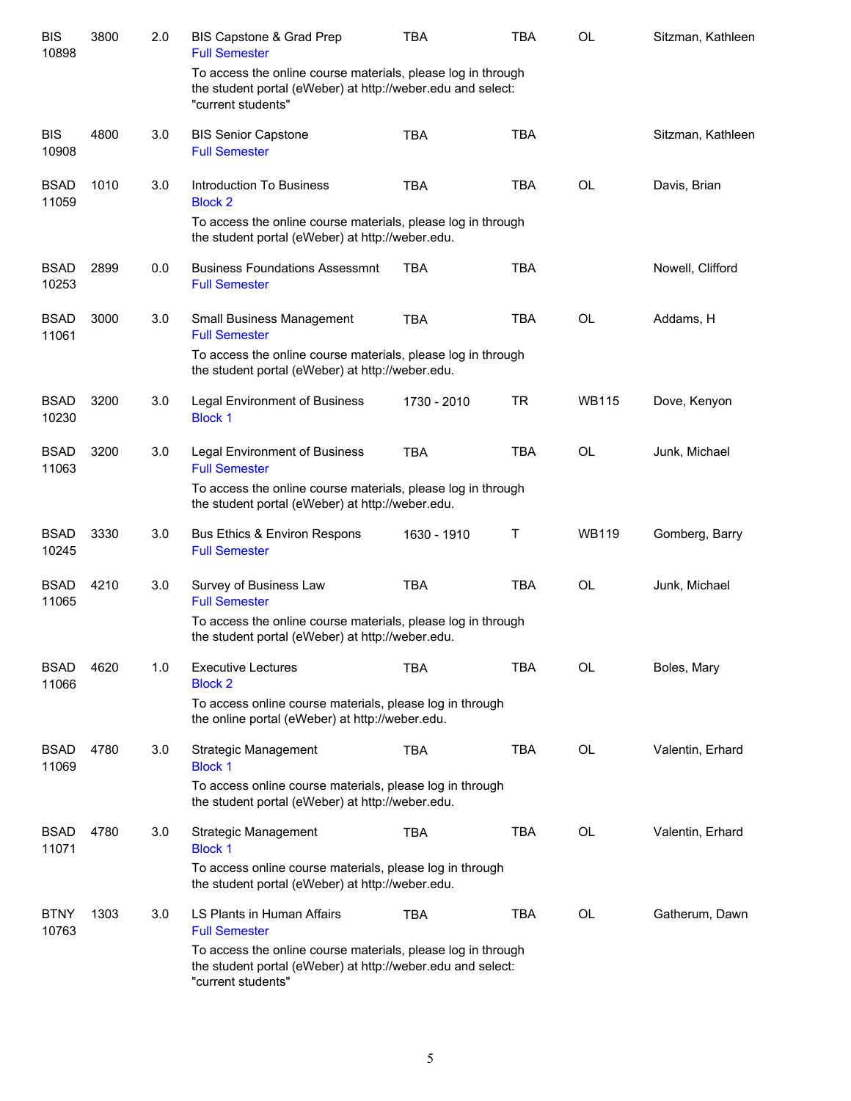| <b>BIS</b><br>10898  | 3800 | 2.0 | BIS Capstone & Grad Prep<br><b>Full Semester</b>                                                                                                  | <b>TBA</b>  | <b>TBA</b> | OL           | Sitzman, Kathleen |
|----------------------|------|-----|---------------------------------------------------------------------------------------------------------------------------------------------------|-------------|------------|--------------|-------------------|
|                      |      |     | To access the online course materials, please log in through<br>the student portal (eWeber) at http://weber.edu and select:<br>"current students" |             |            |              |                   |
| <b>BIS</b><br>10908  | 4800 | 3.0 | <b>BIS Senior Capstone</b><br><b>Full Semester</b>                                                                                                | <b>TBA</b>  | <b>TBA</b> |              | Sitzman, Kathleen |
| <b>BSAD</b><br>11059 | 1010 | 3.0 | Introduction To Business<br><b>Block 2</b>                                                                                                        | <b>TBA</b>  | <b>TBA</b> | <b>OL</b>    | Davis, Brian      |
|                      |      |     | To access the online course materials, please log in through<br>the student portal (eWeber) at http://weber.edu.                                  |             |            |              |                   |
| <b>BSAD</b><br>10253 | 2899 | 0.0 | <b>Business Foundations Assessmnt</b><br><b>Full Semester</b>                                                                                     | <b>TBA</b>  | <b>TBA</b> |              | Nowell, Clifford  |
| <b>BSAD</b><br>11061 | 3000 | 3.0 | Small Business Management<br><b>Full Semester</b>                                                                                                 | <b>TBA</b>  | <b>TBA</b> | <b>OL</b>    | Addams, H         |
|                      |      |     | To access the online course materials, please log in through<br>the student portal (eWeber) at http://weber.edu.                                  |             |            |              |                   |
| <b>BSAD</b><br>10230 | 3200 | 3.0 | <b>Legal Environment of Business</b><br><b>Block 1</b>                                                                                            | 1730 - 2010 | <b>TR</b>  | <b>WB115</b> | Dove, Kenyon      |
| <b>BSAD</b><br>11063 | 3200 | 3.0 | <b>Legal Environment of Business</b><br><b>Full Semester</b>                                                                                      | <b>TBA</b>  | <b>TBA</b> | OL           | Junk, Michael     |
|                      |      |     | To access the online course materials, please log in through<br>the student portal (eWeber) at http://weber.edu.                                  |             |            |              |                   |
| <b>BSAD</b><br>10245 | 3330 | 3.0 | <b>Bus Ethics &amp; Environ Respons</b><br><b>Full Semester</b>                                                                                   | 1630 - 1910 | Т          | <b>WB119</b> | Gomberg, Barry    |
| <b>BSAD</b><br>11065 | 4210 | 3.0 | Survey of Business Law<br><b>Full Semester</b>                                                                                                    | <b>TBA</b>  | <b>TBA</b> | <b>OL</b>    | Junk, Michael     |
|                      |      |     | To access the online course materials, please log in through<br>the student portal (eWeber) at http://weber.edu.                                  |             |            |              |                   |
| <b>BSAD</b><br>11066 | 4620 | 1.0 | <b>Executive Lectures</b><br><b>Block 2</b>                                                                                                       | <b>TBA</b>  | <b>TBA</b> | OL           | Boles, Mary       |
|                      |      |     | To access online course materials, please log in through<br>the online portal (eWeber) at http://weber.edu.                                       |             |            |              |                   |
| <b>BSAD</b><br>11069 | 4780 | 3.0 | Strategic Management<br><b>Block 1</b>                                                                                                            | <b>TBA</b>  | <b>TBA</b> | OL           | Valentin, Erhard  |
|                      |      |     | To access online course materials, please log in through<br>the student portal (eWeber) at http://weber.edu.                                      |             |            |              |                   |
| <b>BSAD</b><br>11071 | 4780 | 3.0 | Strategic Management<br><b>Block 1</b>                                                                                                            | TBA         | <b>TBA</b> | OL           | Valentin, Erhard  |
|                      |      |     | To access online course materials, please log in through<br>the student portal (eWeber) at http://weber.edu.                                      |             |            |              |                   |
| <b>BTNY</b><br>10763 | 1303 | 3.0 | LS Plants in Human Affairs<br><b>Full Semester</b>                                                                                                | <b>TBA</b>  | <b>TBA</b> | OL           | Gatherum, Dawn    |
|                      |      |     | To access the online course materials, please log in through<br>the student portal (eWeber) at http://weber.edu and select:<br>"current students" |             |            |              |                   |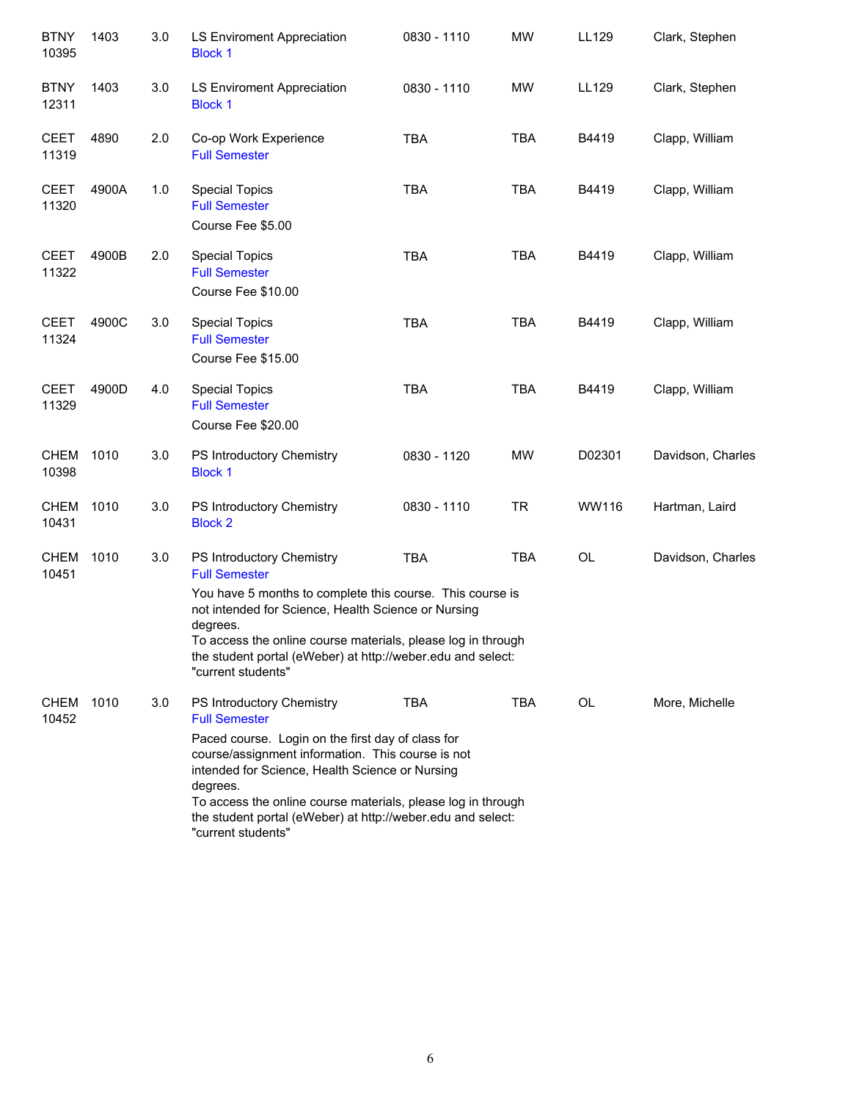| <b>BTNY</b><br>10395 | 1403  | 3.0 | LS Enviroment Appreciation<br><b>Block 1</b>                                                                                                                                                                                                                                                                                                                                    | 0830 - 1110 | <b>MW</b>  | LL129     | Clark, Stephen    |
|----------------------|-------|-----|---------------------------------------------------------------------------------------------------------------------------------------------------------------------------------------------------------------------------------------------------------------------------------------------------------------------------------------------------------------------------------|-------------|------------|-----------|-------------------|
| <b>BTNY</b><br>12311 | 1403  | 3.0 | LS Enviroment Appreciation<br><b>Block 1</b>                                                                                                                                                                                                                                                                                                                                    | 0830 - 1110 | MW         | LL129     | Clark, Stephen    |
| <b>CEET</b><br>11319 | 4890  | 2.0 | Co-op Work Experience<br><b>Full Semester</b>                                                                                                                                                                                                                                                                                                                                   | <b>TBA</b>  | <b>TBA</b> | B4419     | Clapp, William    |
| <b>CEET</b><br>11320 | 4900A | 1.0 | <b>Special Topics</b><br><b>Full Semester</b><br>Course Fee \$5.00                                                                                                                                                                                                                                                                                                              | <b>TBA</b>  | <b>TBA</b> | B4419     | Clapp, William    |
| <b>CEET</b><br>11322 | 4900B | 2.0 | <b>Special Topics</b><br><b>Full Semester</b><br>Course Fee \$10.00                                                                                                                                                                                                                                                                                                             | <b>TBA</b>  | <b>TBA</b> | B4419     | Clapp, William    |
| <b>CEET</b><br>11324 | 4900C | 3.0 | <b>Special Topics</b><br><b>Full Semester</b><br>Course Fee \$15.00                                                                                                                                                                                                                                                                                                             | <b>TBA</b>  | <b>TBA</b> | B4419     | Clapp, William    |
| <b>CEET</b><br>11329 | 4900D | 4.0 | <b>Special Topics</b><br><b>Full Semester</b><br>Course Fee \$20.00                                                                                                                                                                                                                                                                                                             | <b>TBA</b>  | <b>TBA</b> | B4419     | Clapp, William    |
| <b>CHEM</b><br>10398 | 1010  | 3.0 | PS Introductory Chemistry<br><b>Block 1</b>                                                                                                                                                                                                                                                                                                                                     | 0830 - 1120 | <b>MW</b>  | D02301    | Davidson, Charles |
| <b>CHEM</b><br>10431 | 1010  | 3.0 | PS Introductory Chemistry<br><b>Block 2</b>                                                                                                                                                                                                                                                                                                                                     | 0830 - 1110 | <b>TR</b>  | WW116     | Hartman, Laird    |
| <b>CHEM</b><br>10451 | 1010  | 3.0 | PS Introductory Chemistry<br><b>Full Semester</b><br>You have 5 months to complete this course. This course is<br>not intended for Science, Health Science or Nursing<br>degrees.<br>To access the online course materials, please log in through<br>the student portal (eWeber) at http://weber.edu and select:<br>"current students"                                          | <b>TBA</b>  | <b>TBA</b> | OL        | Davidson, Charles |
| <b>CHEM</b><br>10452 | 1010  | 3.0 | PS Introductory Chemistry<br><b>Full Semester</b><br>Paced course. Login on the first day of class for<br>course/assignment information. This course is not<br>intended for Science, Health Science or Nursing<br>degrees.<br>To access the online course materials, please log in through<br>the student portal (eWeber) at http://weber.edu and select:<br>"current students" | TBA         | <b>TBA</b> | <b>OL</b> | More, Michelle    |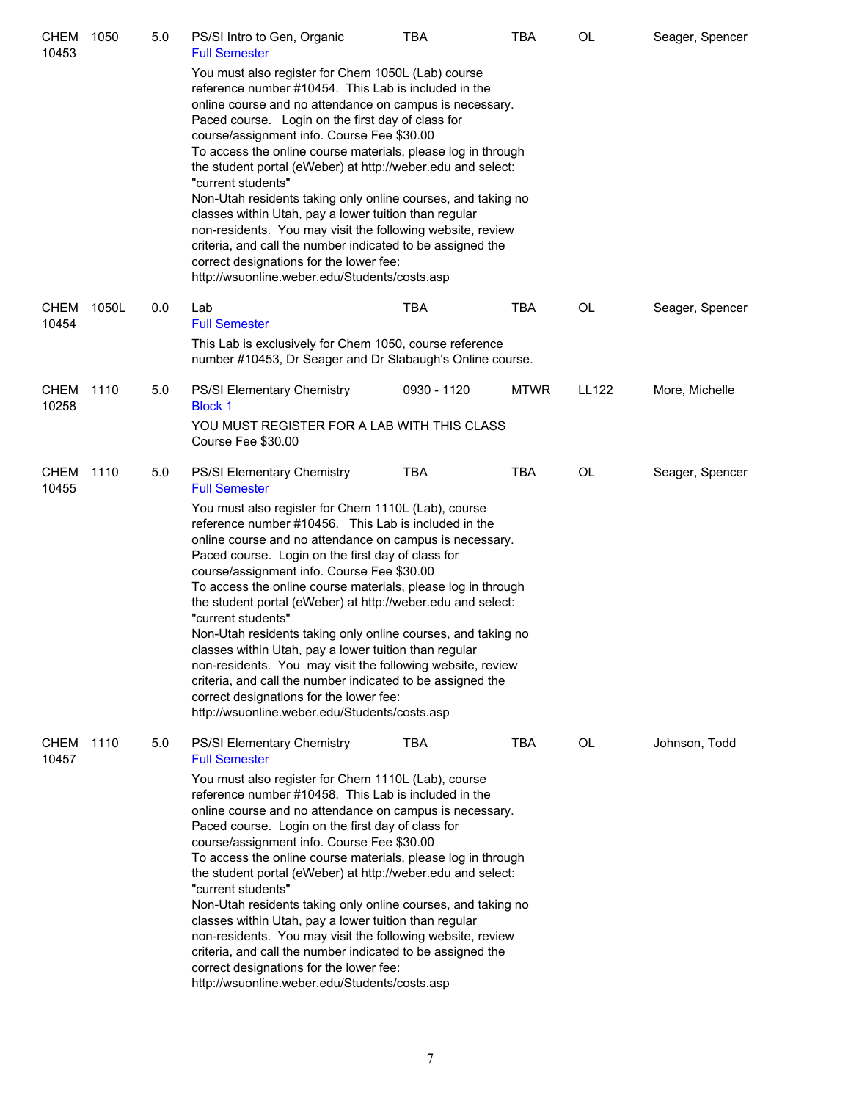| <b>CHEM</b><br>10453 | 1050  | 5.0 | PS/SI Intro to Gen, Organic<br><b>Full Semester</b>                                                                                                                                                                                                                                                                                                                                                                                                                                                                                                                                                                                                                                                                                                                                                                                          | TBA         | <b>TBA</b>  | OL        | Seager, Spencer |
|----------------------|-------|-----|----------------------------------------------------------------------------------------------------------------------------------------------------------------------------------------------------------------------------------------------------------------------------------------------------------------------------------------------------------------------------------------------------------------------------------------------------------------------------------------------------------------------------------------------------------------------------------------------------------------------------------------------------------------------------------------------------------------------------------------------------------------------------------------------------------------------------------------------|-------------|-------------|-----------|-----------------|
|                      |       |     | You must also register for Chem 1050L (Lab) course<br>reference number #10454. This Lab is included in the<br>online course and no attendance on campus is necessary.<br>Paced course. Login on the first day of class for<br>course/assignment info. Course Fee \$30.00<br>To access the online course materials, please log in through<br>the student portal (eWeber) at http://weber.edu and select:<br>"current students"<br>Non-Utah residents taking only online courses, and taking no<br>classes within Utah, pay a lower tuition than regular<br>non-residents. You may visit the following website, review<br>criteria, and call the number indicated to be assigned the<br>correct designations for the lower fee:<br>http://wsuonline.weber.edu/Students/costs.asp                                                               |             |             |           |                 |
| <b>CHEM</b><br>10454 | 1050L | 0.0 | Lab<br><b>Full Semester</b><br>This Lab is exclusively for Chem 1050, course reference<br>number #10453, Dr Seager and Dr Slabaugh's Online course.                                                                                                                                                                                                                                                                                                                                                                                                                                                                                                                                                                                                                                                                                          | TBA         | <b>TBA</b>  | OL        | Seager, Spencer |
| CHEM<br>10258        | 1110  | 5.0 | PS/SI Elementary Chemistry<br><b>Block 1</b><br>YOU MUST REGISTER FOR A LAB WITH THIS CLASS<br>Course Fee \$30.00                                                                                                                                                                                                                                                                                                                                                                                                                                                                                                                                                                                                                                                                                                                            | 0930 - 1120 | <b>MTWR</b> | LL122     | More, Michelle  |
| CHEM 1110<br>10455   |       | 5.0 | <b>PS/SI Elementary Chemistry</b><br><b>Full Semester</b><br>You must also register for Chem 1110L (Lab), course<br>reference number #10456. This Lab is included in the<br>online course and no attendance on campus is necessary.<br>Paced course. Login on the first day of class for<br>course/assignment info. Course Fee \$30.00<br>To access the online course materials, please log in through<br>the student portal (eWeber) at http://weber.edu and select:<br>"current students"<br>Non-Utah residents taking only online courses, and taking no<br>classes within Utah, pay a lower tuition than regular<br>non-residents. You may visit the following website, review<br>criteria, and call the number indicated to be assigned the<br>correct designations for the lower fee:<br>http://wsuonline.weber.edu/Students/costs.asp | TBA         | TBA         | <b>OL</b> | Seager, Spencer |
| <b>CHEM</b><br>10457 | 1110  | 5.0 | <b>PS/SI Elementary Chemistry</b><br><b>Full Semester</b><br>You must also register for Chem 1110L (Lab), course<br>reference number #10458. This Lab is included in the<br>online course and no attendance on campus is necessary.<br>Paced course. Login on the first day of class for<br>course/assignment info. Course Fee \$30.00<br>To access the online course materials, please log in through<br>the student portal (eWeber) at http://weber.edu and select:<br>"current students"<br>Non-Utah residents taking only online courses, and taking no<br>classes within Utah, pay a lower tuition than regular<br>non-residents. You may visit the following website, review<br>criteria, and call the number indicated to be assigned the<br>correct designations for the lower fee:<br>http://wsuonline.weber.edu/Students/costs.asp | TBA         | <b>TBA</b>  | <b>OL</b> | Johnson, Todd   |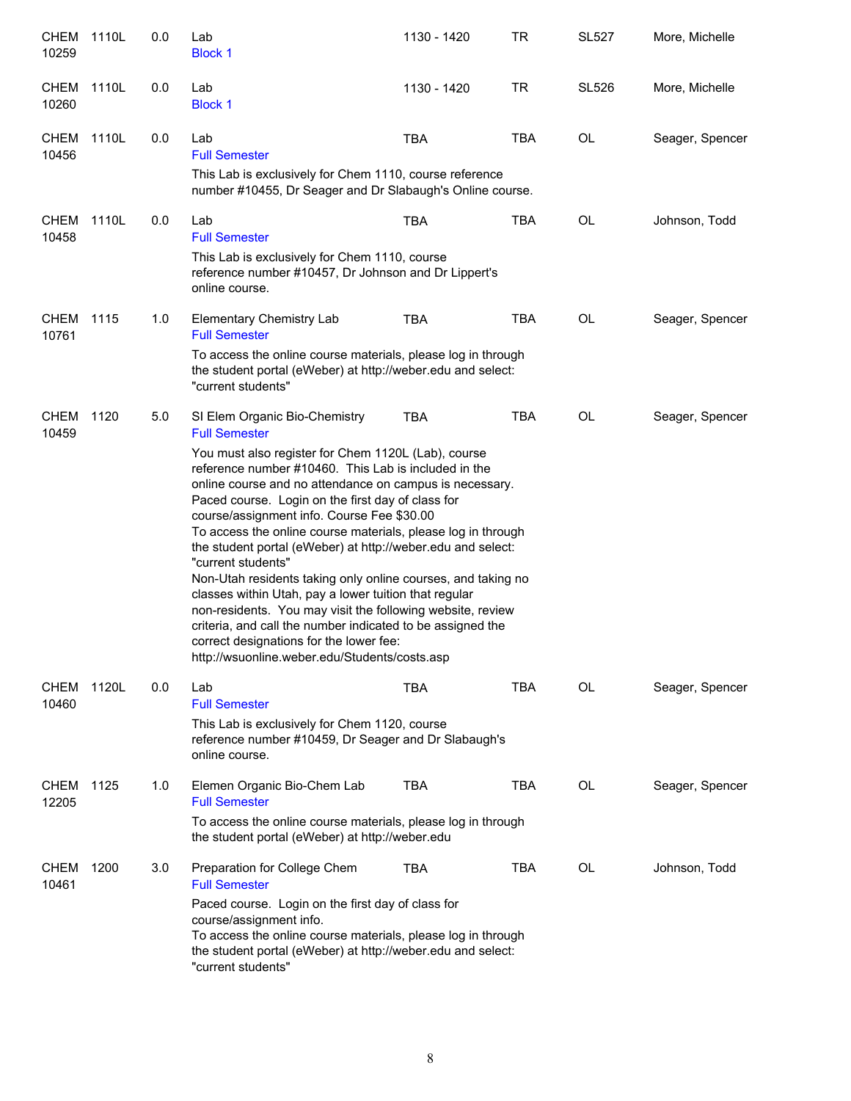| CHEM<br>10259        | 1110L | 0.0 | Lab<br><b>Block 1</b>                                                                                                                                                                                                                                                                                                                                                                                                                                                                                                                                                                                                                                                                                                                                                                                                                    | 1130 - 1420 | TR         | <b>SL527</b> | More, Michelle  |
|----------------------|-------|-----|------------------------------------------------------------------------------------------------------------------------------------------------------------------------------------------------------------------------------------------------------------------------------------------------------------------------------------------------------------------------------------------------------------------------------------------------------------------------------------------------------------------------------------------------------------------------------------------------------------------------------------------------------------------------------------------------------------------------------------------------------------------------------------------------------------------------------------------|-------------|------------|--------------|-----------------|
| <b>CHEM</b><br>10260 | 1110L | 0.0 | Lab<br><b>Block 1</b>                                                                                                                                                                                                                                                                                                                                                                                                                                                                                                                                                                                                                                                                                                                                                                                                                    | 1130 - 1420 | <b>TR</b>  | <b>SL526</b> | More, Michelle  |
| CHEM<br>10456        | 1110L | 0.0 | Lab<br><b>Full Semester</b><br>This Lab is exclusively for Chem 1110, course reference<br>number #10455, Dr Seager and Dr Slabaugh's Online course.                                                                                                                                                                                                                                                                                                                                                                                                                                                                                                                                                                                                                                                                                      | <b>TBA</b>  | <b>TBA</b> | <b>OL</b>    | Seager, Spencer |
| CHEM<br>10458        | 1110L | 0.0 | Lab<br><b>Full Semester</b><br>This Lab is exclusively for Chem 1110, course<br>reference number #10457, Dr Johnson and Dr Lippert's<br>online course.                                                                                                                                                                                                                                                                                                                                                                                                                                                                                                                                                                                                                                                                                   | <b>TBA</b>  | <b>TBA</b> | OL           | Johnson, Todd   |
| CHEM 1115<br>10761   |       | 1.0 | <b>Elementary Chemistry Lab</b><br><b>Full Semester</b><br>To access the online course materials, please log in through<br>the student portal (eWeber) at http://weber.edu and select:<br>"current students"                                                                                                                                                                                                                                                                                                                                                                                                                                                                                                                                                                                                                             | <b>TBA</b>  | <b>TBA</b> | <b>OL</b>    | Seager, Spencer |
| <b>CHEM</b><br>10459 | 1120  | 5.0 | SI Elem Organic Bio-Chemistry<br><b>Full Semester</b><br>You must also register for Chem 1120L (Lab), course<br>reference number #10460. This Lab is included in the<br>online course and no attendance on campus is necessary.<br>Paced course. Login on the first day of class for<br>course/assignment info. Course Fee \$30.00<br>To access the online course materials, please log in through<br>the student portal (eWeber) at http://weber.edu and select:<br>"current students"<br>Non-Utah residents taking only online courses, and taking no<br>classes within Utah, pay a lower tuition that regular<br>non-residents. You may visit the following website, review<br>criteria, and call the number indicated to be assigned the<br>correct designations for the lower fee:<br>http://wsuonline.weber.edu/Students/costs.asp | <b>TBA</b>  | <b>TBA</b> | OL           | Seager, Spencer |
| <b>CHEM</b><br>10460 | 1120L | 0.0 | Lab<br><b>Full Semester</b><br>This Lab is exclusively for Chem 1120, course<br>reference number #10459, Dr Seager and Dr Slabaugh's<br>online course.                                                                                                                                                                                                                                                                                                                                                                                                                                                                                                                                                                                                                                                                                   | <b>TBA</b>  | <b>TBA</b> | OL           | Seager, Spencer |
| <b>CHEM</b><br>12205 | 1125  | 1.0 | Elemen Organic Bio-Chem Lab<br><b>Full Semester</b><br>To access the online course materials, please log in through<br>the student portal (eWeber) at http://weber.edu                                                                                                                                                                                                                                                                                                                                                                                                                                                                                                                                                                                                                                                                   | <b>TBA</b>  | <b>TBA</b> | <b>OL</b>    | Seager, Spencer |
| CHEM<br>10461        | 1200  | 3.0 | Preparation for College Chem<br><b>Full Semester</b><br>Paced course. Login on the first day of class for<br>course/assignment info.<br>To access the online course materials, please log in through<br>the student portal (eWeber) at http://weber.edu and select:<br>"current students"                                                                                                                                                                                                                                                                                                                                                                                                                                                                                                                                                | <b>TBA</b>  | <b>TBA</b> | <b>OL</b>    | Johnson, Todd   |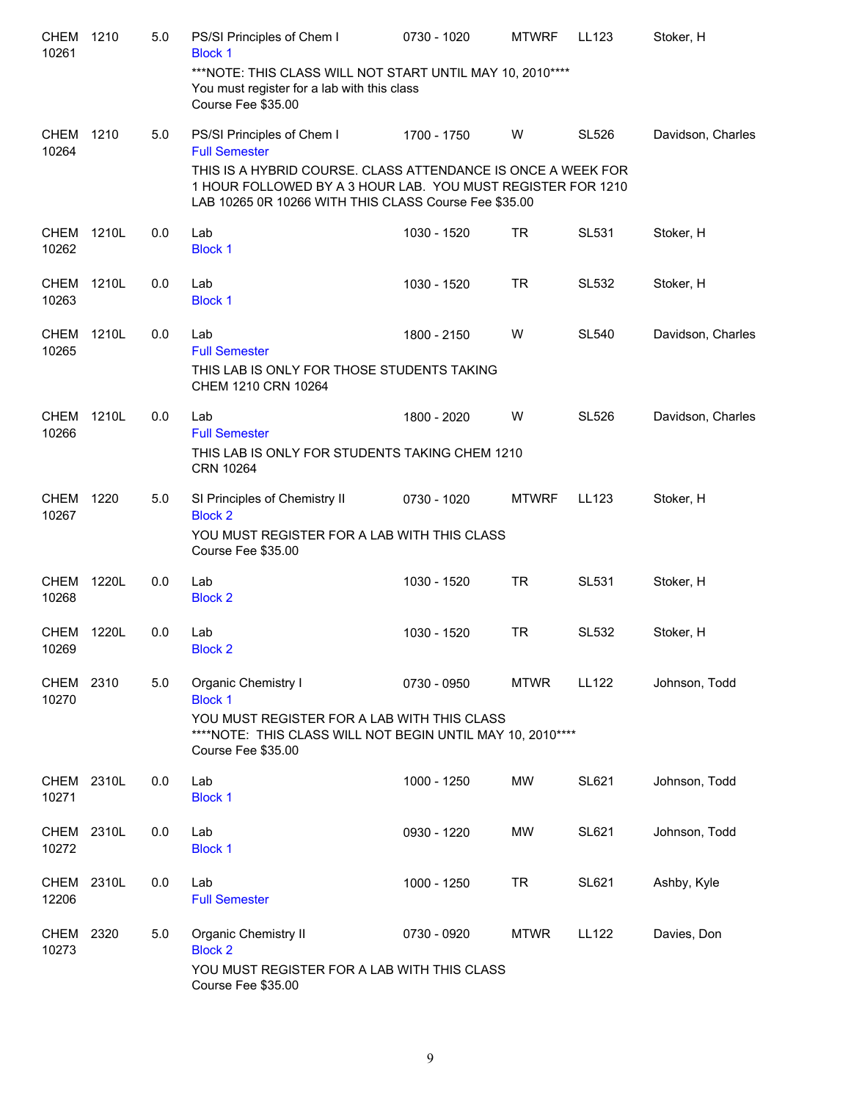| CHEM<br>10261        | 1210  | 5.0 | PS/SI Principles of Chem I<br><b>Block 1</b>                                                                                                                                         | 0730 - 1020 | <b>MTWRF</b> | LL123        | Stoker, H         |
|----------------------|-------|-----|--------------------------------------------------------------------------------------------------------------------------------------------------------------------------------------|-------------|--------------|--------------|-------------------|
|                      |       |     | ***NOTE: THIS CLASS WILL NOT START UNTIL MAY 10, 2010 ****<br>You must register for a lab with this class<br>Course Fee \$35.00                                                      |             |              |              |                   |
| <b>CHEM</b><br>10264 | 1210  | 5.0 | PS/SI Principles of Chem I<br><b>Full Semester</b>                                                                                                                                   | 1700 - 1750 | W            | <b>SL526</b> | Davidson, Charles |
|                      |       |     | THIS IS A HYBRID COURSE. CLASS ATTENDANCE IS ONCE A WEEK FOR<br>1 HOUR FOLLOWED BY A 3 HOUR LAB. YOU MUST REGISTER FOR 1210<br>LAB 10265 0R 10266 WITH THIS CLASS Course Fee \$35.00 |             |              |              |                   |
| <b>CHEM</b><br>10262 | 1210L | 0.0 | Lab<br><b>Block 1</b>                                                                                                                                                                | 1030 - 1520 | TR           | <b>SL531</b> | Stoker, H         |
| <b>CHEM</b><br>10263 | 1210L | 0.0 | Lab<br><b>Block 1</b>                                                                                                                                                                | 1030 - 1520 | <b>TR</b>    | SL532        | Stoker, H         |
| <b>CHEM</b><br>10265 | 1210L | 0.0 | Lab<br><b>Full Semester</b>                                                                                                                                                          | 1800 - 2150 | W            | <b>SL540</b> | Davidson, Charles |
|                      |       |     | THIS LAB IS ONLY FOR THOSE STUDENTS TAKING<br>CHEM 1210 CRN 10264                                                                                                                    |             |              |              |                   |
| <b>CHEM</b><br>10266 | 1210L | 0.0 | Lab<br><b>Full Semester</b>                                                                                                                                                          | 1800 - 2020 | W            | <b>SL526</b> | Davidson, Charles |
|                      |       |     | THIS LAB IS ONLY FOR STUDENTS TAKING CHEM 1210<br>CRN 10264                                                                                                                          |             |              |              |                   |
| <b>CHEM</b><br>10267 | 1220  | 5.0 | SI Principles of Chemistry II<br><b>Block 2</b>                                                                                                                                      | 0730 - 1020 | <b>MTWRF</b> | LL123        | Stoker, H         |
|                      |       |     | YOU MUST REGISTER FOR A LAB WITH THIS CLASS<br>Course Fee \$35.00                                                                                                                    |             |              |              |                   |
| <b>CHEM</b><br>10268 | 1220L | 0.0 | Lab<br><b>Block 2</b>                                                                                                                                                                | 1030 - 1520 | <b>TR</b>    | <b>SL531</b> | Stoker, H         |
| <b>CHEM</b><br>10269 | 1220L | 0.0 | Lab<br><b>Block 2</b>                                                                                                                                                                | 1030 - 1520 | <b>TR</b>    | <b>SL532</b> | Stoker, H         |
| CHEM 2310<br>10270   |       | 5.0 | Organic Chemistry I<br><b>Block 1</b>                                                                                                                                                | 0730 - 0950 | <b>MTWR</b>  | LL122        | Johnson, Todd     |
|                      |       |     | YOU MUST REGISTER FOR A LAB WITH THIS CLASS<br>****NOTE: THIS CLASS WILL NOT BEGIN UNTIL MAY 10, 2010 ****<br>Course Fee \$35.00                                                     |             |              |              |                   |
| <b>CHEM</b><br>10271 | 2310L | 0.0 | Lab<br><b>Block 1</b>                                                                                                                                                                | 1000 - 1250 | <b>MW</b>    | <b>SL621</b> | Johnson, Todd     |
| CHEM<br>10272        | 2310L | 0.0 | Lab<br><b>Block 1</b>                                                                                                                                                                | 0930 - 1220 | <b>MW</b>    | <b>SL621</b> | Johnson, Todd     |
| CHEM<br>12206        | 2310L | 0.0 | Lab<br><b>Full Semester</b>                                                                                                                                                          | 1000 - 1250 | TR           | SL621        | Ashby, Kyle       |
| CHEM<br>10273        | 2320  | 5.0 | Organic Chemistry II<br><b>Block 2</b>                                                                                                                                               | 0730 - 0920 | <b>MTWR</b>  | LL122        | Davies, Don       |
|                      |       |     | YOU MUST REGISTER FOR A LAB WITH THIS CLASS<br>Course Fee \$35.00                                                                                                                    |             |              |              |                   |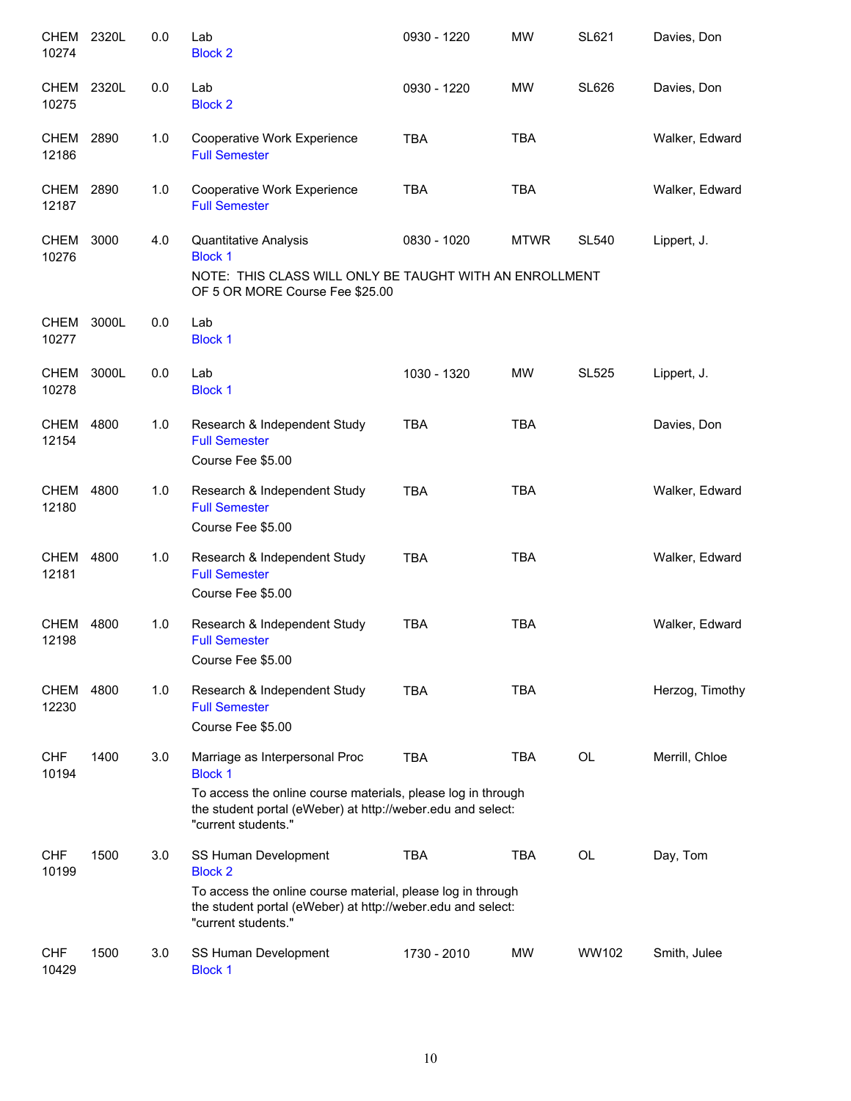| CHEM 2320L<br>10274        |       | 0.0 | Lab<br><b>Block 2</b>                                                                                                                                                                                  | 0930 - 1220 | <b>MW</b>   | <b>SL621</b>                             | Davies, Don     |
|----------------------------|-------|-----|--------------------------------------------------------------------------------------------------------------------------------------------------------------------------------------------------------|-------------|-------------|------------------------------------------|-----------------|
| <b>CHEM</b><br>10275       | 2320L | 0.0 | Lab<br><b>Block 2</b>                                                                                                                                                                                  | 0930 - 1220 | MW          | <b>SL626</b>                             | Davies, Don     |
| <b>CHEM</b><br>12186       | 2890  | 1.0 | Cooperative Work Experience<br><b>Full Semester</b>                                                                                                                                                    | <b>TBA</b>  | <b>TBA</b>  |                                          | Walker, Edward  |
| CHEM 2890<br>12187         |       | 1.0 | Cooperative Work Experience<br><b>Full Semester</b>                                                                                                                                                    | <b>TBA</b>  | <b>TBA</b>  |                                          | Walker, Edward  |
| CHEM 3000<br>10276         |       | 4.0 | Quantitative Analysis<br><b>Block 1</b><br>NOTE: THIS CLASS WILL ONLY BE TAUGHT WITH AN ENROLLMENT<br>OF 5 OR MORE Course Fee \$25.00                                                                  | 0830 - 1020 | <b>MTWR</b> | <b>SL540</b>                             | Lippert, J.     |
| CHEM 3000L<br>10277        |       | 0.0 | Lab<br><b>Block 1</b>                                                                                                                                                                                  |             |             |                                          |                 |
| <b>CHEM 3000L</b><br>10278 |       | 0.0 | Lab<br><b>Block 1</b>                                                                                                                                                                                  | 1030 - 1320 | <b>MW</b>   | SL525                                    | Lippert, J.     |
| CHEM<br>12154              | 4800  | 1.0 | Research & Independent Study<br><b>Full Semester</b><br>Course Fee \$5.00                                                                                                                              | <b>TBA</b>  | <b>TBA</b>  |                                          | Davies, Don     |
| CHEM<br>12180              | 4800  | 1.0 | Research & Independent Study<br><b>Full Semester</b><br>Course Fee \$5.00                                                                                                                              | <b>TBA</b>  | <b>TBA</b>  |                                          | Walker, Edward  |
| CHEM<br>12181              | 4800  | 1.0 | Research & Independent Study<br><b>Full Semester</b><br>Course Fee \$5.00                                                                                                                              | <b>TBA</b>  | <b>TBA</b>  |                                          | Walker, Edward  |
| CHEM<br>12198              | 4800  | 1.0 | Research & Independent Study<br><b>Full Semester</b><br>Course Fee \$5.00                                                                                                                              | <b>TBA</b>  | <b>TBA</b>  |                                          | Walker, Edward  |
| CHEM<br>12230              | 4800  | 1.0 | Research & Independent Study<br><b>Full Semester</b><br>Course Fee \$5.00                                                                                                                              | <b>TBA</b>  | <b>TBA</b>  |                                          | Herzog, Timothy |
| <b>CHF</b><br>10194        | 1400  | 3.0 | Marriage as Interpersonal Proc<br><b>Block 1</b><br>To access the online course materials, please log in through<br>the student portal (eWeber) at http://weber.edu and select:<br>"current students." | <b>TBA</b>  | TBA         | <b>OL</b>                                | Merrill, Chloe  |
| <b>CHF</b><br>10199        | 1500  | 3.0 | SS Human Development<br><b>Block 2</b><br>To access the online course material, please log in through<br>the student portal (eWeber) at http://weber.edu and select:<br>"current students."            | <b>TBA</b>  | <b>TBA</b>  | $\mathsf{OL}% \left( \mathcal{M}\right)$ | Day, Tom        |
| <b>CHF</b><br>10429        | 1500  | 3.0 | SS Human Development<br><b>Block 1</b>                                                                                                                                                                 | 1730 - 2010 | MW          | WW102                                    | Smith, Julee    |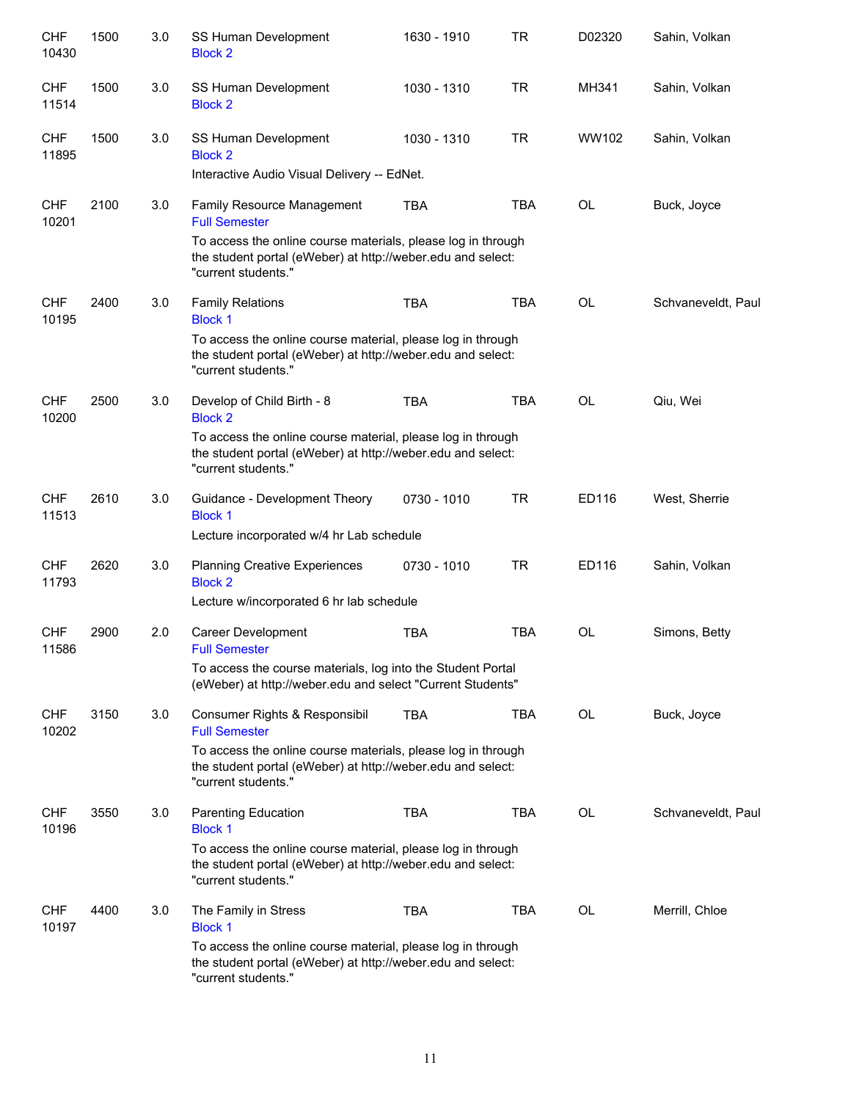| <b>CHF</b><br>10430 | 1500 | 3.0 | SS Human Development<br><b>Block 2</b>                                                                                                             | 1630 - 1910 | <b>TR</b>  | D02320    | Sahin, Volkan      |
|---------------------|------|-----|----------------------------------------------------------------------------------------------------------------------------------------------------|-------------|------------|-----------|--------------------|
| <b>CHF</b><br>11514 | 1500 | 3.0 | SS Human Development<br><b>Block 2</b>                                                                                                             | 1030 - 1310 | <b>TR</b>  | MH341     | Sahin, Volkan      |
| <b>CHF</b><br>11895 | 1500 | 3.0 | SS Human Development<br><b>Block 2</b>                                                                                                             | 1030 - 1310 | <b>TR</b>  | WW102     | Sahin, Volkan      |
|                     |      |     | Interactive Audio Visual Delivery -- EdNet.                                                                                                        |             |            |           |                    |
| <b>CHF</b><br>10201 | 2100 | 3.0 | Family Resource Management<br><b>Full Semester</b>                                                                                                 | <b>TBA</b>  | <b>TBA</b> | OL        | Buck, Joyce        |
|                     |      |     | To access the online course materials, please log in through<br>the student portal (eWeber) at http://weber.edu and select:<br>"current students." |             |            |           |                    |
| <b>CHF</b><br>10195 | 2400 | 3.0 | <b>Family Relations</b><br><b>Block 1</b>                                                                                                          | <b>TBA</b>  | <b>TBA</b> | <b>OL</b> | Schvaneveldt, Paul |
|                     |      |     | To access the online course material, please log in through<br>the student portal (eWeber) at http://weber.edu and select:<br>"current students."  |             |            |           |                    |
| <b>CHF</b><br>10200 | 2500 | 3.0 | Develop of Child Birth - 8<br><b>Block 2</b>                                                                                                       | <b>TBA</b>  | <b>TBA</b> | <b>OL</b> | Qiu, Wei           |
|                     |      |     | To access the online course material, please log in through<br>the student portal (eWeber) at http://weber.edu and select:<br>"current students."  |             |            |           |                    |
| <b>CHF</b><br>11513 | 2610 | 3.0 | Guidance - Development Theory<br><b>Block 1</b>                                                                                                    | 0730 - 1010 | <b>TR</b>  | ED116     | West, Sherrie      |
|                     |      |     | Lecture incorporated w/4 hr Lab schedule                                                                                                           |             |            |           |                    |
| <b>CHF</b><br>11793 | 2620 | 3.0 | <b>Planning Creative Experiences</b><br><b>Block 2</b>                                                                                             | 0730 - 1010 | <b>TR</b>  | ED116     | Sahin, Volkan      |
|                     |      |     | Lecture w/incorporated 6 hr lab schedule                                                                                                           |             |            |           |                    |
| <b>CHF</b><br>11586 | 2900 | 2.0 | <b>Career Development</b><br><b>Full Semester</b>                                                                                                  | <b>TBA</b>  | <b>TBA</b> | OL        | Simons, Betty      |
|                     |      |     | To access the course materials, log into the Student Portal<br>(eWeber) at http://weber.edu and select "Current Students"                          |             |            |           |                    |
| <b>CHF</b><br>10202 | 3150 | 3.0 | Consumer Rights & Responsibil<br><b>Full Semester</b>                                                                                              | <b>TBA</b>  | TBA        | OL        | Buck, Joyce        |
|                     |      |     | To access the online course materials, please log in through<br>the student portal (eWeber) at http://weber.edu and select:<br>"current students." |             |            |           |                    |
| <b>CHF</b><br>10196 | 3550 | 3.0 | <b>Parenting Education</b><br><b>Block 1</b>                                                                                                       | <b>TBA</b>  | <b>TBA</b> | OL        | Schvaneveldt, Paul |
|                     |      |     | To access the online course material, please log in through<br>the student portal (eWeber) at http://weber.edu and select:<br>"current students."  |             |            |           |                    |
| <b>CHF</b><br>10197 | 4400 | 3.0 | The Family in Stress<br><b>Block 1</b>                                                                                                             | <b>TBA</b>  | <b>TBA</b> | OL        | Merrill, Chloe     |
|                     |      |     | To access the online course material, please log in through<br>the student portal (eWeber) at http://weber.edu and select:<br>"current students."  |             |            |           |                    |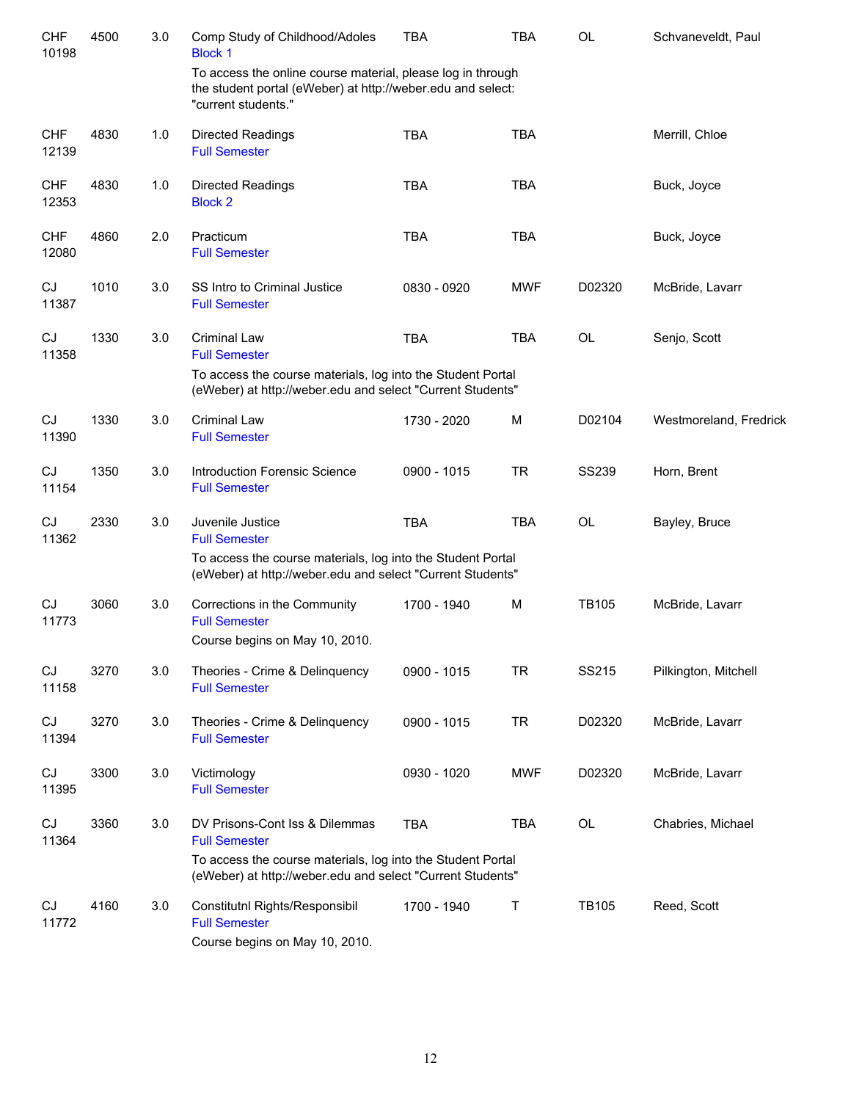| <b>CHF</b><br>10198 | 4500 | 3.0 | Comp Study of Childhood/Adoles<br><b>Block 1</b>                                                                                                  | <b>TBA</b>  | <b>TBA</b> | <b>OL</b>    | Schvaneveldt, Paul     |
|---------------------|------|-----|---------------------------------------------------------------------------------------------------------------------------------------------------|-------------|------------|--------------|------------------------|
|                     |      |     | To access the online course material, please log in through<br>the student portal (eWeber) at http://weber.edu and select:<br>"current students." |             |            |              |                        |
| <b>CHF</b><br>12139 | 4830 | 1.0 | <b>Directed Readings</b><br><b>Full Semester</b>                                                                                                  | <b>TBA</b>  | <b>TBA</b> |              | Merrill, Chloe         |
| <b>CHF</b><br>12353 | 4830 | 1.0 | <b>Directed Readings</b><br><b>Block 2</b>                                                                                                        | <b>TBA</b>  | <b>TBA</b> |              | Buck, Joyce            |
| <b>CHF</b><br>12080 | 4860 | 2.0 | Practicum<br><b>Full Semester</b>                                                                                                                 | <b>TBA</b>  | <b>TBA</b> |              | Buck, Joyce            |
| CJ<br>11387         | 1010 | 3.0 | SS Intro to Criminal Justice<br><b>Full Semester</b>                                                                                              | 0830 - 0920 | <b>MWF</b> | D02320       | McBride, Lavarr        |
| CJ<br>11358         | 1330 | 3.0 | <b>Criminal Law</b><br><b>Full Semester</b>                                                                                                       | <b>TBA</b>  | <b>TBA</b> | <b>OL</b>    | Senjo, Scott           |
|                     |      |     | To access the course materials, log into the Student Portal<br>(eWeber) at http://weber.edu and select "Current Students"                         |             |            |              |                        |
| CJ<br>11390         | 1330 | 3.0 | <b>Criminal Law</b><br><b>Full Semester</b>                                                                                                       | 1730 - 2020 | M          | D02104       | Westmoreland, Fredrick |
| CJ<br>11154         | 1350 | 3.0 | <b>Introduction Forensic Science</b><br><b>Full Semester</b>                                                                                      | 0900 - 1015 | <b>TR</b>  | <b>SS239</b> | Horn, Brent            |
| CJ<br>11362         | 2330 | 3.0 | Juvenile Justice<br><b>Full Semester</b>                                                                                                          | <b>TBA</b>  | <b>TBA</b> | OL           | Bayley, Bruce          |
|                     |      |     | To access the course materials, log into the Student Portal<br>(eWeber) at http://weber.edu and select "Current Students"                         |             |            |              |                        |
| CJ<br>11773         | 3060 | 3.0 | Corrections in the Community<br><b>Full Semester</b><br>Course begins on May 10, 2010.                                                            | 1700 - 1940 | M          | <b>TB105</b> | McBride, Lavarr        |
| CJ<br>11158         | 3270 | 3.0 | Theories - Crime & Delinquency<br><b>Full Semester</b>                                                                                            | 0900 - 1015 | <b>TR</b>  | SS215        | Pilkington, Mitchell   |
| CJ<br>11394         | 3270 | 3.0 | Theories - Crime & Delinquency<br><b>Full Semester</b>                                                                                            | 0900 - 1015 | <b>TR</b>  | D02320       | McBride, Lavarr        |
| CJ<br>11395         | 3300 | 3.0 | Victimology<br><b>Full Semester</b>                                                                                                               | 0930 - 1020 | <b>MWF</b> | D02320       | McBride, Lavarr        |
| CJ<br>11364         | 3360 | 3.0 | DV Prisons-Cont Iss & Dilemmas<br><b>Full Semester</b>                                                                                            | <b>TBA</b>  | <b>TBA</b> | OL           | Chabries, Michael      |
|                     |      |     | To access the course materials, log into the Student Portal<br>(eWeber) at http://weber.edu and select "Current Students"                         |             |            |              |                        |
| CJ<br>11772         | 4160 | 3.0 | Constitutnl Rights/Responsibil<br><b>Full Semester</b><br>Course begins on May 10, 2010.                                                          | 1700 - 1940 | Τ          | <b>TB105</b> | Reed, Scott            |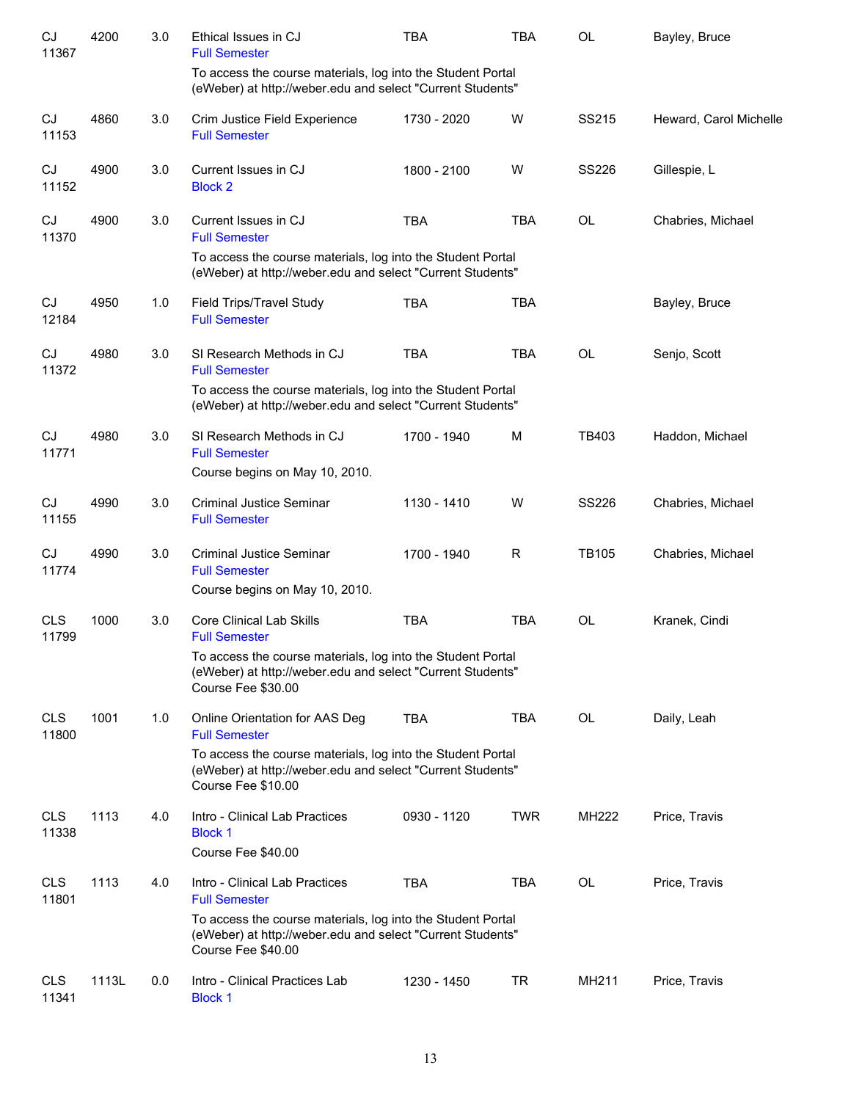| CJ<br>11367         | 4200  | 3.0 | Ethical Issues in CJ<br><b>Full Semester</b>                                                                                                    | <b>TBA</b>  | <b>TBA</b> | <b>OL</b>    | Bayley, Bruce          |
|---------------------|-------|-----|-------------------------------------------------------------------------------------------------------------------------------------------------|-------------|------------|--------------|------------------------|
|                     |       |     | To access the course materials, log into the Student Portal<br>(eWeber) at http://weber.edu and select "Current Students"                       |             |            |              |                        |
| CJ<br>11153         | 4860  | 3.0 | Crim Justice Field Experience<br><b>Full Semester</b>                                                                                           | 1730 - 2020 | W          | SS215        | Heward, Carol Michelle |
| CJ<br>11152         | 4900  | 3.0 | Current Issues in CJ<br><b>Block 2</b>                                                                                                          | 1800 - 2100 | W          | <b>SS226</b> | Gillespie, L           |
| CJ<br>11370         | 4900  | 3.0 | Current Issues in CJ<br><b>Full Semester</b>                                                                                                    | <b>TBA</b>  | <b>TBA</b> | OL           | Chabries, Michael      |
|                     |       |     | To access the course materials, log into the Student Portal<br>(eWeber) at http://weber.edu and select "Current Students"                       |             |            |              |                        |
| CJ<br>12184         | 4950  | 1.0 | Field Trips/Travel Study<br><b>Full Semester</b>                                                                                                | <b>TBA</b>  | <b>TBA</b> |              | Bayley, Bruce          |
| CJ<br>11372         | 4980  | 3.0 | SI Research Methods in CJ<br><b>Full Semester</b>                                                                                               | <b>TBA</b>  | <b>TBA</b> | <b>OL</b>    | Senjo, Scott           |
|                     |       |     | To access the course materials, log into the Student Portal<br>(eWeber) at http://weber.edu and select "Current Students"                       |             |            |              |                        |
| CJ<br>11771         | 4980  | 3.0 | SI Research Methods in CJ<br><b>Full Semester</b>                                                                                               | 1700 - 1940 | M          | TB403        | Haddon, Michael        |
|                     |       |     | Course begins on May 10, 2010.                                                                                                                  |             |            |              |                        |
| CJ<br>11155         | 4990  | 3.0 | <b>Criminal Justice Seminar</b><br><b>Full Semester</b>                                                                                         | 1130 - 1410 | W          | <b>SS226</b> | Chabries, Michael      |
| CJ<br>11774         | 4990  | 3.0 | <b>Criminal Justice Seminar</b><br><b>Full Semester</b>                                                                                         | 1700 - 1940 | R          | <b>TB105</b> | Chabries, Michael      |
|                     |       |     | Course begins on May 10, 2010.                                                                                                                  |             |            |              |                        |
| <b>CLS</b><br>11799 | 1000  | 3.0 | <b>Core Clinical Lab Skills</b><br><b>Full Semester</b>                                                                                         | <b>TBA</b>  | <b>TBA</b> | <b>OL</b>    | Kranek, Cindi          |
|                     |       |     | To access the course materials, log into the Student Portal<br>(eWeber) at http://weber.edu and select "Current Students"<br>Course Fee \$30.00 |             |            |              |                        |
| <b>CLS</b><br>11800 | 1001  | 1.0 | Online Orientation for AAS Deg<br><b>Full Semester</b>                                                                                          | <b>TBA</b>  | <b>TBA</b> | OL           | Daily, Leah            |
|                     |       |     | To access the course materials, log into the Student Portal<br>(eWeber) at http://weber.edu and select "Current Students"<br>Course Fee \$10.00 |             |            |              |                        |
| <b>CLS</b><br>11338 | 1113  | 4.0 | Intro - Clinical Lab Practices<br><b>Block 1</b><br>Course Fee \$40.00                                                                          | 0930 - 1120 | <b>TWR</b> | <b>MH222</b> | Price, Travis          |
| <b>CLS</b><br>11801 | 1113  | 4.0 | Intro - Clinical Lab Practices<br><b>Full Semester</b>                                                                                          | <b>TBA</b>  | TBA        | OL           | Price, Travis          |
|                     |       |     | To access the course materials, log into the Student Portal<br>(eWeber) at http://weber.edu and select "Current Students"<br>Course Fee \$40.00 |             |            |              |                        |
| <b>CLS</b><br>11341 | 1113L | 0.0 | Intro - Clinical Practices Lab<br><b>Block 1</b>                                                                                                | 1230 - 1450 | TR         | MH211        | Price, Travis          |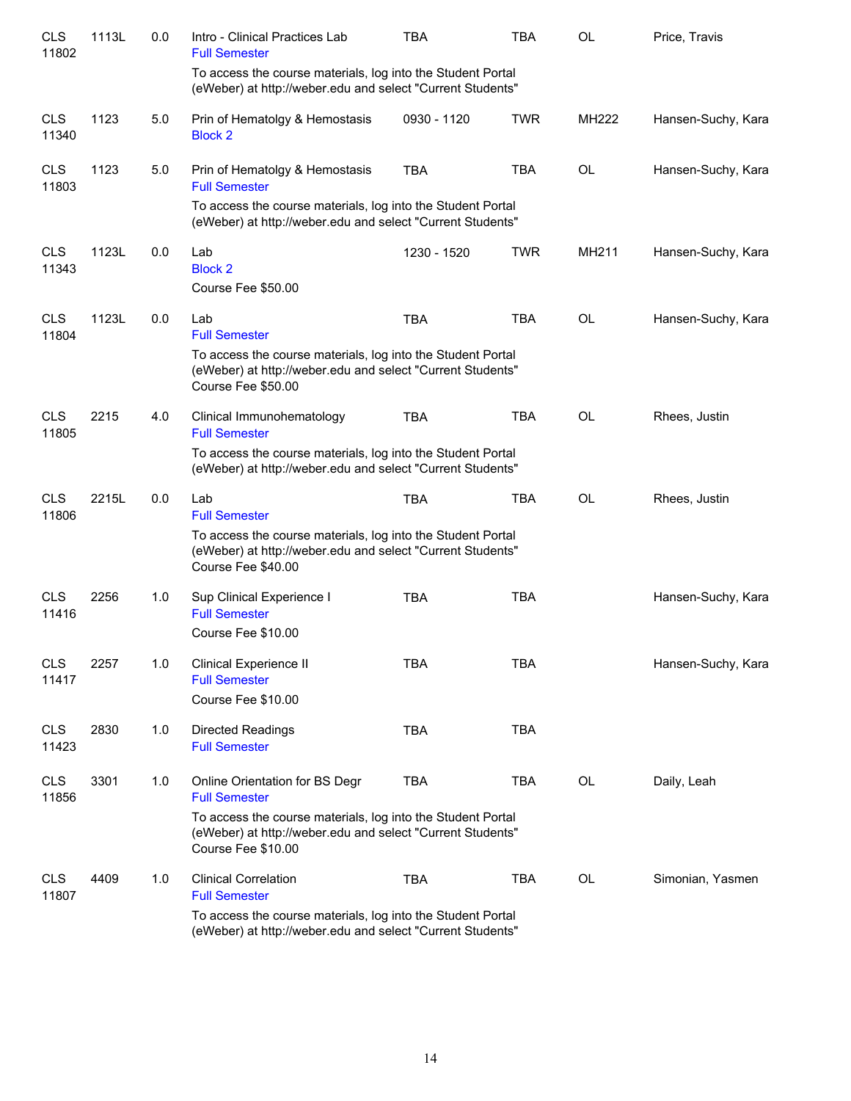| <b>CLS</b><br>11802 | 1113L | 0.0 | Intro - Clinical Practices Lab<br><b>Full Semester</b>                                                                                          | <b>TBA</b>  | <b>TBA</b> | OL        | Price, Travis      |
|---------------------|-------|-----|-------------------------------------------------------------------------------------------------------------------------------------------------|-------------|------------|-----------|--------------------|
|                     |       |     | To access the course materials, log into the Student Portal<br>(eWeber) at http://weber.edu and select "Current Students"                       |             |            |           |                    |
| <b>CLS</b><br>11340 | 1123  | 5.0 | Prin of Hematolgy & Hemostasis<br><b>Block 2</b>                                                                                                | 0930 - 1120 | <b>TWR</b> | MH222     | Hansen-Suchy, Kara |
| <b>CLS</b><br>11803 | 1123  | 5.0 | Prin of Hematolgy & Hemostasis<br><b>Full Semester</b>                                                                                          | <b>TBA</b>  | <b>TBA</b> | OL        | Hansen-Suchy, Kara |
|                     |       |     | To access the course materials, log into the Student Portal<br>(eWeber) at http://weber.edu and select "Current Students"                       |             |            |           |                    |
| <b>CLS</b><br>11343 | 1123L | 0.0 | Lab<br><b>Block 2</b><br>Course Fee \$50.00                                                                                                     | 1230 - 1520 | <b>TWR</b> | MH211     | Hansen-Suchy, Kara |
| <b>CLS</b><br>11804 | 1123L | 0.0 | Lab<br><b>Full Semester</b>                                                                                                                     | <b>TBA</b>  | <b>TBA</b> | <b>OL</b> | Hansen-Suchy, Kara |
|                     |       |     | To access the course materials, log into the Student Portal<br>(eWeber) at http://weber.edu and select "Current Students"<br>Course Fee \$50.00 |             |            |           |                    |
| <b>CLS</b><br>11805 | 2215  | 4.0 | Clinical Immunohematology<br><b>Full Semester</b>                                                                                               | <b>TBA</b>  | <b>TBA</b> | <b>OL</b> | Rhees, Justin      |
|                     |       |     | To access the course materials, log into the Student Portal<br>(eWeber) at http://weber.edu and select "Current Students"                       |             |            |           |                    |
| <b>CLS</b><br>11806 | 2215L | 0.0 | Lab<br><b>Full Semester</b>                                                                                                                     | <b>TBA</b>  | <b>TBA</b> | <b>OL</b> | Rhees, Justin      |
|                     |       |     | To access the course materials, log into the Student Portal<br>(eWeber) at http://weber.edu and select "Current Students"<br>Course Fee \$40.00 |             |            |           |                    |
| <b>CLS</b><br>11416 | 2256  | 1.0 | Sup Clinical Experience I<br><b>Full Semester</b>                                                                                               | <b>TBA</b>  | <b>TBA</b> |           | Hansen-Suchy, Kara |
|                     |       |     | Course Fee \$10.00                                                                                                                              |             |            |           |                    |
| <b>CLS</b><br>11417 | 2257  | 1.0 | <b>Clinical Experience II</b><br><b>Full Semester</b>                                                                                           | <b>TBA</b>  | <b>TBA</b> |           | Hansen-Suchy, Kara |
|                     |       |     | Course Fee \$10.00                                                                                                                              |             |            |           |                    |
| <b>CLS</b><br>11423 | 2830  | 1.0 | <b>Directed Readings</b><br><b>Full Semester</b>                                                                                                | <b>TBA</b>  | <b>TBA</b> |           |                    |
| <b>CLS</b><br>11856 | 3301  | 1.0 | Online Orientation for BS Degr<br><b>Full Semester</b>                                                                                          | <b>TBA</b>  | TBA        | OL        | Daily, Leah        |
|                     |       |     | To access the course materials, log into the Student Portal<br>(eWeber) at http://weber.edu and select "Current Students"<br>Course Fee \$10.00 |             |            |           |                    |
| <b>CLS</b><br>11807 | 4409  | 1.0 | <b>Clinical Correlation</b><br><b>Full Semester</b>                                                                                             | <b>TBA</b>  | <b>TBA</b> | OL        | Simonian, Yasmen   |
|                     |       |     | To access the course materials, log into the Student Portal<br>(eWeber) at http://weber.edu and select "Current Students"                       |             |            |           |                    |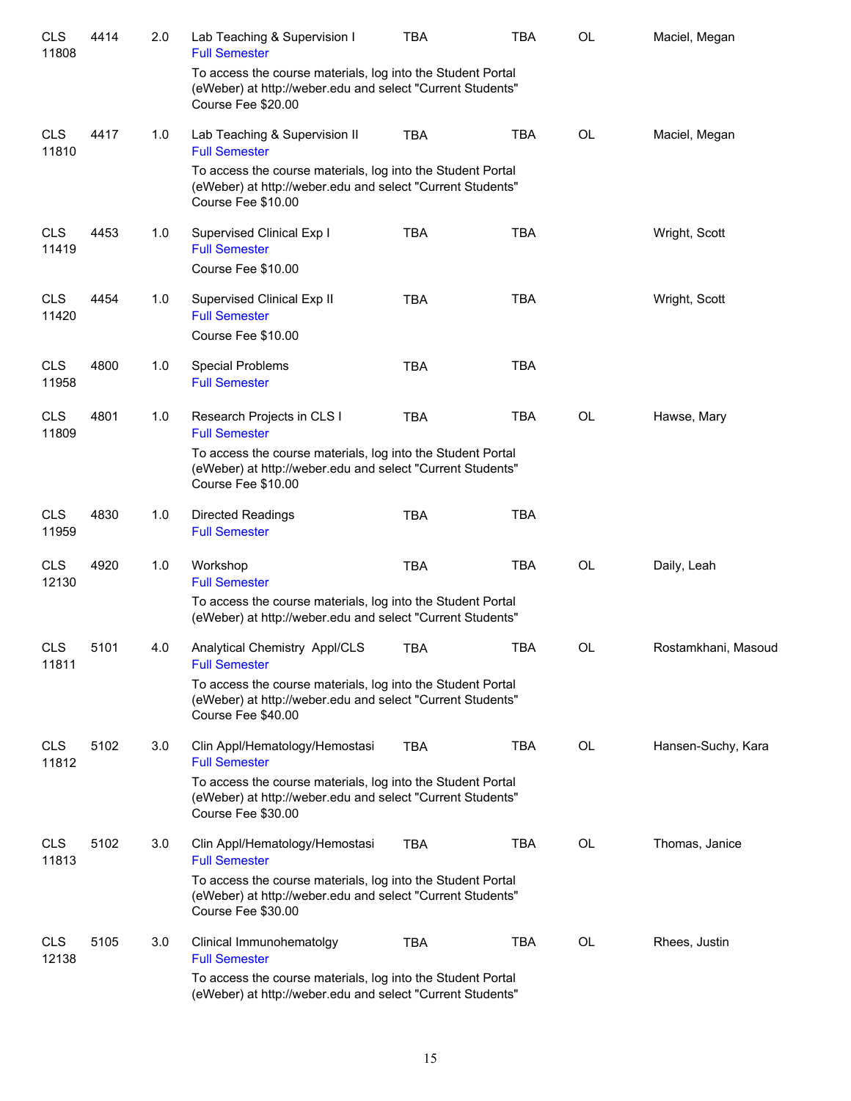| <b>CLS</b><br>11808 | 4414 | 2.0 | Lab Teaching & Supervision I<br><b>Full Semester</b>                                                                                            | <b>TBA</b> | <b>TBA</b> | <b>OL</b> | Maciel, Megan       |
|---------------------|------|-----|-------------------------------------------------------------------------------------------------------------------------------------------------|------------|------------|-----------|---------------------|
|                     |      |     | To access the course materials, log into the Student Portal<br>(eWeber) at http://weber.edu and select "Current Students"<br>Course Fee \$20.00 |            |            |           |                     |
| <b>CLS</b><br>11810 | 4417 | 1.0 | Lab Teaching & Supervision II<br><b>Full Semester</b>                                                                                           | <b>TBA</b> | <b>TBA</b> | <b>OL</b> | Maciel, Megan       |
|                     |      |     | To access the course materials, log into the Student Portal<br>(eWeber) at http://weber.edu and select "Current Students"<br>Course Fee \$10.00 |            |            |           |                     |
| <b>CLS</b><br>11419 | 4453 | 1.0 | Supervised Clinical Exp I<br><b>Full Semester</b>                                                                                               | <b>TBA</b> | <b>TBA</b> |           | Wright, Scott       |
|                     |      |     | Course Fee \$10.00                                                                                                                              |            |            |           |                     |
| <b>CLS</b><br>11420 | 4454 | 1.0 | Supervised Clinical Exp II<br><b>Full Semester</b>                                                                                              | <b>TBA</b> | <b>TBA</b> |           | Wright, Scott       |
|                     |      |     | Course Fee \$10.00                                                                                                                              |            |            |           |                     |
| <b>CLS</b><br>11958 | 4800 | 1.0 | Special Problems<br><b>Full Semester</b>                                                                                                        | <b>TBA</b> | <b>TBA</b> |           |                     |
| <b>CLS</b><br>11809 | 4801 | 1.0 | Research Projects in CLS I<br><b>Full Semester</b>                                                                                              | <b>TBA</b> | <b>TBA</b> | <b>OL</b> | Hawse, Mary         |
|                     |      |     | To access the course materials, log into the Student Portal<br>(eWeber) at http://weber.edu and select "Current Students"<br>Course Fee \$10.00 |            |            |           |                     |
| <b>CLS</b><br>11959 | 4830 | 1.0 | <b>Directed Readings</b><br><b>Full Semester</b>                                                                                                | <b>TBA</b> | <b>TBA</b> |           |                     |
| <b>CLS</b><br>12130 | 4920 | 1.0 | Workshop<br><b>Full Semester</b>                                                                                                                | <b>TBA</b> | <b>TBA</b> | <b>OL</b> | Daily, Leah         |
|                     |      |     | To access the course materials, log into the Student Portal<br>(eWeber) at http://weber.edu and select "Current Students"                       |            |            |           |                     |
| <b>CLS</b><br>11811 | 5101 | 4.0 | Analytical Chemistry Appl/CLS<br><b>Full Semester</b>                                                                                           | TBA        | TBA        | OL        | Rostamkhani, Masoud |
|                     |      |     | To access the course materials, log into the Student Portal<br>(eWeber) at http://weber.edu and select "Current Students"<br>Course Fee \$40.00 |            |            |           |                     |
| <b>CLS</b><br>11812 | 5102 | 3.0 | Clin Appl/Hematology/Hemostasi<br><b>Full Semester</b>                                                                                          | <b>TBA</b> | <b>TBA</b> | <b>OL</b> | Hansen-Suchy, Kara  |
|                     |      |     | To access the course materials, log into the Student Portal<br>(eWeber) at http://weber.edu and select "Current Students"<br>Course Fee \$30.00 |            |            |           |                     |
| <b>CLS</b><br>11813 | 5102 | 3.0 | Clin Appl/Hematology/Hemostasi<br><b>Full Semester</b>                                                                                          | <b>TBA</b> | <b>TBA</b> | OL        | Thomas, Janice      |
|                     |      |     | To access the course materials, log into the Student Portal<br>(eWeber) at http://weber.edu and select "Current Students"<br>Course Fee \$30.00 |            |            |           |                     |
| <b>CLS</b><br>12138 | 5105 | 3.0 | Clinical Immunohematolgy<br><b>Full Semester</b>                                                                                                | <b>TBA</b> | TBA        | <b>OL</b> | Rhees, Justin       |
|                     |      |     | To access the course materials, log into the Student Portal<br>(eWeber) at http://weber.edu and select "Current Students"                       |            |            |           |                     |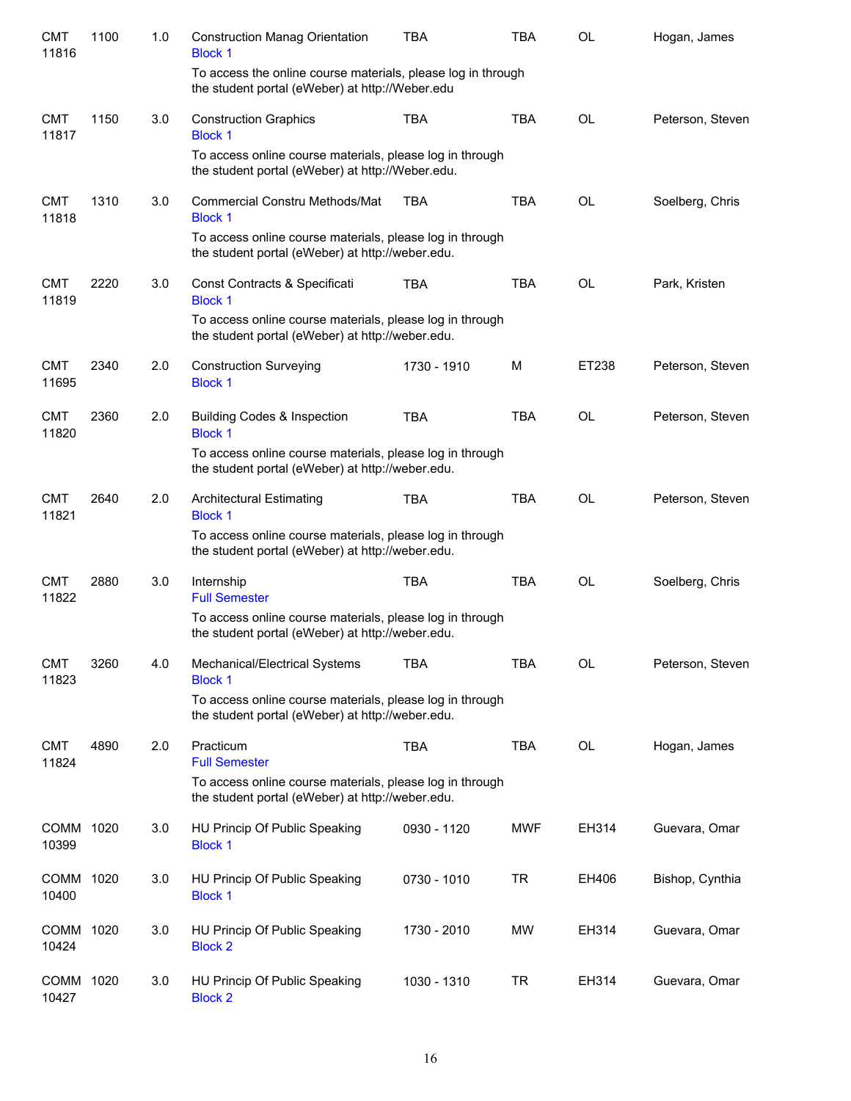| <b>CMT</b><br>11816 | 1100 | 1.0 | <b>Construction Manag Orientation</b><br><b>Block 1</b>                                                         | <b>TBA</b>  | <b>TBA</b> | <b>OL</b> | Hogan, James     |
|---------------------|------|-----|-----------------------------------------------------------------------------------------------------------------|-------------|------------|-----------|------------------|
|                     |      |     | To access the online course materials, please log in through<br>the student portal (eWeber) at http://Weber.edu |             |            |           |                  |
| <b>CMT</b><br>11817 | 1150 | 3.0 | <b>Construction Graphics</b><br><b>Block 1</b>                                                                  | <b>TBA</b>  | <b>TBA</b> | <b>OL</b> | Peterson, Steven |
|                     |      |     | To access online course materials, please log in through<br>the student portal (eWeber) at http://Weber.edu.    |             |            |           |                  |
| <b>CMT</b><br>11818 | 1310 | 3.0 | <b>Commercial Constru Methods/Mat</b><br><b>Block 1</b>                                                         | TBA         | <b>TBA</b> | <b>OL</b> | Soelberg, Chris  |
|                     |      |     | To access online course materials, please log in through<br>the student portal (eWeber) at http://weber.edu.    |             |            |           |                  |
| <b>CMT</b><br>11819 | 2220 | 3.0 | Const Contracts & Specificati<br><b>Block 1</b>                                                                 | <b>TBA</b>  | <b>TBA</b> | <b>OL</b> | Park, Kristen    |
|                     |      |     | To access online course materials, please log in through<br>the student portal (eWeber) at http://weber.edu.    |             |            |           |                  |
| <b>CMT</b><br>11695 | 2340 | 2.0 | <b>Construction Surveying</b><br><b>Block 1</b>                                                                 | 1730 - 1910 | M          | ET238     | Peterson, Steven |
| <b>CMT</b><br>11820 | 2360 | 2.0 | <b>Building Codes &amp; Inspection</b><br><b>Block 1</b>                                                        | <b>TBA</b>  | <b>TBA</b> | <b>OL</b> | Peterson, Steven |
|                     |      |     | To access online course materials, please log in through<br>the student portal (eWeber) at http://weber.edu.    |             |            |           |                  |
| <b>CMT</b><br>11821 | 2640 | 2.0 | <b>Architectural Estimating</b><br><b>Block 1</b>                                                               | <b>TBA</b>  | <b>TBA</b> | <b>OL</b> | Peterson, Steven |
|                     |      |     | To access online course materials, please log in through<br>the student portal (eWeber) at http://weber.edu.    |             |            |           |                  |
| <b>CMT</b><br>11822 | 2880 | 3.0 | Internship<br><b>Full Semester</b>                                                                              | <b>TBA</b>  | <b>TBA</b> | <b>OL</b> | Soelberg, Chris  |
|                     |      |     | To access online course materials, please log in through<br>the student portal (eWeber) at http://weber.edu.    |             |            |           |                  |
| <b>CMT</b><br>11823 | 3260 | 4.0 | Mechanical/Electrical Systems<br><b>Block 1</b>                                                                 | <b>TBA</b>  | <b>TBA</b> | <b>OL</b> | Peterson, Steven |
|                     |      |     | To access online course materials, please log in through<br>the student portal (eWeber) at http://weber.edu.    |             |            |           |                  |
| <b>CMT</b><br>11824 | 4890 | 2.0 | Practicum<br><b>Full Semester</b>                                                                               | <b>TBA</b>  | <b>TBA</b> | OL        | Hogan, James     |
|                     |      |     | To access online course materials, please log in through<br>the student portal (eWeber) at http://weber.edu.    |             |            |           |                  |
| COMM 1020<br>10399  |      | 3.0 | HU Princip Of Public Speaking<br><b>Block 1</b>                                                                 | 0930 - 1120 | <b>MWF</b> | EH314     | Guevara, Omar    |
| COMM<br>10400       | 1020 | 3.0 | HU Princip Of Public Speaking<br><b>Block 1</b>                                                                 | 0730 - 1010 | TR         | EH406     | Bishop, Cynthia  |
| COMM 1020<br>10424  |      | 3.0 | HU Princip Of Public Speaking<br><b>Block 2</b>                                                                 | 1730 - 2010 | <b>MW</b>  | EH314     | Guevara, Omar    |
| COMM 1020<br>10427  |      | 3.0 | HU Princip Of Public Speaking<br><b>Block 2</b>                                                                 | 1030 - 1310 | <b>TR</b>  | EH314     | Guevara, Omar    |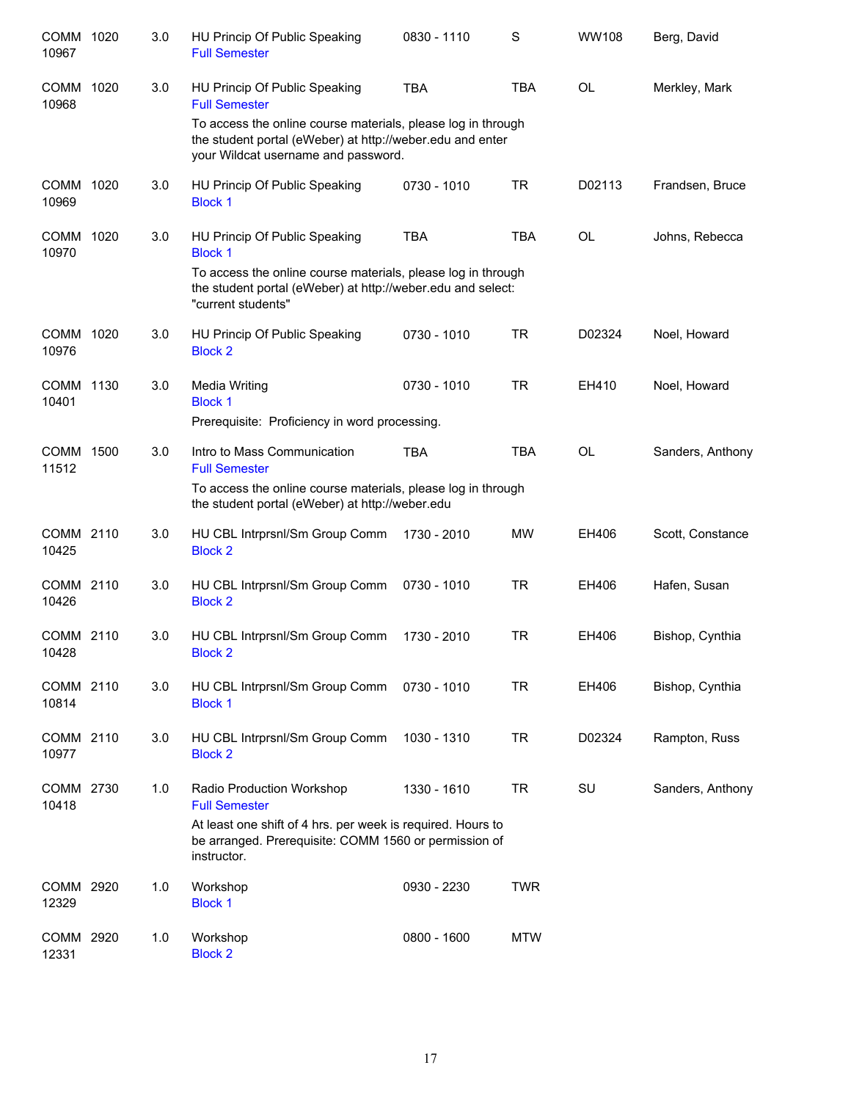| COMM 1020<br>10967   |      | 3.0 | HU Princip Of Public Speaking<br><b>Full Semester</b>                                                                                                                  | 0830 - 1110 | S          | <b>WW108</b> | Berg, David      |
|----------------------|------|-----|------------------------------------------------------------------------------------------------------------------------------------------------------------------------|-------------|------------|--------------|------------------|
| <b>COMM</b><br>10968 | 1020 | 3.0 | HU Princip Of Public Speaking<br><b>Full Semester</b>                                                                                                                  | <b>TBA</b>  | <b>TBA</b> | <b>OL</b>    | Merkley, Mark    |
|                      |      |     | To access the online course materials, please log in through<br>the student portal (eWeber) at http://weber.edu and enter<br>your Wildcat username and password.       |             |            |              |                  |
| COMM 1020<br>10969   |      | 3.0 | HU Princip Of Public Speaking<br><b>Block 1</b>                                                                                                                        | 0730 - 1010 | <b>TR</b>  | D02113       | Frandsen, Bruce  |
| COMM 1020<br>10970   |      | 3.0 | HU Princip Of Public Speaking<br><b>Block 1</b>                                                                                                                        | <b>TBA</b>  | <b>TBA</b> | <b>OL</b>    | Johns, Rebecca   |
|                      |      |     | To access the online course materials, please log in through<br>the student portal (eWeber) at http://weber.edu and select:<br>"current students"                      |             |            |              |                  |
| COMM 1020<br>10976   |      | 3.0 | HU Princip Of Public Speaking<br><b>Block 2</b>                                                                                                                        | 0730 - 1010 | <b>TR</b>  | D02324       | Noel, Howard     |
| COMM 1130<br>10401   |      | 3.0 | Media Writing<br><b>Block 1</b><br>Prerequisite: Proficiency in word processing.                                                                                       | 0730 - 1010 | <b>TR</b>  | EH410        | Noel, Howard     |
| COMM 1500<br>11512   |      | 3.0 | Intro to Mass Communication<br><b>Full Semester</b><br>To access the online course materials, please log in through<br>the student portal (eWeber) at http://weber.edu | <b>TBA</b>  | <b>TBA</b> | <b>OL</b>    | Sanders, Anthony |
| COMM 2110<br>10425   |      | 3.0 | HU CBL Intrprsnl/Sm Group Comm<br><b>Block 2</b>                                                                                                                       | 1730 - 2010 | <b>MW</b>  | EH406        | Scott, Constance |
| COMM 2110<br>10426   |      | 3.0 | HU CBL Intrprsnl/Sm Group Comm<br><b>Block 2</b>                                                                                                                       | 0730 - 1010 | <b>TR</b>  | EH406        | Hafen, Susan     |
| COMM 2110<br>10428   |      | 3.0 | HU CBL Intrprsnl/Sm Group Comm<br><b>Block 2</b>                                                                                                                       | 1730 - 2010 | <b>TR</b>  | EH406        | Bishop, Cynthia  |
| COMM 2110<br>10814   |      | 3.0 | HU CBL Intrprsnl/Sm Group Comm<br><b>Block 1</b>                                                                                                                       | 0730 - 1010 | <b>TR</b>  | EH406        | Bishop, Cynthia  |
| COMM 2110<br>10977   |      | 3.0 | HU CBL Intrprsnl/Sm Group Comm<br><b>Block 2</b>                                                                                                                       | 1030 - 1310 | <b>TR</b>  | D02324       | Rampton, Russ    |
| COMM 2730<br>10418   |      | 1.0 | Radio Production Workshop<br><b>Full Semester</b>                                                                                                                      | 1330 - 1610 | <b>TR</b>  | SU           | Sanders, Anthony |
|                      |      |     | At least one shift of 4 hrs. per week is required. Hours to<br>be arranged. Prerequisite: COMM 1560 or permission of<br>instructor.                                    |             |            |              |                  |
| COMM 2920<br>12329   |      | 1.0 | Workshop<br><b>Block 1</b>                                                                                                                                             | 0930 - 2230 | <b>TWR</b> |              |                  |
| COMM 2920<br>12331   |      | 1.0 | Workshop<br><b>Block 2</b>                                                                                                                                             | 0800 - 1600 | <b>MTW</b> |              |                  |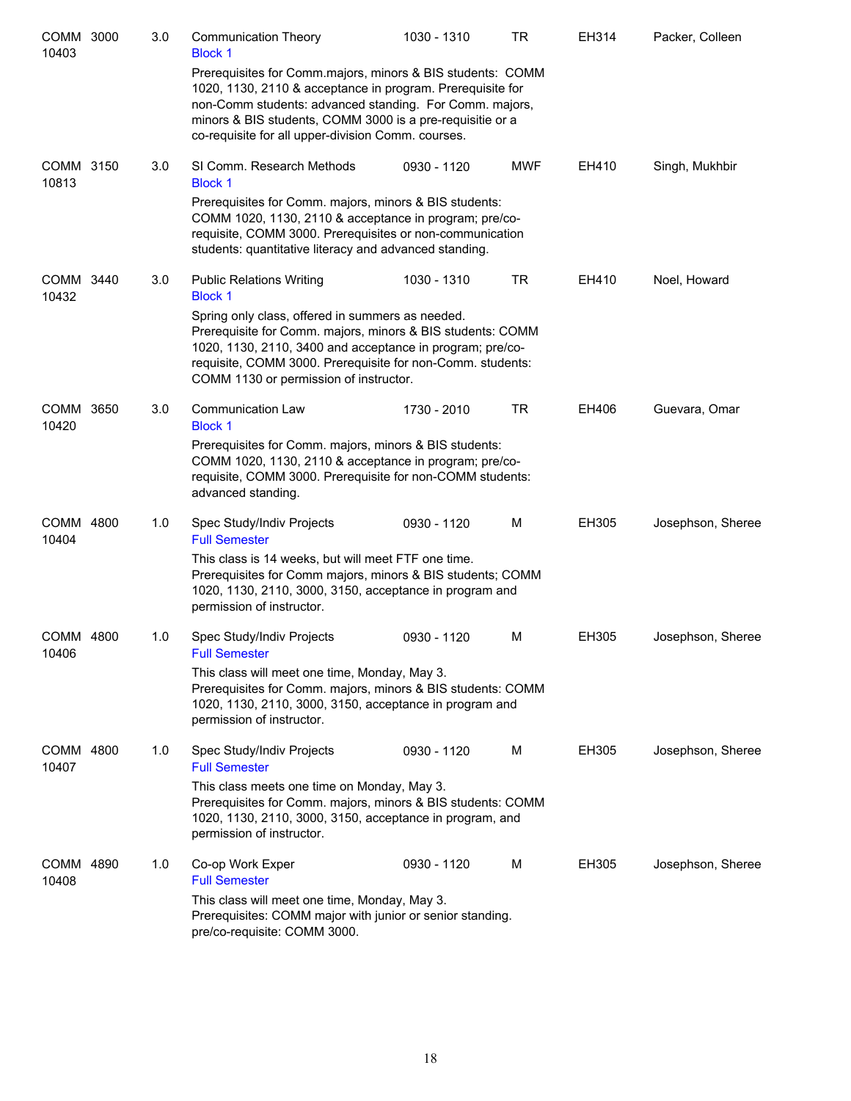| COMM 3000<br>10403 | 3.0 | <b>Communication Theory</b><br><b>Block 1</b>                                                                                                                                                                                                                                                          | 1030 - 1310 | TR         | EH314 | Packer, Colleen   |
|--------------------|-----|--------------------------------------------------------------------------------------------------------------------------------------------------------------------------------------------------------------------------------------------------------------------------------------------------------|-------------|------------|-------|-------------------|
|                    |     | Prerequisites for Comm.majors, minors & BIS students: COMM<br>1020, 1130, 2110 & acceptance in program. Prerequisite for<br>non-Comm students: advanced standing. For Comm. majors,<br>minors & BIS students, COMM 3000 is a pre-requisitie or a<br>co-requisite for all upper-division Comm. courses. |             |            |       |                   |
| COMM 3150<br>10813 | 3.0 | SI Comm. Research Methods<br><b>Block 1</b>                                                                                                                                                                                                                                                            | 0930 - 1120 | <b>MWF</b> | EH410 | Singh, Mukhbir    |
|                    |     | Prerequisites for Comm. majors, minors & BIS students:<br>COMM 1020, 1130, 2110 & acceptance in program; pre/co-<br>requisite, COMM 3000. Prerequisites or non-communication<br>students: quantitative literacy and advanced standing.                                                                 |             |            |       |                   |
| COMM 3440<br>10432 | 3.0 | <b>Public Relations Writing</b><br><b>Block 1</b>                                                                                                                                                                                                                                                      | 1030 - 1310 | TR         | EH410 | Noel, Howard      |
|                    |     | Spring only class, offered in summers as needed.<br>Prerequisite for Comm. majors, minors & BIS students: COMM<br>1020, 1130, 2110, 3400 and acceptance in program; pre/co-<br>requisite, COMM 3000. Prerequisite for non-Comm. students:<br>COMM 1130 or permission of instructor.                    |             |            |       |                   |
| COMM 3650<br>10420 | 3.0 | Communication Law<br><b>Block 1</b>                                                                                                                                                                                                                                                                    | 1730 - 2010 | TR         | EH406 | Guevara, Omar     |
|                    |     | Prerequisites for Comm. majors, minors & BIS students:<br>COMM 1020, 1130, 2110 & acceptance in program; pre/co-<br>requisite, COMM 3000. Prerequisite for non-COMM students:<br>advanced standing.                                                                                                    |             |            |       |                   |
| COMM 4800<br>10404 | 1.0 | Spec Study/Indiv Projects<br><b>Full Semester</b>                                                                                                                                                                                                                                                      | 0930 - 1120 | м          | EH305 | Josephson, Sheree |
|                    |     | This class is 14 weeks, but will meet FTF one time.<br>Prerequisites for Comm majors, minors & BIS students; COMM<br>1020, 1130, 2110, 3000, 3150, acceptance in program and<br>permission of instructor.                                                                                              |             |            |       |                   |
| COMM 4800<br>10406 | 1.0 | Spec Study/Indiv Projects<br><b>Full Semester</b>                                                                                                                                                                                                                                                      | 0930 - 1120 | м          | EH305 | Josephson, Sheree |
|                    |     | This class will meet one time, Monday, May 3.<br>Prerequisites for Comm. majors, minors & BIS students: COMM<br>1020, 1130, 2110, 3000, 3150, acceptance in program and<br>permission of instructor.                                                                                                   |             |            |       |                   |
| COMM 4800<br>10407 | 1.0 | Spec Study/Indiv Projects<br><b>Full Semester</b>                                                                                                                                                                                                                                                      | 0930 - 1120 | м          | EH305 | Josephson, Sheree |
|                    |     | This class meets one time on Monday, May 3.<br>Prerequisites for Comm. majors, minors & BIS students: COMM<br>1020, 1130, 2110, 3000, 3150, acceptance in program, and<br>permission of instructor.                                                                                                    |             |            |       |                   |
| COMM 4890<br>10408 | 1.0 | Co-op Work Exper<br><b>Full Semester</b>                                                                                                                                                                                                                                                               | 0930 - 1120 | М          | EH305 | Josephson, Sheree |
|                    |     | This class will meet one time, Monday, May 3.<br>Prerequisites: COMM major with junior or senior standing.<br>pre/co-requisite: COMM 3000.                                                                                                                                                             |             |            |       |                   |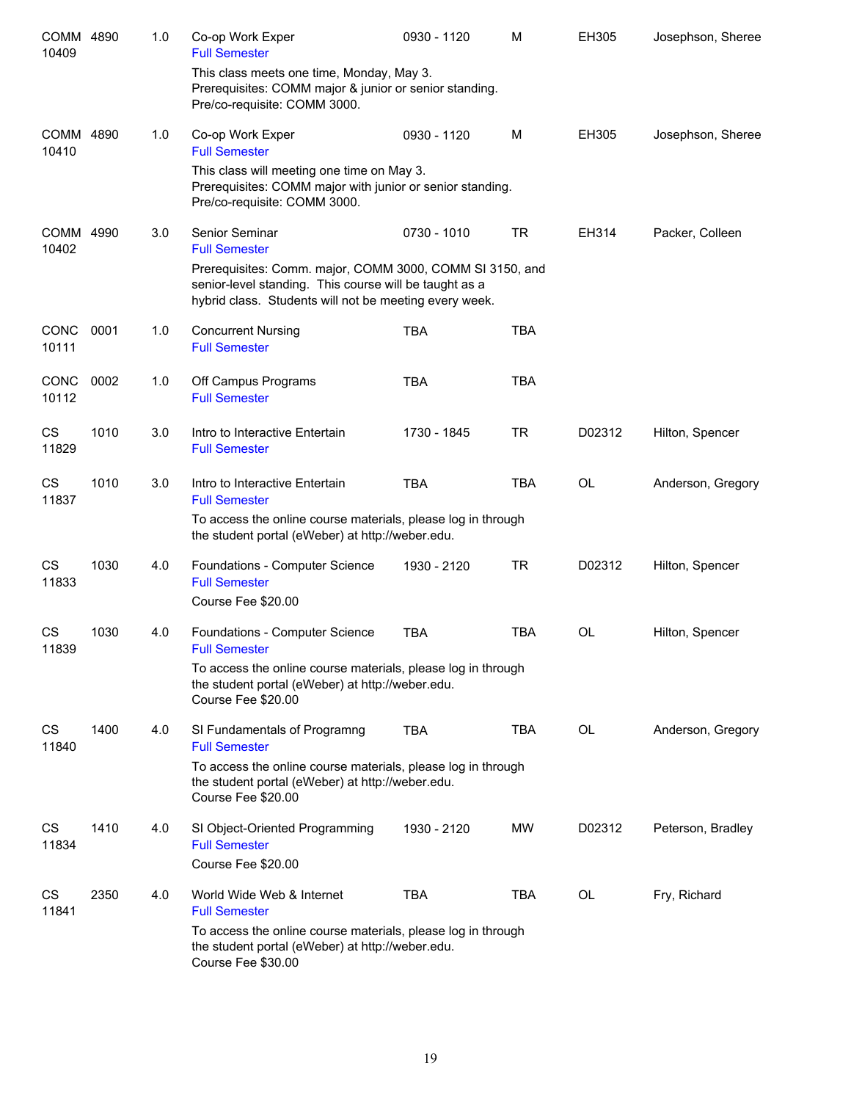| COMM 4890<br>10409   |      | 1.0 | Co-op Work Exper<br><b>Full Semester</b>                                                                                                                                     | 0930 - 1120 | M          | EH305     | Josephson, Sheree |
|----------------------|------|-----|------------------------------------------------------------------------------------------------------------------------------------------------------------------------------|-------------|------------|-----------|-------------------|
|                      |      |     | This class meets one time, Monday, May 3.<br>Prerequisites: COMM major & junior or senior standing.<br>Pre/co-requisite: COMM 3000.                                          |             |            |           |                   |
| COMM 4890<br>10410   |      | 1.0 | Co-op Work Exper<br><b>Full Semester</b>                                                                                                                                     | 0930 - 1120 | M          | EH305     | Josephson, Sheree |
|                      |      |     | This class will meeting one time on May 3.<br>Prerequisites: COMM major with junior or senior standing.<br>Pre/co-requisite: COMM 3000.                                      |             |            |           |                   |
| COMM 4990<br>10402   |      | 3.0 | Senior Seminar<br><b>Full Semester</b>                                                                                                                                       | 0730 - 1010 | <b>TR</b>  | EH314     | Packer, Colleen   |
|                      |      |     | Prerequisites: Comm. major, COMM 3000, COMM SI 3150, and<br>senior-level standing. This course will be taught as a<br>hybrid class. Students will not be meeting every week. |             |            |           |                   |
| <b>CONC</b><br>10111 | 0001 | 1.0 | <b>Concurrent Nursing</b><br><b>Full Semester</b>                                                                                                                            | <b>TBA</b>  | <b>TBA</b> |           |                   |
| CONC<br>10112        | 0002 | 1.0 | Off Campus Programs<br><b>Full Semester</b>                                                                                                                                  | <b>TBA</b>  | <b>TBA</b> |           |                   |
| CS<br>11829          | 1010 | 3.0 | Intro to Interactive Entertain<br><b>Full Semester</b>                                                                                                                       | 1730 - 1845 | <b>TR</b>  | D02312    | Hilton, Spencer   |
| CS<br>11837          | 1010 | 3.0 | Intro to Interactive Entertain<br><b>Full Semester</b>                                                                                                                       | <b>TBA</b>  | <b>TBA</b> | <b>OL</b> | Anderson, Gregory |
|                      |      |     | To access the online course materials, please log in through<br>the student portal (eWeber) at http://weber.edu.                                                             |             |            |           |                   |
| CS<br>11833          | 1030 | 4.0 | Foundations - Computer Science<br><b>Full Semester</b>                                                                                                                       | 1930 - 2120 | <b>TR</b>  | D02312    | Hilton, Spencer   |
|                      |      |     | Course Fee \$20.00                                                                                                                                                           |             |            |           |                   |
| CS<br>11839          | 1030 | 4.0 | Foundations - Computer Science<br><b>Full Semester</b>                                                                                                                       | <b>TBA</b>  | <b>TBA</b> | <b>OL</b> | Hilton, Spencer   |
|                      |      |     | To access the online course materials, please log in through<br>the student portal (eWeber) at http://weber.edu.<br>Course Fee \$20.00                                       |             |            |           |                   |
| CS<br>11840          | 1400 | 4.0 | SI Fundamentals of Programng<br><b>Full Semester</b>                                                                                                                         | <b>TBA</b>  | <b>TBA</b> | OL        | Anderson, Gregory |
|                      |      |     | To access the online course materials, please log in through<br>the student portal (eWeber) at http://weber.edu.<br>Course Fee \$20.00                                       |             |            |           |                   |
| CS<br>11834          | 1410 | 4.0 | SI Object-Oriented Programming<br><b>Full Semester</b>                                                                                                                       | 1930 - 2120 | <b>MW</b>  | D02312    | Peterson, Bradley |
|                      |      |     | Course Fee \$20.00                                                                                                                                                           |             |            |           |                   |
| CS<br>11841          | 2350 | 4.0 | World Wide Web & Internet<br><b>Full Semester</b>                                                                                                                            | <b>TBA</b>  | <b>TBA</b> | OL        | Fry, Richard      |
|                      |      |     | To access the online course materials, please log in through<br>the student portal (eWeber) at http://weber.edu.<br>Course Fee \$30.00                                       |             |            |           |                   |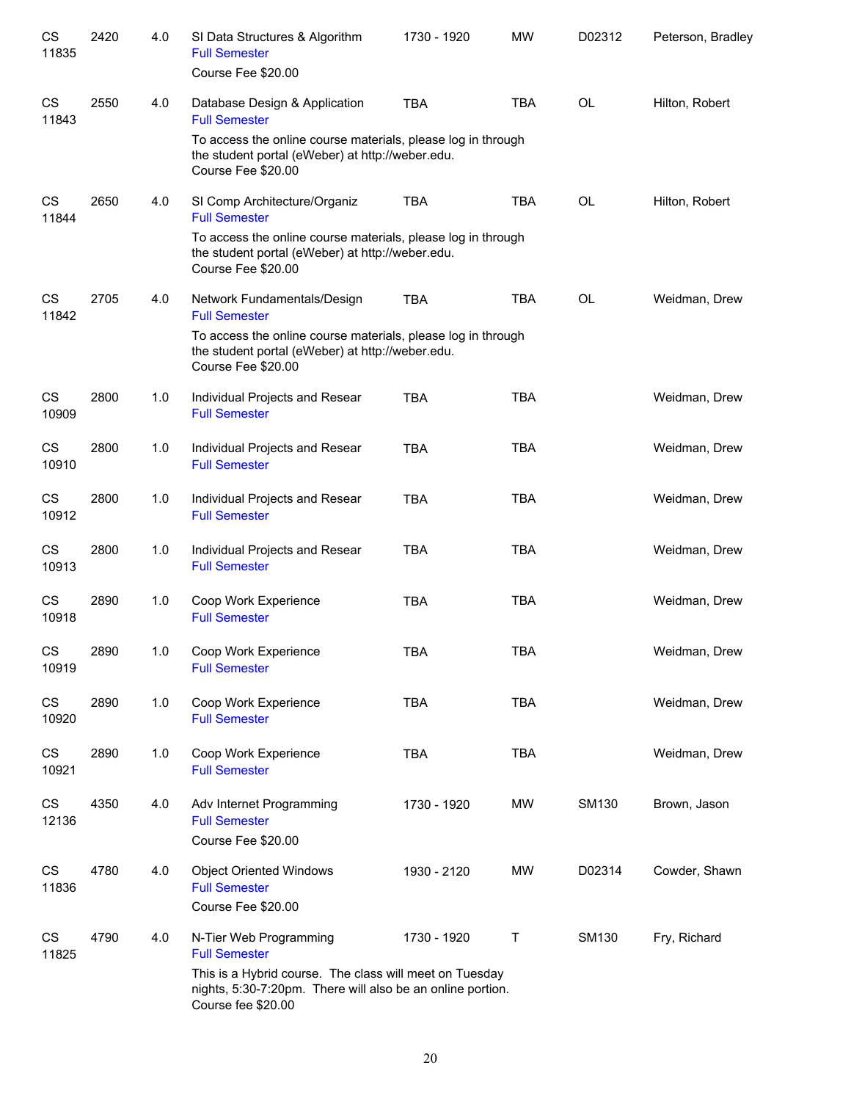| CS<br>11835        | 2420 | 4.0 | SI Data Structures & Algorithm<br><b>Full Semester</b>                                                                                      | 1730 - 1920 | <b>MW</b>   | D02312       | Peterson, Bradley |
|--------------------|------|-----|---------------------------------------------------------------------------------------------------------------------------------------------|-------------|-------------|--------------|-------------------|
|                    |      |     | Course Fee \$20.00                                                                                                                          |             |             |              |                   |
| <b>CS</b><br>11843 | 2550 | 4.0 | Database Design & Application<br><b>Full Semester</b>                                                                                       | <b>TBA</b>  | <b>TBA</b>  | <b>OL</b>    | Hilton, Robert    |
|                    |      |     | To access the online course materials, please log in through<br>the student portal (eWeber) at http://weber.edu.<br>Course Fee \$20.00      |             |             |              |                   |
| <b>CS</b><br>11844 | 2650 | 4.0 | SI Comp Architecture/Organiz<br><b>Full Semester</b>                                                                                        | <b>TBA</b>  | <b>TBA</b>  | <b>OL</b>    | Hilton, Robert    |
|                    |      |     | To access the online course materials, please log in through<br>the student portal (eWeber) at http://weber.edu.<br>Course Fee \$20.00      |             |             |              |                   |
| <b>CS</b><br>11842 | 2705 | 4.0 | Network Fundamentals/Design<br><b>Full Semester</b>                                                                                         | <b>TBA</b>  | <b>TBA</b>  | <b>OL</b>    | Weidman, Drew     |
|                    |      |     | To access the online course materials, please log in through<br>the student portal (eWeber) at http://weber.edu.<br>Course Fee \$20.00      |             |             |              |                   |
| CS<br>10909        | 2800 | 1.0 | Individual Projects and Resear<br><b>Full Semester</b>                                                                                      | <b>TBA</b>  | <b>TBA</b>  |              | Weidman, Drew     |
| <b>CS</b><br>10910 | 2800 | 1.0 | Individual Projects and Resear<br><b>Full Semester</b>                                                                                      | <b>TBA</b>  | <b>TBA</b>  |              | Weidman, Drew     |
| <b>CS</b><br>10912 | 2800 | 1.0 | Individual Projects and Resear<br><b>Full Semester</b>                                                                                      | <b>TBA</b>  | <b>TBA</b>  |              | Weidman, Drew     |
| <b>CS</b><br>10913 | 2800 | 1.0 | Individual Projects and Resear<br><b>Full Semester</b>                                                                                      | <b>TBA</b>  | <b>TBA</b>  |              | Weidman, Drew     |
| <b>CS</b><br>10918 | 2890 | 1.0 | Coop Work Experience<br><b>Full Semester</b>                                                                                                | <b>TBA</b>  | <b>TBA</b>  |              | Weidman, Drew     |
| CS<br>10919        | 2890 | 1.0 | Coop Work Experience<br><b>Full Semester</b>                                                                                                | <b>TBA</b>  | <b>TBA</b>  |              | Weidman, Drew     |
| <b>CS</b><br>10920 | 2890 | 1.0 | Coop Work Experience<br><b>Full Semester</b>                                                                                                | <b>TBA</b>  | <b>TBA</b>  |              | Weidman, Drew     |
| CS<br>10921        | 2890 | 1.0 | Coop Work Experience<br><b>Full Semester</b>                                                                                                | <b>TBA</b>  | <b>TBA</b>  |              | Weidman, Drew     |
| <b>CS</b><br>12136 | 4350 | 4.0 | Adv Internet Programming<br><b>Full Semester</b><br>Course Fee \$20.00                                                                      | 1730 - 1920 | MW          | SM130        | Brown, Jason      |
| <b>CS</b><br>11836 | 4780 | 4.0 | <b>Object Oriented Windows</b><br><b>Full Semester</b><br>Course Fee \$20.00                                                                | 1930 - 2120 | <b>MW</b>   | D02314       | Cowder, Shawn     |
| <b>CS</b><br>11825 | 4790 | 4.0 | N-Tier Web Programming<br><b>Full Semester</b>                                                                                              | 1730 - 1920 | $\mathsf T$ | <b>SM130</b> | Fry, Richard      |
|                    |      |     | This is a Hybrid course. The class will meet on Tuesday<br>nights, 5:30-7:20pm. There will also be an online portion.<br>Course fee \$20.00 |             |             |              |                   |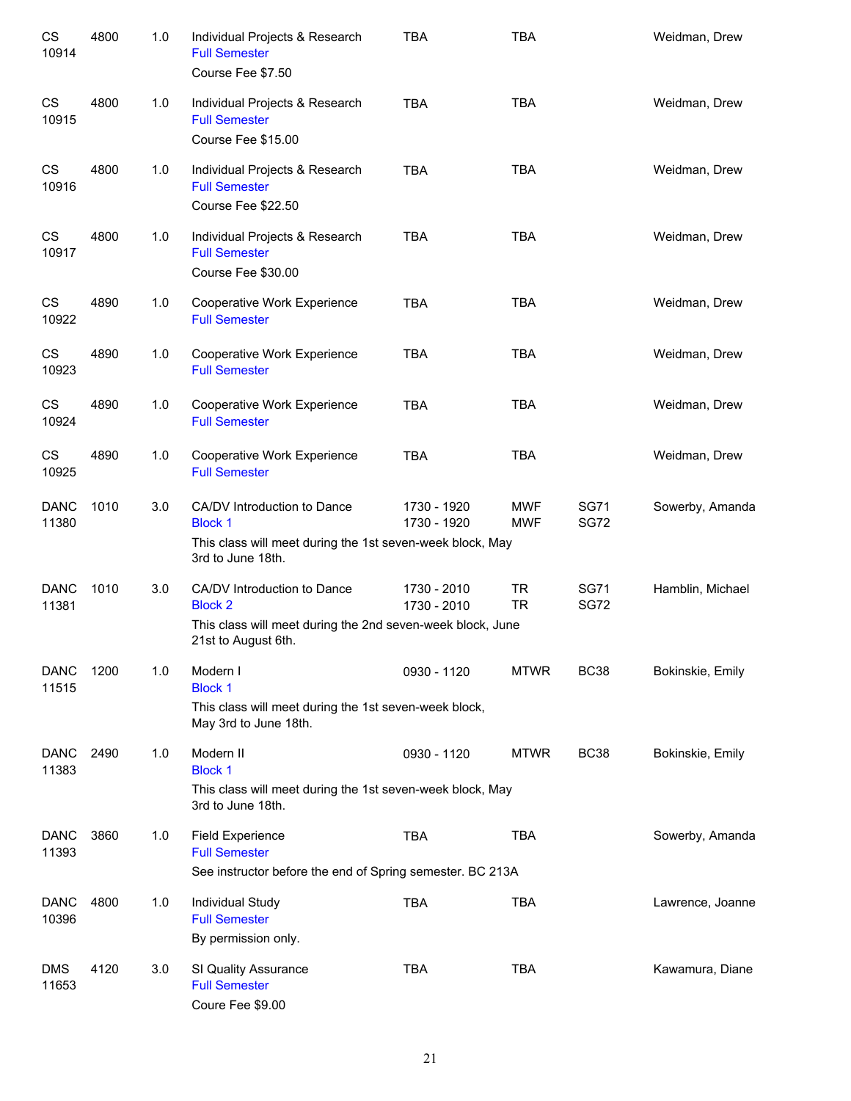| CS<br>10914          | 4800 | 1.0 | Individual Projects & Research<br><b>Full Semester</b><br>Course Fee \$7.50                                | <b>TBA</b>                 | <b>TBA</b>               |                            | Weidman, Drew    |
|----------------------|------|-----|------------------------------------------------------------------------------------------------------------|----------------------------|--------------------------|----------------------------|------------------|
| CS<br>10915          | 4800 | 1.0 | Individual Projects & Research<br><b>Full Semester</b><br>Course Fee \$15.00                               | <b>TBA</b>                 | <b>TBA</b>               |                            | Weidman, Drew    |
| CS<br>10916          | 4800 | 1.0 | Individual Projects & Research<br><b>Full Semester</b><br>Course Fee \$22.50                               | <b>TBA</b>                 | <b>TBA</b>               |                            | Weidman, Drew    |
| CS<br>10917          | 4800 | 1.0 | Individual Projects & Research<br><b>Full Semester</b><br>Course Fee \$30.00                               | <b>TBA</b>                 | <b>TBA</b>               |                            | Weidman, Drew    |
| CS<br>10922          | 4890 | 1.0 | Cooperative Work Experience<br><b>Full Semester</b>                                                        | <b>TBA</b>                 | <b>TBA</b>               |                            | Weidman, Drew    |
| CS<br>10923          | 4890 | 1.0 | Cooperative Work Experience<br><b>Full Semester</b>                                                        | <b>TBA</b>                 | <b>TBA</b>               |                            | Weidman, Drew    |
| CS<br>10924          | 4890 | 1.0 | Cooperative Work Experience<br><b>Full Semester</b>                                                        | <b>TBA</b>                 | <b>TBA</b>               |                            | Weidman, Drew    |
| CS<br>10925          | 4890 | 1.0 | Cooperative Work Experience<br><b>Full Semester</b>                                                        | <b>TBA</b>                 | <b>TBA</b>               |                            | Weidman, Drew    |
| <b>DANC</b><br>11380 | 1010 | 3.0 | CA/DV Introduction to Dance<br><b>Block 1</b><br>This class will meet during the 1st seven-week block, May | 1730 - 1920<br>1730 - 1920 | <b>MWF</b><br><b>MWF</b> | <b>SG71</b><br><b>SG72</b> | Sowerby, Amanda  |
|                      |      |     | 3rd to June 18th.                                                                                          |                            |                          |                            |                  |
| <b>DANC</b><br>11381 | 1010 | 3.0 | CA/DV Introduction to Dance<br><b>Block 2</b>                                                              | 1730 - 2010<br>1730 - 2010 | <b>TR</b><br><b>TR</b>   | <b>SG71</b><br><b>SG72</b> | Hamblin, Michael |
|                      |      |     | This class will meet during the 2nd seven-week block, June<br>21st to August 6th.                          |                            |                          |                            |                  |
| <b>DANC</b><br>11515 | 1200 | 1.0 | Modern I<br><b>Block 1</b>                                                                                 | 0930 - 1120                | <b>MTWR</b>              | <b>BC38</b>                | Bokinskie, Emily |
|                      |      |     | This class will meet during the 1st seven-week block,<br>May 3rd to June 18th.                             |                            |                          |                            |                  |
| <b>DANC</b><br>11383 | 2490 | 1.0 | Modern II<br><b>Block 1</b>                                                                                | 0930 - 1120                | <b>MTWR</b>              | <b>BC38</b>                | Bokinskie, Emily |
|                      |      |     | This class will meet during the 1st seven-week block, May<br>3rd to June 18th.                             |                            |                          |                            |                  |
| <b>DANC</b><br>11393 | 3860 | 1.0 | <b>Field Experience</b><br><b>Full Semester</b>                                                            | <b>TBA</b>                 | <b>TBA</b>               |                            | Sowerby, Amanda  |
|                      |      |     | See instructor before the end of Spring semester. BC 213A                                                  |                            |                          |                            |                  |
| <b>DANC</b><br>10396 | 4800 | 1.0 | Individual Study<br><b>Full Semester</b><br>By permission only.                                            | <b>TBA</b>                 | <b>TBA</b>               |                            | Lawrence, Joanne |
| <b>DMS</b><br>11653  | 4120 | 3.0 | SI Quality Assurance<br><b>Full Semester</b><br>Coure Fee \$9.00                                           | <b>TBA</b>                 | <b>TBA</b>               |                            | Kawamura, Diane  |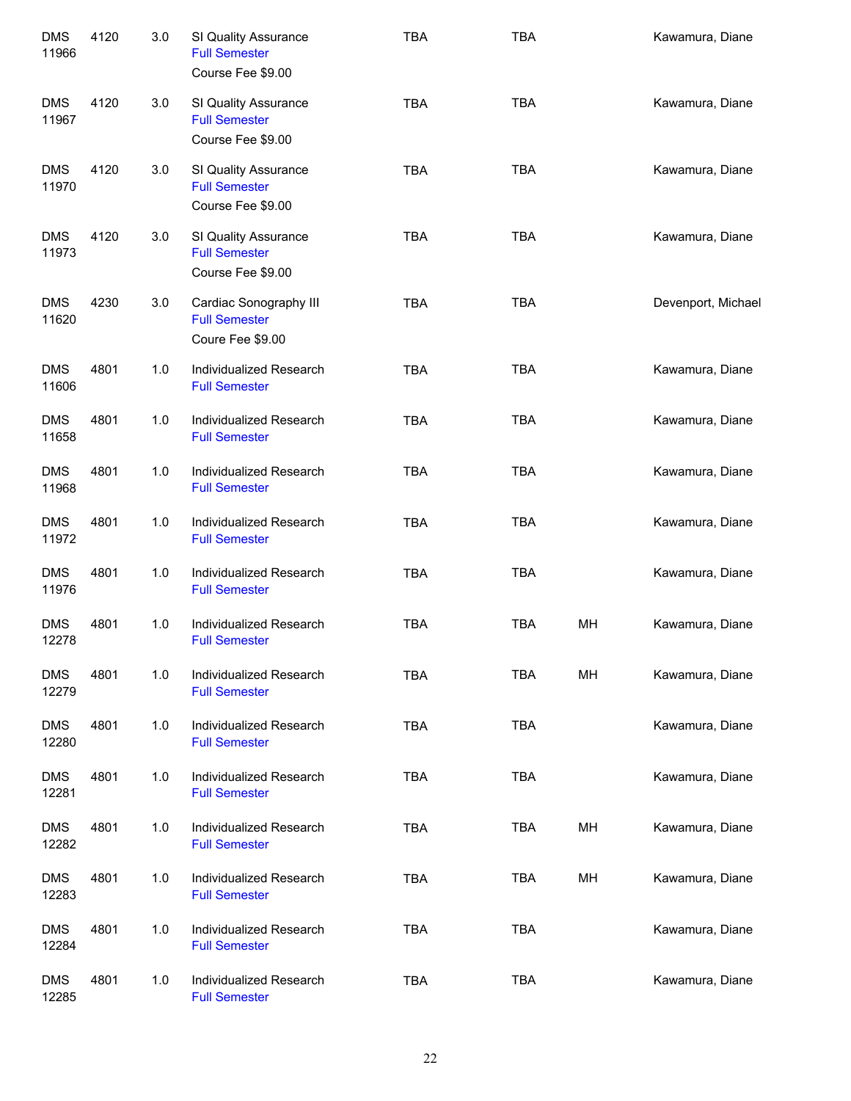| <b>DMS</b><br>11966 | 4120 | 3.0 | SI Quality Assurance<br><b>Full Semester</b><br>Course Fee \$9.00  | <b>TBA</b> | <b>TBA</b> |    | Kawamura, Diane    |
|---------------------|------|-----|--------------------------------------------------------------------|------------|------------|----|--------------------|
| <b>DMS</b><br>11967 | 4120 | 3.0 | SI Quality Assurance<br><b>Full Semester</b><br>Course Fee \$9.00  | <b>TBA</b> | <b>TBA</b> |    | Kawamura, Diane    |
| <b>DMS</b><br>11970 | 4120 | 3.0 | SI Quality Assurance<br><b>Full Semester</b><br>Course Fee \$9.00  | <b>TBA</b> | <b>TBA</b> |    | Kawamura, Diane    |
| <b>DMS</b><br>11973 | 4120 | 3.0 | SI Quality Assurance<br><b>Full Semester</b><br>Course Fee \$9.00  | <b>TBA</b> | <b>TBA</b> |    | Kawamura, Diane    |
| <b>DMS</b><br>11620 | 4230 | 3.0 | Cardiac Sonography III<br><b>Full Semester</b><br>Coure Fee \$9.00 | <b>TBA</b> | <b>TBA</b> |    | Devenport, Michael |
| <b>DMS</b><br>11606 | 4801 | 1.0 | Individualized Research<br><b>Full Semester</b>                    | <b>TBA</b> | <b>TBA</b> |    | Kawamura, Diane    |
| <b>DMS</b><br>11658 | 4801 | 1.0 | Individualized Research<br><b>Full Semester</b>                    | <b>TBA</b> | <b>TBA</b> |    | Kawamura, Diane    |
| <b>DMS</b><br>11968 | 4801 | 1.0 | Individualized Research<br><b>Full Semester</b>                    | <b>TBA</b> | <b>TBA</b> |    | Kawamura, Diane    |
| <b>DMS</b><br>11972 | 4801 | 1.0 | Individualized Research<br><b>Full Semester</b>                    | <b>TBA</b> | <b>TBA</b> |    | Kawamura, Diane    |
| <b>DMS</b><br>11976 | 4801 | 1.0 | Individualized Research<br><b>Full Semester</b>                    | <b>TBA</b> | <b>TBA</b> |    | Kawamura, Diane    |
| <b>DMS</b><br>12278 | 4801 | 1.0 | Individualized Research<br><b>Full Semester</b>                    | <b>TBA</b> | <b>TBA</b> | MH | Kawamura, Diane    |
| <b>DMS</b><br>12279 | 4801 | 1.0 | Individualized Research<br><b>Full Semester</b>                    | <b>TBA</b> | <b>TBA</b> | MH | Kawamura, Diane    |
| <b>DMS</b><br>12280 | 4801 | 1.0 | Individualized Research<br><b>Full Semester</b>                    | <b>TBA</b> | <b>TBA</b> |    | Kawamura, Diane    |
| <b>DMS</b><br>12281 | 4801 | 1.0 | Individualized Research<br><b>Full Semester</b>                    | <b>TBA</b> | <b>TBA</b> |    | Kawamura, Diane    |
| <b>DMS</b><br>12282 | 4801 | 1.0 | Individualized Research<br><b>Full Semester</b>                    | <b>TBA</b> | <b>TBA</b> | MH | Kawamura, Diane    |
| <b>DMS</b><br>12283 | 4801 | 1.0 | Individualized Research<br><b>Full Semester</b>                    | <b>TBA</b> | <b>TBA</b> | MH | Kawamura, Diane    |
| <b>DMS</b><br>12284 | 4801 | 1.0 | Individualized Research<br><b>Full Semester</b>                    | <b>TBA</b> | <b>TBA</b> |    | Kawamura, Diane    |
| <b>DMS</b><br>12285 | 4801 | 1.0 | Individualized Research<br><b>Full Semester</b>                    | <b>TBA</b> | <b>TBA</b> |    | Kawamura, Diane    |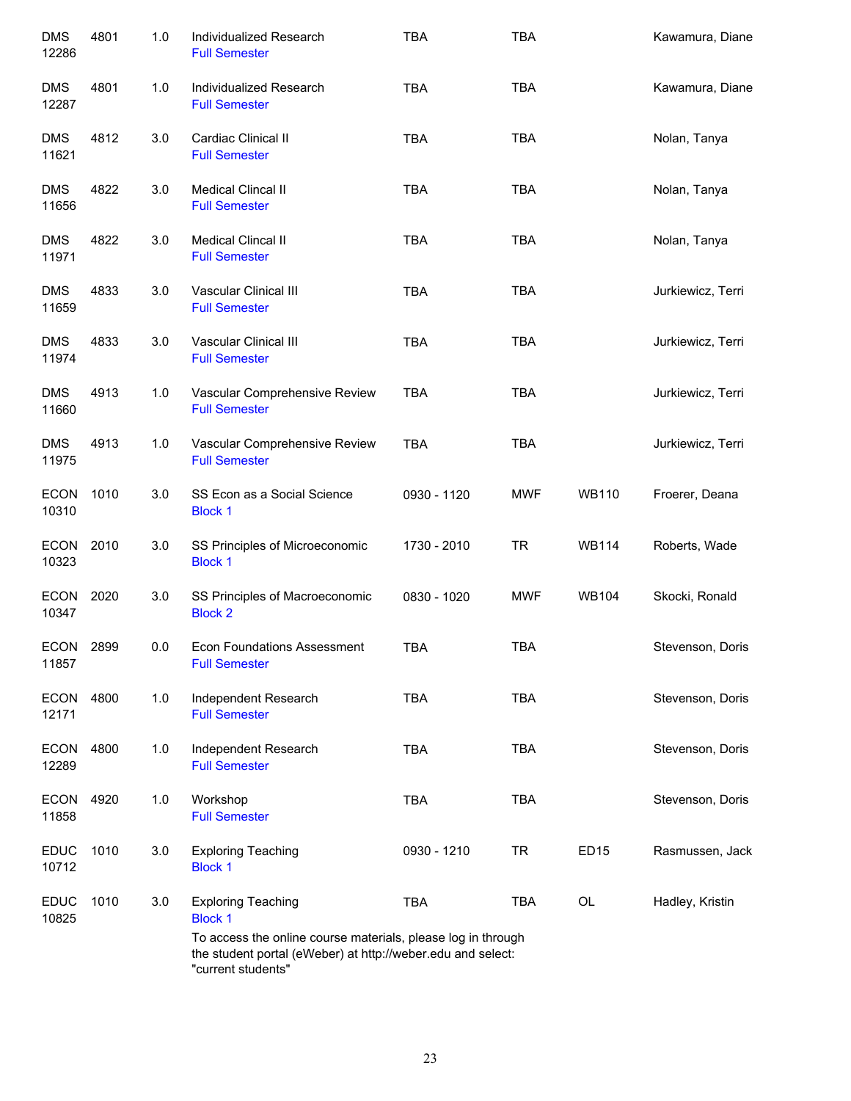| <b>DMS</b><br>12286  | 4801 | 1.0 | Individualized Research<br><b>Full Semester</b>                                                                                                   | <b>TBA</b>  | <b>TBA</b> |                  | Kawamura, Diane   |
|----------------------|------|-----|---------------------------------------------------------------------------------------------------------------------------------------------------|-------------|------------|------------------|-------------------|
| <b>DMS</b><br>12287  | 4801 | 1.0 | Individualized Research<br><b>Full Semester</b>                                                                                                   | <b>TBA</b>  | <b>TBA</b> |                  | Kawamura, Diane   |
| <b>DMS</b><br>11621  | 4812 | 3.0 | Cardiac Clinical II<br><b>Full Semester</b>                                                                                                       | <b>TBA</b>  | <b>TBA</b> |                  | Nolan, Tanya      |
| <b>DMS</b><br>11656  | 4822 | 3.0 | Medical Clincal II<br><b>Full Semester</b>                                                                                                        | <b>TBA</b>  | <b>TBA</b> |                  | Nolan, Tanya      |
| <b>DMS</b><br>11971  | 4822 | 3.0 | Medical Clincal II<br><b>Full Semester</b>                                                                                                        | <b>TBA</b>  | <b>TBA</b> |                  | Nolan, Tanya      |
| <b>DMS</b><br>11659  | 4833 | 3.0 | Vascular Clinical III<br><b>Full Semester</b>                                                                                                     | <b>TBA</b>  | <b>TBA</b> |                  | Jurkiewicz, Terri |
| <b>DMS</b><br>11974  | 4833 | 3.0 | Vascular Clinical III<br><b>Full Semester</b>                                                                                                     | <b>TBA</b>  | <b>TBA</b> |                  | Jurkiewicz, Terri |
| <b>DMS</b><br>11660  | 4913 | 1.0 | Vascular Comprehensive Review<br><b>Full Semester</b>                                                                                             | <b>TBA</b>  | <b>TBA</b> |                  | Jurkiewicz, Terri |
| <b>DMS</b><br>11975  | 4913 | 1.0 | Vascular Comprehensive Review<br><b>Full Semester</b>                                                                                             | <b>TBA</b>  | <b>TBA</b> |                  | Jurkiewicz, Terri |
| <b>ECON</b><br>10310 | 1010 | 3.0 | SS Econ as a Social Science<br><b>Block 1</b>                                                                                                     | 0930 - 1120 | MWF        | <b>WB110</b>     | Froerer, Deana    |
| <b>ECON</b><br>10323 | 2010 | 3.0 | SS Principles of Microeconomic<br><b>Block 1</b>                                                                                                  | 1730 - 2010 | <b>TR</b>  | <b>WB114</b>     | Roberts, Wade     |
| <b>ECON</b><br>10347 | 2020 | 3.0 | SS Principles of Macroeconomic<br><b>Block 2</b>                                                                                                  | 0830 - 1020 | <b>MWF</b> | <b>WB104</b>     | Skocki, Ronald    |
| <b>ECON</b><br>11857 | 2899 | 0.0 | <b>Econ Foundations Assessment</b><br><b>Full Semester</b>                                                                                        | TBA         | <b>TBA</b> |                  | Stevenson, Doris  |
| <b>ECON</b><br>12171 | 4800 | 1.0 | Independent Research<br><b>Full Semester</b>                                                                                                      | <b>TBA</b>  | <b>TBA</b> |                  | Stevenson, Doris  |
| <b>ECON</b><br>12289 | 4800 | 1.0 | Independent Research<br><b>Full Semester</b>                                                                                                      | <b>TBA</b>  | <b>TBA</b> |                  | Stevenson, Doris  |
| <b>ECON</b><br>11858 | 4920 | 1.0 | Workshop<br><b>Full Semester</b>                                                                                                                  | <b>TBA</b>  | <b>TBA</b> |                  | Stevenson, Doris  |
| <b>EDUC</b><br>10712 | 1010 | 3.0 | <b>Exploring Teaching</b><br><b>Block 1</b>                                                                                                       | 0930 - 1210 | <b>TR</b>  | ED <sub>15</sub> | Rasmussen, Jack   |
| <b>EDUC</b><br>10825 | 1010 | 3.0 | <b>Exploring Teaching</b><br><b>Block 1</b>                                                                                                       | <b>TBA</b>  | <b>TBA</b> | OL               | Hadley, Kristin   |
|                      |      |     | To access the online course materials, please log in through<br>the student portal (eWeber) at http://weber.edu and select:<br>"current students" |             |            |                  |                   |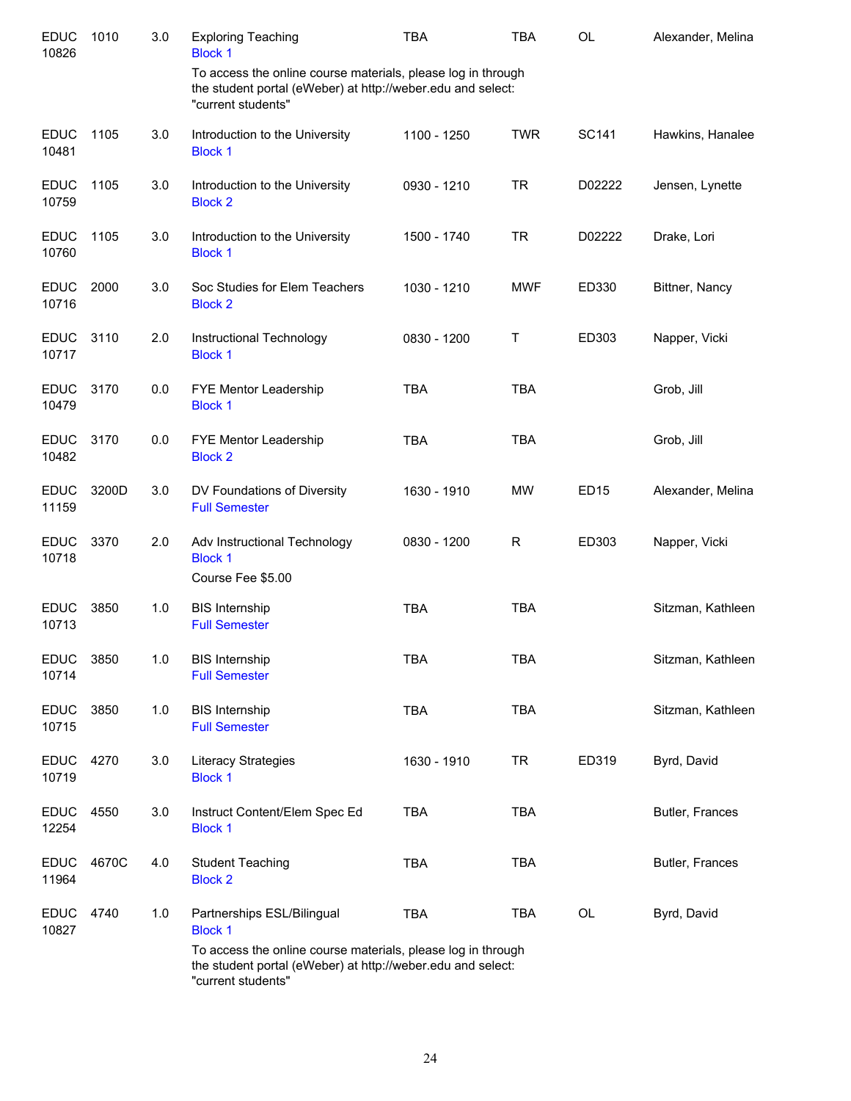| <b>EDUC</b><br>10826 | 1010  | 3.0   | <b>Exploring Teaching</b><br><b>Block 1</b>                                                                                                       | <b>TBA</b>  | <b>TBA</b> | <b>OL</b>   | Alexander, Melina |
|----------------------|-------|-------|---------------------------------------------------------------------------------------------------------------------------------------------------|-------------|------------|-------------|-------------------|
|                      |       |       | To access the online course materials, please log in through<br>the student portal (eWeber) at http://weber.edu and select:<br>"current students" |             |            |             |                   |
| <b>EDUC</b><br>10481 | 1105  | 3.0   | Introduction to the University<br><b>Block 1</b>                                                                                                  | 1100 - 1250 | <b>TWR</b> | SC141       | Hawkins, Hanalee  |
| <b>EDUC</b><br>10759 | 1105  | 3.0   | Introduction to the University<br><b>Block 2</b>                                                                                                  | 0930 - 1210 | <b>TR</b>  | D02222      | Jensen, Lynette   |
| <b>EDUC</b><br>10760 | 1105  | 3.0   | Introduction to the University<br><b>Block 1</b>                                                                                                  | 1500 - 1740 | <b>TR</b>  | D02222      | Drake, Lori       |
| <b>EDUC</b><br>10716 | 2000  | 3.0   | Soc Studies for Elem Teachers<br><b>Block 2</b>                                                                                                   | 1030 - 1210 | <b>MWF</b> | ED330       | Bittner, Nancy    |
| <b>EDUC</b><br>10717 | 3110  | 2.0   | Instructional Technology<br><b>Block 1</b>                                                                                                        | 0830 - 1200 | Τ          | ED303       | Napper, Vicki     |
| <b>EDUC</b><br>10479 | 3170  | 0.0   | FYE Mentor Leadership<br><b>Block 1</b>                                                                                                           | <b>TBA</b>  | <b>TBA</b> |             | Grob, Jill        |
| <b>EDUC</b><br>10482 | 3170  | 0.0   | FYE Mentor Leadership<br><b>Block 2</b>                                                                                                           | <b>TBA</b>  | <b>TBA</b> |             | Grob, Jill        |
| <b>EDUC</b><br>11159 | 3200D | 3.0   | DV Foundations of Diversity<br><b>Full Semester</b>                                                                                               | 1630 - 1910 | MW         | <b>ED15</b> | Alexander, Melina |
| <b>EDUC</b><br>10718 | 3370  | 2.0   | Adv Instructional Technology<br><b>Block 1</b><br>Course Fee \$5.00                                                                               | 0830 - 1200 | R          | ED303       | Napper, Vicki     |
| <b>EDUC</b><br>10713 | 3850  | 1.0   | <b>BIS Internship</b><br><b>Full Semester</b>                                                                                                     | <b>TBA</b>  | <b>TBA</b> |             | Sitzman, Kathleen |
| <b>EDUC</b><br>10714 | 3850  | $1.0$ | <b>BIS Internship</b><br><b>Full Semester</b>                                                                                                     | <b>TBA</b>  | TBA        |             | Sitzman, Kathleen |
| <b>EDUC</b><br>10715 | 3850  | $1.0$ | <b>BIS Internship</b><br><b>Full Semester</b>                                                                                                     | <b>TBA</b>  | <b>TBA</b> |             | Sitzman, Kathleen |
| <b>EDUC</b><br>10719 | 4270  | 3.0   | Literacy Strategies<br><b>Block 1</b>                                                                                                             | 1630 - 1910 | <b>TR</b>  | ED319       | Byrd, David       |
| <b>EDUC</b><br>12254 | 4550  | 3.0   | Instruct Content/Elem Spec Ed<br><b>Block 1</b>                                                                                                   | <b>TBA</b>  | <b>TBA</b> |             | Butler, Frances   |
| <b>EDUC</b><br>11964 | 4670C | 4.0   | <b>Student Teaching</b><br><b>Block 2</b>                                                                                                         | <b>TBA</b>  | <b>TBA</b> |             | Butler, Frances   |
| <b>EDUC</b><br>10827 | 4740  | 1.0   | Partnerships ESL/Bilingual<br><b>Block 1</b>                                                                                                      | <b>TBA</b>  | <b>TBA</b> | OL          | Byrd, David       |
|                      |       |       | To access the online course materials, please log in through<br>the student portal (eWeber) at http://weber.edu and select:<br>"current students" |             |            |             |                   |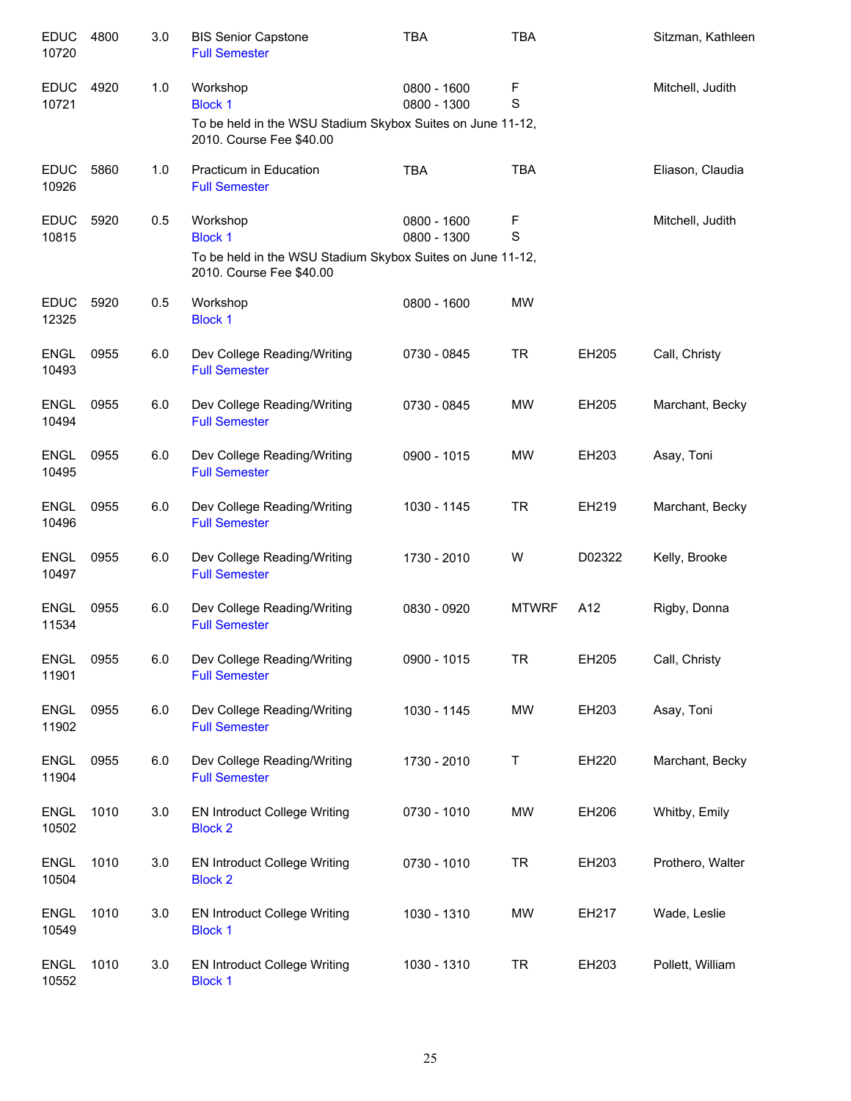| <b>EDUC</b><br>10720 | 4800 | 3.0 | <b>BIS Senior Capstone</b><br><b>Full Semester</b>                                       | <b>TBA</b>                 | <b>TBA</b>       |        | Sitzman, Kathleen |
|----------------------|------|-----|------------------------------------------------------------------------------------------|----------------------------|------------------|--------|-------------------|
| <b>EDUC</b><br>10721 | 4920 | 1.0 | Workshop<br><b>Block 1</b><br>To be held in the WSU Stadium Skybox Suites on June 11-12, | 0800 - 1600<br>0800 - 1300 | F<br>S           |        | Mitchell, Judith  |
|                      |      |     | 2010. Course Fee \$40.00                                                                 |                            |                  |        |                   |
| <b>EDUC</b><br>10926 | 5860 | 1.0 | Practicum in Education<br><b>Full Semester</b>                                           | <b>TBA</b>                 | <b>TBA</b>       |        | Eliason, Claudia  |
| <b>EDUC</b><br>10815 | 5920 | 0.5 | Workshop<br><b>Block 1</b>                                                               | 0800 - 1600<br>0800 - 1300 | F<br>$\mathbf S$ |        | Mitchell, Judith  |
|                      |      |     | To be held in the WSU Stadium Skybox Suites on June 11-12,<br>2010. Course Fee \$40.00   |                            |                  |        |                   |
| <b>EDUC</b><br>12325 | 5920 | 0.5 | Workshop<br><b>Block 1</b>                                                               | 0800 - 1600                | <b>MW</b>        |        |                   |
| <b>ENGL</b><br>10493 | 0955 | 6.0 | Dev College Reading/Writing<br><b>Full Semester</b>                                      | 0730 - 0845                | <b>TR</b>        | EH205  | Call, Christy     |
| <b>ENGL</b><br>10494 | 0955 | 6.0 | Dev College Reading/Writing<br><b>Full Semester</b>                                      | 0730 - 0845                | MW               | EH205  | Marchant, Becky   |
| <b>ENGL</b><br>10495 | 0955 | 6.0 | Dev College Reading/Writing<br><b>Full Semester</b>                                      | 0900 - 1015                | <b>MW</b>        | EH203  | Asay, Toni        |
| <b>ENGL</b><br>10496 | 0955 | 6.0 | Dev College Reading/Writing<br><b>Full Semester</b>                                      | 1030 - 1145                | <b>TR</b>        | EH219  | Marchant, Becky   |
| <b>ENGL</b><br>10497 | 0955 | 6.0 | Dev College Reading/Writing<br><b>Full Semester</b>                                      | 1730 - 2010                | W                | D02322 | Kelly, Brooke     |
| <b>ENGL</b><br>11534 | 0955 | 6.0 | Dev College Reading/Writing<br><b>Full Semester</b>                                      | 0830 - 0920                | <b>MTWRF</b>     | A12    | Rigby, Donna      |
| <b>ENGL</b><br>11901 | 0955 | 6.0 | Dev College Reading/Writing<br><b>Full Semester</b>                                      | 0900 - 1015                | <b>TR</b>        | EH205  | Call, Christy     |
| <b>ENGL</b><br>11902 | 0955 | 6.0 | Dev College Reading/Writing<br><b>Full Semester</b>                                      | 1030 - 1145                | MW               | EH203  | Asay, Toni        |
| <b>ENGL</b><br>11904 | 0955 | 6.0 | Dev College Reading/Writing<br><b>Full Semester</b>                                      | 1730 - 2010                | Т                | EH220  | Marchant, Becky   |
| <b>ENGL</b><br>10502 | 1010 | 3.0 | <b>EN Introduct College Writing</b><br><b>Block 2</b>                                    | 0730 - 1010                | MW               | EH206  | Whitby, Emily     |
| <b>ENGL</b><br>10504 | 1010 | 3.0 | <b>EN Introduct College Writing</b><br><b>Block 2</b>                                    | 0730 - 1010                | <b>TR</b>        | EH203  | Prothero, Walter  |
| <b>ENGL</b><br>10549 | 1010 | 3.0 | <b>EN Introduct College Writing</b><br><b>Block 1</b>                                    | 1030 - 1310                | <b>MW</b>        | EH217  | Wade, Leslie      |
| <b>ENGL</b><br>10552 | 1010 | 3.0 | <b>EN Introduct College Writing</b><br><b>Block 1</b>                                    | 1030 - 1310                | <b>TR</b>        | EH203  | Pollett, William  |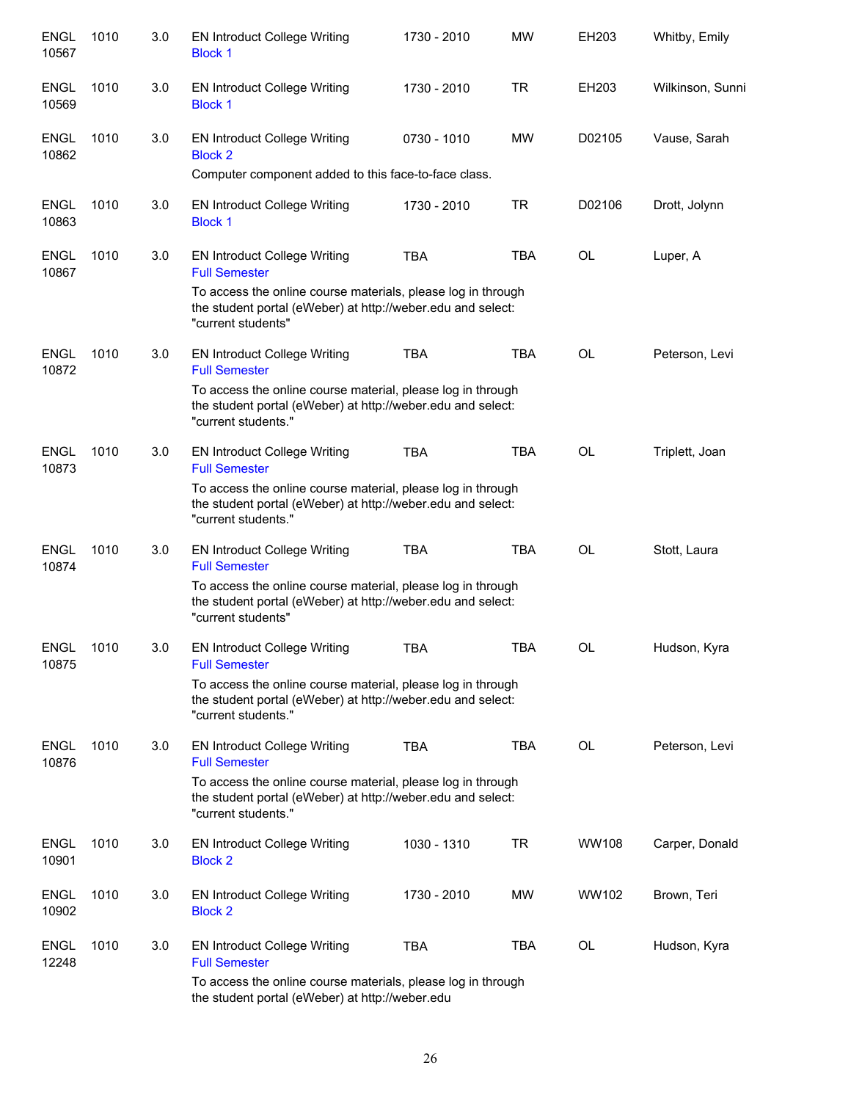| <b>ENGL</b><br>10567 | 1010 | 3.0 | <b>EN Introduct College Writing</b><br><b>Block 1</b>                                                                                             | 1730 - 2010 | <b>MW</b>  | EH203        | Whitby, Emily    |
|----------------------|------|-----|---------------------------------------------------------------------------------------------------------------------------------------------------|-------------|------------|--------------|------------------|
| <b>ENGL</b><br>10569 | 1010 | 3.0 | <b>EN Introduct College Writing</b><br><b>Block 1</b>                                                                                             | 1730 - 2010 | <b>TR</b>  | EH203        | Wilkinson, Sunni |
| ENGL<br>10862        | 1010 | 3.0 | <b>EN Introduct College Writing</b><br><b>Block 2</b>                                                                                             | 0730 - 1010 | <b>MW</b>  | D02105       | Vause, Sarah     |
|                      |      |     | Computer component added to this face-to-face class.                                                                                              |             |            |              |                  |
| <b>ENGL</b><br>10863 | 1010 | 3.0 | <b>EN Introduct College Writing</b><br><b>Block 1</b>                                                                                             | 1730 - 2010 | TR         | D02106       | Drott, Jolynn    |
| ENGL<br>10867        | 1010 | 3.0 | <b>EN Introduct College Writing</b><br><b>Full Semester</b>                                                                                       | <b>TBA</b>  | <b>TBA</b> | OL           | Luper, A         |
|                      |      |     | To access the online course materials, please log in through<br>the student portal (eWeber) at http://weber.edu and select:<br>"current students" |             |            |              |                  |
| <b>ENGL</b><br>10872 | 1010 | 3.0 | <b>EN Introduct College Writing</b><br><b>Full Semester</b>                                                                                       | <b>TBA</b>  | TBA        | OL           | Peterson, Levi   |
|                      |      |     | To access the online course material, please log in through<br>the student portal (eWeber) at http://weber.edu and select:<br>"current students." |             |            |              |                  |
| <b>ENGL</b><br>10873 | 1010 | 3.0 | <b>EN Introduct College Writing</b><br><b>Full Semester</b>                                                                                       | <b>TBA</b>  | <b>TBA</b> | <b>OL</b>    | Triplett, Joan   |
|                      |      |     | To access the online course material, please log in through<br>the student portal (eWeber) at http://weber.edu and select:<br>"current students." |             |            |              |                  |
| <b>ENGL</b><br>10874 | 1010 | 3.0 | <b>EN Introduct College Writing</b><br><b>Full Semester</b>                                                                                       | <b>TBA</b>  | <b>TBA</b> | <b>OL</b>    | Stott, Laura     |
|                      |      |     | To access the online course material, please log in through<br>the student portal (eWeber) at http://weber.edu and select:<br>"current students"  |             |            |              |                  |
| <b>ENGL</b><br>10875 | 1010 | 3.0 | <b>EN Introduct College Writing</b><br><b>Full Semester</b>                                                                                       | TBA         | <b>TBA</b> | OL           | Hudson, Kyra     |
|                      |      |     | To access the online course material, please log in through<br>the student portal (eWeber) at http://weber.edu and select:<br>"current students." |             |            |              |                  |
| <b>ENGL</b><br>10876 | 1010 | 3.0 | <b>EN Introduct College Writing</b><br><b>Full Semester</b>                                                                                       | <b>TBA</b>  | <b>TBA</b> | OL           | Peterson, Levi   |
|                      |      |     | To access the online course material, please log in through<br>the student portal (eWeber) at http://weber.edu and select:<br>"current students." |             |            |              |                  |
| <b>ENGL</b><br>10901 | 1010 | 3.0 | <b>EN Introduct College Writing</b><br><b>Block 2</b>                                                                                             | 1030 - 1310 | <b>TR</b>  | <b>WW108</b> | Carper, Donald   |
| <b>ENGL</b><br>10902 | 1010 | 3.0 | <b>EN Introduct College Writing</b><br><b>Block 2</b>                                                                                             | 1730 - 2010 | <b>MW</b>  | WW102        | Brown, Teri      |
| <b>ENGL</b><br>12248 | 1010 | 3.0 | EN Introduct College Writing<br><b>Full Semester</b>                                                                                              | <b>TBA</b>  | TBA        | OL           | Hudson, Kyra     |
|                      |      |     | To access the online course materials, please log in through<br>the student portal (eWeber) at http://weber.edu                                   |             |            |              |                  |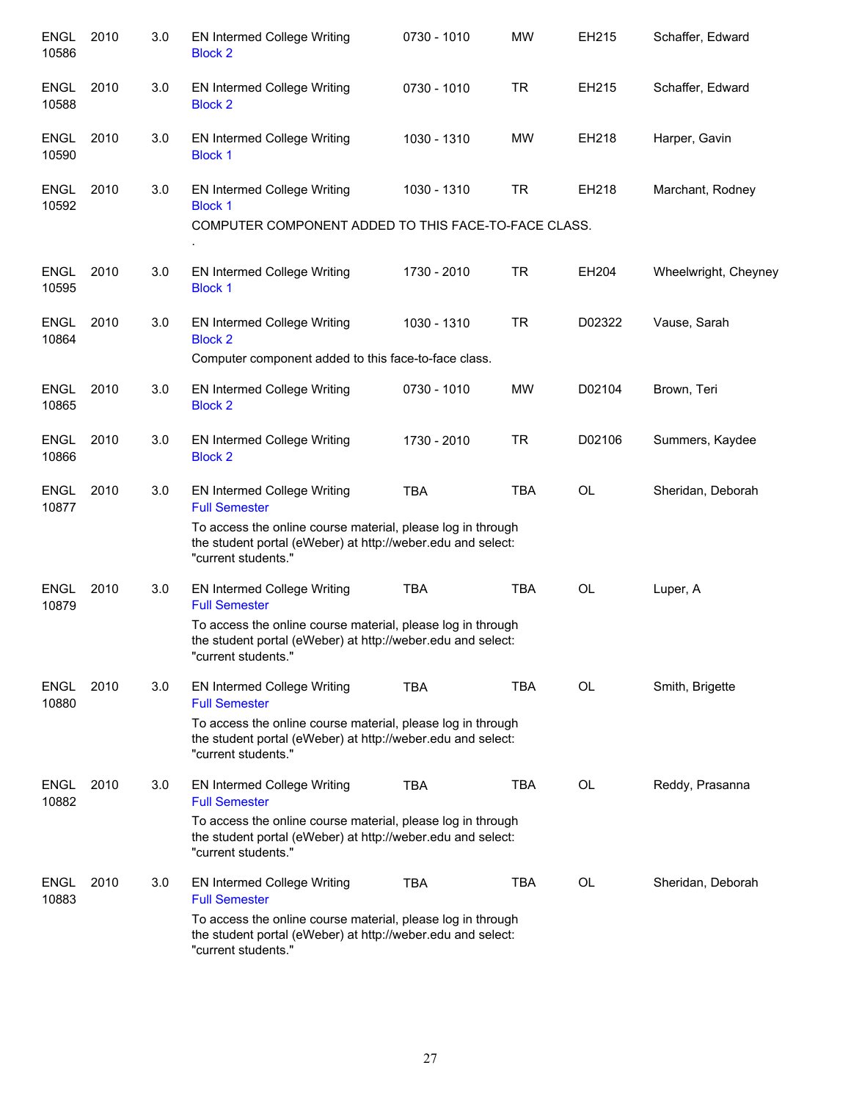| <b>ENGL</b><br>10586 | 2010 | 3.0 | EN Intermed College Writing<br><b>Block 2</b>                                                                                                     | 0730 - 1010 | <b>MW</b>  | EH215     | Schaffer, Edward     |
|----------------------|------|-----|---------------------------------------------------------------------------------------------------------------------------------------------------|-------------|------------|-----------|----------------------|
| <b>ENGL</b><br>10588 | 2010 | 3.0 | EN Intermed College Writing<br><b>Block 2</b>                                                                                                     | 0730 - 1010 | <b>TR</b>  | EH215     | Schaffer, Edward     |
| <b>ENGL</b><br>10590 | 2010 | 3.0 | EN Intermed College Writing<br><b>Block 1</b>                                                                                                     | 1030 - 1310 | <b>MW</b>  | EH218     | Harper, Gavin        |
| <b>ENGL</b><br>10592 | 2010 | 3.0 | EN Intermed College Writing<br><b>Block 1</b>                                                                                                     | 1030 - 1310 | TR         | EH218     | Marchant, Rodney     |
|                      |      |     | COMPUTER COMPONENT ADDED TO THIS FACE-TO-FACE CLASS.                                                                                              |             |            |           |                      |
| <b>ENGL</b><br>10595 | 2010 | 3.0 | <b>EN Intermed College Writing</b><br><b>Block 1</b>                                                                                              | 1730 - 2010 | <b>TR</b>  | EH204     | Wheelwright, Cheyney |
| <b>ENGL</b><br>10864 | 2010 | 3.0 | EN Intermed College Writing<br><b>Block 2</b>                                                                                                     | 1030 - 1310 | <b>TR</b>  | D02322    | Vause, Sarah         |
|                      |      |     | Computer component added to this face-to-face class.                                                                                              |             |            |           |                      |
| <b>ENGL</b><br>10865 | 2010 | 3.0 | EN Intermed College Writing<br><b>Block 2</b>                                                                                                     | 0730 - 1010 | <b>MW</b>  | D02104    | Brown, Teri          |
| <b>ENGL</b><br>10866 | 2010 | 3.0 | <b>EN Intermed College Writing</b><br><b>Block 2</b>                                                                                              | 1730 - 2010 | <b>TR</b>  | D02106    | Summers, Kaydee      |
| <b>ENGL</b><br>10877 | 2010 | 3.0 | EN Intermed College Writing<br><b>Full Semester</b>                                                                                               | <b>TBA</b>  | <b>TBA</b> | <b>OL</b> | Sheridan, Deborah    |
|                      |      |     | To access the online course material, please log in through<br>the student portal (eWeber) at http://weber.edu and select:<br>"current students." |             |            |           |                      |
| <b>ENGL</b><br>10879 | 2010 | 3.0 | EN Intermed College Writing<br><b>Full Semester</b>                                                                                               | <b>TBA</b>  | <b>TBA</b> | <b>OL</b> | Luper, A             |
|                      |      |     | To access the online course material, please log in through<br>the student portal (eWeber) at http://weber.edu and select:<br>"current students." |             |            |           |                      |
| <b>ENGL</b><br>10880 | 2010 | 3.0 | EN Intermed College Writing<br><b>Full Semester</b>                                                                                               | <b>TBA</b>  | <b>TBA</b> | OL        | Smith, Brigette      |
|                      |      |     | To access the online course material, please log in through<br>the student portal (eWeber) at http://weber.edu and select:<br>"current students." |             |            |           |                      |
| <b>ENGL</b><br>10882 | 2010 | 3.0 | EN Intermed College Writing<br><b>Full Semester</b>                                                                                               | <b>TBA</b>  | <b>TBA</b> | OL        | Reddy, Prasanna      |
|                      |      |     | To access the online course material, please log in through<br>the student portal (eWeber) at http://weber.edu and select:<br>"current students." |             |            |           |                      |
| <b>ENGL</b><br>10883 | 2010 | 3.0 | EN Intermed College Writing<br><b>Full Semester</b>                                                                                               | <b>TBA</b>  | <b>TBA</b> | OL        | Sheridan, Deborah    |
|                      |      |     | To access the online course material, please log in through<br>the student portal (eWeber) at http://weber.edu and select:<br>"current students." |             |            |           |                      |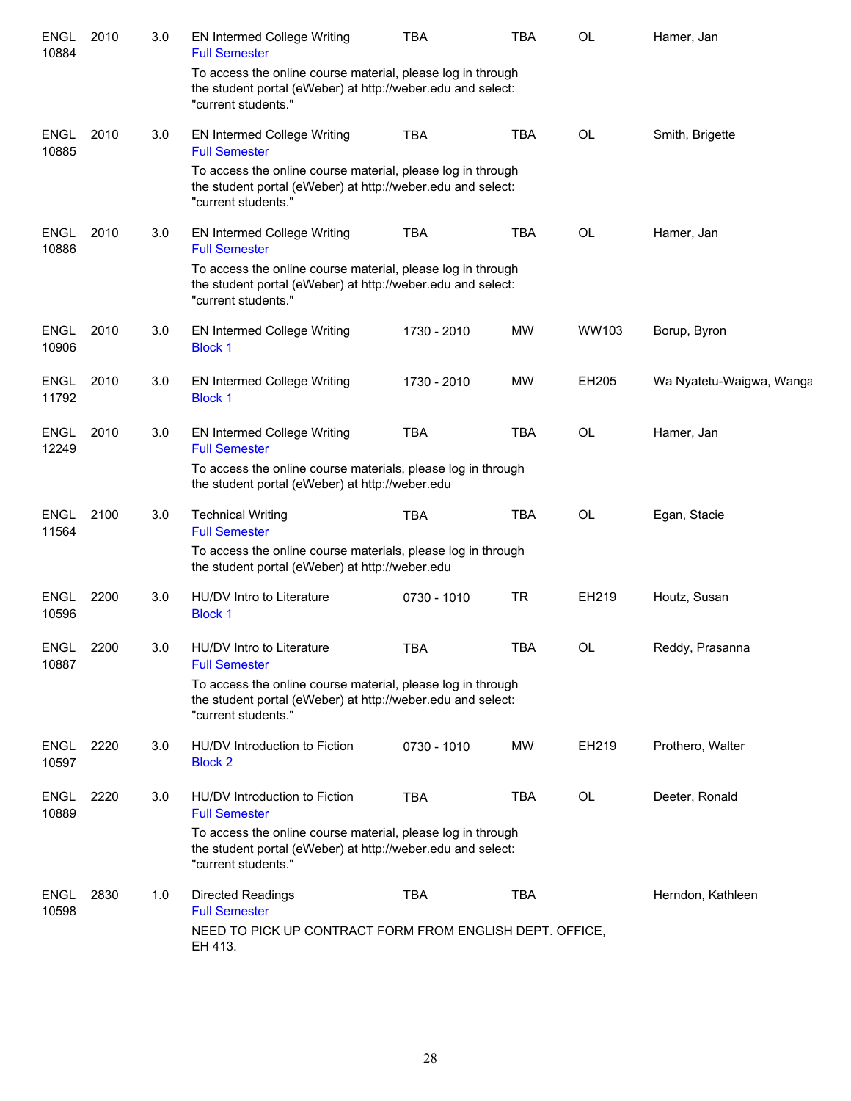| <b>ENGL</b><br>10884 | 2010 | 3.0 | <b>EN Intermed College Writing</b><br><b>Full Semester</b>                                                                                        | <b>TBA</b>  | <b>TBA</b> | OL        | Hamer, Jan               |
|----------------------|------|-----|---------------------------------------------------------------------------------------------------------------------------------------------------|-------------|------------|-----------|--------------------------|
|                      |      |     | To access the online course material, please log in through<br>the student portal (eWeber) at http://weber.edu and select:<br>"current students." |             |            |           |                          |
| <b>ENGL</b><br>10885 | 2010 | 3.0 | <b>EN Intermed College Writing</b><br><b>Full Semester</b>                                                                                        | <b>TBA</b>  | <b>TBA</b> | OL        | Smith, Brigette          |
|                      |      |     | To access the online course material, please log in through<br>the student portal (eWeber) at http://weber.edu and select:<br>"current students." |             |            |           |                          |
| <b>ENGL</b><br>10886 | 2010 | 3.0 | <b>EN Intermed College Writing</b><br><b>Full Semester</b>                                                                                        | <b>TBA</b>  | <b>TBA</b> | OL        | Hamer, Jan               |
|                      |      |     | To access the online course material, please log in through<br>the student portal (eWeber) at http://weber.edu and select:<br>"current students." |             |            |           |                          |
| <b>ENGL</b><br>10906 | 2010 | 3.0 | EN Intermed College Writing<br><b>Block 1</b>                                                                                                     | 1730 - 2010 | MW         | WW103     | Borup, Byron             |
| <b>ENGL</b><br>11792 | 2010 | 3.0 | <b>EN Intermed College Writing</b><br><b>Block 1</b>                                                                                              | 1730 - 2010 | <b>MW</b>  | EH205     | Wa Nyatetu-Waigwa, Wanga |
| <b>ENGL</b><br>12249 | 2010 | 3.0 | <b>EN Intermed College Writing</b><br><b>Full Semester</b>                                                                                        | <b>TBA</b>  | <b>TBA</b> | <b>OL</b> | Hamer, Jan               |
|                      |      |     | To access the online course materials, please log in through<br>the student portal (eWeber) at http://weber.edu                                   |             |            |           |                          |
| <b>ENGL</b><br>11564 | 2100 | 3.0 | <b>Technical Writing</b><br><b>Full Semester</b>                                                                                                  | <b>TBA</b>  | TBA        | OL        | Egan, Stacie             |
|                      |      |     | To access the online course materials, please log in through<br>the student portal (eWeber) at http://weber.edu                                   |             |            |           |                          |
| <b>ENGL</b><br>10596 | 2200 | 3.0 | HU/DV Intro to Literature<br><b>Block 1</b>                                                                                                       | 0730 - 1010 | <b>TR</b>  | EH219     | Houtz, Susan             |
| <b>ENGL</b><br>10887 | 2200 | 3.0 | HU/DV Intro to Literature<br><b>Full Semester</b>                                                                                                 | TBA         | <b>TBA</b> | OL        | Reddy, Prasanna          |
|                      |      |     | To access the online course material, please log in through<br>the student portal (eWeber) at http://weber.edu and select:<br>"current students." |             |            |           |                          |
| <b>ENGL</b><br>10597 | 2220 | 3.0 | HU/DV Introduction to Fiction<br><b>Block 2</b>                                                                                                   | 0730 - 1010 | <b>MW</b>  | EH219     | Prothero, Walter         |
| <b>ENGL</b><br>10889 | 2220 | 3.0 | HU/DV Introduction to Fiction<br><b>Full Semester</b>                                                                                             | <b>TBA</b>  | <b>TBA</b> | OL        | Deeter, Ronald           |
|                      |      |     | To access the online course material, please log in through<br>the student portal (eWeber) at http://weber.edu and select:<br>"current students." |             |            |           |                          |
| ENGL<br>10598        | 2830 | 1.0 | <b>Directed Readings</b><br><b>Full Semester</b><br>NEED TO PICK UP CONTRACT FORM FROM ENGLISH DEPT. OFFICE,                                      | <b>TBA</b>  | <b>TBA</b> |           | Herndon, Kathleen        |
|                      |      |     | EH 413.                                                                                                                                           |             |            |           |                          |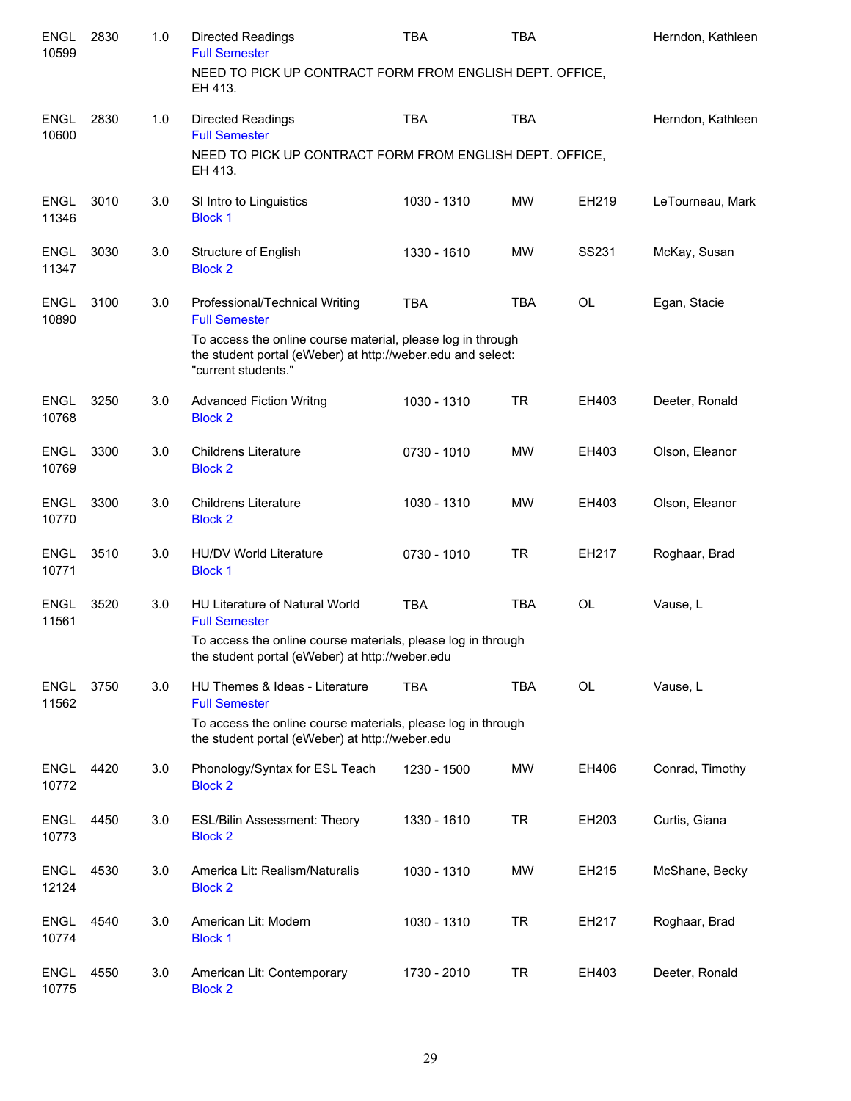| <b>ENGL</b><br>10599 | 2830 | 1.0 | <b>Directed Readings</b><br><b>Full Semester</b>                                                                                                  | <b>TBA</b>  | <b>TBA</b> |           | Herndon, Kathleen |
|----------------------|------|-----|---------------------------------------------------------------------------------------------------------------------------------------------------|-------------|------------|-----------|-------------------|
|                      |      |     | NEED TO PICK UP CONTRACT FORM FROM ENGLISH DEPT. OFFICE,<br>EH 413.                                                                               |             |            |           |                   |
| <b>ENGL</b><br>10600 | 2830 | 1.0 | <b>Directed Readings</b><br><b>Full Semester</b>                                                                                                  | <b>TBA</b>  | <b>TBA</b> |           | Herndon, Kathleen |
|                      |      |     | NEED TO PICK UP CONTRACT FORM FROM ENGLISH DEPT. OFFICE,<br>EH 413.                                                                               |             |            |           |                   |
| <b>ENGL</b><br>11346 | 3010 | 3.0 | SI Intro to Linguistics<br><b>Block 1</b>                                                                                                         | 1030 - 1310 | <b>MW</b>  | EH219     | LeTourneau, Mark  |
| <b>ENGL</b><br>11347 | 3030 | 3.0 | Structure of English<br><b>Block 2</b>                                                                                                            | 1330 - 1610 | MW.        | SS231     | McKay, Susan      |
| <b>ENGL</b><br>10890 | 3100 | 3.0 | Professional/Technical Writing<br><b>Full Semester</b>                                                                                            | <b>TBA</b>  | <b>TBA</b> | <b>OL</b> | Egan, Stacie      |
|                      |      |     | To access the online course material, please log in through<br>the student portal (eWeber) at http://weber.edu and select:<br>"current students." |             |            |           |                   |
| <b>ENGL</b><br>10768 | 3250 | 3.0 | <b>Advanced Fiction Writng</b><br><b>Block 2</b>                                                                                                  | 1030 - 1310 | <b>TR</b>  | EH403     | Deeter, Ronald    |
| <b>ENGL</b><br>10769 | 3300 | 3.0 | <b>Childrens Literature</b><br><b>Block 2</b>                                                                                                     | 0730 - 1010 | <b>MW</b>  | EH403     | Olson, Eleanor    |
| <b>ENGL</b><br>10770 | 3300 | 3.0 | <b>Childrens Literature</b><br><b>Block 2</b>                                                                                                     | 1030 - 1310 | <b>MW</b>  | EH403     | Olson, Eleanor    |
| <b>ENGL</b><br>10771 | 3510 | 3.0 | <b>HU/DV World Literature</b><br><b>Block 1</b>                                                                                                   | 0730 - 1010 | <b>TR</b>  | EH217     | Roghaar, Brad     |
| <b>ENGL</b><br>11561 | 3520 | 3.0 | <b>HU Literature of Natural World</b><br><b>Full Semester</b>                                                                                     | <b>TBA</b>  | <b>TBA</b> | <b>OL</b> | Vause, L          |
|                      |      |     | To access the online course materials, please log in through<br>the student portal (eWeber) at http://weber.edu                                   |             |            |           |                   |
| <b>ENGL</b><br>11562 | 3750 | 3.0 | HU Themes & Ideas - Literature<br><b>Full Semester</b>                                                                                            | <b>TBA</b>  | <b>TBA</b> | OL        | Vause, L          |
|                      |      |     | To access the online course materials, please log in through<br>the student portal (eWeber) at http://weber.edu                                   |             |            |           |                   |
| <b>ENGL</b><br>10772 | 4420 | 3.0 | Phonology/Syntax for ESL Teach<br><b>Block 2</b>                                                                                                  | 1230 - 1500 | MW         | EH406     | Conrad, Timothy   |
| <b>ENGL</b><br>10773 | 4450 | 3.0 | <b>ESL/Bilin Assessment: Theory</b><br><b>Block 2</b>                                                                                             | 1330 - 1610 | <b>TR</b>  | EH203     | Curtis, Giana     |
| <b>ENGL</b><br>12124 | 4530 | 3.0 | America Lit: Realism/Naturalis<br><b>Block 2</b>                                                                                                  | 1030 - 1310 | MW         | EH215     | McShane, Becky    |
| <b>ENGL</b><br>10774 | 4540 | 3.0 | American Lit: Modern<br><b>Block 1</b>                                                                                                            | 1030 - 1310 | <b>TR</b>  | EH217     | Roghaar, Brad     |
| <b>ENGL</b><br>10775 | 4550 | 3.0 | American Lit: Contemporary<br><b>Block 2</b>                                                                                                      | 1730 - 2010 | <b>TR</b>  | EH403     | Deeter, Ronald    |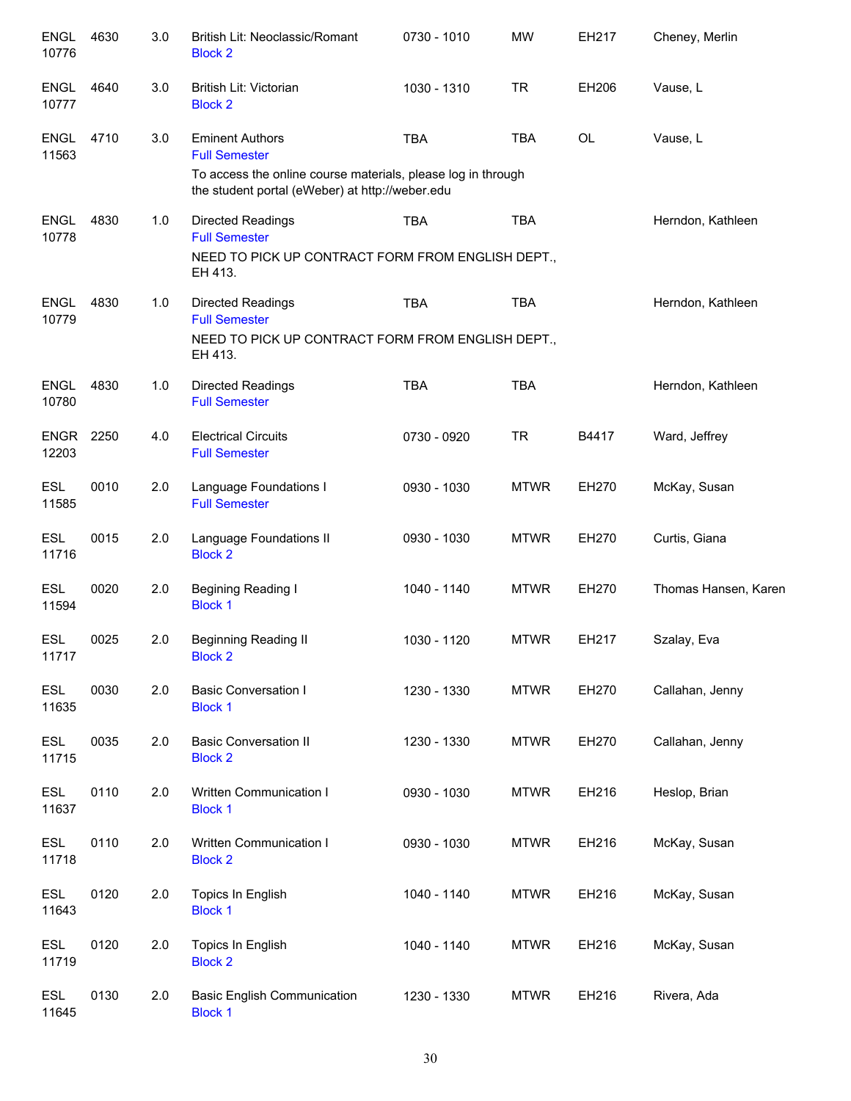| <b>ENGL</b><br>10776 | 4630 | 3.0 | British Lit: Neoclassic/Romant<br><b>Block 2</b>                                                                | 0730 - 1010 | <b>MW</b>   | EH217 | Cheney, Merlin       |
|----------------------|------|-----|-----------------------------------------------------------------------------------------------------------------|-------------|-------------|-------|----------------------|
| <b>ENGL</b><br>10777 | 4640 | 3.0 | British Lit: Victorian<br><b>Block 2</b>                                                                        | 1030 - 1310 | <b>TR</b>   | EH206 | Vause, L             |
| <b>ENGL</b><br>11563 | 4710 | 3.0 | <b>Eminent Authors</b><br><b>Full Semester</b>                                                                  | <b>TBA</b>  | <b>TBA</b>  | OL    | Vause, L             |
|                      |      |     | To access the online course materials, please log in through<br>the student portal (eWeber) at http://weber.edu |             |             |       |                      |
| <b>ENGL</b><br>10778 | 4830 | 1.0 | Directed Readings<br><b>Full Semester</b>                                                                       | <b>TBA</b>  | <b>TBA</b>  |       | Herndon, Kathleen    |
|                      |      |     | NEED TO PICK UP CONTRACT FORM FROM ENGLISH DEPT.,<br>EH 413.                                                    |             |             |       |                      |
| <b>ENGL</b><br>10779 | 4830 | 1.0 | <b>Directed Readings</b><br><b>Full Semester</b>                                                                | <b>TBA</b>  | <b>TBA</b>  |       | Herndon, Kathleen    |
|                      |      |     | NEED TO PICK UP CONTRACT FORM FROM ENGLISH DEPT.,<br>EH 413.                                                    |             |             |       |                      |
| <b>ENGL</b><br>10780 | 4830 | 1.0 | <b>Directed Readings</b><br><b>Full Semester</b>                                                                | <b>TBA</b>  | <b>TBA</b>  |       | Herndon, Kathleen    |
| <b>ENGR</b><br>12203 | 2250 | 4.0 | <b>Electrical Circuits</b><br><b>Full Semester</b>                                                              | 0730 - 0920 | <b>TR</b>   | B4417 | Ward, Jeffrey        |
| <b>ESL</b><br>11585  | 0010 | 2.0 | Language Foundations I<br><b>Full Semester</b>                                                                  | 0930 - 1030 | <b>MTWR</b> | EH270 | McKay, Susan         |
| <b>ESL</b><br>11716  | 0015 | 2.0 | Language Foundations II<br><b>Block 2</b>                                                                       | 0930 - 1030 | <b>MTWR</b> | EH270 | Curtis, Giana        |
| <b>ESL</b><br>11594  | 0020 | 2.0 | <b>Begining Reading I</b><br><b>Block 1</b>                                                                     | 1040 - 1140 | <b>MTWR</b> | EH270 | Thomas Hansen, Karen |
| <b>ESL</b><br>11717  | 0025 | 2.0 | <b>Beginning Reading II</b><br><b>Block 2</b>                                                                   | 1030 - 1120 | <b>MTWR</b> | EH217 | Szalay, Eva          |
| <b>ESL</b><br>11635  | 0030 | 2.0 | <b>Basic Conversation I</b><br><b>Block 1</b>                                                                   | 1230 - 1330 | <b>MTWR</b> | EH270 | Callahan, Jenny      |
| <b>ESL</b><br>11715  | 0035 | 2.0 | <b>Basic Conversation II</b><br><b>Block 2</b>                                                                  | 1230 - 1330 | <b>MTWR</b> | EH270 | Callahan, Jenny      |
| <b>ESL</b><br>11637  | 0110 | 2.0 | Written Communication I<br><b>Block 1</b>                                                                       | 0930 - 1030 | <b>MTWR</b> | EH216 | Heslop, Brian        |
| <b>ESL</b><br>11718  | 0110 | 2.0 | Written Communication I<br><b>Block 2</b>                                                                       | 0930 - 1030 | <b>MTWR</b> | EH216 | McKay, Susan         |
| <b>ESL</b><br>11643  | 0120 | 2.0 | Topics In English<br><b>Block 1</b>                                                                             | 1040 - 1140 | <b>MTWR</b> | EH216 | McKay, Susan         |
| <b>ESL</b><br>11719  | 0120 | 2.0 | Topics In English<br><b>Block 2</b>                                                                             | 1040 - 1140 | <b>MTWR</b> | EH216 | McKay, Susan         |
| ESL<br>11645         | 0130 | 2.0 | <b>Basic English Communication</b><br><b>Block 1</b>                                                            | 1230 - 1330 | <b>MTWR</b> | EH216 | Rivera, Ada          |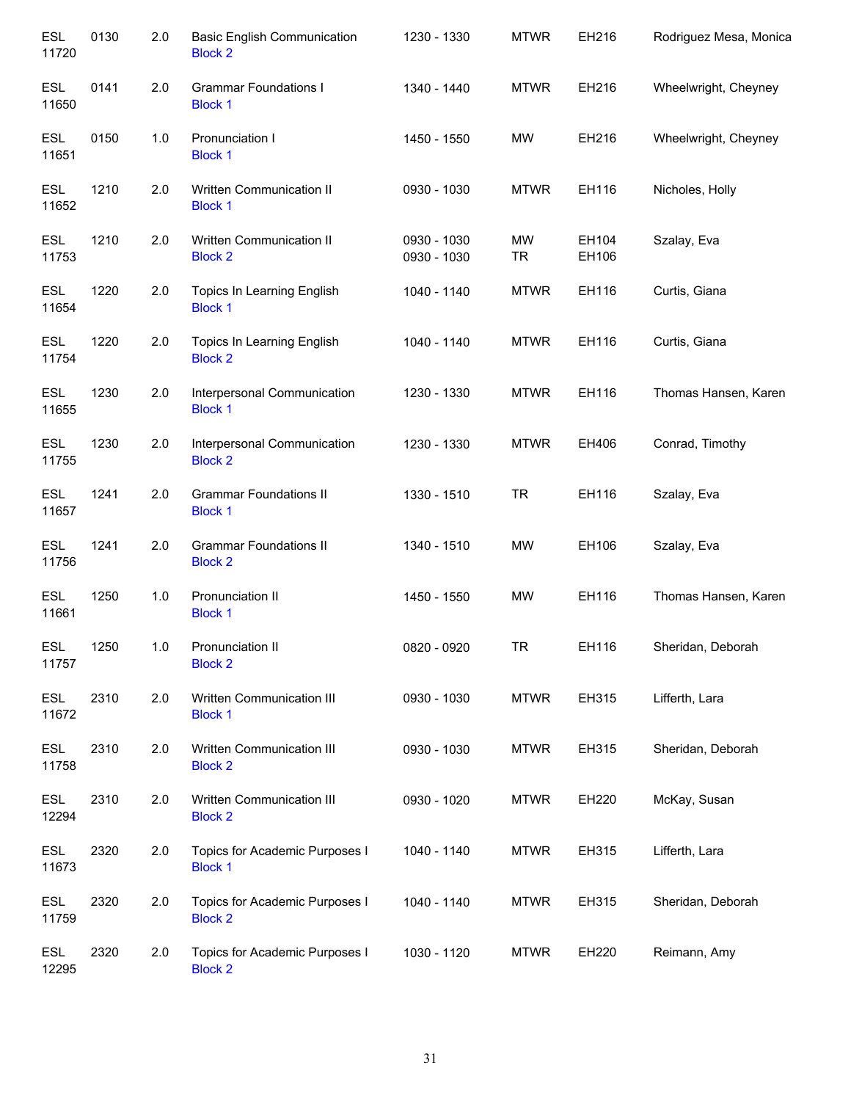| <b>ESL</b><br>11720 | 0130 | 2.0 | <b>Basic English Communication</b><br><b>Block 2</b> | 1230 - 1330                | <b>MTWR</b>     | EH216          | Rodriguez Mesa, Monica |
|---------------------|------|-----|------------------------------------------------------|----------------------------|-----------------|----------------|------------------------|
| <b>ESL</b><br>11650 | 0141 | 2.0 | <b>Grammar Foundations I</b><br><b>Block 1</b>       | 1340 - 1440                | <b>MTWR</b>     | EH216          | Wheelwright, Cheyney   |
| <b>ESL</b><br>11651 | 0150 | 1.0 | Pronunciation I<br><b>Block 1</b>                    | 1450 - 1550                | MW              | EH216          | Wheelwright, Cheyney   |
| <b>ESL</b><br>11652 | 1210 | 2.0 | Written Communication II<br><b>Block 1</b>           | 0930 - 1030                | <b>MTWR</b>     | EH116          | Nicholes, Holly        |
| <b>ESL</b><br>11753 | 1210 | 2.0 | Written Communication II<br><b>Block 2</b>           | 0930 - 1030<br>0930 - 1030 | MW<br><b>TR</b> | EH104<br>EH106 | Szalay, Eva            |
| <b>ESL</b><br>11654 | 1220 | 2.0 | Topics In Learning English<br><b>Block 1</b>         | 1040 - 1140                | <b>MTWR</b>     | EH116          | Curtis, Giana          |
| <b>ESL</b><br>11754 | 1220 | 2.0 | Topics In Learning English<br><b>Block 2</b>         | 1040 - 1140                | <b>MTWR</b>     | EH116          | Curtis, Giana          |
| <b>ESL</b><br>11655 | 1230 | 2.0 | Interpersonal Communication<br><b>Block 1</b>        | 1230 - 1330                | <b>MTWR</b>     | EH116          | Thomas Hansen, Karen   |
| <b>ESL</b><br>11755 | 1230 | 2.0 | Interpersonal Communication<br><b>Block 2</b>        | 1230 - 1330                | <b>MTWR</b>     | EH406          | Conrad, Timothy        |
| <b>ESL</b><br>11657 | 1241 | 2.0 | <b>Grammar Foundations II</b><br><b>Block 1</b>      | 1330 - 1510                | <b>TR</b>       | EH116          | Szalay, Eva            |
| <b>ESL</b><br>11756 | 1241 | 2.0 | <b>Grammar Foundations II</b><br><b>Block 2</b>      | 1340 - 1510                | <b>MW</b>       | EH106          | Szalay, Eva            |
| <b>ESL</b><br>11661 | 1250 | 1.0 | Pronunciation II<br><b>Block 1</b>                   | 1450 - 1550                | <b>MW</b>       | EH116          | Thomas Hansen, Karen   |
| <b>ESL</b><br>11757 | 1250 | 1.0 | Pronunciation II<br><b>Block 2</b>                   | 0820 - 0920                | <b>TR</b>       | EH116          | Sheridan, Deborah      |
| <b>ESL</b><br>11672 | 2310 | 2.0 | Written Communication III<br><b>Block 1</b>          | 0930 - 1030                | <b>MTWR</b>     | EH315          | Lifferth, Lara         |
| <b>ESL</b><br>11758 | 2310 | 2.0 | Written Communication III<br><b>Block 2</b>          | 0930 - 1030                | <b>MTWR</b>     | EH315          | Sheridan, Deborah      |
| ESL<br>12294        | 2310 | 2.0 | Written Communication III<br><b>Block 2</b>          | 0930 - 1020                | <b>MTWR</b>     | EH220          | McKay, Susan           |
| <b>ESL</b><br>11673 | 2320 | 2.0 | Topics for Academic Purposes I<br><b>Block 1</b>     | 1040 - 1140                | <b>MTWR</b>     | EH315          | Lifferth, Lara         |
| <b>ESL</b><br>11759 | 2320 | 2.0 | Topics for Academic Purposes I<br><b>Block 2</b>     | 1040 - 1140                | <b>MTWR</b>     | EH315          | Sheridan, Deborah      |
| <b>ESL</b><br>12295 | 2320 | 2.0 | Topics for Academic Purposes I<br><b>Block 2</b>     | 1030 - 1120                | <b>MTWR</b>     | EH220          | Reimann, Amy           |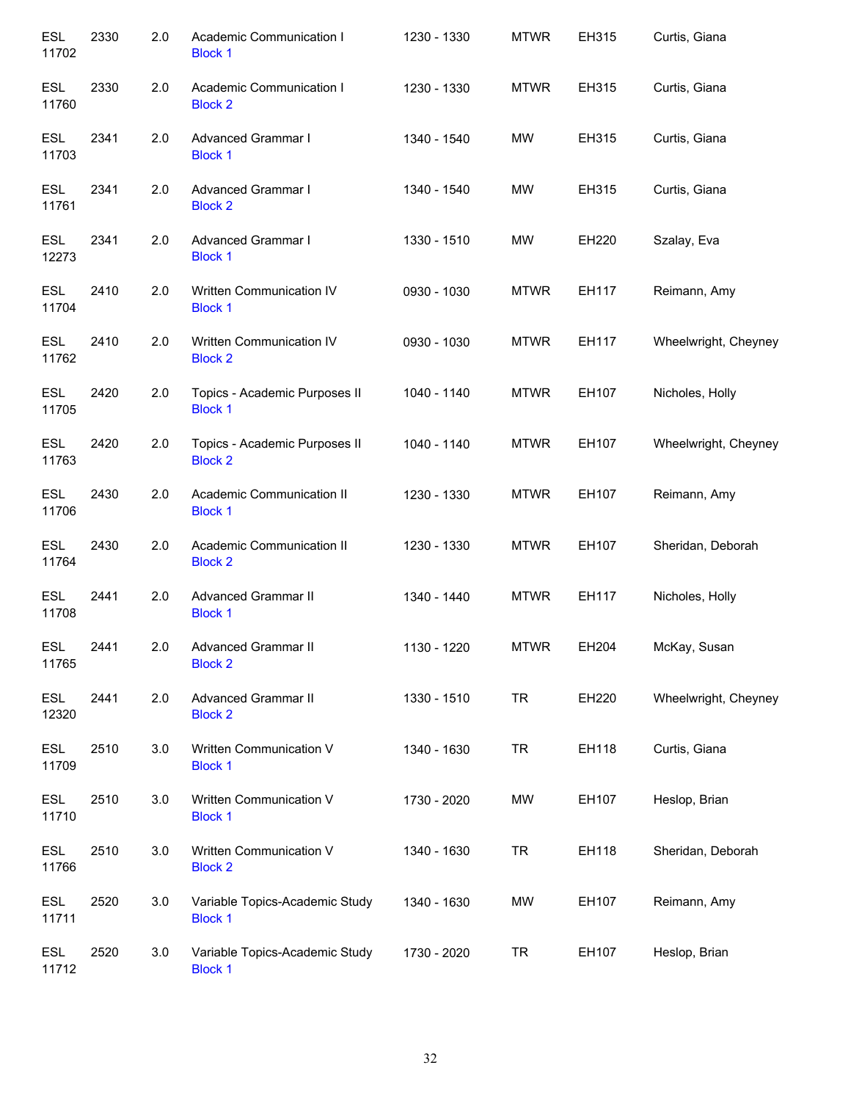| <b>ESL</b><br>11702 | 2330 | 2.0 | Academic Communication I<br><b>Block 1</b>       | 1230 - 1330 | <b>MTWR</b> | EH315 | Curtis, Giana        |
|---------------------|------|-----|--------------------------------------------------|-------------|-------------|-------|----------------------|
| <b>ESL</b><br>11760 | 2330 | 2.0 | Academic Communication I<br><b>Block 2</b>       | 1230 - 1330 | <b>MTWR</b> | EH315 | Curtis, Giana        |
| <b>ESL</b><br>11703 | 2341 | 2.0 | Advanced Grammar I<br><b>Block 1</b>             | 1340 - 1540 | <b>MW</b>   | EH315 | Curtis, Giana        |
| ESL<br>11761        | 2341 | 2.0 | <b>Advanced Grammar I</b><br><b>Block 2</b>      | 1340 - 1540 | <b>MW</b>   | EH315 | Curtis, Giana        |
| ESL<br>12273        | 2341 | 2.0 | Advanced Grammar I<br><b>Block 1</b>             | 1330 - 1510 | MW          | EH220 | Szalay, Eva          |
| <b>ESL</b><br>11704 | 2410 | 2.0 | Written Communication IV<br><b>Block 1</b>       | 0930 - 1030 | <b>MTWR</b> | EH117 | Reimann, Amy         |
| <b>ESL</b><br>11762 | 2410 | 2.0 | Written Communication IV<br><b>Block 2</b>       | 0930 - 1030 | <b>MTWR</b> | EH117 | Wheelwright, Cheyney |
| <b>ESL</b><br>11705 | 2420 | 2.0 | Topics - Academic Purposes II<br><b>Block 1</b>  | 1040 - 1140 | <b>MTWR</b> | EH107 | Nicholes, Holly      |
| <b>ESL</b><br>11763 | 2420 | 2.0 | Topics - Academic Purposes II<br><b>Block 2</b>  | 1040 - 1140 | <b>MTWR</b> | EH107 | Wheelwright, Cheyney |
| <b>ESL</b><br>11706 | 2430 | 2.0 | Academic Communication II<br><b>Block 1</b>      | 1230 - 1330 | <b>MTWR</b> | EH107 | Reimann, Amy         |
| <b>ESL</b><br>11764 | 2430 | 2.0 | Academic Communication II<br><b>Block 2</b>      | 1230 - 1330 | <b>MTWR</b> | EH107 | Sheridan, Deborah    |
| <b>ESL</b><br>11708 | 2441 | 2.0 | <b>Advanced Grammar II</b><br><b>Block 1</b>     | 1340 - 1440 | <b>MTWR</b> | EH117 | Nicholes, Holly      |
| <b>ESL</b><br>11765 | 2441 | 2.0 | Advanced Grammar II<br><b>Block 2</b>            | 1130 - 1220 | <b>MTWR</b> | EH204 | McKay, Susan         |
| ESL<br>12320        | 2441 | 2.0 | Advanced Grammar II<br><b>Block 2</b>            | 1330 - 1510 | <b>TR</b>   | EH220 | Wheelwright, Cheyney |
| ESL<br>11709        | 2510 | 3.0 | Written Communication V<br><b>Block 1</b>        | 1340 - 1630 | <b>TR</b>   | EH118 | Curtis, Giana        |
| ESL<br>11710        | 2510 | 3.0 | Written Communication V<br><b>Block 1</b>        | 1730 - 2020 | MW          | EH107 | Heslop, Brian        |
| ESL<br>11766        | 2510 | 3.0 | Written Communication V<br><b>Block 2</b>        | 1340 - 1630 | <b>TR</b>   | EH118 | Sheridan, Deborah    |
| ESL<br>11711        | 2520 | 3.0 | Variable Topics-Academic Study<br><b>Block 1</b> | 1340 - 1630 | <b>MW</b>   | EH107 | Reimann, Amy         |
| ESL<br>11712        | 2520 | 3.0 | Variable Topics-Academic Study<br><b>Block 1</b> | 1730 - 2020 | <b>TR</b>   | EH107 | Heslop, Brian        |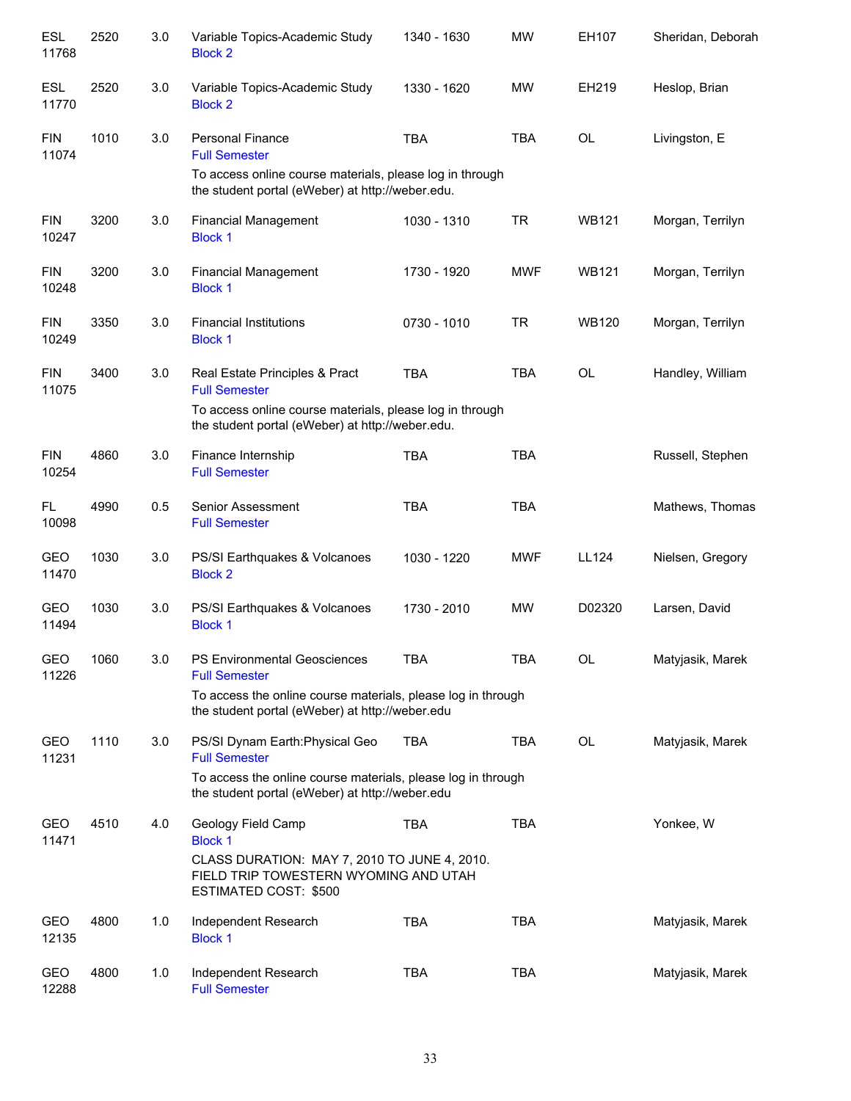| <b>ESL</b><br>11768 | 2520 | 3.0   | Variable Topics-Academic Study<br><b>Block 2</b>                                                                | 1340 - 1630 | <b>MW</b>  | EH107        | Sheridan, Deborah |
|---------------------|------|-------|-----------------------------------------------------------------------------------------------------------------|-------------|------------|--------------|-------------------|
| <b>ESL</b><br>11770 | 2520 | 3.0   | Variable Topics-Academic Study<br><b>Block 2</b>                                                                | 1330 - 1620 | MW         | EH219        | Heslop, Brian     |
| <b>FIN</b><br>11074 | 1010 | 3.0   | <b>Personal Finance</b><br><b>Full Semester</b>                                                                 | <b>TBA</b>  | <b>TBA</b> | OL           | Livingston, E     |
|                     |      |       | To access online course materials, please log in through<br>the student portal (eWeber) at http://weber.edu.    |             |            |              |                   |
| <b>FIN</b><br>10247 | 3200 | 3.0   | <b>Financial Management</b><br><b>Block 1</b>                                                                   | 1030 - 1310 | <b>TR</b>  | <b>WB121</b> | Morgan, Terrilyn  |
| <b>FIN</b><br>10248 | 3200 | 3.0   | <b>Financial Management</b><br><b>Block 1</b>                                                                   | 1730 - 1920 | <b>MWF</b> | <b>WB121</b> | Morgan, Terrilyn  |
| <b>FIN</b><br>10249 | 3350 | 3.0   | <b>Financial Institutions</b><br><b>Block 1</b>                                                                 | 0730 - 1010 | <b>TR</b>  | <b>WB120</b> | Morgan, Terrilyn  |
| <b>FIN</b><br>11075 | 3400 | 3.0   | Real Estate Principles & Pract<br><b>Full Semester</b>                                                          | <b>TBA</b>  | <b>TBA</b> | <b>OL</b>    | Handley, William  |
|                     |      |       | To access online course materials, please log in through<br>the student portal (eWeber) at http://weber.edu.    |             |            |              |                   |
| <b>FIN</b><br>10254 | 4860 | 3.0   | Finance Internship<br><b>Full Semester</b>                                                                      | <b>TBA</b>  | <b>TBA</b> |              | Russell, Stephen  |
| FL.<br>10098        | 4990 | 0.5   | Senior Assessment<br><b>Full Semester</b>                                                                       | <b>TBA</b>  | <b>TBA</b> |              | Mathews, Thomas   |
| <b>GEO</b><br>11470 | 1030 | 3.0   | PS/SI Earthquakes & Volcanoes<br><b>Block 2</b>                                                                 | 1030 - 1220 | <b>MWF</b> | LL124        | Nielsen, Gregory  |
| <b>GEO</b><br>11494 | 1030 | 3.0   | PS/SI Earthquakes & Volcanoes<br><b>Block 1</b>                                                                 | 1730 - 2010 | <b>MW</b>  | D02320       | Larsen, David     |
| GEO<br>11226        | 1060 | 3.0   | PS Environmental Geosciences<br><b>Full Semester</b>                                                            | TBA         | TBA        | OL           | Matyjasik, Marek  |
|                     |      |       | To access the online course materials, please log in through<br>the student portal (eWeber) at http://weber.edu |             |            |              |                   |
| GEO<br>11231        | 1110 | 3.0   | PS/SI Dynam Earth: Physical Geo<br><b>Full Semester</b>                                                         | <b>TBA</b>  | <b>TBA</b> | OL           | Matyjasik, Marek  |
|                     |      |       | To access the online course materials, please log in through<br>the student portal (eWeber) at http://weber.edu |             |            |              |                   |
| GEO<br>11471        | 4510 | 4.0   | Geology Field Camp<br><b>Block 1</b>                                                                            | TBA         | <b>TBA</b> |              | Yonkee, W         |
|                     |      |       | CLASS DURATION: MAY 7, 2010 TO JUNE 4, 2010.<br>FIELD TRIP TOWESTERN WYOMING AND UTAH<br>ESTIMATED COST: \$500  |             |            |              |                   |
| GEO<br>12135        | 4800 | 1.0   | Independent Research<br><b>Block 1</b>                                                                          | <b>TBA</b>  | <b>TBA</b> |              | Matyjasik, Marek  |
| GEO<br>12288        | 4800 | $1.0$ | Independent Research<br><b>Full Semester</b>                                                                    | <b>TBA</b>  | <b>TBA</b> |              | Matyjasik, Marek  |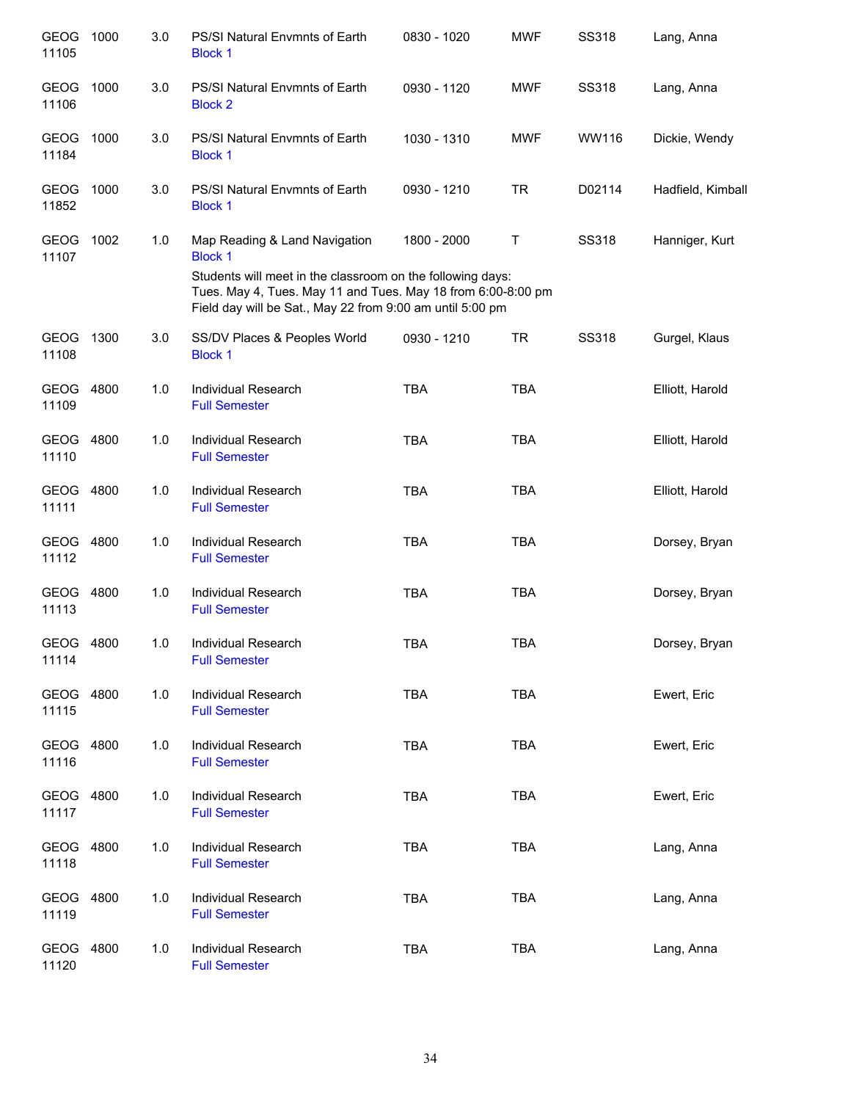| <b>GEOG</b><br>11105 | 1000 | 3.0 | PS/SI Natural Envmnts of Earth<br><b>Block 1</b>                                                                                                                                        | 0830 - 1020 | <b>MWF</b> | <b>SS318</b> | Lang, Anna        |
|----------------------|------|-----|-----------------------------------------------------------------------------------------------------------------------------------------------------------------------------------------|-------------|------------|--------------|-------------------|
| <b>GEOG</b><br>11106 | 1000 | 3.0 | PS/SI Natural Envmnts of Earth<br><b>Block 2</b>                                                                                                                                        | 0930 - 1120 | <b>MWF</b> | <b>SS318</b> | Lang, Anna        |
| <b>GEOG</b><br>11184 | 1000 | 3.0 | PS/SI Natural Envmnts of Earth<br><b>Block 1</b>                                                                                                                                        | 1030 - 1310 | <b>MWF</b> | WW116        | Dickie, Wendy     |
| <b>GEOG</b><br>11852 | 1000 | 3.0 | PS/SI Natural Envmnts of Earth<br><b>Block 1</b>                                                                                                                                        | 0930 - 1210 | <b>TR</b>  | D02114       | Hadfield, Kimball |
| GEOG<br>11107        | 1002 | 1.0 | Map Reading & Land Navigation<br><b>Block 1</b>                                                                                                                                         | 1800 - 2000 | Т          | <b>SS318</b> | Hanniger, Kurt    |
|                      |      |     | Students will meet in the classroom on the following days:<br>Tues. May 4, Tues. May 11 and Tues. May 18 from 6:00-8:00 pm<br>Field day will be Sat., May 22 from 9:00 am until 5:00 pm |             |            |              |                   |
| <b>GEOG</b><br>11108 | 1300 | 3.0 | SS/DV Places & Peoples World<br><b>Block 1</b>                                                                                                                                          | 0930 - 1210 | <b>TR</b>  | <b>SS318</b> | Gurgel, Klaus     |
| GEOG 4800<br>11109   |      | 1.0 | Individual Research<br><b>Full Semester</b>                                                                                                                                             | <b>TBA</b>  | <b>TBA</b> |              | Elliott, Harold   |
| GEOG 4800<br>11110   |      | 1.0 | Individual Research<br><b>Full Semester</b>                                                                                                                                             | <b>TBA</b>  | <b>TBA</b> |              | Elliott, Harold   |
| GEOG 4800<br>11111   |      | 1.0 | Individual Research<br><b>Full Semester</b>                                                                                                                                             | <b>TBA</b>  | <b>TBA</b> |              | Elliott, Harold   |
| GEOG 4800<br>11112   |      | 1.0 | Individual Research<br><b>Full Semester</b>                                                                                                                                             | <b>TBA</b>  | <b>TBA</b> |              | Dorsey, Bryan     |
| GEOG 4800<br>11113   |      | 1.0 | Individual Research<br><b>Full Semester</b>                                                                                                                                             | <b>TBA</b>  | <b>TBA</b> |              | Dorsey, Bryan     |
| GEOG 4800<br>11114   |      | 1.0 | Individual Research<br><b>Full Semester</b>                                                                                                                                             | <b>TBA</b>  | <b>TBA</b> |              | Dorsey, Bryan     |
| GEOG<br>11115        | 4800 | 1.0 | Individual Research<br><b>Full Semester</b>                                                                                                                                             | <b>TBA</b>  | <b>TBA</b> |              | Ewert, Eric       |
| GEOG 4800<br>11116   |      | 1.0 | <b>Individual Research</b><br><b>Full Semester</b>                                                                                                                                      | <b>TBA</b>  | <b>TBA</b> |              | Ewert, Eric       |
| GEOG 4800<br>11117   |      | 1.0 | Individual Research<br><b>Full Semester</b>                                                                                                                                             | <b>TBA</b>  | <b>TBA</b> |              | Ewert, Eric       |
| GEOG<br>11118        | 4800 | 1.0 | Individual Research<br><b>Full Semester</b>                                                                                                                                             | <b>TBA</b>  | <b>TBA</b> |              | Lang, Anna        |
| GEOG 4800<br>11119   |      | 1.0 | Individual Research<br><b>Full Semester</b>                                                                                                                                             | <b>TBA</b>  | TBA        |              | Lang, Anna        |
| GEOG<br>11120        | 4800 | 1.0 | Individual Research<br><b>Full Semester</b>                                                                                                                                             | <b>TBA</b>  | <b>TBA</b> |              | Lang, Anna        |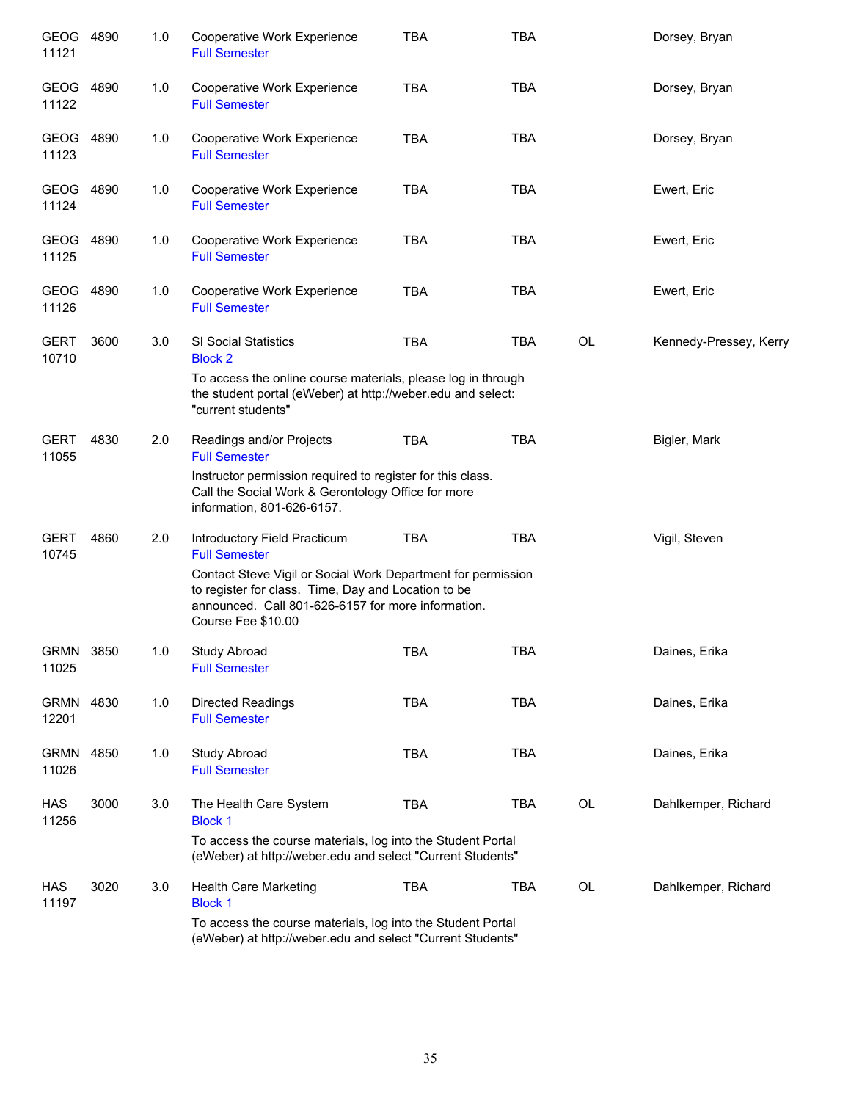| GEOG 4890<br>11121   |      | 1.0 | Cooperative Work Experience<br><b>Full Semester</b>                                                                                                                                             | <b>TBA</b> | <b>TBA</b> |    | Dorsey, Bryan          |
|----------------------|------|-----|-------------------------------------------------------------------------------------------------------------------------------------------------------------------------------------------------|------------|------------|----|------------------------|
| GEOG<br>11122        | 4890 | 1.0 | Cooperative Work Experience<br><b>Full Semester</b>                                                                                                                                             | <b>TBA</b> | <b>TBA</b> |    | Dorsey, Bryan          |
| GEOG 4890<br>11123   |      | 1.0 | Cooperative Work Experience<br><b>Full Semester</b>                                                                                                                                             | <b>TBA</b> | <b>TBA</b> |    | Dorsey, Bryan          |
| GEOG 4890<br>11124   |      | 1.0 | Cooperative Work Experience<br><b>Full Semester</b>                                                                                                                                             | <b>TBA</b> | <b>TBA</b> |    | Ewert, Eric            |
| GEOG 4890<br>11125   |      | 1.0 | Cooperative Work Experience<br><b>Full Semester</b>                                                                                                                                             | <b>TBA</b> | <b>TBA</b> |    | Ewert, Eric            |
| GEOG<br>11126        | 4890 | 1.0 | Cooperative Work Experience<br><b>Full Semester</b>                                                                                                                                             | <b>TBA</b> | <b>TBA</b> |    | Ewert, Eric            |
| <b>GERT</b><br>10710 | 3600 | 3.0 | SI Social Statistics<br><b>Block 2</b>                                                                                                                                                          | <b>TBA</b> | <b>TBA</b> | OL | Kennedy-Pressey, Kerry |
|                      |      |     | To access the online course materials, please log in through<br>the student portal (eWeber) at http://weber.edu and select:<br>"current students"                                               |            |            |    |                        |
| <b>GERT</b><br>11055 | 4830 | 2.0 | Readings and/or Projects<br><b>Full Semester</b>                                                                                                                                                | <b>TBA</b> | <b>TBA</b> |    | Bigler, Mark           |
|                      |      |     | Instructor permission required to register for this class.<br>Call the Social Work & Gerontology Office for more<br>information, 801-626-6157.                                                  |            |            |    |                        |
| <b>GERT</b><br>10745 | 4860 | 2.0 | Introductory Field Practicum<br><b>Full Semester</b>                                                                                                                                            | <b>TBA</b> | <b>TBA</b> |    | Vigil, Steven          |
|                      |      |     | Contact Steve Vigil or Social Work Department for permission<br>to register for class. Time, Day and Location to be<br>announced. Call 801-626-6157 for more information.<br>Course Fee \$10.00 |            |            |    |                        |
| <b>GRMN</b><br>11025 | 3850 | 1.0 | Study Abroad<br><b>Full Semester</b>                                                                                                                                                            | <b>TBA</b> | <b>TBA</b> |    | Daines, Erika          |
| <b>GRMN</b><br>12201 | 4830 | 1.0 | <b>Directed Readings</b><br><b>Full Semester</b>                                                                                                                                                | <b>TBA</b> | <b>TBA</b> |    | Daines, Erika          |
| <b>GRMN</b><br>11026 | 4850 | 1.0 | Study Abroad<br><b>Full Semester</b>                                                                                                                                                            | <b>TBA</b> | <b>TBA</b> |    | Daines, Erika          |
| <b>HAS</b><br>11256  | 3000 | 3.0 | The Health Care System<br><b>Block 1</b>                                                                                                                                                        | <b>TBA</b> | <b>TBA</b> | OL | Dahlkemper, Richard    |
|                      |      |     | To access the course materials, log into the Student Portal<br>(eWeber) at http://weber.edu and select "Current Students"                                                                       |            |            |    |                        |
| HAS<br>11197         | 3020 | 3.0 | Health Care Marketing<br><b>Block 1</b>                                                                                                                                                         | <b>TBA</b> | TBA        | OL | Dahlkemper, Richard    |
|                      |      |     | To access the course materials, log into the Student Portal<br>(eWeber) at http://weber.edu and select "Current Students"                                                                       |            |            |    |                        |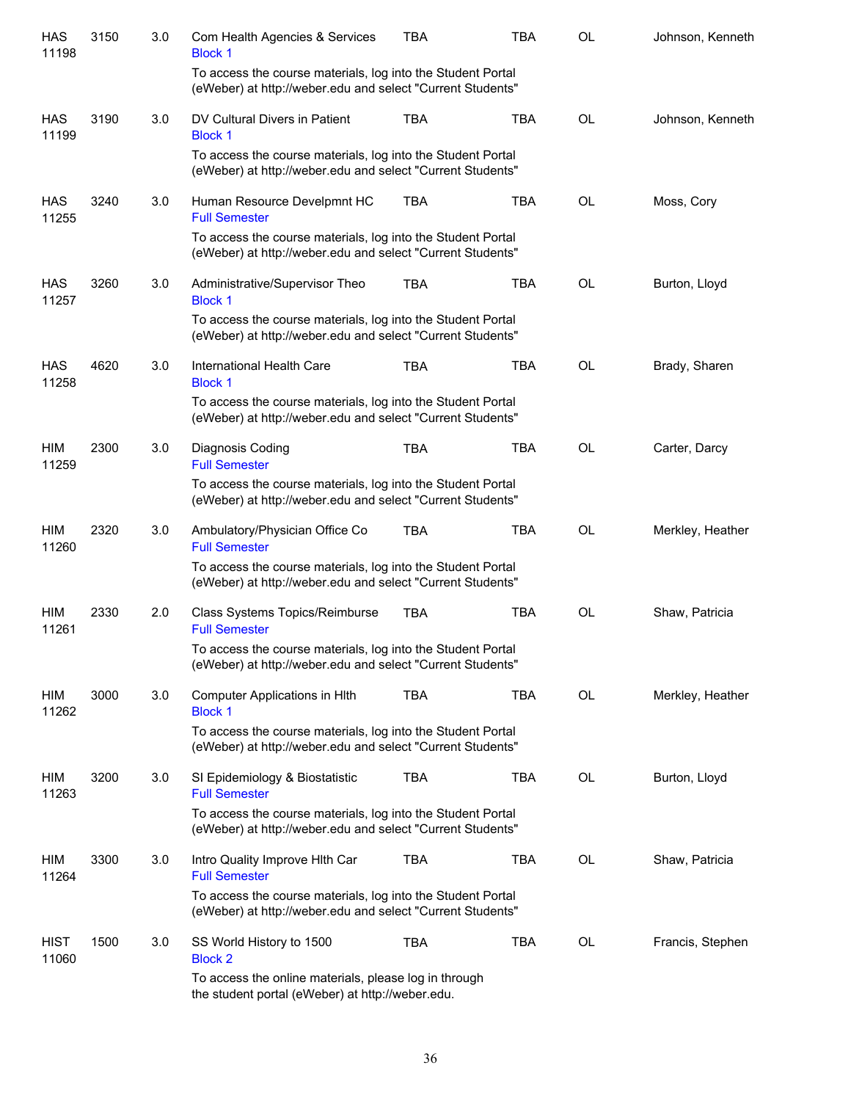| <b>HAS</b><br>11198  | 3150 | 3.0 | Com Health Agencies & Services<br><b>Block 1</b>                                                                          | <b>TBA</b> | <b>TBA</b> | OL        | Johnson, Kenneth |
|----------------------|------|-----|---------------------------------------------------------------------------------------------------------------------------|------------|------------|-----------|------------------|
|                      |      |     | To access the course materials, log into the Student Portal<br>(eWeber) at http://weber.edu and select "Current Students" |            |            |           |                  |
| <b>HAS</b><br>11199  | 3190 | 3.0 | DV Cultural Divers in Patient<br><b>Block 1</b>                                                                           | <b>TBA</b> | <b>TBA</b> | <b>OL</b> | Johnson, Kenneth |
|                      |      |     | To access the course materials, log into the Student Portal<br>(eWeber) at http://weber.edu and select "Current Students" |            |            |           |                  |
| <b>HAS</b><br>11255  | 3240 | 3.0 | Human Resource Develpmnt HC<br><b>Full Semester</b>                                                                       | <b>TBA</b> | <b>TBA</b> | OL        | Moss, Cory       |
|                      |      |     | To access the course materials, log into the Student Portal<br>(eWeber) at http://weber.edu and select "Current Students" |            |            |           |                  |
| <b>HAS</b><br>11257  | 3260 | 3.0 | Administrative/Supervisor Theo<br><b>Block 1</b>                                                                          | <b>TBA</b> | <b>TBA</b> | <b>OL</b> | Burton, Lloyd    |
|                      |      |     | To access the course materials, log into the Student Portal<br>(eWeber) at http://weber.edu and select "Current Students" |            |            |           |                  |
| <b>HAS</b><br>11258  | 4620 | 3.0 | International Health Care<br><b>Block 1</b>                                                                               | <b>TBA</b> | <b>TBA</b> | <b>OL</b> | Brady, Sharen    |
|                      |      |     | To access the course materials, log into the Student Portal<br>(eWeber) at http://weber.edu and select "Current Students" |            |            |           |                  |
| HIM<br>11259         | 2300 | 3.0 | Diagnosis Coding<br><b>Full Semester</b>                                                                                  | <b>TBA</b> | <b>TBA</b> | <b>OL</b> | Carter, Darcy    |
|                      |      |     | To access the course materials, log into the Student Portal<br>(eWeber) at http://weber.edu and select "Current Students" |            |            |           |                  |
| HIM<br>11260         | 2320 | 3.0 | Ambulatory/Physician Office Co<br><b>Full Semester</b>                                                                    | <b>TBA</b> | <b>TBA</b> | <b>OL</b> | Merkley, Heather |
|                      |      |     | To access the course materials, log into the Student Portal<br>(eWeber) at http://weber.edu and select "Current Students" |            |            |           |                  |
| HIM<br>11261         | 2330 | 2.0 | Class Systems Topics/Reimburse<br><b>Full Semester</b>                                                                    | <b>TBA</b> | <b>TBA</b> | <b>OL</b> | Shaw, Patricia   |
|                      |      |     | To access the course materials, log into the Student Portal<br>(eWeber) at http://weber.edu and select "Current Students" |            |            |           |                  |
| HIM<br>11262         | 3000 | 3.0 | <b>Computer Applications in HIth</b><br><b>Block 1</b>                                                                    | <b>TBA</b> | <b>TBA</b> | OL        | Merkley, Heather |
|                      |      |     | To access the course materials, log into the Student Portal<br>(eWeber) at http://weber.edu and select "Current Students" |            |            |           |                  |
| HIM<br>11263         | 3200 | 3.0 | SI Epidemiology & Biostatistic<br><b>Full Semester</b>                                                                    | <b>TBA</b> | <b>TBA</b> | OL        | Burton, Lloyd    |
|                      |      |     | To access the course materials, log into the Student Portal<br>(eWeber) at http://weber.edu and select "Current Students" |            |            |           |                  |
| HIM<br>11264         | 3300 | 3.0 | Intro Quality Improve Hith Car<br><b>Full Semester</b>                                                                    | <b>TBA</b> | <b>TBA</b> | <b>OL</b> | Shaw, Patricia   |
|                      |      |     | To access the course materials, log into the Student Portal<br>(eWeber) at http://weber.edu and select "Current Students" |            |            |           |                  |
| <b>HIST</b><br>11060 | 1500 | 3.0 | SS World History to 1500<br><b>Block 2</b>                                                                                | <b>TBA</b> | <b>TBA</b> | OL        | Francis, Stephen |
|                      |      |     | To access the online materials, please log in through<br>the student portal (eWeber) at http://weber.edu.                 |            |            |           |                  |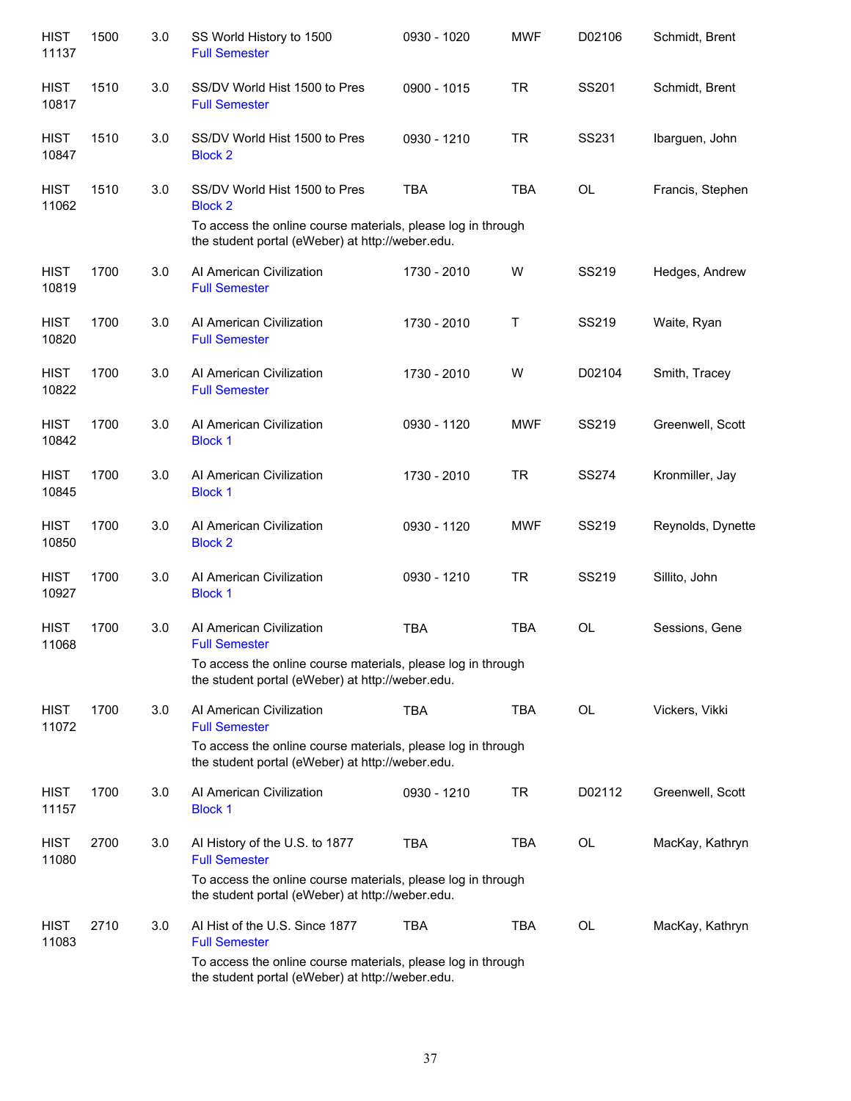| <b>HIST</b><br>11137 | 1500 | 3.0 | SS World History to 1500<br><b>Full Semester</b>                                                                 | 0930 - 1020 | <b>MWF</b> | D02106       | Schmidt, Brent    |
|----------------------|------|-----|------------------------------------------------------------------------------------------------------------------|-------------|------------|--------------|-------------------|
| <b>HIST</b><br>10817 | 1510 | 3.0 | SS/DV World Hist 1500 to Pres<br><b>Full Semester</b>                                                            | 0900 - 1015 | <b>TR</b>  | SS201        | Schmidt, Brent    |
| <b>HIST</b><br>10847 | 1510 | 3.0 | SS/DV World Hist 1500 to Pres<br><b>Block 2</b>                                                                  | 0930 - 1210 | <b>TR</b>  | SS231        | Ibarguen, John    |
| <b>HIST</b><br>11062 | 1510 | 3.0 | SS/DV World Hist 1500 to Pres<br><b>Block 2</b><br>To access the online course materials, please log in through  | <b>TBA</b>  | <b>TBA</b> | <b>OL</b>    | Francis, Stephen  |
|                      |      |     | the student portal (eWeber) at http://weber.edu.                                                                 |             |            |              |                   |
| <b>HIST</b><br>10819 | 1700 | 3.0 | Al American Civilization<br><b>Full Semester</b>                                                                 | 1730 - 2010 | W          | SS219        | Hedges, Andrew    |
| <b>HIST</b><br>10820 | 1700 | 3.0 | Al American Civilization<br><b>Full Semester</b>                                                                 | 1730 - 2010 | Τ          | SS219        | Waite, Ryan       |
| <b>HIST</b><br>10822 | 1700 | 3.0 | Al American Civilization<br><b>Full Semester</b>                                                                 | 1730 - 2010 | W          | D02104       | Smith, Tracey     |
| <b>HIST</b><br>10842 | 1700 | 3.0 | Al American Civilization<br><b>Block 1</b>                                                                       | 0930 - 1120 | <b>MWF</b> | SS219        | Greenwell, Scott  |
| <b>HIST</b><br>10845 | 1700 | 3.0 | Al American Civilization<br><b>Block 1</b>                                                                       | 1730 - 2010 | <b>TR</b>  | <b>SS274</b> | Kronmiller, Jay   |
| <b>HIST</b><br>10850 | 1700 | 3.0 | Al American Civilization<br><b>Block 2</b>                                                                       | 0930 - 1120 | <b>MWF</b> | SS219        | Reynolds, Dynette |
| <b>HIST</b><br>10927 | 1700 | 3.0 | Al American Civilization<br><b>Block 1</b>                                                                       | 0930 - 1210 | <b>TR</b>  | SS219        | Sillito, John     |
| <b>HIST</b><br>11068 | 1700 | 3.0 | Al American Civilization<br><b>Full Semester</b>                                                                 | <b>TBA</b>  | <b>TBA</b> | <b>OL</b>    | Sessions, Gene    |
|                      |      |     | To access the online course materials, please log in through<br>the student portal (eWeber) at http://weber.edu. |             |            |              |                   |
| <b>HIST</b><br>11072 | 1700 | 3.0 | Al American Civilization<br><b>Full Semester</b>                                                                 | <b>TBA</b>  | <b>TBA</b> | <b>OL</b>    | Vickers, Vikki    |
|                      |      |     | To access the online course materials, please log in through<br>the student portal (eWeber) at http://weber.edu. |             |            |              |                   |
| <b>HIST</b><br>11157 | 1700 | 3.0 | Al American Civilization<br><b>Block 1</b>                                                                       | 0930 - 1210 | <b>TR</b>  | D02112       | Greenwell, Scott  |
| <b>HIST</b><br>11080 | 2700 | 3.0 | Al History of the U.S. to 1877<br><b>Full Semester</b>                                                           | <b>TBA</b>  | <b>TBA</b> | <b>OL</b>    | MacKay, Kathryn   |
|                      |      |     | To access the online course materials, please log in through<br>the student portal (eWeber) at http://weber.edu. |             |            |              |                   |
| <b>HIST</b><br>11083 | 2710 | 3.0 | Al Hist of the U.S. Since 1877<br><b>Full Semester</b>                                                           | <b>TBA</b>  | <b>TBA</b> | <b>OL</b>    | MacKay, Kathryn   |
|                      |      |     | To access the online course materials, please log in through<br>the student portal (eWeber) at http://weber.edu. |             |            |              |                   |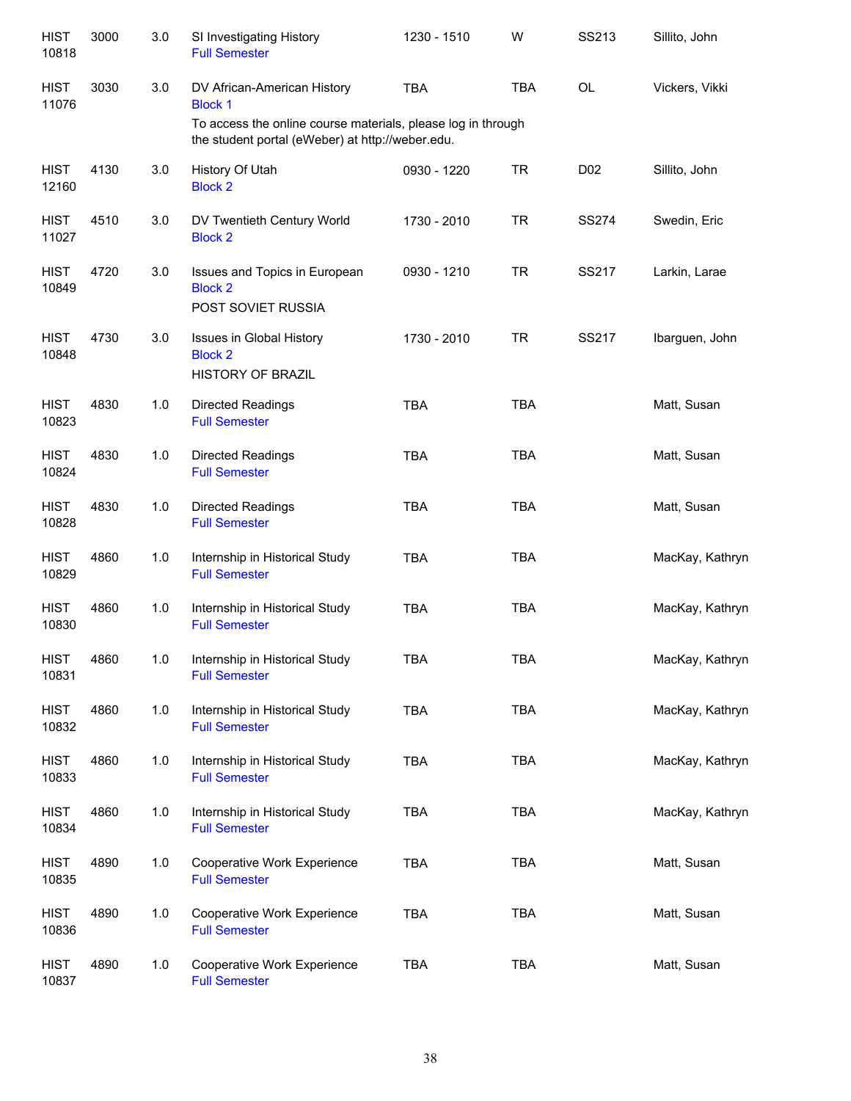| <b>HIST</b><br>10818 | 3000 | 3.0 | SI Investigating History<br><b>Full Semester</b>                                                                 | 1230 - 1510 | W          | SS213           | Sillito, John   |
|----------------------|------|-----|------------------------------------------------------------------------------------------------------------------|-------------|------------|-----------------|-----------------|
| <b>HIST</b><br>11076 | 3030 | 3.0 | DV African-American History<br><b>Block 1</b>                                                                    | <b>TBA</b>  | <b>TBA</b> | <b>OL</b>       | Vickers, Vikki  |
|                      |      |     | To access the online course materials, please log in through<br>the student portal (eWeber) at http://weber.edu. |             |            |                 |                 |
| <b>HIST</b><br>12160 | 4130 | 3.0 | History Of Utah<br><b>Block 2</b>                                                                                | 0930 - 1220 | <b>TR</b>  | D <sub>02</sub> | Sillito, John   |
| <b>HIST</b><br>11027 | 4510 | 3.0 | DV Twentieth Century World<br><b>Block 2</b>                                                                     | 1730 - 2010 | <b>TR</b>  | <b>SS274</b>    | Swedin, Eric    |
| <b>HIST</b><br>10849 | 4720 | 3.0 | Issues and Topics in European<br><b>Block 2</b><br>POST SOVIET RUSSIA                                            | 0930 - 1210 | <b>TR</b>  | SS217           | Larkin, Larae   |
| <b>HIST</b><br>10848 | 4730 | 3.0 | Issues in Global History<br><b>Block 2</b><br><b>HISTORY OF BRAZIL</b>                                           | 1730 - 2010 | <b>TR</b>  | SS217           | Ibarguen, John  |
| <b>HIST</b><br>10823 | 4830 | 1.0 | <b>Directed Readings</b><br><b>Full Semester</b>                                                                 | <b>TBA</b>  | <b>TBA</b> |                 | Matt, Susan     |
| <b>HIST</b><br>10824 | 4830 | 1.0 | Directed Readings<br><b>Full Semester</b>                                                                        | <b>TBA</b>  | <b>TBA</b> |                 | Matt, Susan     |
| <b>HIST</b><br>10828 | 4830 | 1.0 | Directed Readings<br><b>Full Semester</b>                                                                        | <b>TBA</b>  | <b>TBA</b> |                 | Matt, Susan     |
| <b>HIST</b><br>10829 | 4860 | 1.0 | Internship in Historical Study<br><b>Full Semester</b>                                                           | <b>TBA</b>  | <b>TBA</b> |                 | MacKay, Kathryn |
| <b>HIST</b><br>10830 | 4860 | 1.0 | Internship in Historical Study<br><b>Full Semester</b>                                                           | <b>TBA</b>  | <b>TBA</b> |                 | MacKay, Kathryn |
| <b>HIST</b><br>10831 | 4860 | 1.0 | Internship in Historical Study<br><b>Full Semester</b>                                                           | <b>TBA</b>  | TBA        |                 | MacKay, Kathryn |
| <b>HIST</b><br>10832 | 4860 | 1.0 | Internship in Historical Study<br><b>Full Semester</b>                                                           | TBA         | TBA        |                 | MacKay, Kathryn |
| <b>HIST</b><br>10833 | 4860 | 1.0 | Internship in Historical Study<br><b>Full Semester</b>                                                           | TBA         | <b>TBA</b> |                 | MacKay, Kathryn |
| <b>HIST</b><br>10834 | 4860 | 1.0 | Internship in Historical Study<br><b>Full Semester</b>                                                           | <b>TBA</b>  | <b>TBA</b> |                 | MacKay, Kathryn |
| <b>HIST</b><br>10835 | 4890 | 1.0 | Cooperative Work Experience<br><b>Full Semester</b>                                                              | <b>TBA</b>  | <b>TBA</b> |                 | Matt, Susan     |
| <b>HIST</b><br>10836 | 4890 | 1.0 | Cooperative Work Experience<br><b>Full Semester</b>                                                              | TBA         | <b>TBA</b> |                 | Matt, Susan     |
| <b>HIST</b><br>10837 | 4890 | 1.0 | Cooperative Work Experience<br><b>Full Semester</b>                                                              | <b>TBA</b>  | TBA        |                 | Matt, Susan     |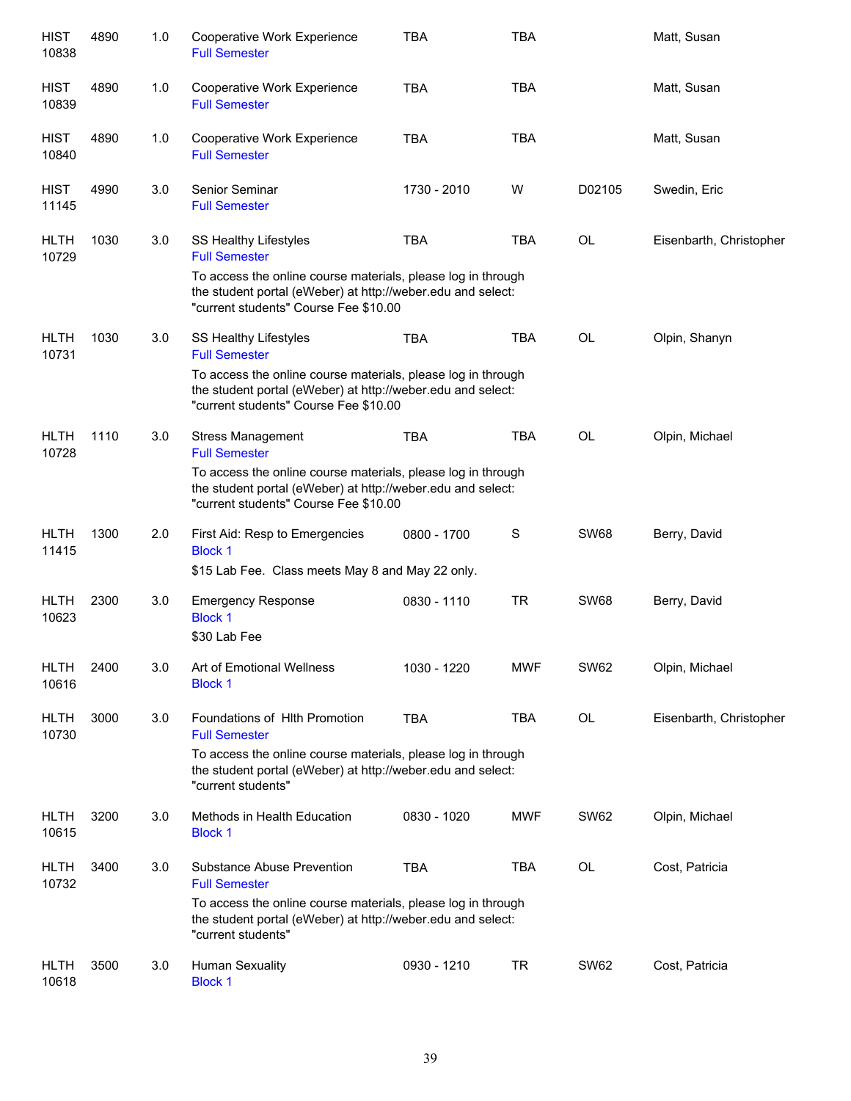| <b>HIST</b><br>10838 | 4890 | 1.0     | Cooperative Work Experience<br><b>Full Semester</b>                                                                                                                  | <b>TBA</b>  | <b>TBA</b>  |             | Matt, Susan             |
|----------------------|------|---------|----------------------------------------------------------------------------------------------------------------------------------------------------------------------|-------------|-------------|-------------|-------------------------|
| <b>HIST</b><br>10839 | 4890 | 1.0     | Cooperative Work Experience<br><b>Full Semester</b>                                                                                                                  | <b>TBA</b>  | <b>TBA</b>  |             | Matt, Susan             |
| <b>HIST</b><br>10840 | 4890 | 1.0     | Cooperative Work Experience<br><b>Full Semester</b>                                                                                                                  | <b>TBA</b>  | <b>TBA</b>  |             | Matt, Susan             |
| <b>HIST</b><br>11145 | 4990 | 3.0     | Senior Seminar<br><b>Full Semester</b>                                                                                                                               | 1730 - 2010 | W           | D02105      | Swedin, Eric            |
| <b>HLTH</b><br>10729 | 1030 | 3.0     | SS Healthy Lifestyles<br><b>Full Semester</b>                                                                                                                        | <b>TBA</b>  | <b>TBA</b>  | OL          | Eisenbarth, Christopher |
|                      |      |         | To access the online course materials, please log in through<br>the student portal (eWeber) at http://weber.edu and select:<br>"current students" Course Fee \$10.00 |             |             |             |                         |
| <b>HLTH</b><br>10731 | 1030 | 3.0     | SS Healthy Lifestyles<br><b>Full Semester</b>                                                                                                                        | <b>TBA</b>  | <b>TBA</b>  | <b>OL</b>   | Olpin, Shanyn           |
|                      |      |         | To access the online course materials, please log in through<br>the student portal (eWeber) at http://weber.edu and select:<br>"current students" Course Fee \$10.00 |             |             |             |                         |
| <b>HLTH</b><br>10728 | 1110 | 3.0     | <b>Stress Management</b><br><b>Full Semester</b>                                                                                                                     | <b>TBA</b>  | <b>TBA</b>  | OL          | Olpin, Michael          |
|                      |      |         | To access the online course materials, please log in through<br>the student portal (eWeber) at http://weber.edu and select:<br>"current students" Course Fee \$10.00 |             |             |             |                         |
| <b>HLTH</b><br>11415 | 1300 | 2.0     | First Aid: Resp to Emergencies<br><b>Block 1</b>                                                                                                                     | 0800 - 1700 | $\mathbf S$ | <b>SW68</b> | Berry, David            |
|                      |      |         | \$15 Lab Fee. Class meets May 8 and May 22 only.                                                                                                                     |             |             |             |                         |
| <b>HLTH</b><br>10623 | 2300 | $3.0\,$ | <b>Emergency Response</b><br><b>Block 1</b><br>\$30 Lab Fee                                                                                                          | 0830 - 1110 | <b>TR</b>   | <b>SW68</b> | Berry, David            |
| <b>HLTH</b><br>10616 | 2400 | 3.0     | Art of Emotional Wellness<br><b>Block 1</b>                                                                                                                          | 1030 - 1220 | <b>MWF</b>  | <b>SW62</b> | Olpin, Michael          |
| <b>HLTH</b><br>10730 | 3000 | 3.0     | Foundations of Hith Promotion<br><b>Full Semester</b>                                                                                                                | <b>TBA</b>  | TBA         | OL          | Eisenbarth, Christopher |
|                      |      |         | To access the online course materials, please log in through<br>the student portal (eWeber) at http://weber.edu and select:<br>"current students"                    |             |             |             |                         |
| <b>HLTH</b><br>10615 | 3200 | 3.0     | Methods in Health Education<br><b>Block 1</b>                                                                                                                        | 0830 - 1020 | <b>MWF</b>  | <b>SW62</b> | Olpin, Michael          |
| <b>HLTH</b><br>10732 | 3400 | 3.0     | Substance Abuse Prevention<br><b>Full Semester</b>                                                                                                                   | <b>TBA</b>  | TBA         | OL          | Cost, Patricia          |
|                      |      |         | To access the online course materials, please log in through<br>the student portal (eWeber) at http://weber.edu and select:<br>"current students"                    |             |             |             |                         |
| <b>HLTH</b><br>10618 | 3500 | 3.0     | Human Sexuality<br><b>Block 1</b>                                                                                                                                    | 0930 - 1210 | <b>TR</b>   | <b>SW62</b> | Cost, Patricia          |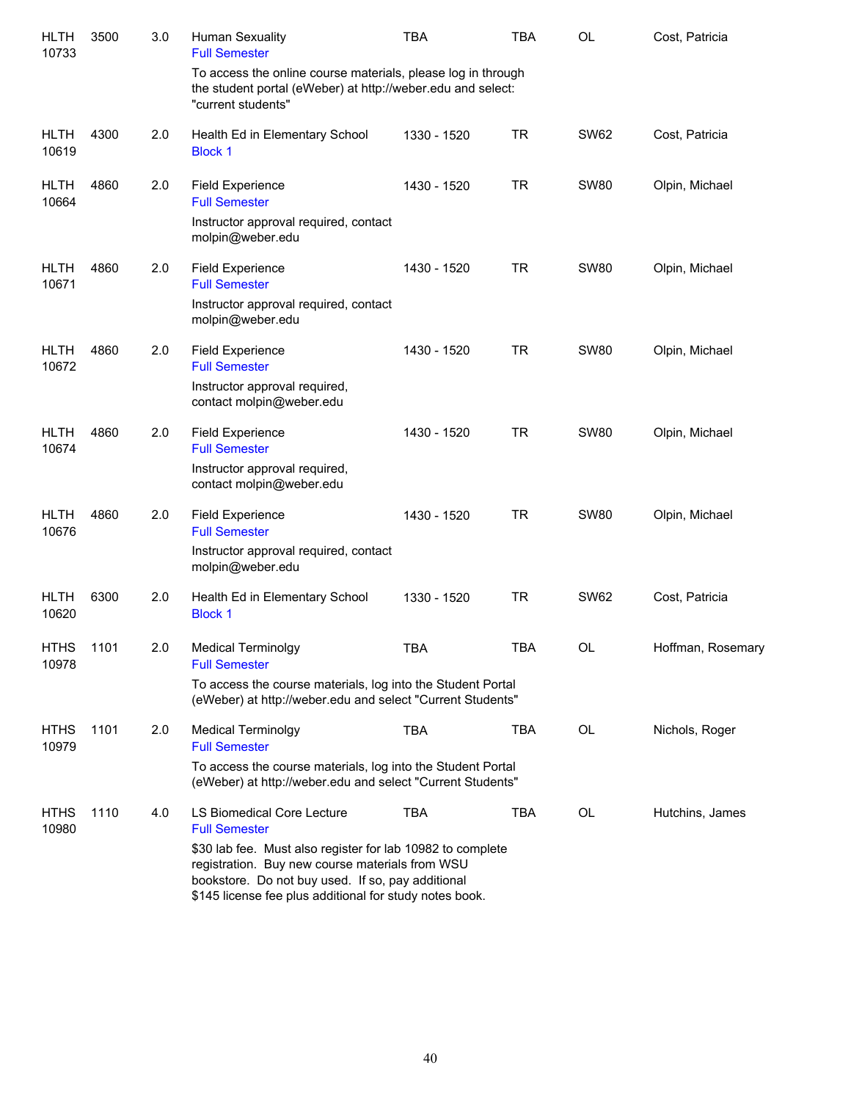| <b>HLTH</b><br>10733 | 3500 | 3.0 | <b>Human Sexuality</b><br><b>Full Semester</b>                                                                                                                                                                                | <b>TBA</b>  | <b>TBA</b> | <b>OL</b>   | Cost, Patricia    |
|----------------------|------|-----|-------------------------------------------------------------------------------------------------------------------------------------------------------------------------------------------------------------------------------|-------------|------------|-------------|-------------------|
|                      |      |     | To access the online course materials, please log in through<br>the student portal (eWeber) at http://weber.edu and select:<br>"current students"                                                                             |             |            |             |                   |
| <b>HLTH</b><br>10619 | 4300 | 2.0 | Health Ed in Elementary School<br><b>Block 1</b>                                                                                                                                                                              | 1330 - 1520 | <b>TR</b>  | <b>SW62</b> | Cost, Patricia    |
| <b>HLTH</b><br>10664 | 4860 | 2.0 | <b>Field Experience</b><br><b>Full Semester</b>                                                                                                                                                                               | 1430 - 1520 | <b>TR</b>  | <b>SW80</b> | Olpin, Michael    |
|                      |      |     | Instructor approval required, contact<br>molpin@weber.edu                                                                                                                                                                     |             |            |             |                   |
| <b>HLTH</b><br>10671 | 4860 | 2.0 | <b>Field Experience</b><br><b>Full Semester</b>                                                                                                                                                                               | 1430 - 1520 | <b>TR</b>  | <b>SW80</b> | Olpin, Michael    |
|                      |      |     | Instructor approval required, contact<br>molpin@weber.edu                                                                                                                                                                     |             |            |             |                   |
| <b>HLTH</b><br>10672 | 4860 | 2.0 | <b>Field Experience</b><br><b>Full Semester</b>                                                                                                                                                                               | 1430 - 1520 | <b>TR</b>  | <b>SW80</b> | Olpin, Michael    |
|                      |      |     | Instructor approval required,<br>contact molpin@weber.edu                                                                                                                                                                     |             |            |             |                   |
| <b>HLTH</b><br>10674 | 4860 | 2.0 | <b>Field Experience</b><br><b>Full Semester</b>                                                                                                                                                                               | 1430 - 1520 | <b>TR</b>  | <b>SW80</b> | Olpin, Michael    |
|                      |      |     | Instructor approval required,<br>contact molpin@weber.edu                                                                                                                                                                     |             |            |             |                   |
| <b>HLTH</b><br>10676 | 4860 | 2.0 | <b>Field Experience</b><br><b>Full Semester</b>                                                                                                                                                                               | 1430 - 1520 | <b>TR</b>  | <b>SW80</b> | Olpin, Michael    |
|                      |      |     | Instructor approval required, contact<br>molpin@weber.edu                                                                                                                                                                     |             |            |             |                   |
| <b>HLTH</b><br>10620 | 6300 | 2.0 | Health Ed in Elementary School<br><b>Block 1</b>                                                                                                                                                                              | 1330 - 1520 | <b>TR</b>  | <b>SW62</b> | Cost, Patricia    |
| <b>HTHS</b><br>10978 | 1101 | 2.0 | <b>Medical Terminolgy</b><br><b>Full Semester</b>                                                                                                                                                                             | <b>TBA</b>  | <b>TBA</b> | OL          | Hoffman, Rosemary |
|                      |      |     | To access the course materials, log into the Student Portal<br>(eWeber) at http://weber.edu and select "Current Students"                                                                                                     |             |            |             |                   |
| <b>HTHS</b><br>10979 | 1101 | 2.0 | <b>Medical Terminolgy</b><br><b>Full Semester</b>                                                                                                                                                                             | <b>TBA</b>  | TBA        | OL          | Nichols, Roger    |
|                      |      |     | To access the course materials, log into the Student Portal<br>(eWeber) at http://weber.edu and select "Current Students"                                                                                                     |             |            |             |                   |
| <b>HTHS</b><br>10980 | 1110 | 4.0 | LS Biomedical Core Lecture<br><b>Full Semester</b>                                                                                                                                                                            | <b>TBA</b>  | TBA        | OL          | Hutchins, James   |
|                      |      |     | \$30 lab fee. Must also register for lab 10982 to complete<br>registration. Buy new course materials from WSU<br>bookstore. Do not buy used. If so, pay additional<br>\$145 license fee plus additional for study notes book. |             |            |             |                   |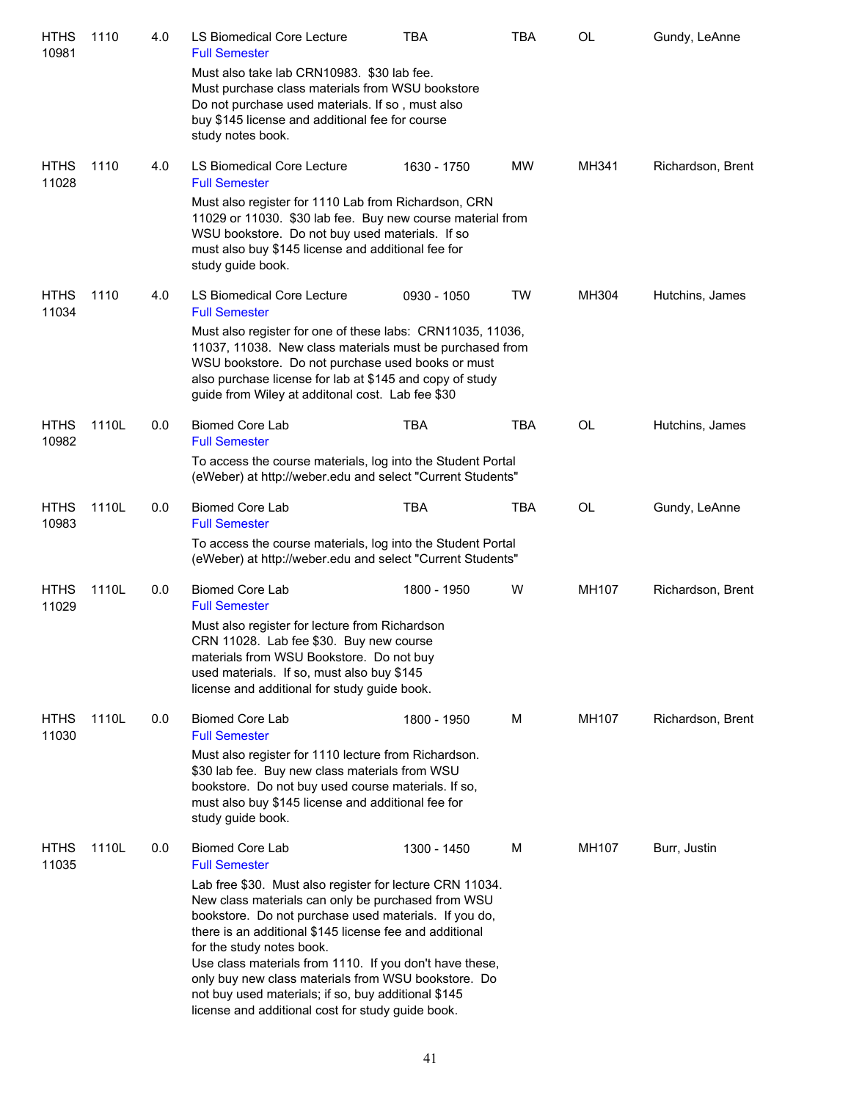| <b>HTHS</b><br>10981 | 1110  | 4.0 | LS Biomedical Core Lecture<br><b>Full Semester</b>                                                                                                                                                                                                                                                                                                                                                                                                                                                                                              | <b>TBA</b>  | <b>TBA</b> | <b>OL</b> | Gundy, LeAnne     |
|----------------------|-------|-----|-------------------------------------------------------------------------------------------------------------------------------------------------------------------------------------------------------------------------------------------------------------------------------------------------------------------------------------------------------------------------------------------------------------------------------------------------------------------------------------------------------------------------------------------------|-------------|------------|-----------|-------------------|
|                      |       |     | Must also take lab CRN10983. \$30 lab fee.<br>Must purchase class materials from WSU bookstore<br>Do not purchase used materials. If so, must also<br>buy \$145 license and additional fee for course<br>study notes book.                                                                                                                                                                                                                                                                                                                      |             |            |           |                   |
| <b>HTHS</b><br>11028 | 1110  | 4.0 | LS Biomedical Core Lecture<br><b>Full Semester</b>                                                                                                                                                                                                                                                                                                                                                                                                                                                                                              | 1630 - 1750 | <b>MW</b>  | MH341     | Richardson, Brent |
|                      |       |     | Must also register for 1110 Lab from Richardson, CRN<br>11029 or 11030. \$30 lab fee. Buy new course material from<br>WSU bookstore. Do not buy used materials. If so<br>must also buy \$145 license and additional fee for<br>study guide book.                                                                                                                                                                                                                                                                                                |             |            |           |                   |
| <b>HTHS</b><br>11034 | 1110  | 4.0 | LS Biomedical Core Lecture<br><b>Full Semester</b>                                                                                                                                                                                                                                                                                                                                                                                                                                                                                              | 0930 - 1050 | TW         | MH304     | Hutchins, James   |
|                      |       |     | Must also register for one of these labs: CRN11035, 11036,<br>11037, 11038. New class materials must be purchased from<br>WSU bookstore. Do not purchase used books or must<br>also purchase license for lab at \$145 and copy of study<br>guide from Wiley at additonal cost. Lab fee \$30                                                                                                                                                                                                                                                     |             |            |           |                   |
| <b>HTHS</b><br>10982 | 1110L | 0.0 | <b>Biomed Core Lab</b><br><b>Full Semester</b>                                                                                                                                                                                                                                                                                                                                                                                                                                                                                                  | <b>TBA</b>  | <b>TBA</b> | OL        | Hutchins, James   |
|                      |       |     | To access the course materials, log into the Student Portal<br>(eWeber) at http://weber.edu and select "Current Students"                                                                                                                                                                                                                                                                                                                                                                                                                       |             |            |           |                   |
| <b>HTHS</b><br>10983 | 1110L | 0.0 | <b>Biomed Core Lab</b><br><b>Full Semester</b>                                                                                                                                                                                                                                                                                                                                                                                                                                                                                                  | <b>TBA</b>  | <b>TBA</b> | OL        | Gundy, LeAnne     |
|                      |       |     | To access the course materials, log into the Student Portal<br>(eWeber) at http://weber.edu and select "Current Students"                                                                                                                                                                                                                                                                                                                                                                                                                       |             |            |           |                   |
| <b>HTHS</b><br>11029 | 1110L | 0.0 | <b>Biomed Core Lab</b><br><b>Full Semester</b>                                                                                                                                                                                                                                                                                                                                                                                                                                                                                                  | 1800 - 1950 | W          | MH107     | Richardson, Brent |
|                      |       |     | Must also register for lecture from Richardson<br>CRN 11028. Lab fee \$30. Buy new course<br>materials from WSU Bookstore. Do not buy<br>used materials. If so, must also buy \$145<br>license and additional for study guide book.                                                                                                                                                                                                                                                                                                             |             |            |           |                   |
| <b>HTHS</b><br>11030 | 1110L | 0.0 | <b>Biomed Core Lab</b><br><b>Full Semester</b>                                                                                                                                                                                                                                                                                                                                                                                                                                                                                                  | 1800 - 1950 | м          | MH107     | Richardson, Brent |
|                      |       |     | Must also register for 1110 lecture from Richardson.<br>\$30 lab fee. Buy new class materials from WSU<br>bookstore. Do not buy used course materials. If so,<br>must also buy \$145 license and additional fee for<br>study guide book.                                                                                                                                                                                                                                                                                                        |             |            |           |                   |
| <b>HTHS</b><br>11035 | 1110L | 0.0 | <b>Biomed Core Lab</b><br><b>Full Semester</b><br>Lab free \$30. Must also register for lecture CRN 11034.<br>New class materials can only be purchased from WSU<br>bookstore. Do not purchase used materials. If you do,<br>there is an additional \$145 license fee and additional<br>for the study notes book.<br>Use class materials from 1110. If you don't have these,<br>only buy new class materials from WSU bookstore. Do<br>not buy used materials; if so, buy additional \$145<br>license and additional cost for study guide book. | 1300 - 1450 | м          | MH107     | Burr, Justin      |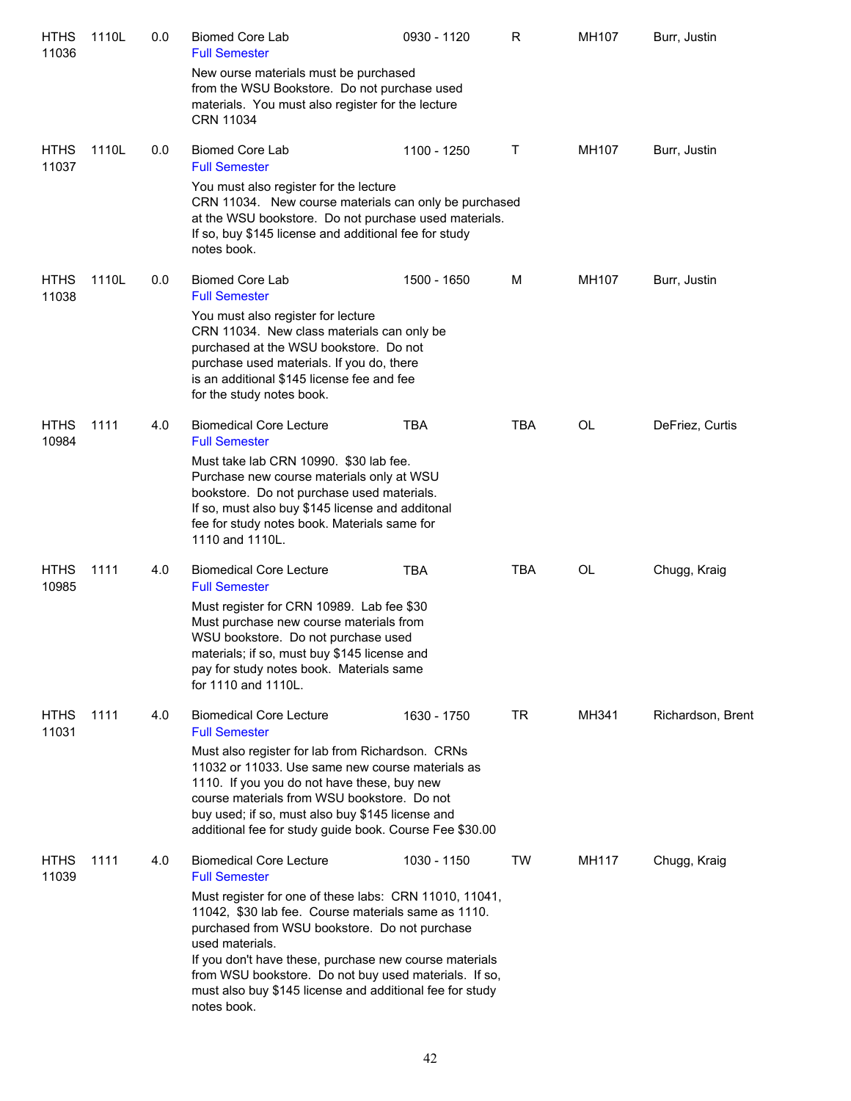| <b>HTHS</b><br>11036 | 1110L | 0.0 | <b>Biomed Core Lab</b><br><b>Full Semester</b>                                                                                                                                                                                                                                                                                                                                  | 0930 - 1120 | R          | MH107 | Burr, Justin      |
|----------------------|-------|-----|---------------------------------------------------------------------------------------------------------------------------------------------------------------------------------------------------------------------------------------------------------------------------------------------------------------------------------------------------------------------------------|-------------|------------|-------|-------------------|
|                      |       |     | New ourse materials must be purchased<br>from the WSU Bookstore. Do not purchase used<br>materials. You must also register for the lecture<br><b>CRN 11034</b>                                                                                                                                                                                                                  |             |            |       |                   |
| <b>HTHS</b><br>11037 | 1110L | 0.0 | <b>Biomed Core Lab</b><br><b>Full Semester</b>                                                                                                                                                                                                                                                                                                                                  | 1100 - 1250 | Τ          | MH107 | Burr, Justin      |
|                      |       |     | You must also register for the lecture<br>CRN 11034. New course materials can only be purchased<br>at the WSU bookstore. Do not purchase used materials.<br>If so, buy \$145 license and additional fee for study<br>notes book.                                                                                                                                                |             |            |       |                   |
| <b>HTHS</b><br>11038 | 1110L | 0.0 | <b>Biomed Core Lab</b><br><b>Full Semester</b>                                                                                                                                                                                                                                                                                                                                  | 1500 - 1650 | M          | MH107 | Burr, Justin      |
|                      |       |     | You must also register for lecture<br>CRN 11034. New class materials can only be<br>purchased at the WSU bookstore. Do not<br>purchase used materials. If you do, there<br>is an additional \$145 license fee and fee<br>for the study notes book.                                                                                                                              |             |            |       |                   |
| <b>HTHS</b><br>10984 | 1111  | 4.0 | <b>Biomedical Core Lecture</b><br><b>Full Semester</b>                                                                                                                                                                                                                                                                                                                          | <b>TBA</b>  | TBA        | OL    | DeFriez, Curtis   |
|                      |       |     | Must take lab CRN 10990. \$30 lab fee.<br>Purchase new course materials only at WSU<br>bookstore. Do not purchase used materials.<br>If so, must also buy \$145 license and additonal<br>fee for study notes book. Materials same for<br>1110 and 1110L.                                                                                                                        |             |            |       |                   |
| <b>HTHS</b><br>10985 | 1111  | 4.0 | <b>Biomedical Core Lecture</b><br><b>Full Semester</b>                                                                                                                                                                                                                                                                                                                          | TBA         | <b>TBA</b> | OL    | Chugg, Kraig      |
|                      |       |     | Must register for CRN 10989. Lab fee \$30<br>Must purchase new course materials from<br>WSU bookstore. Do not purchase used<br>materials; if so, must buy \$145 license and<br>pay for study notes book. Materials same<br>for 1110 and 1110L.                                                                                                                                  |             |            |       |                   |
| <b>HTHS</b><br>11031 | 1111  | 4.0 | <b>Biomedical Core Lecture</b><br><b>Full Semester</b>                                                                                                                                                                                                                                                                                                                          | 1630 - 1750 | TR         | MH341 | Richardson, Brent |
|                      |       |     | Must also register for lab from Richardson. CRNs<br>11032 or 11033. Use same new course materials as<br>1110. If you you do not have these, buy new<br>course materials from WSU bookstore. Do not<br>buy used; if so, must also buy \$145 license and<br>additional fee for study guide book. Course Fee \$30.00                                                               |             |            |       |                   |
| <b>HTHS</b><br>11039 | 1111  | 4.0 | <b>Biomedical Core Lecture</b><br><b>Full Semester</b>                                                                                                                                                                                                                                                                                                                          | 1030 - 1150 | <b>TW</b>  | MH117 | Chugg, Kraig      |
|                      |       |     | Must register for one of these labs: CRN 11010, 11041,<br>11042, \$30 lab fee. Course materials same as 1110.<br>purchased from WSU bookstore. Do not purchase<br>used materials.<br>If you don't have these, purchase new course materials<br>from WSU bookstore. Do not buy used materials. If so,<br>must also buy \$145 license and additional fee for study<br>notes book. |             |            |       |                   |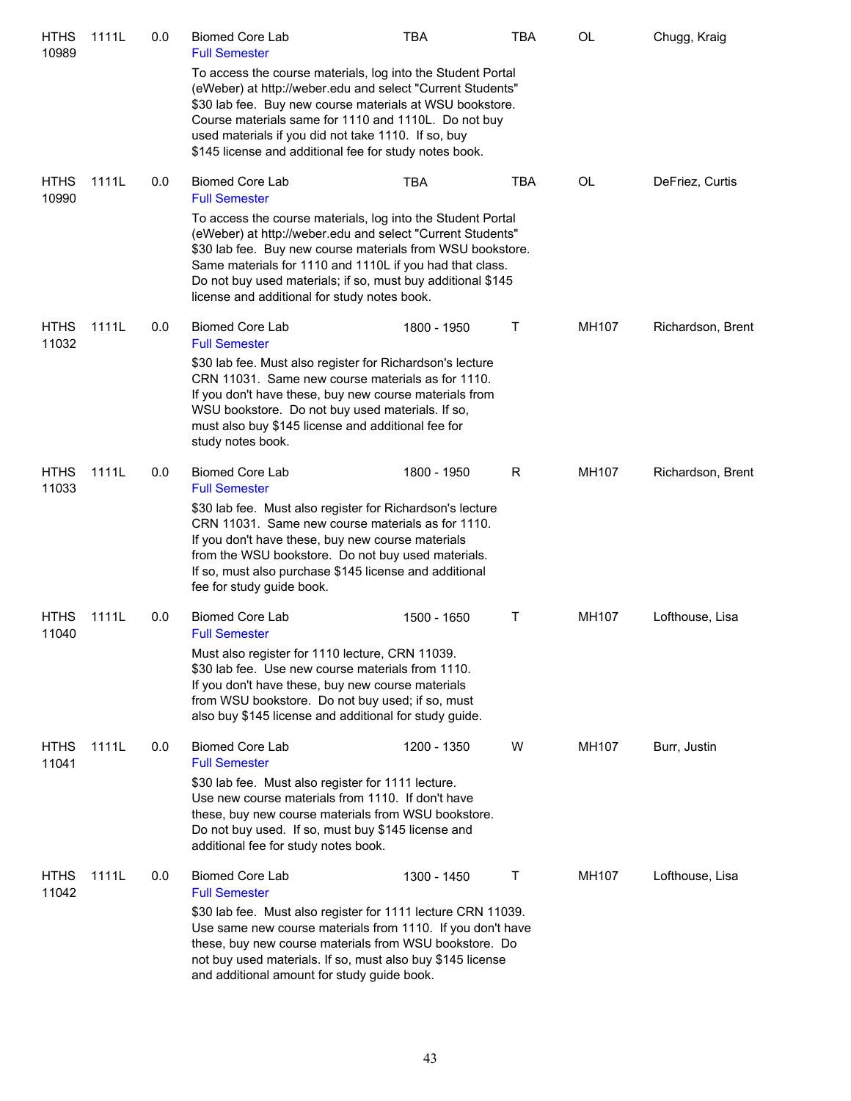| <b>HTHS</b><br>10989 | 1111L | 0.0 | <b>Biomed Core Lab</b><br><b>Full Semester</b>                                                                                                                                                                                                                                                                                                                     | <b>TBA</b>  | <b>TBA</b> | OL    | Chugg, Kraig      |
|----------------------|-------|-----|--------------------------------------------------------------------------------------------------------------------------------------------------------------------------------------------------------------------------------------------------------------------------------------------------------------------------------------------------------------------|-------------|------------|-------|-------------------|
|                      |       |     | To access the course materials, log into the Student Portal<br>(eWeber) at http://weber.edu and select "Current Students"<br>\$30 lab fee. Buy new course materials at WSU bookstore.<br>Course materials same for 1110 and 1110L. Do not buy<br>used materials if you did not take 1110. If so, buy<br>\$145 license and additional fee for study notes book.     |             |            |       |                   |
| <b>HTHS</b><br>10990 | 1111L | 0.0 | <b>Biomed Core Lab</b><br><b>Full Semester</b>                                                                                                                                                                                                                                                                                                                     | <b>TBA</b>  | TBA        | OL    | DeFriez, Curtis   |
|                      |       |     | To access the course materials, log into the Student Portal<br>(eWeber) at http://weber.edu and select "Current Students"<br>\$30 lab fee. Buy new course materials from WSU bookstore.<br>Same materials for 1110 and 1110L if you had that class.<br>Do not buy used materials; if so, must buy additional \$145<br>license and additional for study notes book. |             |            |       |                   |
| <b>HTHS</b><br>11032 | 1111L | 0.0 | <b>Biomed Core Lab</b><br><b>Full Semester</b>                                                                                                                                                                                                                                                                                                                     | 1800 - 1950 | Τ          | MH107 | Richardson, Brent |
|                      |       |     | \$30 lab fee. Must also register for Richardson's lecture<br>CRN 11031. Same new course materials as for 1110.<br>If you don't have these, buy new course materials from<br>WSU bookstore. Do not buy used materials. If so,<br>must also buy \$145 license and additional fee for<br>study notes book.                                                            |             |            |       |                   |
| <b>HTHS</b><br>11033 | 1111L | 0.0 | <b>Biomed Core Lab</b><br><b>Full Semester</b>                                                                                                                                                                                                                                                                                                                     | 1800 - 1950 | R          | MH107 | Richardson, Brent |
|                      |       |     | \$30 lab fee. Must also register for Richardson's lecture<br>CRN 11031. Same new course materials as for 1110.<br>If you don't have these, buy new course materials<br>from the WSU bookstore. Do not buy used materials.<br>If so, must also purchase \$145 license and additional<br>fee for study guide book.                                                   |             |            |       |                   |
| <b>HTHS</b><br>11040 | 1111L | 0.0 | <b>Biomed Core Lab</b><br><b>Full Semester</b>                                                                                                                                                                                                                                                                                                                     | 1500 - 1650 | Τ          | MH107 | Lofthouse, Lisa   |
|                      |       |     | Must also register for 1110 lecture, CRN 11039.<br>\$30 lab fee. Use new course materials from 1110.<br>If you don't have these, buy new course materials<br>from WSU bookstore. Do not buy used; if so, must<br>also buy \$145 license and additional for study guide.                                                                                            |             |            |       |                   |
| <b>HTHS</b><br>11041 | 1111L | 0.0 | <b>Biomed Core Lab</b><br><b>Full Semester</b>                                                                                                                                                                                                                                                                                                                     | 1200 - 1350 | W          | MH107 | Burr, Justin      |
|                      |       |     | \$30 lab fee. Must also register for 1111 lecture.<br>Use new course materials from 1110. If don't have<br>these, buy new course materials from WSU bookstore.<br>Do not buy used. If so, must buy \$145 license and<br>additional fee for study notes book.                                                                                                       |             |            |       |                   |
| <b>HTHS</b><br>11042 | 1111L | 0.0 | <b>Biomed Core Lab</b><br><b>Full Semester</b>                                                                                                                                                                                                                                                                                                                     | 1300 - 1450 | Τ          | MH107 | Lofthouse, Lisa   |
|                      |       |     | \$30 lab fee. Must also register for 1111 lecture CRN 11039.<br>Use same new course materials from 1110. If you don't have<br>these, buy new course materials from WSU bookstore. Do<br>not buy used materials. If so, must also buy \$145 license<br>and additional amount for study guide book.                                                                  |             |            |       |                   |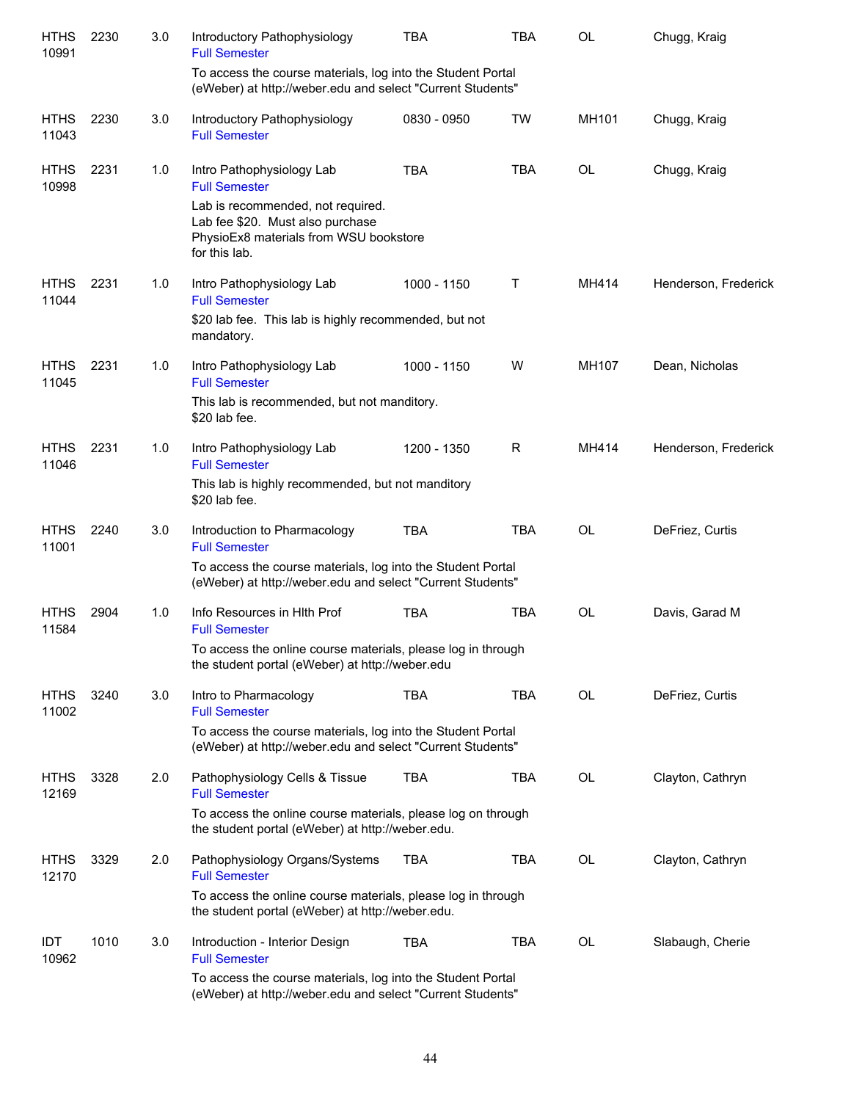| <b>HTHS</b><br>10991 | 2230 | 3.0 | Introductory Pathophysiology<br><b>Full Semester</b>                                                                             | <b>TBA</b>  | TBA        | <b>OL</b> | Chugg, Kraig         |
|----------------------|------|-----|----------------------------------------------------------------------------------------------------------------------------------|-------------|------------|-----------|----------------------|
|                      |      |     | To access the course materials, log into the Student Portal<br>(eWeber) at http://weber.edu and select "Current Students"        |             |            |           |                      |
| <b>HTHS</b><br>11043 | 2230 | 3.0 | Introductory Pathophysiology<br><b>Full Semester</b>                                                                             | 0830 - 0950 | TW         | MH101     | Chugg, Kraig         |
| <b>HTHS</b><br>10998 | 2231 | 1.0 | Intro Pathophysiology Lab<br><b>Full Semester</b>                                                                                | <b>TBA</b>  | <b>TBA</b> | <b>OL</b> | Chugg, Kraig         |
|                      |      |     | Lab is recommended, not required.<br>Lab fee \$20. Must also purchase<br>PhysioEx8 materials from WSU bookstore<br>for this lab. |             |            |           |                      |
| <b>HTHS</b><br>11044 | 2231 | 1.0 | Intro Pathophysiology Lab<br><b>Full Semester</b>                                                                                | 1000 - 1150 | T          | MH414     | Henderson, Frederick |
|                      |      |     | \$20 lab fee. This lab is highly recommended, but not<br>mandatory.                                                              |             |            |           |                      |
| <b>HTHS</b><br>11045 | 2231 | 1.0 | Intro Pathophysiology Lab<br><b>Full Semester</b>                                                                                | 1000 - 1150 | W          | MH107     | Dean, Nicholas       |
|                      |      |     | This lab is recommended, but not manditory.<br>\$20 lab fee.                                                                     |             |            |           |                      |
| <b>HTHS</b><br>11046 | 2231 | 1.0 | Intro Pathophysiology Lab<br><b>Full Semester</b>                                                                                | 1200 - 1350 | R          | MH414     | Henderson, Frederick |
|                      |      |     | This lab is highly recommended, but not manditory<br>\$20 lab fee.                                                               |             |            |           |                      |
| <b>HTHS</b><br>11001 | 2240 | 3.0 | Introduction to Pharmacology<br><b>Full Semester</b>                                                                             | <b>TBA</b>  | <b>TBA</b> | <b>OL</b> | DeFriez, Curtis      |
|                      |      |     | To access the course materials, log into the Student Portal<br>(eWeber) at http://weber.edu and select "Current Students"        |             |            |           |                      |
| <b>HTHS</b><br>11584 | 2904 | 1.0 | Info Resources in HIth Prof<br><b>Full Semester</b>                                                                              | <b>TBA</b>  | <b>TBA</b> | <b>OL</b> | Davis, Garad M       |
|                      |      |     | To access the online course materials, please log in through<br>the student portal (eWeber) at http://weber.edu                  |             |            |           |                      |
| <b>HTHS</b><br>11002 | 3240 | 3.0 | Intro to Pharmacology<br><b>Full Semester</b>                                                                                    | <b>TBA</b>  | <b>TBA</b> | OL        | DeFriez, Curtis      |
|                      |      |     | To access the course materials, log into the Student Portal<br>(eWeber) at http://weber.edu and select "Current Students"        |             |            |           |                      |
| <b>HTHS</b><br>12169 | 3328 | 2.0 | Pathophysiology Cells & Tissue<br><b>Full Semester</b>                                                                           | <b>TBA</b>  | <b>TBA</b> | OL        | Clayton, Cathryn     |
|                      |      |     | To access the online course materials, please log on through<br>the student portal (eWeber) at http://weber.edu.                 |             |            |           |                      |
| <b>HTHS</b><br>12170 | 3329 | 2.0 | Pathophysiology Organs/Systems<br><b>Full Semester</b>                                                                           | <b>TBA</b>  | <b>TBA</b> | OL        | Clayton, Cathryn     |
|                      |      |     | To access the online course materials, please log in through<br>the student portal (eWeber) at http://weber.edu.                 |             |            |           |                      |
| IDT<br>10962         | 1010 | 3.0 | Introduction - Interior Design<br><b>Full Semester</b>                                                                           | <b>TBA</b>  | <b>TBA</b> | OL        | Slabaugh, Cherie     |
|                      |      |     | To access the course materials, log into the Student Portal<br>(eWeber) at http://weber.edu and select "Current Students"        |             |            |           |                      |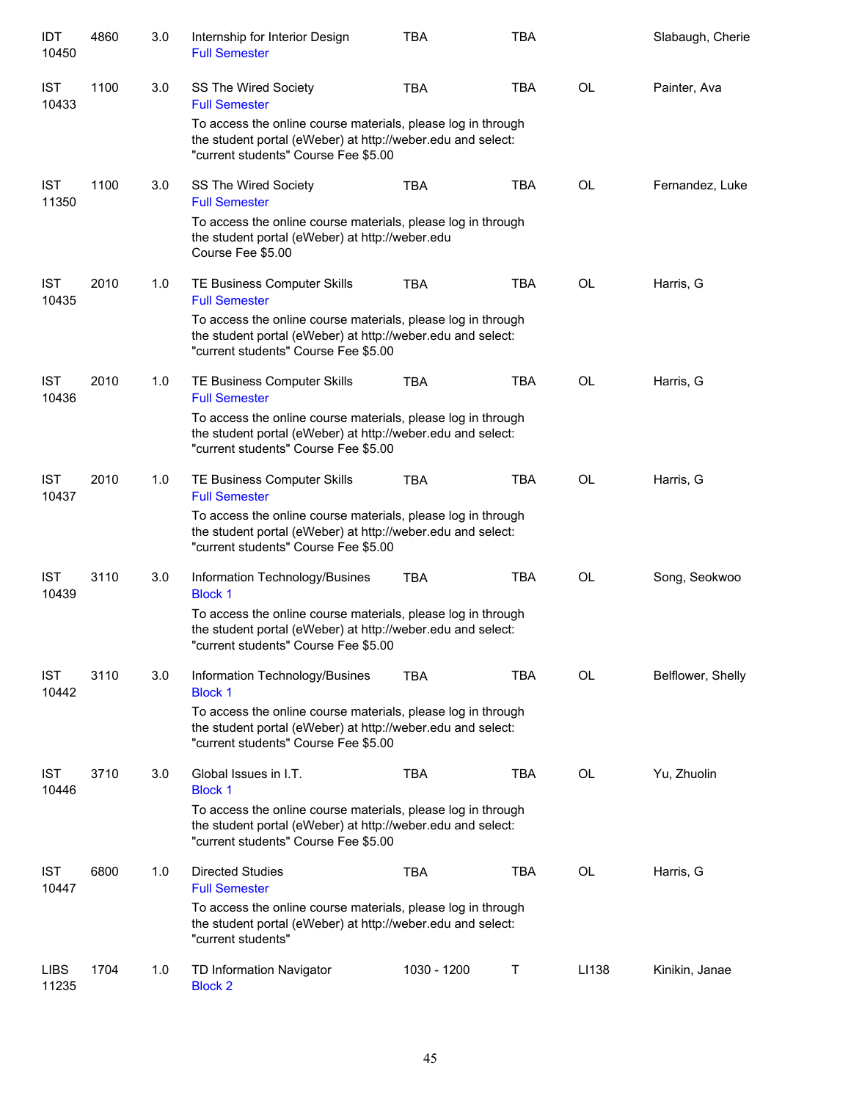| IDT<br>10450         | 4860 | 3.0 | Internship for Interior Design<br><b>Full Semester</b>                                                                                                              | <b>TBA</b>  | <b>TBA</b> |           | Slabaugh, Cherie  |  |  |
|----------------------|------|-----|---------------------------------------------------------------------------------------------------------------------------------------------------------------------|-------------|------------|-----------|-------------------|--|--|
| <b>IST</b><br>10433  | 1100 | 3.0 | <b>SS The Wired Society</b><br><b>Full Semester</b>                                                                                                                 | <b>TBA</b>  | <b>TBA</b> | <b>OL</b> | Painter, Ava      |  |  |
|                      |      |     | To access the online course materials, please log in through<br>the student portal (eWeber) at http://weber.edu and select:<br>"current students" Course Fee \$5.00 |             |            |           |                   |  |  |
| <b>IST</b><br>11350  | 1100 | 3.0 | <b>SS The Wired Society</b><br><b>Full Semester</b>                                                                                                                 | <b>TBA</b>  | <b>TBA</b> | <b>OL</b> | Fernandez, Luke   |  |  |
|                      |      |     | To access the online course materials, please log in through<br>the student portal (eWeber) at http://weber.edu<br>Course Fee \$5.00                                |             |            |           |                   |  |  |
| <b>IST</b><br>10435  | 2010 | 1.0 | TE Business Computer Skills<br><b>Full Semester</b>                                                                                                                 | <b>TBA</b>  | <b>TBA</b> | OL        | Harris, G         |  |  |
|                      |      |     | To access the online course materials, please log in through<br>the student portal (eWeber) at http://weber.edu and select:<br>"current students" Course Fee \$5.00 |             |            |           |                   |  |  |
| <b>IST</b><br>10436  | 2010 | 1.0 | TE Business Computer Skills<br><b>Full Semester</b>                                                                                                                 | <b>TBA</b>  | <b>TBA</b> | <b>OL</b> | Harris, G         |  |  |
|                      |      |     | To access the online course materials, please log in through<br>the student portal (eWeber) at http://weber.edu and select:<br>"current students" Course Fee \$5.00 |             |            |           |                   |  |  |
| <b>IST</b><br>10437  | 2010 | 1.0 | TE Business Computer Skills<br><b>Full Semester</b>                                                                                                                 | <b>TBA</b>  | <b>TBA</b> | <b>OL</b> | Harris, G         |  |  |
|                      |      |     | To access the online course materials, please log in through<br>the student portal (eWeber) at http://weber.edu and select:<br>"current students" Course Fee \$5.00 |             |            |           |                   |  |  |
| <b>IST</b><br>10439  | 3110 | 3.0 | Information Technology/Busines<br><b>Block 1</b>                                                                                                                    | TBA         | <b>TBA</b> | <b>OL</b> | Song, Seokwoo     |  |  |
|                      |      |     | To access the online course materials, please log in through<br>the student portal (eWeber) at http://weber.edu and select:<br>"current students" Course Fee \$5.00 |             |            |           |                   |  |  |
| <b>IST</b><br>10442  | 3110 | 3.0 | Information Technology/Busines<br><b>Block 1</b>                                                                                                                    | TBA         | <b>TBA</b> | OL        | Belflower, Shelly |  |  |
|                      |      |     | To access the online course materials, please log in through<br>the student portal (eWeber) at http://weber.edu and select:<br>"current students" Course Fee \$5.00 |             |            |           |                   |  |  |
| <b>IST</b><br>10446  | 3710 | 3.0 | Global Issues in I.T.<br><b>Block 1</b>                                                                                                                             | <b>TBA</b>  | <b>TBA</b> | <b>OL</b> | Yu, Zhuolin       |  |  |
|                      |      |     | To access the online course materials, please log in through<br>the student portal (eWeber) at http://weber.edu and select:<br>"current students" Course Fee \$5.00 |             |            |           |                   |  |  |
| <b>IST</b><br>10447  | 6800 | 1.0 | <b>Directed Studies</b><br><b>Full Semester</b>                                                                                                                     | <b>TBA</b>  | <b>TBA</b> | <b>OL</b> | Harris, G         |  |  |
|                      |      |     | To access the online course materials, please log in through<br>the student portal (eWeber) at http://weber.edu and select:<br>"current students"                   |             |            |           |                   |  |  |
| <b>LIBS</b><br>11235 | 1704 | 1.0 | TD Information Navigator<br><b>Block 2</b>                                                                                                                          | 1030 - 1200 | Τ          | LI138     | Kinikin, Janae    |  |  |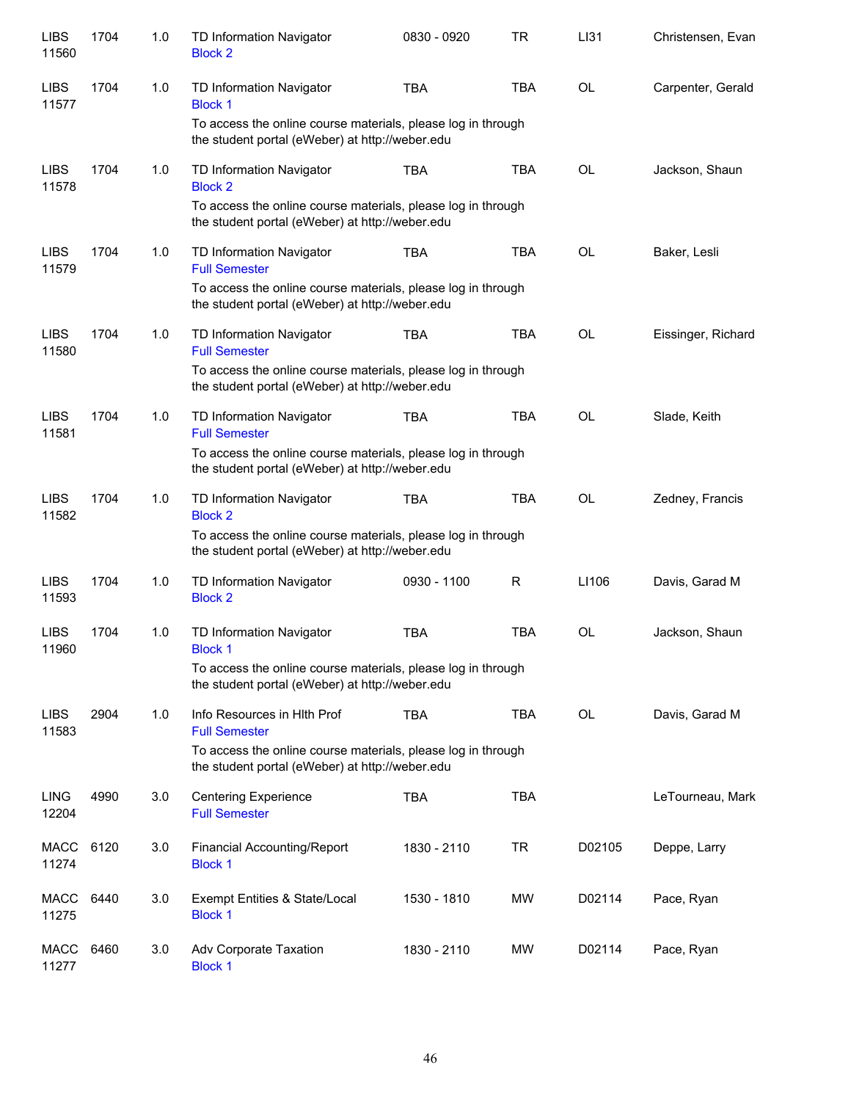| <b>LIBS</b><br>11560 | 1704 | 1.0 | TD Information Navigator<br><b>Block 2</b>                                                                      | 0830 - 0920 | <b>TR</b>  | LI31      | Christensen, Evan  |
|----------------------|------|-----|-----------------------------------------------------------------------------------------------------------------|-------------|------------|-----------|--------------------|
| <b>LIBS</b><br>11577 | 1704 | 1.0 | TD Information Navigator<br><b>Block 1</b>                                                                      | <b>TBA</b>  | <b>TBA</b> | <b>OL</b> | Carpenter, Gerald  |
|                      |      |     | To access the online course materials, please log in through<br>the student portal (eWeber) at http://weber.edu |             |            |           |                    |
| <b>LIBS</b><br>11578 | 1704 | 1.0 | TD Information Navigator<br><b>Block 2</b>                                                                      | <b>TBA</b>  | <b>TBA</b> | <b>OL</b> | Jackson, Shaun     |
|                      |      |     | To access the online course materials, please log in through<br>the student portal (eWeber) at http://weber.edu |             |            |           |                    |
| <b>LIBS</b><br>11579 | 1704 | 1.0 | TD Information Navigator<br><b>Full Semester</b>                                                                | <b>TBA</b>  | <b>TBA</b> | OL        | Baker, Lesli       |
|                      |      |     | To access the online course materials, please log in through<br>the student portal (eWeber) at http://weber.edu |             |            |           |                    |
| <b>LIBS</b><br>11580 | 1704 | 1.0 | TD Information Navigator<br><b>Full Semester</b>                                                                | <b>TBA</b>  | <b>TBA</b> | <b>OL</b> | Eissinger, Richard |
|                      |      |     | To access the online course materials, please log in through<br>the student portal (eWeber) at http://weber.edu |             |            |           |                    |
| <b>LIBS</b><br>11581 | 1704 | 1.0 | TD Information Navigator<br><b>Full Semester</b>                                                                | <b>TBA</b>  | <b>TBA</b> | <b>OL</b> | Slade, Keith       |
|                      |      |     | To access the online course materials, please log in through<br>the student portal (eWeber) at http://weber.edu |             |            |           |                    |
| <b>LIBS</b><br>11582 | 1704 | 1.0 | TD Information Navigator<br><b>Block 2</b>                                                                      | <b>TBA</b>  | <b>TBA</b> | <b>OL</b> | Zedney, Francis    |
|                      |      |     | To access the online course materials, please log in through<br>the student portal (eWeber) at http://weber.edu |             |            |           |                    |
| <b>LIBS</b><br>11593 | 1704 | 1.0 | TD Information Navigator<br><b>Block 2</b>                                                                      | 0930 - 1100 | R          | LI106     | Davis, Garad M     |
| <b>LIBS</b><br>11960 | 1704 | 1.0 | TD Information Navigator<br><b>Block 1</b>                                                                      | <b>TBA</b>  | <b>TBA</b> | <b>OL</b> | Jackson, Shaun     |
|                      |      |     | To access the online course materials, please log in through<br>the student portal (eWeber) at http://weber.edu |             |            |           |                    |
| <b>LIBS</b><br>11583 | 2904 | 1.0 | Info Resources in Hith Prof<br><b>Full Semester</b>                                                             | <b>TBA</b>  | TBA        | OL        | Davis, Garad M     |
|                      |      |     | To access the online course materials, please log in through<br>the student portal (eWeber) at http://weber.edu |             |            |           |                    |
| <b>LING</b><br>12204 | 4990 | 3.0 | <b>Centering Experience</b><br><b>Full Semester</b>                                                             | <b>TBA</b>  | TBA        |           | LeTourneau, Mark   |
| <b>MACC</b><br>11274 | 6120 | 3.0 | Financial Accounting/Report<br><b>Block 1</b>                                                                   | 1830 - 2110 | TR         | D02105    | Deppe, Larry       |
| <b>MACC</b><br>11275 | 6440 | 3.0 | Exempt Entities & State/Local<br><b>Block 1</b>                                                                 | 1530 - 1810 | MW         | D02114    | Pace, Ryan         |
| <b>MACC</b><br>11277 | 6460 | 3.0 | Adv Corporate Taxation<br><b>Block 1</b>                                                                        | 1830 - 2110 | MW         | D02114    | Pace, Ryan         |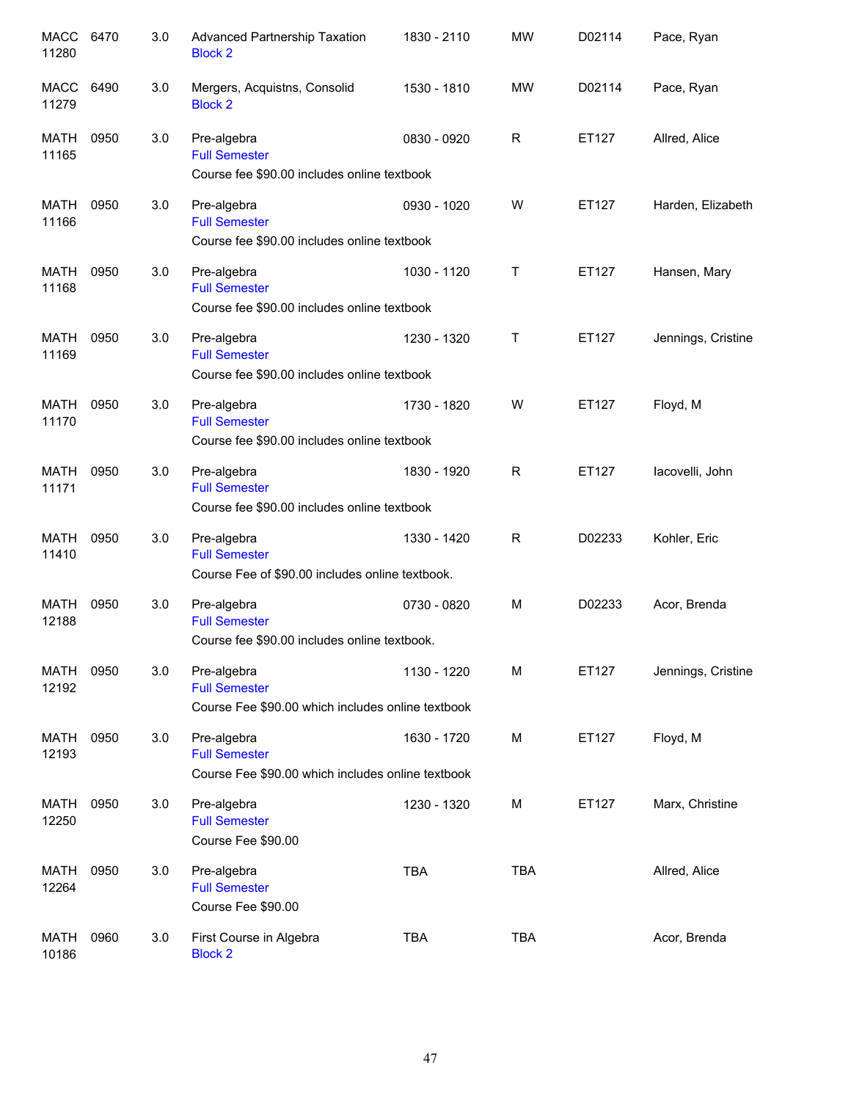| MACC<br>11280        | 6470 | 3.0 | Advanced Partnership Taxation<br><b>Block 2</b>                                          | 1830 - 2110 | <b>MW</b>    | D02114 | Pace, Ryan         |
|----------------------|------|-----|------------------------------------------------------------------------------------------|-------------|--------------|--------|--------------------|
| <b>MACC</b><br>11279 | 6490 | 3.0 | Mergers, Acquistns, Consolid<br><b>Block 2</b>                                           | 1530 - 1810 | <b>MW</b>    | D02114 | Pace, Ryan         |
| <b>MATH</b><br>11165 | 0950 | 3.0 | Pre-algebra<br><b>Full Semester</b><br>Course fee \$90.00 includes online textbook       | 0830 - 0920 | R            | ET127  | Allred, Alice      |
| MATH<br>11166        | 0950 | 3.0 | Pre-algebra<br><b>Full Semester</b><br>Course fee \$90.00 includes online textbook       | 0930 - 1020 | W            | ET127  | Harden, Elizabeth  |
| MATH<br>11168        | 0950 | 3.0 | Pre-algebra<br><b>Full Semester</b><br>Course fee \$90.00 includes online textbook       | 1030 - 1120 | $\mathsf{T}$ | ET127  | Hansen, Mary       |
| <b>MATH</b><br>11169 | 0950 | 3.0 | Pre-algebra<br><b>Full Semester</b><br>Course fee \$90.00 includes online textbook       | 1230 - 1320 | Τ            | ET127  | Jennings, Cristine |
| <b>MATH</b><br>11170 | 0950 | 3.0 | Pre-algebra<br><b>Full Semester</b><br>Course fee \$90.00 includes online textbook       | 1730 - 1820 | W            | ET127  | Floyd, M           |
| MATH<br>11171        | 0950 | 3.0 | Pre-algebra<br><b>Full Semester</b><br>Course fee \$90.00 includes online textbook       | 1830 - 1920 | R            | ET127  | lacovelli, John    |
| <b>MATH</b><br>11410 | 0950 | 3.0 | Pre-algebra<br><b>Full Semester</b><br>Course Fee of \$90.00 includes online textbook.   | 1330 - 1420 | R            | D02233 | Kohler, Eric       |
| <b>MATH</b><br>12188 | 0950 | 3.0 | Pre-algebra<br><b>Full Semester</b><br>Course fee \$90.00 includes online textbook.      | 0730 - 0820 | M            | D02233 | Acor, Brenda       |
| <b>MATH</b><br>12192 | 0950 | 3.0 | Pre-algebra<br><b>Full Semester</b><br>Course Fee \$90.00 which includes online textbook | 1130 - 1220 | M            | ET127  | Jennings, Cristine |
| <b>MATH</b><br>12193 | 0950 | 3.0 | Pre-algebra<br><b>Full Semester</b><br>Course Fee \$90.00 which includes online textbook | 1630 - 1720 | M            | ET127  | Floyd, M           |
| <b>MATH</b><br>12250 | 0950 | 3.0 | Pre-algebra<br><b>Full Semester</b><br>Course Fee \$90.00                                | 1230 - 1320 | M            | ET127  | Marx, Christine    |
| <b>MATH</b><br>12264 | 0950 | 3.0 | Pre-algebra<br><b>Full Semester</b><br>Course Fee \$90.00                                | <b>TBA</b>  | <b>TBA</b>   |        | Allred, Alice      |
| <b>MATH</b><br>10186 | 0960 | 3.0 | First Course in Algebra<br><b>Block 2</b>                                                | <b>TBA</b>  | <b>TBA</b>   |        | Acor, Brenda       |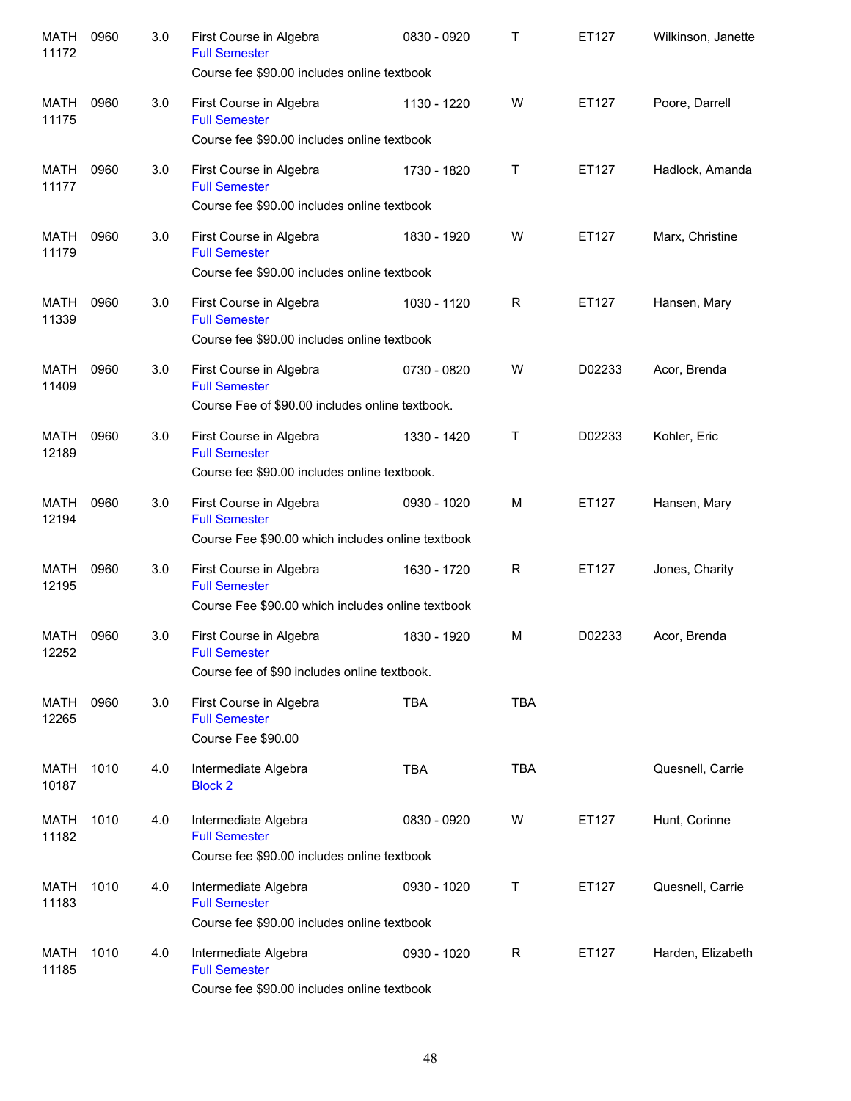| <b>MATH</b><br>11172 | 0960 | 3.0 | First Course in Algebra<br><b>Full Semester</b><br>Course fee \$90.00 includes online textbook                                                     | 0830 - 0920 | Τ          | ET127  | Wilkinson, Janette |
|----------------------|------|-----|----------------------------------------------------------------------------------------------------------------------------------------------------|-------------|------------|--------|--------------------|
| <b>MATH</b><br>11175 | 0960 | 3.0 | First Course in Algebra<br><b>Full Semester</b>                                                                                                    | 1130 - 1220 | W          | ET127  | Poore, Darrell     |
| MATH<br>11177        | 0960 | 3.0 | Course fee \$90.00 includes online textbook<br>First Course in Algebra<br><b>Full Semester</b><br>Course fee \$90.00 includes online textbook      | 1730 - 1820 | т          | ET127  | Hadlock, Amanda    |
| <b>MATH</b><br>11179 | 0960 | 3.0 | First Course in Algebra<br><b>Full Semester</b><br>Course fee \$90.00 includes online textbook                                                     | 1830 - 1920 | W          | ET127  | Marx, Christine    |
| MATH<br>11339        | 0960 | 3.0 | First Course in Algebra<br><b>Full Semester</b><br>Course fee \$90.00 includes online textbook                                                     | 1030 - 1120 | R          | ET127  | Hansen, Mary       |
| <b>MATH</b><br>11409 | 0960 | 3.0 | First Course in Algebra<br><b>Full Semester</b>                                                                                                    | 0730 - 0820 | W          | D02233 | Acor, Brenda       |
| <b>MATH</b><br>12189 | 0960 | 3.0 | Course Fee of \$90.00 includes online textbook.<br>First Course in Algebra<br><b>Full Semester</b><br>Course fee \$90.00 includes online textbook. | 1330 - 1420 | Т          | D02233 | Kohler, Eric       |
| <b>MATH</b><br>12194 | 0960 | 3.0 | First Course in Algebra<br><b>Full Semester</b><br>Course Fee \$90.00 which includes online textbook                                               | 0930 - 1020 | м          | ET127  | Hansen, Mary       |
| <b>MATH</b><br>12195 | 0960 | 3.0 | First Course in Algebra<br><b>Full Semester</b><br>Course Fee \$90.00 which includes online textbook                                               | 1630 - 1720 | R          | ET127  | Jones, Charity     |
| MATH<br>12252        | 0960 | 3.0 | First Course in Algebra<br><b>Full Semester</b>                                                                                                    | 1830 - 1920 | м          | D02233 | Acor, Brenda       |
| MATH<br>12265        | 0960 | 3.0 | Course fee of \$90 includes online textbook.<br>First Course in Algebra<br><b>Full Semester</b><br>Course Fee \$90.00                              | <b>TBA</b>  | <b>TBA</b> |        |                    |
| MATH<br>10187        | 1010 | 4.0 | Intermediate Algebra<br><b>Block 2</b>                                                                                                             | <b>TBA</b>  | <b>TBA</b> |        | Quesnell, Carrie   |
| MATH<br>11182        | 1010 | 4.0 | Intermediate Algebra<br><b>Full Semester</b><br>Course fee \$90.00 includes online textbook                                                        | 0830 - 0920 | W          | ET127  | Hunt, Corinne      |
| MATH<br>11183        | 1010 | 4.0 | Intermediate Algebra<br><b>Full Semester</b><br>Course fee \$90.00 includes online textbook                                                        | 0930 - 1020 | Τ          | ET127  | Quesnell, Carrie   |
| MATH<br>11185        | 1010 | 4.0 | Intermediate Algebra<br><b>Full Semester</b><br>Course fee \$90.00 includes online textbook                                                        | 0930 - 1020 | R          | ET127  | Harden, Elizabeth  |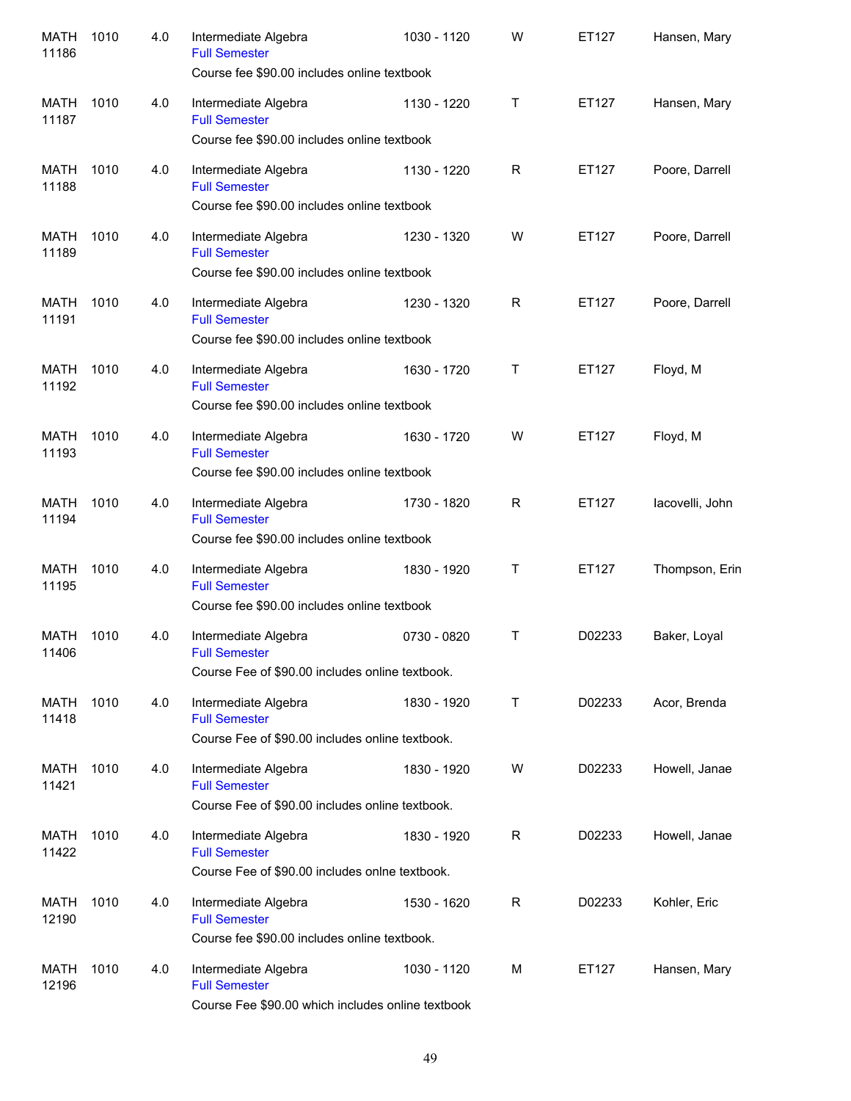| <b>MATH</b><br>11186 | 1010 | 4.0 | Intermediate Algebra<br><b>Full Semester</b><br>Course fee \$90.00 includes online textbook       | 1030 - 1120 | W           | ET127  | Hansen, Mary    |
|----------------------|------|-----|---------------------------------------------------------------------------------------------------|-------------|-------------|--------|-----------------|
| MATH<br>11187        | 1010 | 4.0 | Intermediate Algebra<br><b>Full Semester</b><br>Course fee \$90.00 includes online textbook       | 1130 - 1220 | т           | ET127  | Hansen, Mary    |
| <b>MATH</b><br>11188 | 1010 | 4.0 | Intermediate Algebra<br><b>Full Semester</b><br>Course fee \$90.00 includes online textbook       | 1130 - 1220 | R           | ET127  | Poore, Darrell  |
| <b>MATH</b><br>11189 | 1010 | 4.0 | Intermediate Algebra<br><b>Full Semester</b><br>Course fee \$90.00 includes online textbook       | 1230 - 1320 | W           | ET127  | Poore, Darrell  |
| <b>MATH</b><br>11191 | 1010 | 4.0 | Intermediate Algebra<br><b>Full Semester</b><br>Course fee \$90.00 includes online textbook       | 1230 - 1320 | R           | ET127  | Poore, Darrell  |
| <b>MATH</b><br>11192 | 1010 | 4.0 | Intermediate Algebra<br><b>Full Semester</b><br>Course fee \$90.00 includes online textbook       | 1630 - 1720 | T           | ET127  | Floyd, M        |
| <b>MATH</b><br>11193 | 1010 | 4.0 | Intermediate Algebra<br><b>Full Semester</b><br>Course fee \$90.00 includes online textbook       | 1630 - 1720 | W           | ET127  | Floyd, M        |
| <b>MATH</b><br>11194 | 1010 | 4.0 | Intermediate Algebra<br><b>Full Semester</b><br>Course fee \$90.00 includes online textbook       | 1730 - 1820 | R           | ET127  | lacovelli, John |
| <b>MATH</b><br>11195 | 1010 | 4.0 | Intermediate Algebra<br><b>Full Semester</b><br>Course fee \$90.00 includes online textbook       | 1830 - 1920 | т           | ET127  | Thompson, Erin  |
| MATH<br>11406        | 1010 | 4.0 | Intermediate Algebra<br><b>Full Semester</b><br>Course Fee of \$90.00 includes online textbook.   | 0730 - 0820 | т           | D02233 | Baker, Loyal    |
| MATH<br>11418        | 1010 | 4.0 | Intermediate Algebra<br><b>Full Semester</b><br>Course Fee of \$90.00 includes online textbook.   | 1830 - 1920 | Τ           | D02233 | Acor, Brenda    |
| MATH<br>11421        | 1010 | 4.0 | Intermediate Algebra<br><b>Full Semester</b><br>Course Fee of \$90.00 includes online textbook.   | 1830 - 1920 | W           | D02233 | Howell, Janae   |
| MATH<br>11422        | 1010 | 4.0 | Intermediate Algebra<br><b>Full Semester</b><br>Course Fee of \$90.00 includes onlne textbook.    | 1830 - 1920 | R           | D02233 | Howell, Janae   |
| MATH<br>12190        | 1010 | 4.0 | Intermediate Algebra<br><b>Full Semester</b><br>Course fee \$90.00 includes online textbook.      | 1530 - 1620 | $\mathsf R$ | D02233 | Kohler, Eric    |
| MATH<br>12196        | 1010 | 4.0 | Intermediate Algebra<br><b>Full Semester</b><br>Course Fee \$90.00 which includes online textbook | 1030 - 1120 | м           | ET127  | Hansen, Mary    |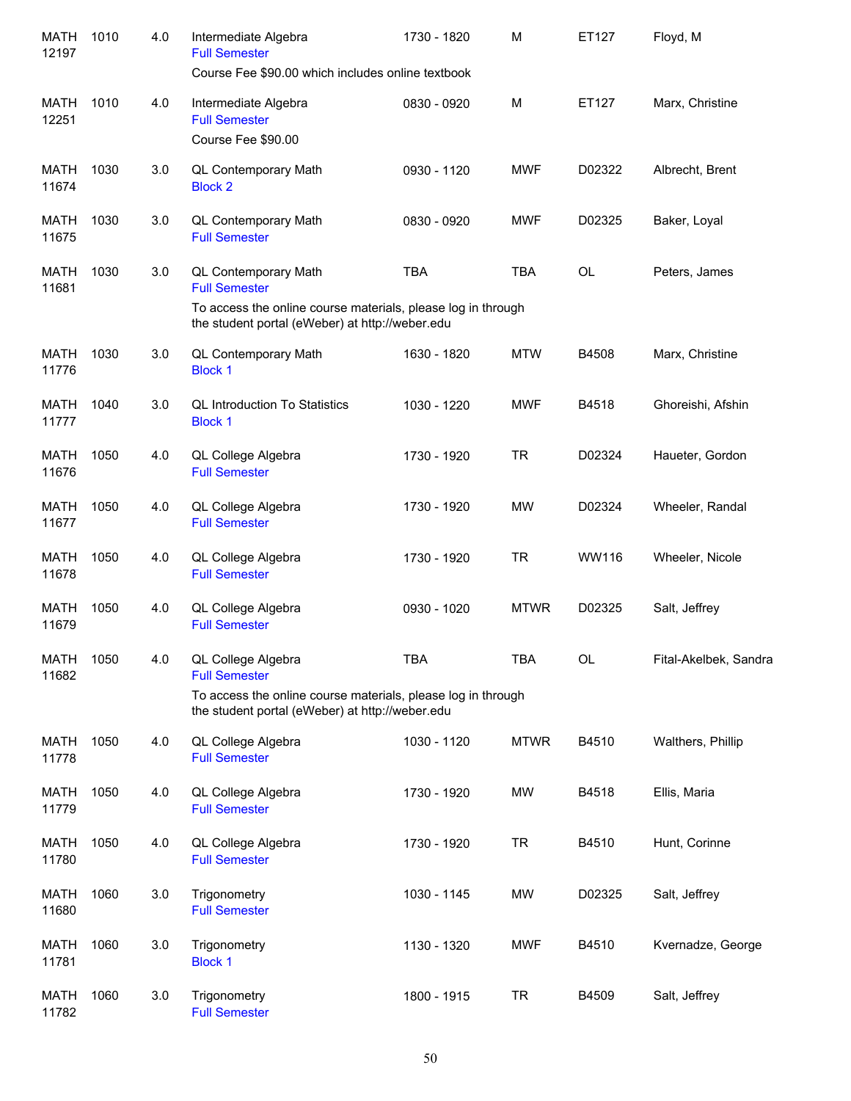| <b>MATH</b><br>12197 | 1010 | 4.0 | Intermediate Algebra<br><b>Full Semester</b><br>Course Fee \$90.00 which includes online textbook               | 1730 - 1820 | M           | ET127     | Floyd, M              |
|----------------------|------|-----|-----------------------------------------------------------------------------------------------------------------|-------------|-------------|-----------|-----------------------|
| <b>MATH</b><br>12251 | 1010 | 4.0 | Intermediate Algebra<br><b>Full Semester</b><br>Course Fee \$90.00                                              | 0830 - 0920 | M           | ET127     | Marx, Christine       |
| MATH<br>11674        | 1030 | 3.0 | QL Contemporary Math<br><b>Block 2</b>                                                                          | 0930 - 1120 | <b>MWF</b>  | D02322    | Albrecht, Brent       |
| MATH<br>11675        | 1030 | 3.0 | QL Contemporary Math<br><b>Full Semester</b>                                                                    | 0830 - 0920 | <b>MWF</b>  | D02325    | Baker, Loyal          |
| <b>MATH</b><br>11681 | 1030 | 3.0 | QL Contemporary Math<br><b>Full Semester</b><br>To access the online course materials, please log in through    | <b>TBA</b>  | <b>TBA</b>  | <b>OL</b> | Peters, James         |
|                      |      |     | the student portal (eWeber) at http://weber.edu                                                                 |             |             |           |                       |
| MATH<br>11776        | 1030 | 3.0 | QL Contemporary Math<br><b>Block 1</b>                                                                          | 1630 - 1820 | <b>MTW</b>  | B4508     | Marx, Christine       |
| MATH<br>11777        | 1040 | 3.0 | <b>QL Introduction To Statistics</b><br><b>Block 1</b>                                                          | 1030 - 1220 | <b>MWF</b>  | B4518     | Ghoreishi, Afshin     |
| <b>MATH</b><br>11676 | 1050 | 4.0 | QL College Algebra<br><b>Full Semester</b>                                                                      | 1730 - 1920 | <b>TR</b>   | D02324    | Haueter, Gordon       |
| <b>MATH</b><br>11677 | 1050 | 4.0 | QL College Algebra<br><b>Full Semester</b>                                                                      | 1730 - 1920 | <b>MW</b>   | D02324    | Wheeler, Randal       |
| <b>MATH</b><br>11678 | 1050 | 4.0 | QL College Algebra<br><b>Full Semester</b>                                                                      | 1730 - 1920 | <b>TR</b>   | WW116     | Wheeler, Nicole       |
| <b>MATH</b><br>11679 | 1050 | 4.0 | QL College Algebra<br><b>Full Semester</b>                                                                      | 0930 - 1020 | <b>MTWR</b> | D02325    | Salt, Jeffrey         |
| <b>MATH</b><br>11682 | 1050 | 4.0 | QL College Algebra<br><b>Full Semester</b>                                                                      | <b>TBA</b>  | <b>TBA</b>  | OL        | Fital-Akelbek, Sandra |
|                      |      |     | To access the online course materials, please log in through<br>the student portal (eWeber) at http://weber.edu |             |             |           |                       |
| <b>MATH</b><br>11778 | 1050 | 4.0 | QL College Algebra<br><b>Full Semester</b>                                                                      | 1030 - 1120 | <b>MTWR</b> | B4510     | Walthers, Phillip     |
| <b>MATH</b><br>11779 | 1050 | 4.0 | QL College Algebra<br><b>Full Semester</b>                                                                      | 1730 - 1920 | MW          | B4518     | Ellis, Maria          |
| <b>MATH</b><br>11780 | 1050 | 4.0 | QL College Algebra<br><b>Full Semester</b>                                                                      | 1730 - 1920 | <b>TR</b>   | B4510     | Hunt, Corinne         |
| <b>MATH</b><br>11680 | 1060 | 3.0 | Trigonometry<br><b>Full Semester</b>                                                                            | 1030 - 1145 | MW          | D02325    | Salt, Jeffrey         |
| MATH<br>11781        | 1060 | 3.0 | Trigonometry<br><b>Block 1</b>                                                                                  | 1130 - 1320 | <b>MWF</b>  | B4510     | Kvernadze, George     |
| <b>MATH</b><br>11782 | 1060 | 3.0 | Trigonometry<br><b>Full Semester</b>                                                                            | 1800 - 1915 | <b>TR</b>   | B4509     | Salt, Jeffrey         |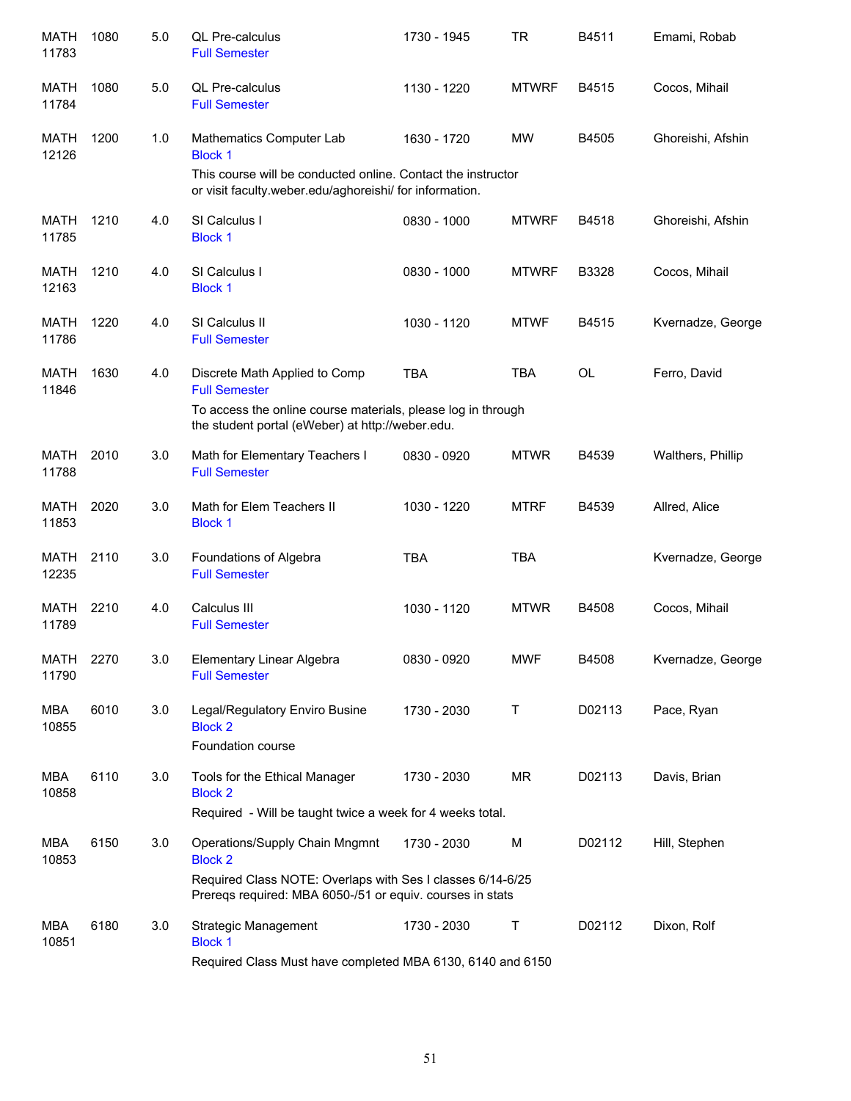| <b>MATH</b><br>11783 | 1080 | 5.0 | QL Pre-calculus<br><b>Full Semester</b>                                                                                                                                     | 1730 - 1945 | <b>TR</b>    | B4511     | Emami, Robab      |
|----------------------|------|-----|-----------------------------------------------------------------------------------------------------------------------------------------------------------------------------|-------------|--------------|-----------|-------------------|
| <b>MATH</b><br>11784 | 1080 | 5.0 | QL Pre-calculus<br><b>Full Semester</b>                                                                                                                                     | 1130 - 1220 | <b>MTWRF</b> | B4515     | Cocos, Mihail     |
| <b>MATH</b><br>12126 | 1200 | 1.0 | Mathematics Computer Lab<br><b>Block 1</b><br>This course will be conducted online. Contact the instructor<br>or visit faculty.weber.edu/aghoreishi/ for information.       | 1630 - 1720 | <b>MW</b>    | B4505     | Ghoreishi, Afshin |
| <b>MATH</b><br>11785 | 1210 | 4.0 | SI Calculus I<br><b>Block 1</b>                                                                                                                                             | 0830 - 1000 | <b>MTWRF</b> | B4518     | Ghoreishi, Afshin |
| <b>MATH</b><br>12163 | 1210 | 4.0 | SI Calculus I<br><b>Block 1</b>                                                                                                                                             | 0830 - 1000 | <b>MTWRF</b> | B3328     | Cocos, Mihail     |
| <b>MATH</b><br>11786 | 1220 | 4.0 | SI Calculus II<br><b>Full Semester</b>                                                                                                                                      | 1030 - 1120 | <b>MTWF</b>  | B4515     | Kvernadze, George |
| <b>MATH</b><br>11846 | 1630 | 4.0 | Discrete Math Applied to Comp<br><b>Full Semester</b><br>To access the online course materials, please log in through<br>the student portal (eWeber) at http://weber.edu.   | <b>TBA</b>  | <b>TBA</b>   | <b>OL</b> | Ferro, David      |
| MATH<br>11788        | 2010 | 3.0 | Math for Elementary Teachers I<br><b>Full Semester</b>                                                                                                                      | 0830 - 0920 | <b>MTWR</b>  | B4539     | Walthers, Phillip |
| <b>MATH</b><br>11853 | 2020 | 3.0 | Math for Elem Teachers II<br><b>Block 1</b>                                                                                                                                 | 1030 - 1220 | <b>MTRF</b>  | B4539     | Allred, Alice     |
| <b>MATH</b><br>12235 | 2110 | 3.0 | Foundations of Algebra<br><b>Full Semester</b>                                                                                                                              | <b>TBA</b>  | <b>TBA</b>   |           | Kvernadze, George |
| <b>MATH</b><br>11789 | 2210 | 4.0 | Calculus III<br><b>Full Semester</b>                                                                                                                                        | 1030 - 1120 | <b>MTWR</b>  | B4508     | Cocos, Mihail     |
| MATH<br>11790        | 2270 | 3.0 | Elementary Linear Algebra<br><b>Full Semester</b>                                                                                                                           | 0830 - 0920 | <b>MWF</b>   | B4508     | Kvernadze, George |
| MBA<br>10855         | 6010 | 3.0 | Legal/Regulatory Enviro Busine<br><b>Block 2</b><br>Foundation course                                                                                                       | 1730 - 2030 | Τ            | D02113    | Pace, Ryan        |
| MBA<br>10858         | 6110 | 3.0 | Tools for the Ethical Manager<br><b>Block 2</b><br>Required - Will be taught twice a week for 4 weeks total.                                                                | 1730 - 2030 | <b>MR</b>    | D02113    | Davis, Brian      |
| MBA<br>10853         | 6150 | 3.0 | Operations/Supply Chain Mngmnt<br><b>Block 2</b><br>Required Class NOTE: Overlaps with Ses I classes 6/14-6/25<br>Prereqs required: MBA 6050-/51 or equiv. courses in stats | 1730 - 2030 | M            | D02112    | Hill, Stephen     |
| MBA<br>10851         | 6180 | 3.0 | <b>Strategic Management</b><br><b>Block 1</b><br>Required Class Must have completed MBA 6130, 6140 and 6150                                                                 | 1730 - 2030 | Τ            | D02112    | Dixon, Rolf       |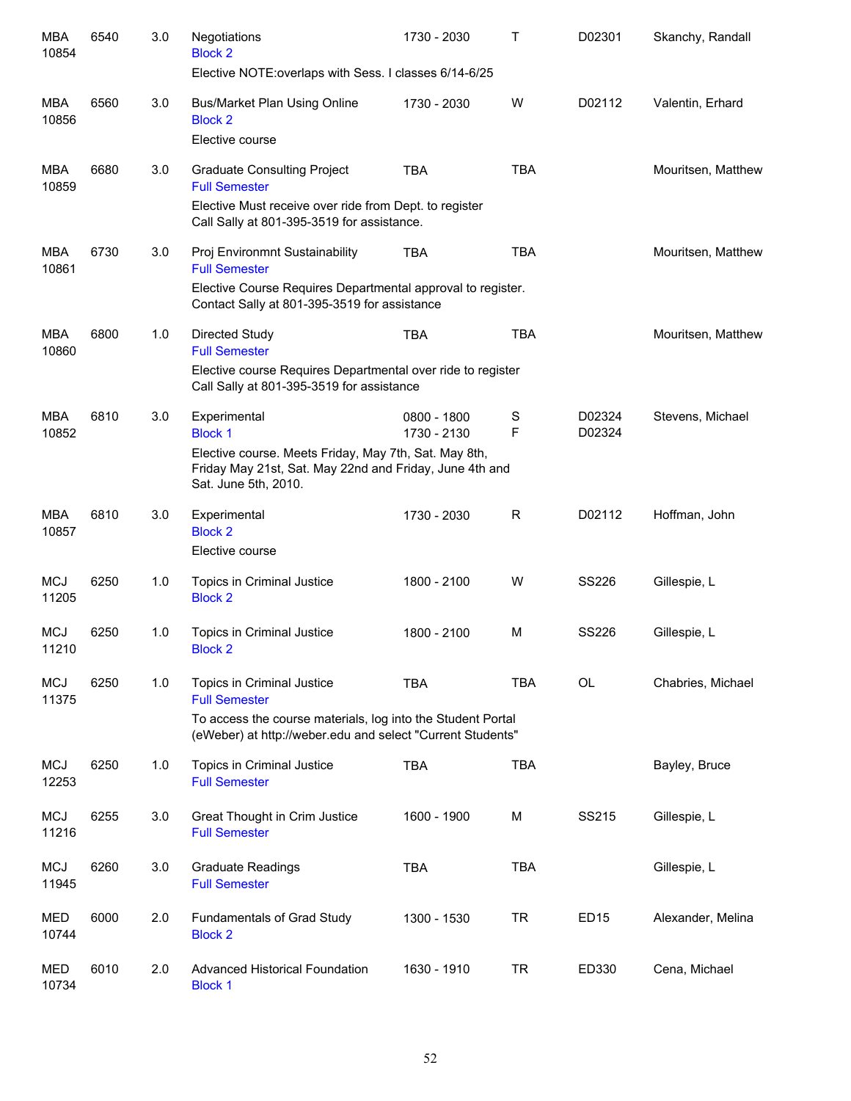| <b>MBA</b><br>10854 | 6540 | 3.0 | Negotiations<br><b>Block 2</b><br>Elective NOTE: overlaps with Sess. I classes 6/14-6/25                                                 | 1730 - 2030                | т          | D02301           | Skanchy, Randall   |
|---------------------|------|-----|------------------------------------------------------------------------------------------------------------------------------------------|----------------------------|------------|------------------|--------------------|
| MBA<br>10856        | 6560 | 3.0 | <b>Bus/Market Plan Using Online</b><br><b>Block 2</b><br>Elective course                                                                 | 1730 - 2030                | W          | D02112           | Valentin, Erhard   |
| MBA<br>10859        | 6680 | 3.0 | <b>Graduate Consulting Project</b><br><b>Full Semester</b>                                                                               | <b>TBA</b>                 | <b>TBA</b> |                  | Mouritsen, Matthew |
|                     |      |     | Elective Must receive over ride from Dept. to register<br>Call Sally at 801-395-3519 for assistance.                                     |                            |            |                  |                    |
| MBA<br>10861        | 6730 | 3.0 | Proj Environmnt Sustainability<br><b>Full Semester</b>                                                                                   | <b>TBA</b>                 | <b>TBA</b> |                  | Mouritsen, Matthew |
|                     |      |     | Elective Course Requires Departmental approval to register.<br>Contact Sally at 801-395-3519 for assistance                              |                            |            |                  |                    |
| <b>MBA</b><br>10860 | 6800 | 1.0 | <b>Directed Study</b><br><b>Full Semester</b>                                                                                            | <b>TBA</b>                 | <b>TBA</b> |                  | Mouritsen, Matthew |
|                     |      |     | Elective course Requires Departmental over ride to register<br>Call Sally at 801-395-3519 for assistance                                 |                            |            |                  |                    |
| <b>MBA</b><br>10852 | 6810 | 3.0 | Experimental<br><b>Block 1</b>                                                                                                           | 0800 - 1800<br>1730 - 2130 | S<br>F     | D02324<br>D02324 | Stevens, Michael   |
|                     |      |     | Elective course. Meets Friday, May 7th, Sat. May 8th,<br>Friday May 21st, Sat. May 22nd and Friday, June 4th and<br>Sat. June 5th, 2010. |                            |            |                  |                    |
| <b>MBA</b><br>10857 | 6810 | 3.0 | Experimental<br><b>Block 2</b>                                                                                                           | 1730 - 2030                | R          | D02112           | Hoffman, John      |
|                     |      |     | Elective course                                                                                                                          |                            |            |                  |                    |
| <b>MCJ</b><br>11205 | 6250 | 1.0 | Topics in Criminal Justice<br><b>Block 2</b>                                                                                             | 1800 - 2100                | W          | <b>SS226</b>     | Gillespie, L       |
| <b>MCJ</b><br>11210 | 6250 | 1.0 | Topics in Criminal Justice<br><b>Block 2</b>                                                                                             | 1800 - 2100                | M          | <b>SS226</b>     | Gillespie, L       |
| <b>MCJ</b><br>11375 | 6250 | 1.0 | Topics in Criminal Justice<br><b>Full Semester</b>                                                                                       | <b>TBA</b>                 | <b>TBA</b> | OL               | Chabries, Michael  |
|                     |      |     | To access the course materials, log into the Student Portal<br>(eWeber) at http://weber.edu and select "Current Students"                |                            |            |                  |                    |
| <b>MCJ</b><br>12253 | 6250 | 1.0 | Topics in Criminal Justice<br><b>Full Semester</b>                                                                                       | <b>TBA</b>                 | <b>TBA</b> |                  | Bayley, Bruce      |
| <b>MCJ</b><br>11216 | 6255 | 3.0 | Great Thought in Crim Justice<br><b>Full Semester</b>                                                                                    | 1600 - 1900                | М          | SS215            | Gillespie, L       |
| <b>MCJ</b><br>11945 | 6260 | 3.0 | <b>Graduate Readings</b><br><b>Full Semester</b>                                                                                         | <b>TBA</b>                 | <b>TBA</b> |                  | Gillespie, L       |
| MED<br>10744        | 6000 | 2.0 | Fundamentals of Grad Study<br><b>Block 2</b>                                                                                             | 1300 - 1530                | <b>TR</b>  | <b>ED15</b>      | Alexander, Melina  |
| MED<br>10734        | 6010 | 2.0 | <b>Advanced Historical Foundation</b><br><b>Block 1</b>                                                                                  | 1630 - 1910                | <b>TR</b>  | ED330            | Cena, Michael      |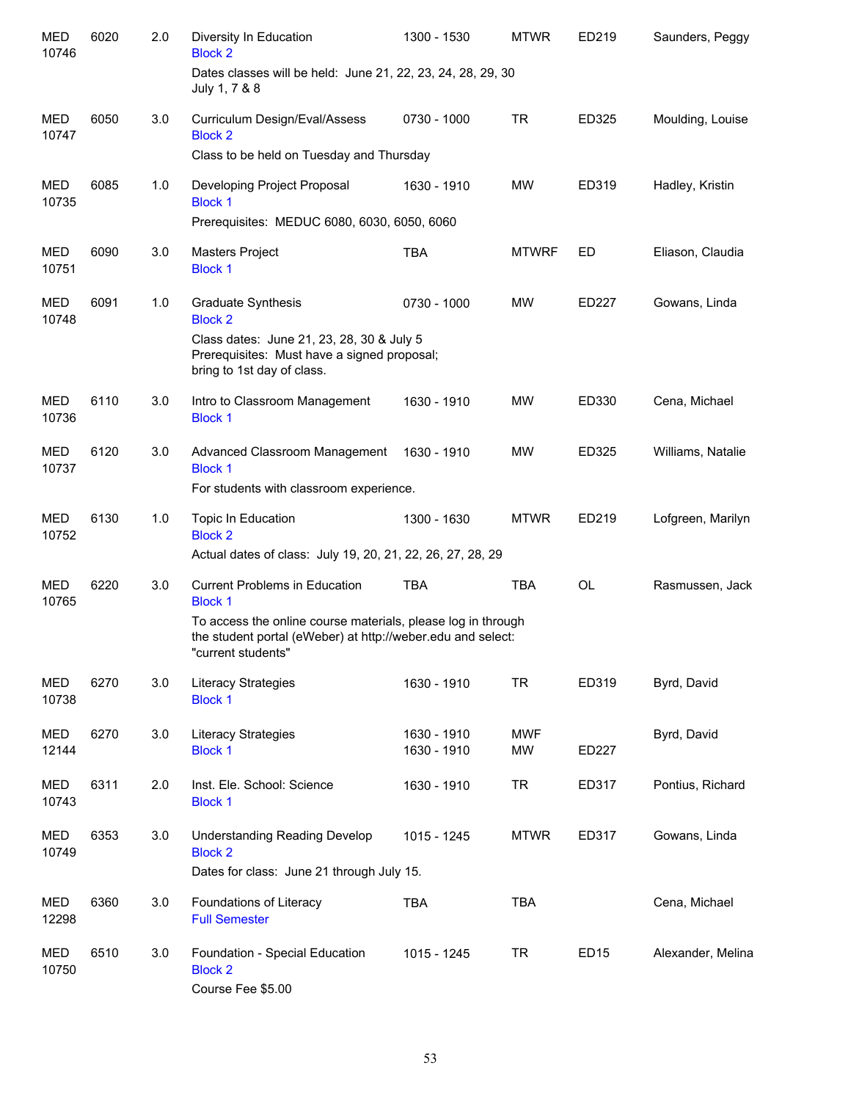| <b>MED</b><br>10746 | 6020 | 2.0 | Diversity In Education<br><b>Block 2</b>                                                                                                          | 1300 - 1530                | <b>MTWR</b>             | ED219            | Saunders, Peggy   |
|---------------------|------|-----|---------------------------------------------------------------------------------------------------------------------------------------------------|----------------------------|-------------------------|------------------|-------------------|
|                     |      |     | Dates classes will be held: June 21, 22, 23, 24, 28, 29, 30<br>July 1, 7 & 8                                                                      |                            |                         |                  |                   |
| <b>MED</b><br>10747 | 6050 | 3.0 | Curriculum Design/Eval/Assess<br><b>Block 2</b>                                                                                                   | 0730 - 1000                | <b>TR</b>               | ED325            | Moulding, Louise  |
|                     |      |     | Class to be held on Tuesday and Thursday                                                                                                          |                            |                         |                  |                   |
| <b>MED</b><br>10735 | 6085 | 1.0 | Developing Project Proposal<br><b>Block 1</b><br>Prerequisites: MEDUC 6080, 6030, 6050, 6060                                                      | 1630 - 1910                | <b>MW</b>               | ED319            | Hadley, Kristin   |
|                     |      |     |                                                                                                                                                   |                            |                         |                  |                   |
| MED<br>10751        | 6090 | 3.0 | Masters Project<br><b>Block 1</b>                                                                                                                 | <b>TBA</b>                 | <b>MTWRF</b>            | ED               | Eliason, Claudia  |
| <b>MED</b><br>10748 | 6091 | 1.0 | <b>Graduate Synthesis</b><br><b>Block 2</b>                                                                                                       | 0730 - 1000                | <b>MW</b>               | ED227            | Gowans, Linda     |
|                     |      |     | Class dates: June 21, 23, 28, 30 & July 5<br>Prerequisites: Must have a signed proposal;<br>bring to 1st day of class.                            |                            |                         |                  |                   |
| <b>MED</b><br>10736 | 6110 | 3.0 | Intro to Classroom Management<br><b>Block 1</b>                                                                                                   | 1630 - 1910                | <b>MW</b>               | ED330            | Cena, Michael     |
| <b>MED</b><br>10737 | 6120 | 3.0 | Advanced Classroom Management<br><b>Block 1</b>                                                                                                   | 1630 - 1910                | MW                      | ED325            | Williams, Natalie |
|                     |      |     | For students with classroom experience.                                                                                                           |                            |                         |                  |                   |
| <b>MED</b><br>10752 | 6130 | 1.0 | Topic In Education<br><b>Block 2</b>                                                                                                              | 1300 - 1630                | <b>MTWR</b>             | ED219            | Lofgreen, Marilyn |
|                     |      |     | Actual dates of class: July 19, 20, 21, 22, 26, 27, 28, 29                                                                                        |                            |                         |                  |                   |
| <b>MED</b><br>10765 | 6220 | 3.0 | <b>Current Problems in Education</b><br><b>Block 1</b>                                                                                            | <b>TBA</b>                 | <b>TBA</b>              | <b>OL</b>        | Rasmussen, Jack   |
|                     |      |     | To access the online course materials, please log in through<br>the student portal (eWeber) at http://weber.edu and select:<br>"current students" |                            |                         |                  |                   |
| <b>MED</b><br>10738 | 6270 | 3.0 | Literacy Strategies<br><b>Block 1</b>                                                                                                             | 1630 - 1910                | <b>TR</b>               | ED319            | Byrd, David       |
| MED<br>12144        | 6270 | 3.0 | Literacy Strategies<br><b>Block 1</b>                                                                                                             | 1630 - 1910<br>1630 - 1910 | <b>MWF</b><br><b>MW</b> | ED227            | Byrd, David       |
| MED<br>10743        | 6311 | 2.0 | Inst. Ele. School: Science<br><b>Block 1</b>                                                                                                      | 1630 - 1910                | <b>TR</b>               | ED317            | Pontius, Richard  |
| <b>MED</b><br>10749 | 6353 | 3.0 | <b>Understanding Reading Develop</b><br><b>Block 2</b><br>Dates for class: June 21 through July 15.                                               | 1015 - 1245                | <b>MTWR</b>             | ED317            | Gowans, Linda     |
| MED<br>12298        | 6360 | 3.0 | Foundations of Literacy<br><b>Full Semester</b>                                                                                                   | <b>TBA</b>                 | <b>TBA</b>              |                  | Cena, Michael     |
| <b>MED</b><br>10750 | 6510 | 3.0 | Foundation - Special Education<br><b>Block 2</b><br>Course Fee \$5.00                                                                             | 1015 - 1245                | <b>TR</b>               | ED <sub>15</sub> | Alexander, Melina |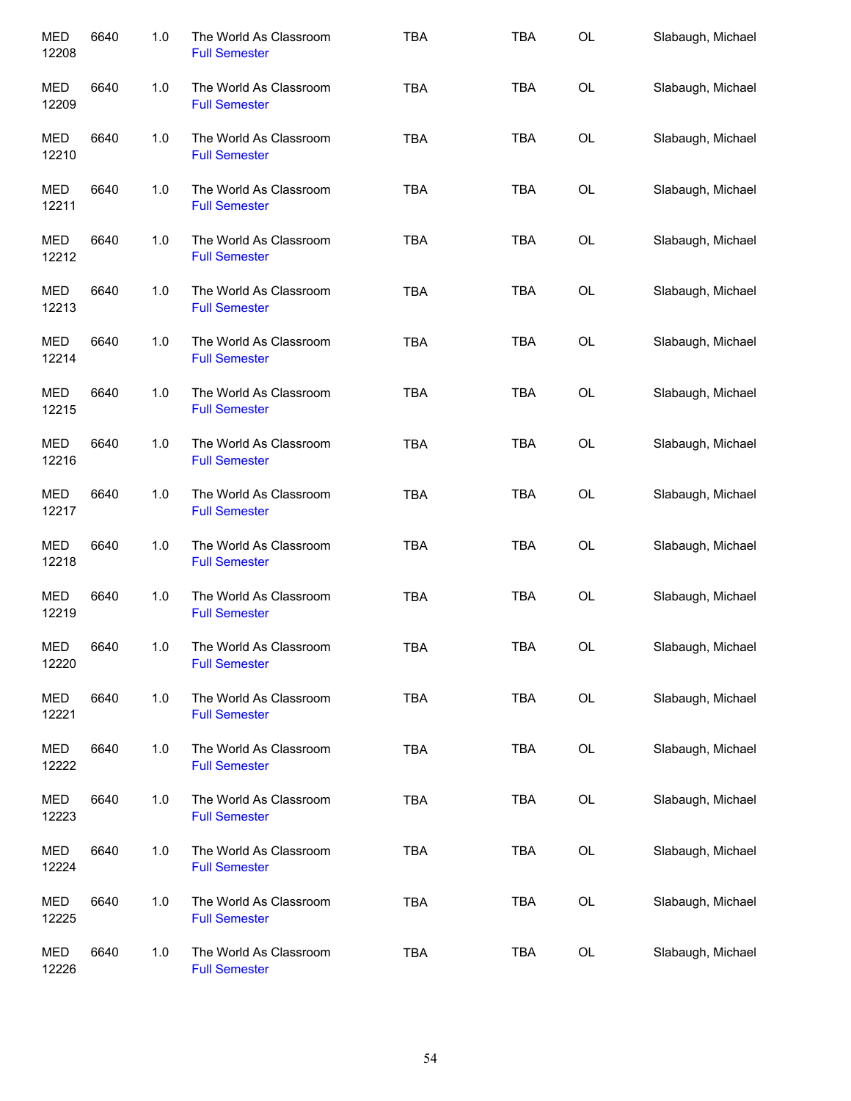| <b>MED</b><br>12208 | 6640 | 1.0 | The World As Classroom<br><b>Full Semester</b> | <b>TBA</b> | <b>TBA</b> | OL        | Slabaugh, Michael |
|---------------------|------|-----|------------------------------------------------|------------|------------|-----------|-------------------|
| MED<br>12209        | 6640 | 1.0 | The World As Classroom<br><b>Full Semester</b> | <b>TBA</b> | TBA        | OL        | Slabaugh, Michael |
| MED<br>12210        | 6640 | 1.0 | The World As Classroom<br><b>Full Semester</b> | <b>TBA</b> | TBA        | OL        | Slabaugh, Michael |
| MED<br>12211        | 6640 | 1.0 | The World As Classroom<br><b>Full Semester</b> | <b>TBA</b> | TBA        | OL        | Slabaugh, Michael |
| MED<br>12212        | 6640 | 1.0 | The World As Classroom<br><b>Full Semester</b> | <b>TBA</b> | TBA        | OL        | Slabaugh, Michael |
| MED<br>12213        | 6640 | 1.0 | The World As Classroom<br><b>Full Semester</b> | <b>TBA</b> | <b>TBA</b> | OL        | Slabaugh, Michael |
| <b>MED</b><br>12214 | 6640 | 1.0 | The World As Classroom<br><b>Full Semester</b> | <b>TBA</b> | <b>TBA</b> | OL        | Slabaugh, Michael |
| <b>MED</b><br>12215 | 6640 | 1.0 | The World As Classroom<br><b>Full Semester</b> | <b>TBA</b> | <b>TBA</b> | OL        | Slabaugh, Michael |
| <b>MED</b><br>12216 | 6640 | 1.0 | The World As Classroom<br><b>Full Semester</b> | <b>TBA</b> | <b>TBA</b> | OL        | Slabaugh, Michael |
| <b>MED</b><br>12217 | 6640 | 1.0 | The World As Classroom<br><b>Full Semester</b> | <b>TBA</b> | <b>TBA</b> | <b>OL</b> | Slabaugh, Michael |
| <b>MED</b><br>12218 | 6640 | 1.0 | The World As Classroom<br><b>Full Semester</b> | <b>TBA</b> | <b>TBA</b> | OL        | Slabaugh, Michael |
| <b>MED</b><br>12219 | 6640 | 1.0 | The World As Classroom<br><b>Full Semester</b> | <b>TBA</b> | <b>TBA</b> | OL        | Slabaugh, Michael |
| MED<br>12220        | 6640 | 1.0 | The World As Classroom<br><b>Full Semester</b> | TBA        | <b>TBA</b> | OL        | Slabaugh, Michael |
| <b>MED</b><br>12221 | 6640 | 1.0 | The World As Classroom<br><b>Full Semester</b> | <b>TBA</b> | <b>TBA</b> | OL        | Slabaugh, Michael |
| <b>MED</b><br>12222 | 6640 | 1.0 | The World As Classroom<br><b>Full Semester</b> | <b>TBA</b> | <b>TBA</b> | OL        | Slabaugh, Michael |
| <b>MED</b><br>12223 | 6640 | 1.0 | The World As Classroom<br><b>Full Semester</b> | <b>TBA</b> | <b>TBA</b> | OL        | Slabaugh, Michael |
| MED<br>12224        | 6640 | 1.0 | The World As Classroom<br><b>Full Semester</b> | <b>TBA</b> | <b>TBA</b> | OL        | Slabaugh, Michael |
| <b>MED</b><br>12225 | 6640 | 1.0 | The World As Classroom<br><b>Full Semester</b> | <b>TBA</b> | <b>TBA</b> | OL        | Slabaugh, Michael |
| <b>MED</b><br>12226 | 6640 | 1.0 | The World As Classroom<br><b>Full Semester</b> | <b>TBA</b> | <b>TBA</b> | OL        | Slabaugh, Michael |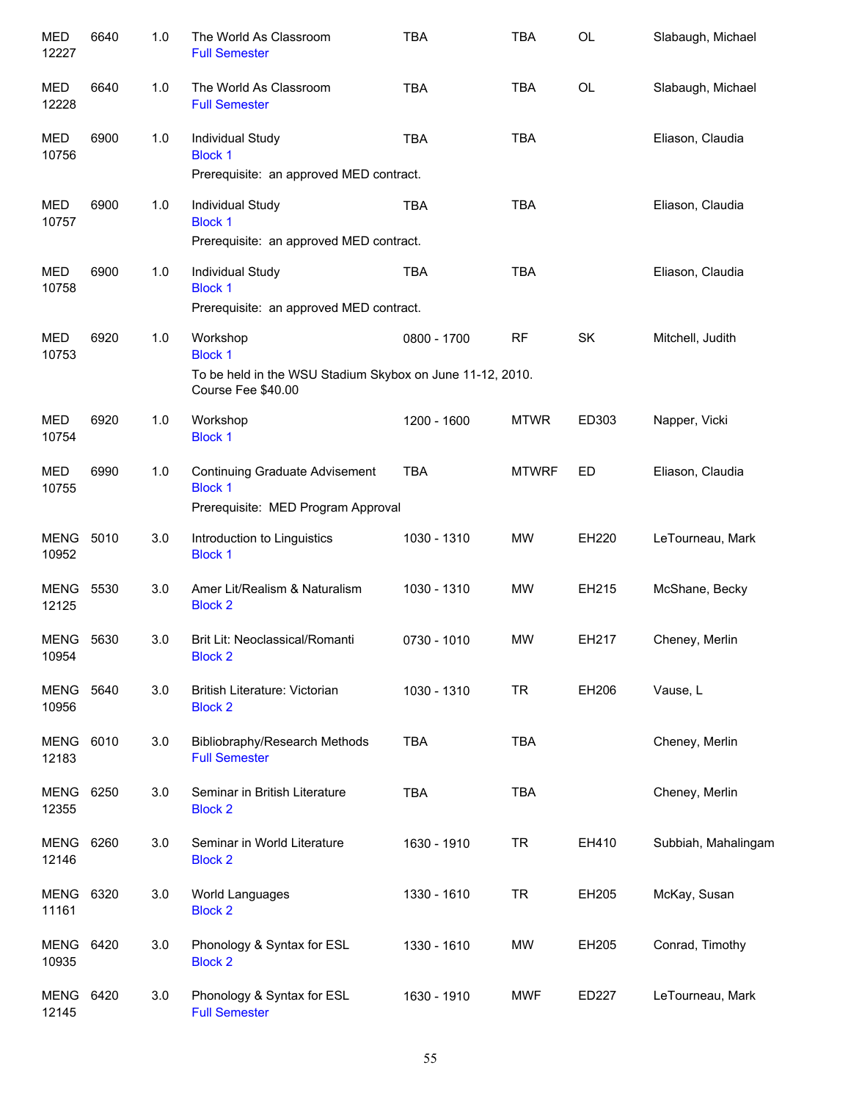| MED<br>12227              | 6640 | 1.0 | The World As Classroom<br><b>Full Semester</b>                                  | <b>TBA</b>  | <b>TBA</b>   | <b>OL</b> | Slabaugh, Michael   |
|---------------------------|------|-----|---------------------------------------------------------------------------------|-------------|--------------|-----------|---------------------|
| <b>MED</b><br>12228       | 6640 | 1.0 | The World As Classroom<br><b>Full Semester</b>                                  | <b>TBA</b>  | <b>TBA</b>   | <b>OL</b> | Slabaugh, Michael   |
| <b>MED</b><br>10756       | 6900 | 1.0 | Individual Study<br><b>Block 1</b>                                              | <b>TBA</b>  | <b>TBA</b>   |           | Eliason, Claudia    |
|                           |      |     | Prerequisite: an approved MED contract.                                         |             |              |           |                     |
| <b>MED</b><br>10757       | 6900 | 1.0 | Individual Study<br><b>Block 1</b>                                              | <b>TBA</b>  | <b>TBA</b>   |           | Eliason, Claudia    |
|                           |      |     | Prerequisite: an approved MED contract.                                         |             |              |           |                     |
| <b>MED</b><br>10758       | 6900 | 1.0 | Individual Study<br><b>Block 1</b>                                              | <b>TBA</b>  | <b>TBA</b>   |           | Eliason, Claudia    |
|                           |      |     | Prerequisite: an approved MED contract.                                         |             |              |           |                     |
| <b>MED</b><br>10753       | 6920 | 1.0 | Workshop<br><b>Block 1</b>                                                      | 0800 - 1700 | <b>RF</b>    | SK        | Mitchell, Judith    |
|                           |      |     | To be held in the WSU Stadium Skybox on June 11-12, 2010.<br>Course Fee \$40.00 |             |              |           |                     |
| MED<br>10754              | 6920 | 1.0 | Workshop<br><b>Block 1</b>                                                      | 1200 - 1600 | <b>MTWR</b>  | ED303     | Napper, Vicki       |
| <b>MED</b><br>10755       | 6990 | 1.0 | <b>Continuing Graduate Advisement</b><br><b>Block 1</b>                         | <b>TBA</b>  | <b>MTWRF</b> | ED        | Eliason, Claudia    |
|                           |      |     | Prerequisite: MED Program Approval                                              |             |              |           |                     |
| MENG<br>10952             | 5010 | 3.0 | Introduction to Linguistics<br><b>Block 1</b>                                   | 1030 - 1310 | <b>MW</b>    | EH220     | LeTourneau, Mark    |
| MENG<br>12125             | 5530 | 3.0 | Amer Lit/Realism & Naturalism<br><b>Block 2</b>                                 | 1030 - 1310 | <b>MW</b>    | EH215     | McShane, Becky      |
| <b>MENG 5630</b><br>10954 |      | 3.0 | Brit Lit: Neoclassical/Romanti<br><b>Block 2</b>                                | 0730 - 1010 | <b>MW</b>    | EH217     | Cheney, Merlin      |
| <b>MENG</b><br>10956      | 5640 | 3.0 | British Literature: Victorian<br><b>Block 2</b>                                 | 1030 - 1310 | <b>TR</b>    | EH206     | Vause, L            |
| <b>MENG</b><br>12183      | 6010 | 3.0 | Bibliobraphy/Research Methods<br><b>Full Semester</b>                           | <b>TBA</b>  | <b>TBA</b>   |           | Cheney, Merlin      |
| <b>MENG</b><br>12355      | 6250 | 3.0 | Seminar in British Literature<br><b>Block 2</b>                                 | <b>TBA</b>  | <b>TBA</b>   |           | Cheney, Merlin      |
| <b>MENG</b><br>12146      | 6260 | 3.0 | Seminar in World Literature<br><b>Block 2</b>                                   | 1630 - 1910 | <b>TR</b>    | EH410     | Subbiah, Mahalingam |
| MENG<br>11161             | 6320 | 3.0 | World Languages<br><b>Block 2</b>                                               | 1330 - 1610 | <b>TR</b>    | EH205     | McKay, Susan        |
| MENG<br>10935             | 6420 | 3.0 | Phonology & Syntax for ESL<br><b>Block 2</b>                                    | 1330 - 1610 | MW           | EH205     | Conrad, Timothy     |
| MENG<br>12145             | 6420 | 3.0 | Phonology & Syntax for ESL<br><b>Full Semester</b>                              | 1630 - 1910 | <b>MWF</b>   | ED227     | LeTourneau, Mark    |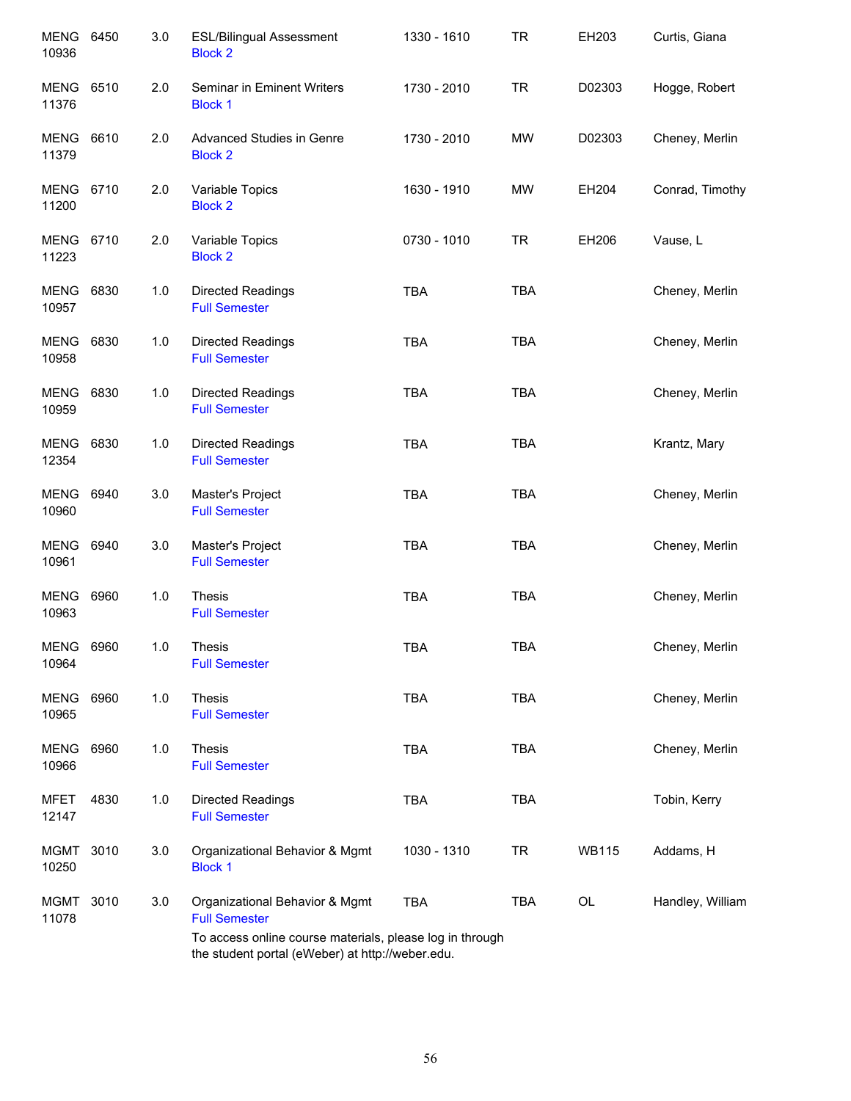| <b>MENG</b><br>10936      | 6450 | 3.0 | <b>ESL/Bilingual Assessment</b><br><b>Block 2</b>                                                            | 1330 - 1610 | <b>TR</b>  | EH203        | Curtis, Giana    |
|---------------------------|------|-----|--------------------------------------------------------------------------------------------------------------|-------------|------------|--------------|------------------|
| <b>MENG 6510</b><br>11376 |      | 2.0 | Seminar in Eminent Writers<br><b>Block 1</b>                                                                 | 1730 - 2010 | <b>TR</b>  | D02303       | Hogge, Robert    |
| MENG<br>11379             | 6610 | 2.0 | Advanced Studies in Genre<br><b>Block 2</b>                                                                  | 1730 - 2010 | <b>MW</b>  | D02303       | Cheney, Merlin   |
| MENG 6710<br>11200        |      | 2.0 | Variable Topics<br><b>Block 2</b>                                                                            | 1630 - 1910 | <b>MW</b>  | EH204        | Conrad, Timothy  |
| MENG 6710<br>11223        |      | 2.0 | Variable Topics<br><b>Block 2</b>                                                                            | 0730 - 1010 | <b>TR</b>  | EH206        | Vause, L         |
| <b>MENG</b><br>10957      | 6830 | 1.0 | <b>Directed Readings</b><br><b>Full Semester</b>                                                             | <b>TBA</b>  | <b>TBA</b> |              | Cheney, Merlin   |
| <b>MENG</b><br>10958      | 6830 | 1.0 | Directed Readings<br><b>Full Semester</b>                                                                    | <b>TBA</b>  | <b>TBA</b> |              | Cheney, Merlin   |
| <b>MENG</b><br>10959      | 6830 | 1.0 | Directed Readings<br><b>Full Semester</b>                                                                    | <b>TBA</b>  | <b>TBA</b> |              | Cheney, Merlin   |
| <b>MENG</b><br>12354      | 6830 | 1.0 | <b>Directed Readings</b><br><b>Full Semester</b>                                                             | <b>TBA</b>  | <b>TBA</b> |              | Krantz, Mary     |
| <b>MENG</b><br>10960      | 6940 | 3.0 | Master's Project<br><b>Full Semester</b>                                                                     | <b>TBA</b>  | <b>TBA</b> |              | Cheney, Merlin   |
| MENG<br>10961             | 6940 | 3.0 | Master's Project<br><b>Full Semester</b>                                                                     | <b>TBA</b>  | <b>TBA</b> |              | Cheney, Merlin   |
| <b>MENG</b><br>10963      | 6960 | 1.0 | <b>Thesis</b><br><b>Full Semester</b>                                                                        | <b>TBA</b>  | <b>TBA</b> |              | Cheney, Merlin   |
| <b>MENG 6960</b><br>10964 |      | 1.0 | <b>Thesis</b><br><b>Full Semester</b>                                                                        | TBA         | TBA        |              | Cheney, Merlin   |
| MENG<br>10965             | 6960 | 1.0 | <b>Thesis</b><br><b>Full Semester</b>                                                                        | <b>TBA</b>  | <b>TBA</b> |              | Cheney, Merlin   |
| <b>MENG</b><br>10966      | 6960 | 1.0 | <b>Thesis</b><br><b>Full Semester</b>                                                                        | <b>TBA</b>  | <b>TBA</b> |              | Cheney, Merlin   |
| <b>MFET</b><br>12147      | 4830 | 1.0 | Directed Readings<br><b>Full Semester</b>                                                                    | <b>TBA</b>  | <b>TBA</b> |              | Tobin, Kerry     |
| <b>MGMT</b><br>10250      | 3010 | 3.0 | Organizational Behavior & Mgmt<br><b>Block 1</b>                                                             | 1030 - 1310 | <b>TR</b>  | <b>WB115</b> | Addams, H        |
| <b>MGMT</b><br>11078      | 3010 | 3.0 | Organizational Behavior & Mgmt<br><b>Full Semester</b>                                                       | <b>TBA</b>  | TBA        | OL           | Handley, William |
|                           |      |     | To access online course materials, please log in through<br>the student portal (eWeber) at http://weber.edu. |             |            |              |                  |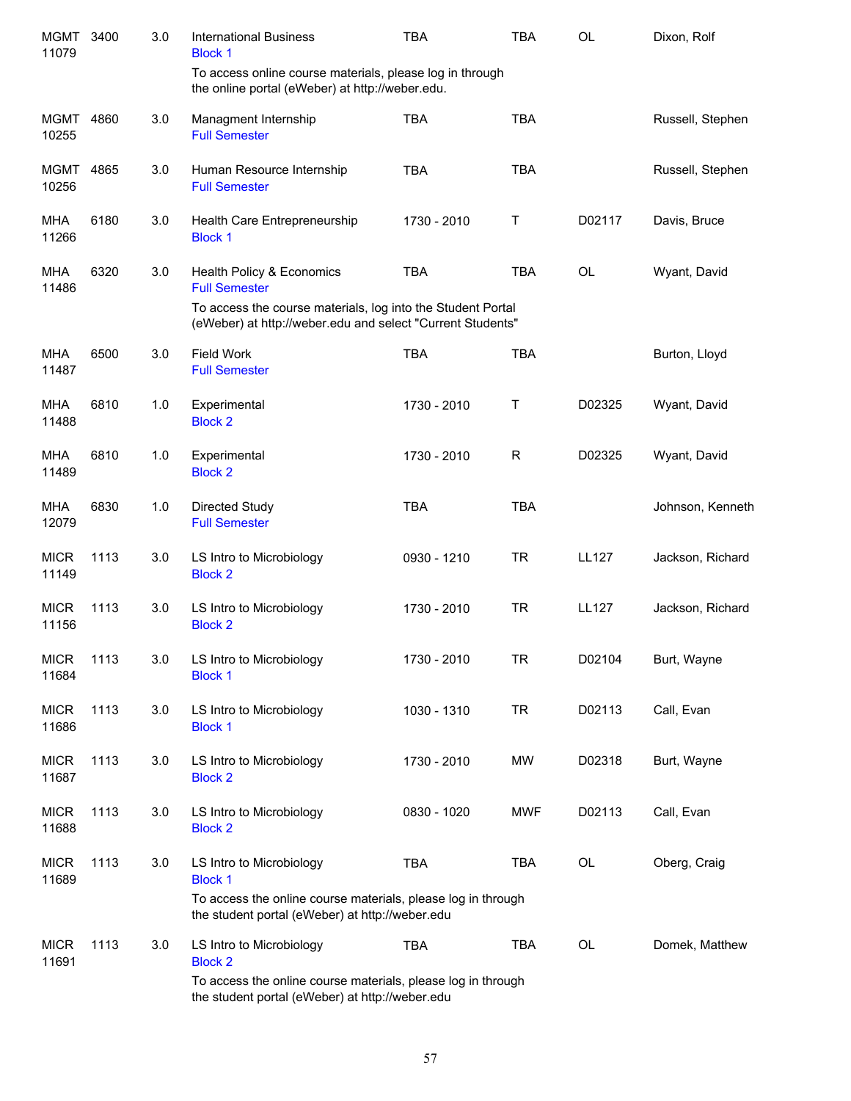| <b>MGMT</b><br>11079 | 3400 | 3.0 | <b>International Business</b><br><b>Block 1</b>                                                                           | <b>TBA</b>  | TBA        | <b>OL</b>    | Dixon, Rolf      |
|----------------------|------|-----|---------------------------------------------------------------------------------------------------------------------------|-------------|------------|--------------|------------------|
|                      |      |     | To access online course materials, please log in through<br>the online portal (eWeber) at http://weber.edu.               |             |            |              |                  |
| MGMT<br>10255        | 4860 | 3.0 | Managment Internship<br><b>Full Semester</b>                                                                              | <b>TBA</b>  | <b>TBA</b> |              | Russell, Stephen |
| <b>MGMT</b><br>10256 | 4865 | 3.0 | Human Resource Internship<br><b>Full Semester</b>                                                                         | <b>TBA</b>  | <b>TBA</b> |              | Russell, Stephen |
| <b>MHA</b><br>11266  | 6180 | 3.0 | Health Care Entrepreneurship<br><b>Block 1</b>                                                                            | 1730 - 2010 | Т          | D02117       | Davis, Bruce     |
| <b>MHA</b><br>11486  | 6320 | 3.0 | Health Policy & Economics<br><b>Full Semester</b>                                                                         | <b>TBA</b>  | <b>TBA</b> | <b>OL</b>    | Wyant, David     |
|                      |      |     | To access the course materials, log into the Student Portal<br>(eWeber) at http://weber.edu and select "Current Students" |             |            |              |                  |
| <b>MHA</b><br>11487  | 6500 | 3.0 | <b>Field Work</b><br><b>Full Semester</b>                                                                                 | <b>TBA</b>  | <b>TBA</b> |              | Burton, Lloyd    |
| <b>MHA</b><br>11488  | 6810 | 1.0 | Experimental<br><b>Block 2</b>                                                                                            | 1730 - 2010 | Т          | D02325       | Wyant, David     |
| <b>MHA</b><br>11489  | 6810 | 1.0 | Experimental<br><b>Block 2</b>                                                                                            | 1730 - 2010 | R          | D02325       | Wyant, David     |
| <b>MHA</b><br>12079  | 6830 | 1.0 | Directed Study<br><b>Full Semester</b>                                                                                    | <b>TBA</b>  | <b>TBA</b> |              | Johnson, Kenneth |
| <b>MICR</b><br>11149 | 1113 | 3.0 | LS Intro to Microbiology<br><b>Block 2</b>                                                                                | 0930 - 1210 | <b>TR</b>  | <b>LL127</b> | Jackson, Richard |
| <b>MICR</b><br>11156 | 1113 | 3.0 | LS Intro to Microbiology<br><b>Block 2</b>                                                                                | 1730 - 2010 | <b>TR</b>  | <b>LL127</b> | Jackson, Richard |
| <b>MICR</b><br>11684 | 1113 | 3.0 | LS Intro to Microbiology<br><b>Block 1</b>                                                                                | 1730 - 2010 | TR         | D02104       | Burt, Wayne      |
| <b>MICR</b><br>11686 | 1113 | 3.0 | LS Intro to Microbiology<br><b>Block 1</b>                                                                                | 1030 - 1310 | <b>TR</b>  | D02113       | Call, Evan       |
| <b>MICR</b><br>11687 | 1113 | 3.0 | LS Intro to Microbiology<br><b>Block 2</b>                                                                                | 1730 - 2010 | <b>MW</b>  | D02318       | Burt, Wayne      |
| <b>MICR</b><br>11688 | 1113 | 3.0 | LS Intro to Microbiology<br><b>Block 2</b>                                                                                | 0830 - 1020 | <b>MWF</b> | D02113       | Call, Evan       |
| <b>MICR</b><br>11689 | 1113 | 3.0 | LS Intro to Microbiology<br><b>Block 1</b>                                                                                | <b>TBA</b>  | <b>TBA</b> | OL           | Oberg, Craig     |
|                      |      |     | To access the online course materials, please log in through<br>the student portal (eWeber) at http://weber.edu           |             |            |              |                  |
| <b>MICR</b><br>11691 | 1113 | 3.0 | LS Intro to Microbiology<br><b>Block 2</b>                                                                                | <b>TBA</b>  | <b>TBA</b> | OL           | Domek, Matthew   |
|                      |      |     | To access the online course materials, please log in through<br>the student portal (eWeber) at http://weber.edu           |             |            |              |                  |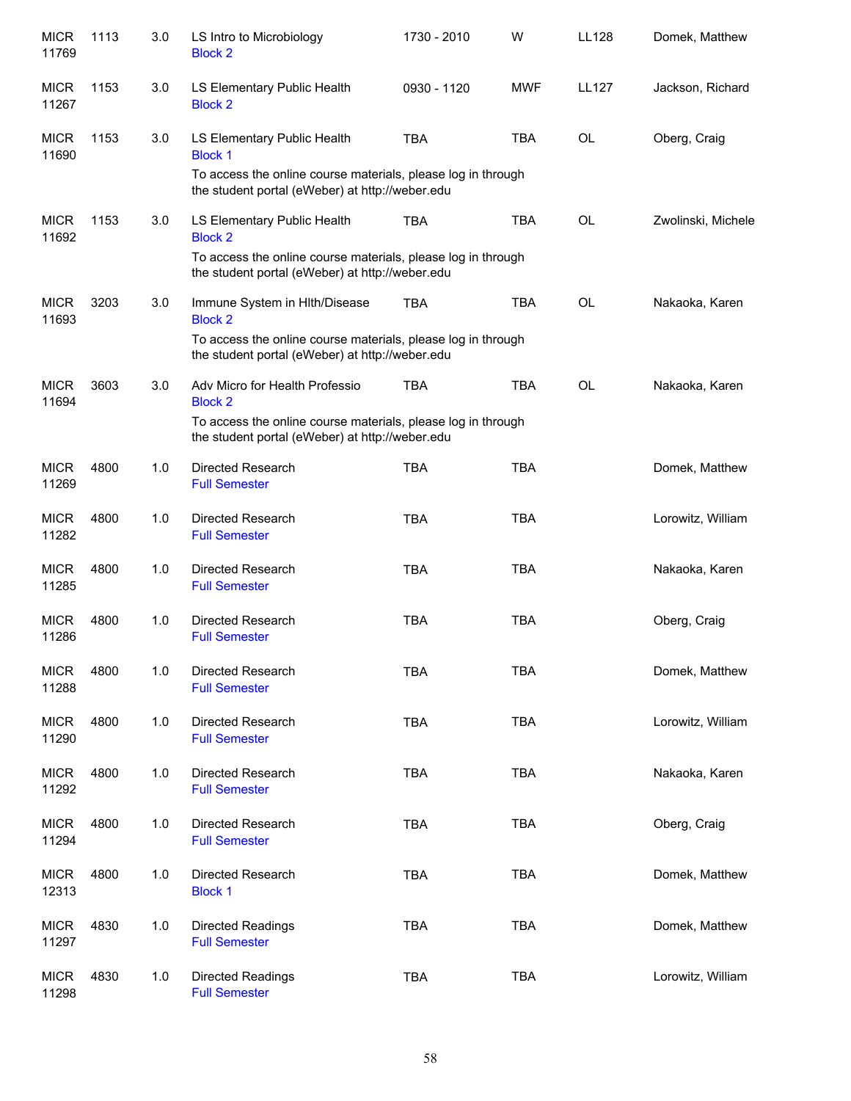| <b>MICR</b><br>11769 | 1113 | 3.0 | LS Intro to Microbiology<br><b>Block 2</b>                                                                                                                          | 1730 - 2010 | W          | LL128        | Domek, Matthew     |
|----------------------|------|-----|---------------------------------------------------------------------------------------------------------------------------------------------------------------------|-------------|------------|--------------|--------------------|
| <b>MICR</b><br>11267 | 1153 | 3.0 | LS Elementary Public Health<br><b>Block 2</b>                                                                                                                       | 0930 - 1120 | <b>MWF</b> | <b>LL127</b> | Jackson, Richard   |
| <b>MICR</b><br>11690 | 1153 | 3.0 | LS Elementary Public Health<br><b>Block 1</b><br>To access the online course materials, please log in through<br>the student portal (eWeber) at http://weber.edu    | <b>TBA</b>  | <b>TBA</b> | <b>OL</b>    | Oberg, Craig       |
| <b>MICR</b><br>11692 | 1153 | 3.0 | LS Elementary Public Health<br><b>Block 2</b><br>To access the online course materials, please log in through<br>the student portal (eWeber) at http://weber.edu    | <b>TBA</b>  | <b>TBA</b> | <b>OL</b>    | Zwolinski, Michele |
| <b>MICR</b><br>11693 | 3203 | 3.0 | Immune System in HIth/Disease<br><b>Block 2</b><br>To access the online course materials, please log in through<br>the student portal (eWeber) at http://weber.edu  | <b>TBA</b>  | <b>TBA</b> | <b>OL</b>    | Nakaoka, Karen     |
| <b>MICR</b><br>11694 | 3603 | 3.0 | Adv Micro for Health Professio<br><b>Block 2</b><br>To access the online course materials, please log in through<br>the student portal (eWeber) at http://weber.edu | <b>TBA</b>  | <b>TBA</b> | <b>OL</b>    | Nakaoka, Karen     |
| <b>MICR</b><br>11269 | 4800 | 1.0 | Directed Research<br><b>Full Semester</b>                                                                                                                           | <b>TBA</b>  | <b>TBA</b> |              | Domek, Matthew     |
| <b>MICR</b><br>11282 | 4800 | 1.0 | Directed Research<br><b>Full Semester</b>                                                                                                                           | <b>TBA</b>  | <b>TBA</b> |              | Lorowitz, William  |
| <b>MICR</b><br>11285 | 4800 | 1.0 | <b>Directed Research</b><br><b>Full Semester</b>                                                                                                                    | <b>TBA</b>  | <b>TBA</b> |              | Nakaoka, Karen     |
| <b>MICR</b><br>11286 | 4800 | 1.0 | Directed Research<br><b>Full Semester</b>                                                                                                                           | <b>TBA</b>  | <b>TBA</b> |              | Oberg, Craig       |
| <b>MICR</b><br>11288 | 4800 | 1.0 | Directed Research<br><b>Full Semester</b>                                                                                                                           | <b>TBA</b>  | <b>TBA</b> |              | Domek, Matthew     |
| <b>MICR</b><br>11290 | 4800 | 1.0 | <b>Directed Research</b><br><b>Full Semester</b>                                                                                                                    | <b>TBA</b>  | <b>TBA</b> |              | Lorowitz, William  |
| <b>MICR</b><br>11292 | 4800 | 1.0 | Directed Research<br><b>Full Semester</b>                                                                                                                           | <b>TBA</b>  | <b>TBA</b> |              | Nakaoka, Karen     |
| <b>MICR</b><br>11294 | 4800 | 1.0 | Directed Research<br><b>Full Semester</b>                                                                                                                           | <b>TBA</b>  | <b>TBA</b> |              | Oberg, Craig       |
| <b>MICR</b><br>12313 | 4800 | 1.0 | Directed Research<br><b>Block 1</b>                                                                                                                                 | <b>TBA</b>  | <b>TBA</b> |              | Domek, Matthew     |
| <b>MICR</b><br>11297 | 4830 | 1.0 | <b>Directed Readings</b><br><b>Full Semester</b>                                                                                                                    | <b>TBA</b>  | <b>TBA</b> |              | Domek, Matthew     |
| <b>MICR</b><br>11298 | 4830 | 1.0 | <b>Directed Readings</b><br><b>Full Semester</b>                                                                                                                    | <b>TBA</b>  | <b>TBA</b> |              | Lorowitz, William  |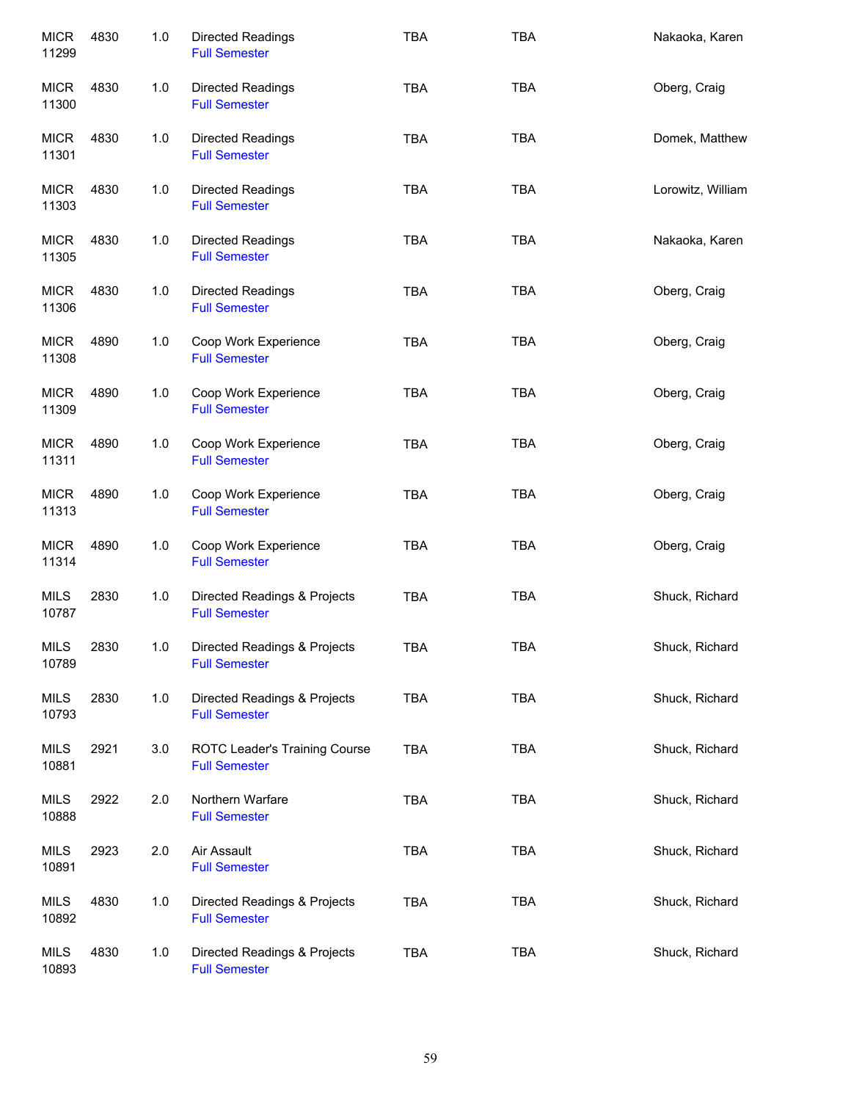| <b>MICR</b><br>11299 | 4830 | 1.0 | <b>Directed Readings</b><br><b>Full Semester</b>      | <b>TBA</b> | <b>TBA</b> | Nakaoka, Karen    |
|----------------------|------|-----|-------------------------------------------------------|------------|------------|-------------------|
| <b>MICR</b><br>11300 | 4830 | 1.0 | <b>Directed Readings</b><br><b>Full Semester</b>      | <b>TBA</b> | <b>TBA</b> | Oberg, Craig      |
| <b>MICR</b><br>11301 | 4830 | 1.0 | <b>Directed Readings</b><br><b>Full Semester</b>      | <b>TBA</b> | <b>TBA</b> | Domek, Matthew    |
| <b>MICR</b><br>11303 | 4830 | 1.0 | <b>Directed Readings</b><br><b>Full Semester</b>      | <b>TBA</b> | <b>TBA</b> | Lorowitz, William |
| <b>MICR</b><br>11305 | 4830 | 1.0 | Directed Readings<br><b>Full Semester</b>             | <b>TBA</b> | <b>TBA</b> | Nakaoka, Karen    |
| <b>MICR</b><br>11306 | 4830 | 1.0 | Directed Readings<br><b>Full Semester</b>             | <b>TBA</b> | <b>TBA</b> | Oberg, Craig      |
| <b>MICR</b><br>11308 | 4890 | 1.0 | Coop Work Experience<br><b>Full Semester</b>          | <b>TBA</b> | <b>TBA</b> | Oberg, Craig      |
| <b>MICR</b><br>11309 | 4890 | 1.0 | Coop Work Experience<br><b>Full Semester</b>          | <b>TBA</b> | <b>TBA</b> | Oberg, Craig      |
| <b>MICR</b><br>11311 | 4890 | 1.0 | Coop Work Experience<br><b>Full Semester</b>          | <b>TBA</b> | <b>TBA</b> | Oberg, Craig      |
| <b>MICR</b><br>11313 | 4890 | 1.0 | Coop Work Experience<br><b>Full Semester</b>          | <b>TBA</b> | <b>TBA</b> | Oberg, Craig      |
| <b>MICR</b><br>11314 | 4890 | 1.0 | Coop Work Experience<br><b>Full Semester</b>          | <b>TBA</b> | <b>TBA</b> | Oberg, Craig      |
| <b>MILS</b><br>10787 | 2830 | 1.0 | Directed Readings & Projects<br><b>Full Semester</b>  | <b>TBA</b> | <b>TBA</b> | Shuck, Richard    |
| <b>MILS</b><br>10789 | 2830 | 1.0 | Directed Readings & Projects<br><b>Full Semester</b>  | <b>TBA</b> | <b>TBA</b> | Shuck, Richard    |
| <b>MILS</b><br>10793 | 2830 | 1.0 | Directed Readings & Projects<br><b>Full Semester</b>  | <b>TBA</b> | <b>TBA</b> | Shuck, Richard    |
| <b>MILS</b><br>10881 | 2921 | 3.0 | ROTC Leader's Training Course<br><b>Full Semester</b> | <b>TBA</b> | <b>TBA</b> | Shuck, Richard    |
| <b>MILS</b><br>10888 | 2922 | 2.0 | Northern Warfare<br><b>Full Semester</b>              | <b>TBA</b> | <b>TBA</b> | Shuck, Richard    |
| <b>MILS</b><br>10891 | 2923 | 2.0 | Air Assault<br><b>Full Semester</b>                   | <b>TBA</b> | <b>TBA</b> | Shuck, Richard    |
| <b>MILS</b><br>10892 | 4830 | 1.0 | Directed Readings & Projects<br><b>Full Semester</b>  | <b>TBA</b> | <b>TBA</b> | Shuck, Richard    |
| <b>MILS</b><br>10893 | 4830 | 1.0 | Directed Readings & Projects<br><b>Full Semester</b>  | <b>TBA</b> | <b>TBA</b> | Shuck, Richard    |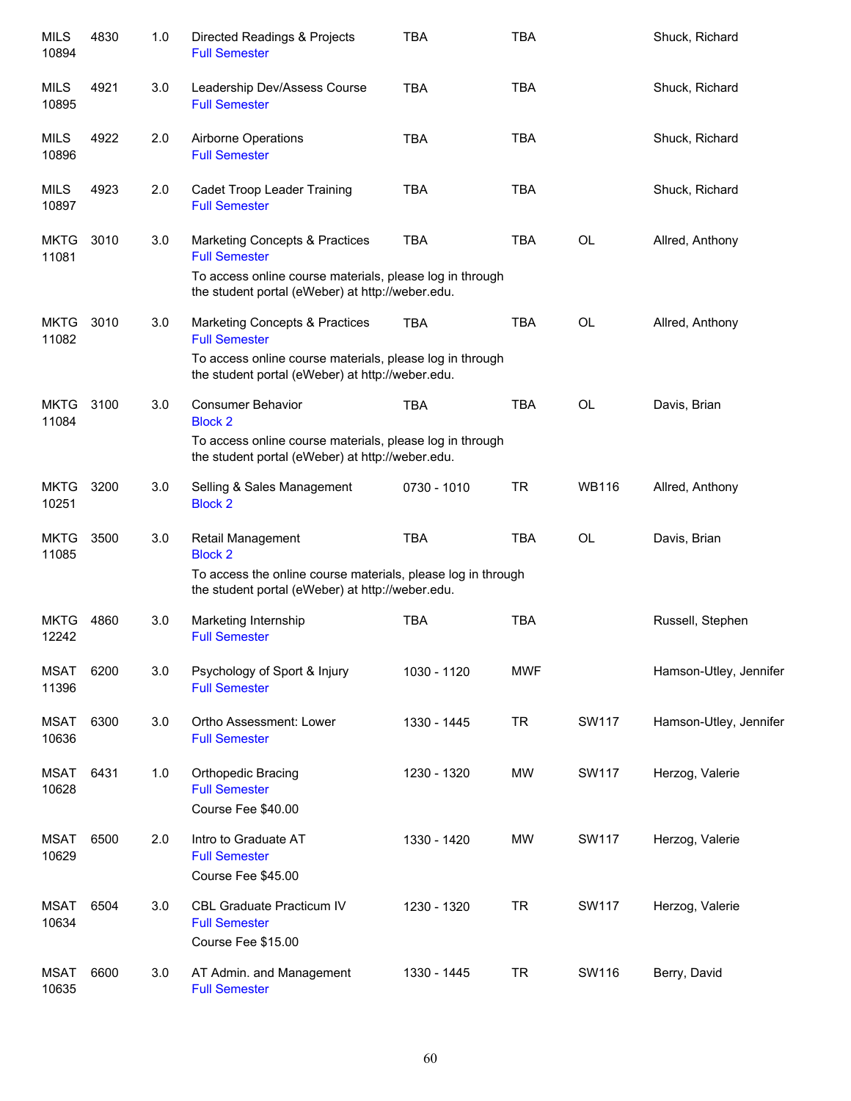| <b>MILS</b><br>10894 | 4830 | 1.0 | Directed Readings & Projects<br><b>Full Semester</b>                                                                                                                   | <b>TBA</b>  | <b>TBA</b> |              | Shuck, Richard         |
|----------------------|------|-----|------------------------------------------------------------------------------------------------------------------------------------------------------------------------|-------------|------------|--------------|------------------------|
| <b>MILS</b><br>10895 | 4921 | 3.0 | Leadership Dev/Assess Course<br><b>Full Semester</b>                                                                                                                   | <b>TBA</b>  | <b>TBA</b> |              | Shuck, Richard         |
| <b>MILS</b><br>10896 | 4922 | 2.0 | Airborne Operations<br><b>Full Semester</b>                                                                                                                            | <b>TBA</b>  | <b>TBA</b> |              | Shuck, Richard         |
| <b>MILS</b><br>10897 | 4923 | 2.0 | Cadet Troop Leader Training<br><b>Full Semester</b>                                                                                                                    | <b>TBA</b>  | <b>TBA</b> |              | Shuck, Richard         |
| <b>MKTG</b><br>11081 | 3010 | 3.0 | Marketing Concepts & Practices<br><b>Full Semester</b><br>To access online course materials, please log in through<br>the student portal (eWeber) at http://weber.edu. | <b>TBA</b>  | <b>TBA</b> | <b>OL</b>    | Allred, Anthony        |
| <b>MKTG</b><br>11082 | 3010 | 3.0 | Marketing Concepts & Practices<br><b>Full Semester</b><br>To access online course materials, please log in through<br>the student portal (eWeber) at http://weber.edu. | <b>TBA</b>  | <b>TBA</b> | <b>OL</b>    | Allred, Anthony        |
| <b>MKTG</b><br>11084 | 3100 | 3.0 | <b>Consumer Behavior</b><br><b>Block 2</b><br>To access online course materials, please log in through<br>the student portal (eWeber) at http://weber.edu.             | <b>TBA</b>  | <b>TBA</b> | <b>OL</b>    | Davis, Brian           |
| <b>MKTG</b><br>10251 | 3200 | 3.0 | Selling & Sales Management<br><b>Block 2</b>                                                                                                                           | 0730 - 1010 | TR         | <b>WB116</b> | Allred, Anthony        |
| <b>MKTG</b><br>11085 | 3500 | 3.0 | Retail Management<br><b>Block 2</b><br>To access the online course materials, please log in through<br>the student portal (eWeber) at http://weber.edu.                | <b>TBA</b>  | <b>TBA</b> | <b>OL</b>    | Davis, Brian           |
| <b>MKTG</b><br>12242 | 4860 | 3.0 | Marketing Internship<br><b>Full Semester</b>                                                                                                                           | <b>TBA</b>  | <b>TBA</b> |              | Russell, Stephen       |
| <b>MSAT</b><br>11396 | 6200 | 3.0 | Psychology of Sport & Injury<br><b>Full Semester</b>                                                                                                                   | 1030 - 1120 | <b>MWF</b> |              | Hamson-Utley, Jennifer |
| <b>MSAT</b><br>10636 | 6300 | 3.0 | Ortho Assessment: Lower<br><b>Full Semester</b>                                                                                                                        | 1330 - 1445 | <b>TR</b>  | <b>SW117</b> | Hamson-Utley, Jennifer |
| <b>MSAT</b><br>10628 | 6431 | 1.0 | Orthopedic Bracing<br><b>Full Semester</b><br>Course Fee \$40.00                                                                                                       | 1230 - 1320 | <b>MW</b>  | <b>SW117</b> | Herzog, Valerie        |
| <b>MSAT</b><br>10629 | 6500 | 2.0 | Intro to Graduate AT<br><b>Full Semester</b><br>Course Fee \$45.00                                                                                                     | 1330 - 1420 | MW         | SW117        | Herzog, Valerie        |
| <b>MSAT</b><br>10634 | 6504 | 3.0 | CBL Graduate Practicum IV<br><b>Full Semester</b><br>Course Fee \$15.00                                                                                                | 1230 - 1320 | <b>TR</b>  | SW117        | Herzog, Valerie        |
| <b>MSAT</b><br>10635 | 6600 | 3.0 | AT Admin. and Management<br><b>Full Semester</b>                                                                                                                       | 1330 - 1445 | <b>TR</b>  | SW116        | Berry, David           |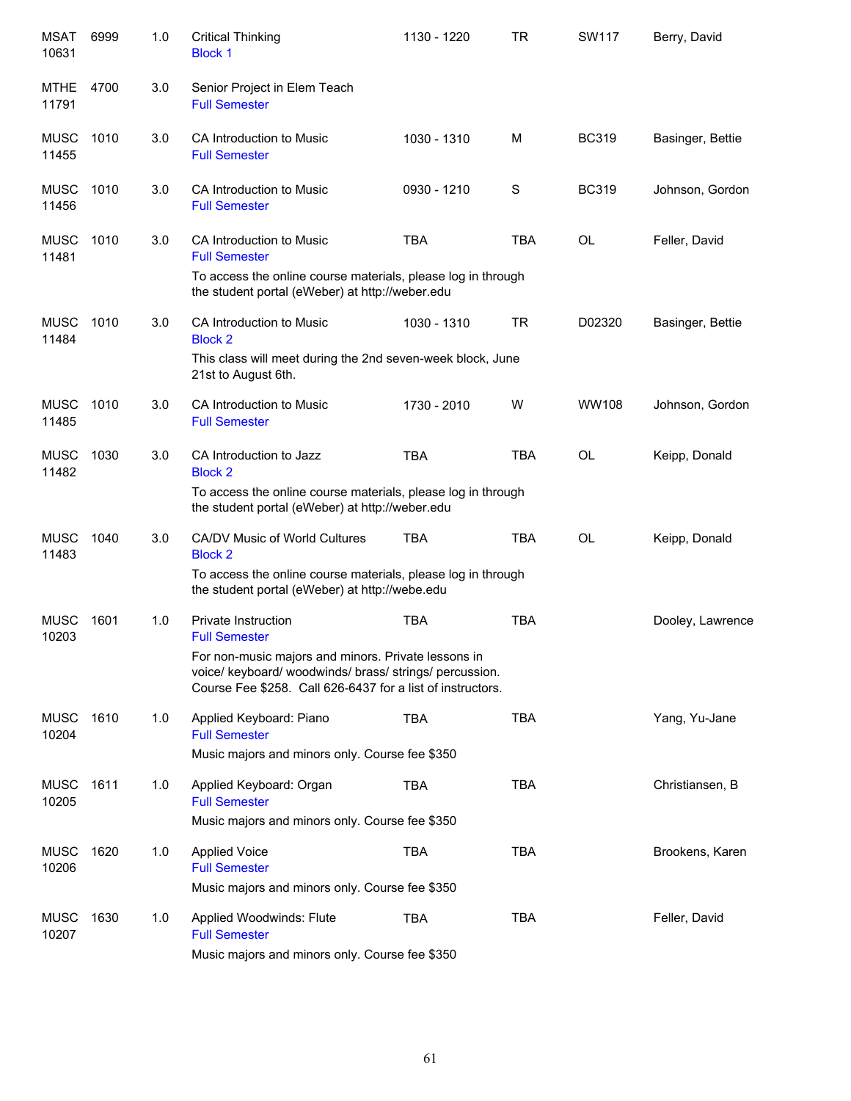| <b>MSAT</b><br>10631 | 6999 | 1.0 | <b>Critical Thinking</b><br><b>Block 1</b>                                                                                                                                   | 1130 - 1220 | <b>TR</b>  | SW117        | Berry, David     |
|----------------------|------|-----|------------------------------------------------------------------------------------------------------------------------------------------------------------------------------|-------------|------------|--------------|------------------|
| MTHE<br>11791        | 4700 | 3.0 | Senior Project in Elem Teach<br><b>Full Semester</b>                                                                                                                         |             |            |              |                  |
| <b>MUSC</b><br>11455 | 1010 | 3.0 | CA Introduction to Music<br><b>Full Semester</b>                                                                                                                             | 1030 - 1310 | M          | <b>BC319</b> | Basinger, Bettie |
| <b>MUSC</b><br>11456 | 1010 | 3.0 | CA Introduction to Music<br><b>Full Semester</b>                                                                                                                             | 0930 - 1210 | S          | <b>BC319</b> | Johnson, Gordon  |
| <b>MUSC</b><br>11481 | 1010 | 3.0 | CA Introduction to Music<br><b>Full Semester</b>                                                                                                                             | <b>TBA</b>  | <b>TBA</b> | OL           | Feller, David    |
|                      |      |     | To access the online course materials, please log in through<br>the student portal (eWeber) at http://weber.edu                                                              |             |            |              |                  |
| <b>MUSC</b><br>11484 | 1010 | 3.0 | CA Introduction to Music<br><b>Block 2</b>                                                                                                                                   | 1030 - 1310 | <b>TR</b>  | D02320       | Basinger, Bettie |
|                      |      |     | This class will meet during the 2nd seven-week block, June<br>21st to August 6th.                                                                                            |             |            |              |                  |
| <b>MUSC</b><br>11485 | 1010 | 3.0 | CA Introduction to Music<br><b>Full Semester</b>                                                                                                                             | 1730 - 2010 | W          | <b>WW108</b> | Johnson, Gordon  |
| <b>MUSC</b><br>11482 | 1030 | 3.0 | CA Introduction to Jazz<br><b>Block 2</b>                                                                                                                                    | <b>TBA</b>  | <b>TBA</b> | <b>OL</b>    | Keipp, Donald    |
|                      |      |     | To access the online course materials, please log in through<br>the student portal (eWeber) at http://weber.edu                                                              |             |            |              |                  |
| <b>MUSC</b><br>11483 | 1040 | 3.0 | CA/DV Music of World Cultures<br><b>Block 2</b>                                                                                                                              | <b>TBA</b>  | <b>TBA</b> | OL           | Keipp, Donald    |
|                      |      |     | To access the online course materials, please log in through<br>the student portal (eWeber) at http://webe.edu                                                               |             |            |              |                  |
| <b>MUSC</b><br>10203 | 1601 | 1.0 | <b>Private Instruction</b><br><b>Full Semester</b>                                                                                                                           | <b>TBA</b>  | <b>TBA</b> |              | Dooley, Lawrence |
|                      |      |     | For non-music majors and minors. Private lessons in<br>voice/ keyboard/ woodwinds/ brass/ strings/ percussion.<br>Course Fee \$258. Call 626-6437 for a list of instructors. |             |            |              |                  |
| MUSC<br>10204        | 1610 | 1.0 | Applied Keyboard: Piano<br><b>Full Semester</b>                                                                                                                              | <b>TBA</b>  | <b>TBA</b> |              | Yang, Yu-Jane    |
|                      |      |     | Music majors and minors only. Course fee \$350                                                                                                                               |             |            |              |                  |
| MUSC<br>10205        | 1611 | 1.0 | Applied Keyboard: Organ<br><b>Full Semester</b>                                                                                                                              | <b>TBA</b>  | <b>TBA</b> |              | Christiansen, B  |
|                      |      |     | Music majors and minors only. Course fee \$350                                                                                                                               |             |            |              |                  |
| <b>MUSC</b><br>10206 | 1620 | 1.0 | <b>Applied Voice</b><br><b>Full Semester</b>                                                                                                                                 | <b>TBA</b>  | <b>TBA</b> |              | Brookens, Karen  |
|                      |      |     | Music majors and minors only. Course fee \$350                                                                                                                               |             |            |              |                  |
| <b>MUSC</b><br>10207 | 1630 | 1.0 | Applied Woodwinds: Flute<br><b>Full Semester</b>                                                                                                                             | <b>TBA</b>  | <b>TBA</b> |              | Feller, David    |
|                      |      |     | Music majors and minors only. Course fee \$350                                                                                                                               |             |            |              |                  |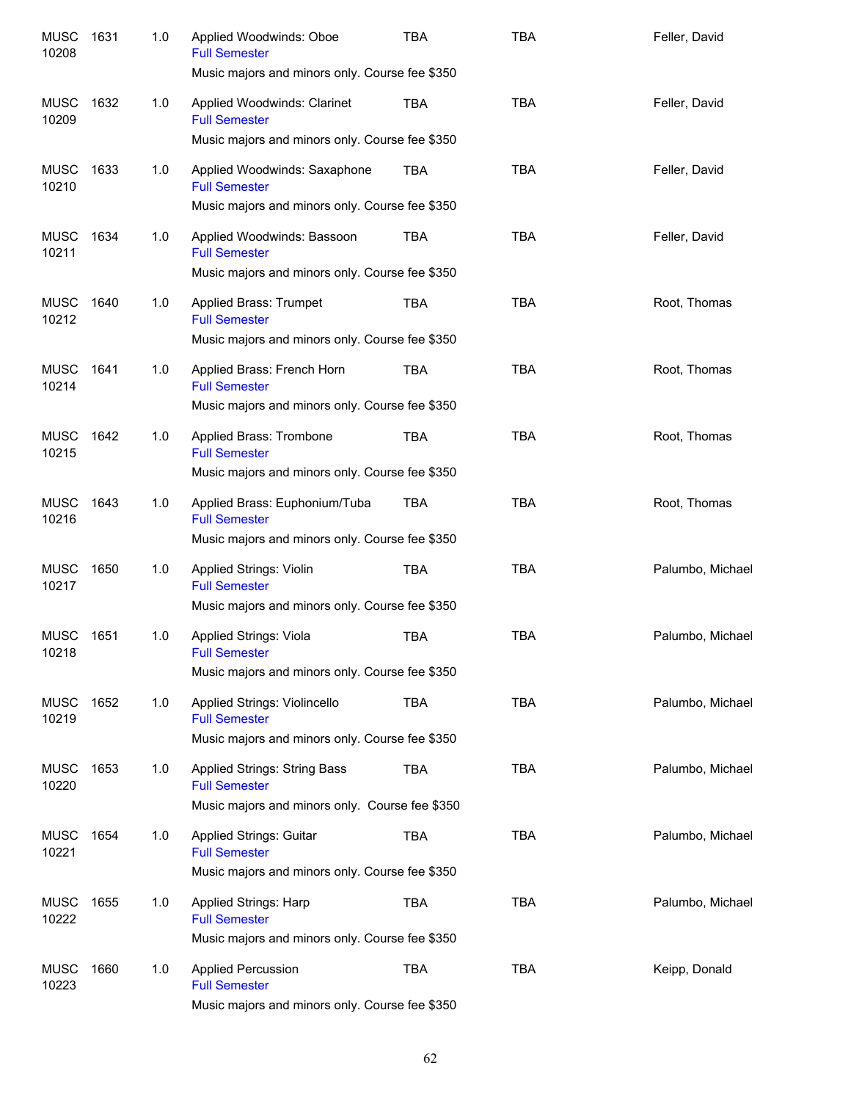| <b>MUSC</b><br>10208 | 1631 | 1.0 | Applied Woodwinds: Oboe<br><b>Full Semester</b><br>Music majors and minors only. Course fee \$350                                                        | TBA        | <b>TBA</b> | Feller, David    |
|----------------------|------|-----|----------------------------------------------------------------------------------------------------------------------------------------------------------|------------|------------|------------------|
| <b>MUSC</b><br>10209 | 1632 | 1.0 | Applied Woodwinds: Clarinet<br><b>Full Semester</b>                                                                                                      | TBA        | <b>TBA</b> | Feller, David    |
| <b>MUSC</b><br>10210 | 1633 | 1.0 | Music majors and minors only. Course fee \$350<br>Applied Woodwinds: Saxaphone<br><b>Full Semester</b><br>Music majors and minors only. Course fee \$350 | <b>TBA</b> | <b>TBA</b> | Feller, David    |
| <b>MUSC</b><br>10211 | 1634 | 1.0 | Applied Woodwinds: Bassoon<br><b>Full Semester</b><br>Music majors and minors only. Course fee \$350                                                     | <b>TBA</b> | <b>TBA</b> | Feller, David    |
| <b>MUSC</b><br>10212 | 1640 | 1.0 | Applied Brass: Trumpet<br><b>Full Semester</b><br>Music majors and minors only. Course fee \$350                                                         | <b>TBA</b> | <b>TBA</b> | Root, Thomas     |
| <b>MUSC</b><br>10214 | 1641 | 1.0 | Applied Brass: French Horn<br><b>Full Semester</b><br>Music majors and minors only. Course fee \$350                                                     | TBA        | <b>TBA</b> | Root, Thomas     |
| <b>MUSC</b><br>10215 | 1642 | 1.0 | Applied Brass: Trombone<br><b>Full Semester</b><br>Music majors and minors only. Course fee \$350                                                        | <b>TBA</b> | <b>TBA</b> | Root, Thomas     |
| <b>MUSC</b><br>10216 | 1643 | 1.0 | Applied Brass: Euphonium/Tuba<br><b>Full Semester</b><br>Music majors and minors only. Course fee \$350                                                  | TBA        | <b>TBA</b> | Root, Thomas     |
| <b>MUSC</b><br>10217 | 1650 | 1.0 | <b>Applied Strings: Violin</b><br><b>Full Semester</b><br>Music majors and minors only. Course fee \$350                                                 | <b>TBA</b> | <b>TBA</b> | Palumbo, Michael |
| <b>MUSC</b><br>10218 | 1651 | 1.0 | <b>Applied Strings: Viola</b><br><b>Full Semester</b><br>Music majors and minors only. Course fee \$350                                                  | <b>TBA</b> | <b>TBA</b> | Palumbo, Michael |
| <b>MUSC</b><br>10219 | 1652 | 1.0 | Applied Strings: Violincello<br><b>Full Semester</b><br>Music majors and minors only. Course fee \$350                                                   | <b>TBA</b> | <b>TBA</b> | Palumbo, Michael |
| <b>MUSC</b><br>10220 | 1653 | 1.0 | Applied Strings: String Bass<br><b>Full Semester</b><br>Music majors and minors only. Course fee \$350                                                   | <b>TBA</b> | <b>TBA</b> | Palumbo, Michael |
| <b>MUSC</b><br>10221 | 1654 | 1.0 | Applied Strings: Guitar<br><b>Full Semester</b><br>Music majors and minors only. Course fee \$350                                                        | TBA        | <b>TBA</b> | Palumbo, Michael |
| <b>MUSC</b><br>10222 | 1655 | 1.0 | Applied Strings: Harp<br><b>Full Semester</b><br>Music majors and minors only. Course fee \$350                                                          | <b>TBA</b> | <b>TBA</b> | Palumbo, Michael |
| <b>MUSC</b><br>10223 | 1660 | 1.0 | <b>Applied Percussion</b><br><b>Full Semester</b><br>Music majors and minors only. Course fee \$350                                                      | <b>TBA</b> | <b>TBA</b> | Keipp, Donald    |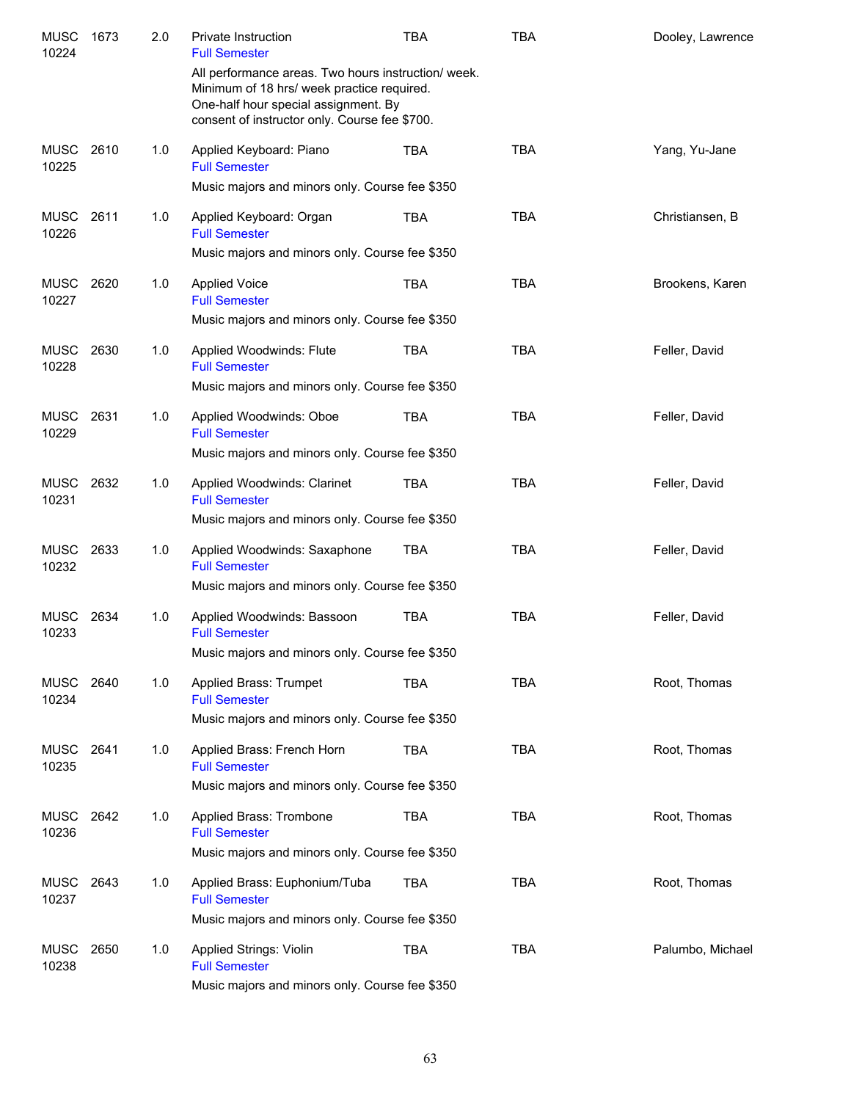| <b>MUSC</b><br>10224 | 1673 | 2.0 | <b>Private Instruction</b><br><b>Full Semester</b>                                                                                                                                         | <b>TBA</b> | <b>TBA</b> | Dooley, Lawrence |
|----------------------|------|-----|--------------------------------------------------------------------------------------------------------------------------------------------------------------------------------------------|------------|------------|------------------|
|                      |      |     | All performance areas. Two hours instruction/ week.<br>Minimum of 18 hrs/ week practice required.<br>One-half hour special assignment. By<br>consent of instructor only. Course fee \$700. |            |            |                  |
| MUSC<br>10225        | 2610 | 1.0 | Applied Keyboard: Piano<br><b>Full Semester</b>                                                                                                                                            | <b>TBA</b> | <b>TBA</b> | Yang, Yu-Jane    |
|                      |      |     | Music majors and minors only. Course fee \$350                                                                                                                                             |            |            |                  |
| MUSC<br>10226        | 2611 | 1.0 | Applied Keyboard: Organ<br><b>Full Semester</b>                                                                                                                                            | <b>TBA</b> | <b>TBA</b> | Christiansen, B  |
|                      |      |     | Music majors and minors only. Course fee \$350                                                                                                                                             |            |            |                  |
| MUSC<br>10227        | 2620 | 1.0 | <b>Applied Voice</b><br><b>Full Semester</b>                                                                                                                                               | <b>TBA</b> | <b>TBA</b> | Brookens, Karen  |
|                      |      |     | Music majors and minors only. Course fee \$350                                                                                                                                             |            |            |                  |
| MUSC<br>10228        | 2630 | 1.0 | Applied Woodwinds: Flute<br><b>Full Semester</b>                                                                                                                                           | <b>TBA</b> | <b>TBA</b> | Feller, David    |
|                      |      |     | Music majors and minors only. Course fee \$350                                                                                                                                             |            |            |                  |
| <b>MUSC</b><br>10229 | 2631 | 1.0 | Applied Woodwinds: Oboe<br><b>Full Semester</b>                                                                                                                                            | <b>TBA</b> | <b>TBA</b> | Feller, David    |
|                      |      |     | Music majors and minors only. Course fee \$350                                                                                                                                             |            |            |                  |
| <b>MUSC</b><br>10231 | 2632 | 1.0 | Applied Woodwinds: Clarinet<br><b>Full Semester</b>                                                                                                                                        | <b>TBA</b> | <b>TBA</b> | Feller, David    |
|                      |      |     | Music majors and minors only. Course fee \$350                                                                                                                                             |            |            |                  |
| <b>MUSC</b><br>10232 | 2633 | 1.0 | Applied Woodwinds: Saxaphone<br><b>Full Semester</b>                                                                                                                                       | <b>TBA</b> | <b>TBA</b> | Feller, David    |
|                      |      |     | Music majors and minors only. Course fee \$350                                                                                                                                             |            |            |                  |
| MUSC<br>10233        | 2634 | 1.0 | Applied Woodwinds: Bassoon<br><b>Full Semester</b>                                                                                                                                         | <b>TBA</b> | <b>TBA</b> | Feller, David    |
|                      |      |     | Music majors and minors only. Course fee \$350                                                                                                                                             |            |            |                  |
| MUSC<br>10234        | 2640 | 1.0 | Applied Brass: Trumpet<br><b>Full Semester</b>                                                                                                                                             | <b>TBA</b> | <b>TBA</b> | Root, Thomas     |
|                      |      |     | Music majors and minors only. Course fee \$350                                                                                                                                             |            |            |                  |
| MUSC<br>10235        | 2641 | 1.0 | Applied Brass: French Horn<br><b>Full Semester</b>                                                                                                                                         | <b>TBA</b> | <b>TBA</b> | Root, Thomas     |
|                      |      |     | Music majors and minors only. Course fee \$350                                                                                                                                             |            |            |                  |
| MUSC<br>10236        | 2642 | 1.0 | Applied Brass: Trombone<br><b>Full Semester</b>                                                                                                                                            | TBA        | <b>TBA</b> | Root, Thomas     |
|                      |      |     | Music majors and minors only. Course fee \$350                                                                                                                                             |            |            |                  |
| MUSC<br>10237        | 2643 | 1.0 | Applied Brass: Euphonium/Tuba<br><b>Full Semester</b>                                                                                                                                      | TBA        | <b>TBA</b> | Root, Thomas     |
|                      |      |     | Music majors and minors only. Course fee \$350                                                                                                                                             |            |            |                  |
| <b>MUSC</b><br>10238 | 2650 | 1.0 | Applied Strings: Violin<br><b>Full Semester</b>                                                                                                                                            | <b>TBA</b> | <b>TBA</b> | Palumbo, Michael |
|                      |      |     | Music majors and minors only. Course fee \$350                                                                                                                                             |            |            |                  |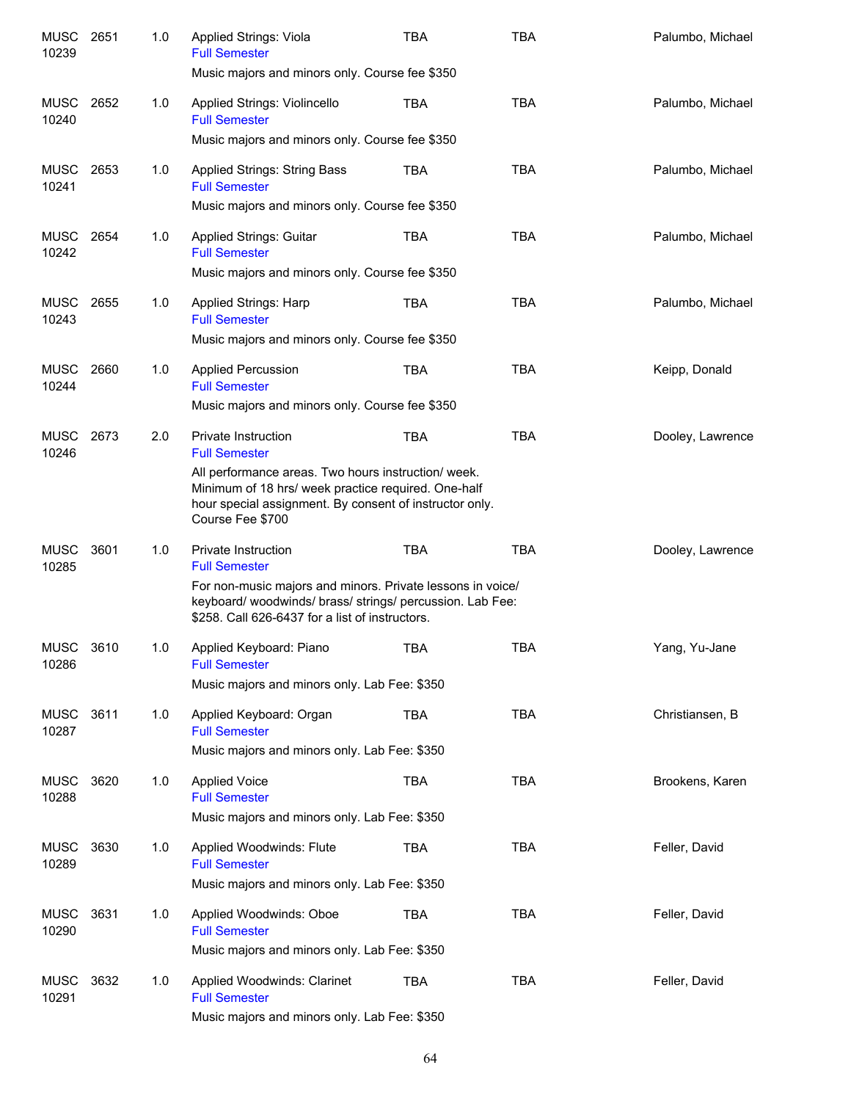| <b>MUSC</b><br>10239 | 2651 | 1.0 | Applied Strings: Viola<br><b>Full Semester</b>                                                                                                                                            | <b>TBA</b> | <b>TBA</b> | Palumbo, Michael |
|----------------------|------|-----|-------------------------------------------------------------------------------------------------------------------------------------------------------------------------------------------|------------|------------|------------------|
|                      |      |     | Music majors and minors only. Course fee \$350                                                                                                                                            |            |            |                  |
| MUSC<br>10240        | 2652 | 1.0 | Applied Strings: Violincello<br><b>Full Semester</b>                                                                                                                                      | <b>TBA</b> | <b>TBA</b> | Palumbo, Michael |
|                      |      |     | Music majors and minors only. Course fee \$350                                                                                                                                            |            |            |                  |
| MUSC<br>10241        | 2653 | 1.0 | Applied Strings: String Bass<br><b>Full Semester</b>                                                                                                                                      | <b>TBA</b> | <b>TBA</b> | Palumbo, Michael |
|                      |      |     | Music majors and minors only. Course fee \$350                                                                                                                                            |            |            |                  |
| <b>MUSC</b><br>10242 | 2654 | 1.0 | <b>Applied Strings: Guitar</b><br><b>Full Semester</b>                                                                                                                                    | <b>TBA</b> | <b>TBA</b> | Palumbo, Michael |
|                      |      |     | Music majors and minors only. Course fee \$350                                                                                                                                            |            |            |                  |
| MUSC<br>10243        | 2655 | 1.0 | <b>Applied Strings: Harp</b><br><b>Full Semester</b>                                                                                                                                      | <b>TBA</b> | <b>TBA</b> | Palumbo, Michael |
|                      |      |     | Music majors and minors only. Course fee \$350                                                                                                                                            |            |            |                  |
| <b>MUSC</b><br>10244 | 2660 | 1.0 | <b>Applied Percussion</b><br><b>Full Semester</b>                                                                                                                                         | <b>TBA</b> | <b>TBA</b> | Keipp, Donald    |
|                      |      |     | Music majors and minors only. Course fee \$350                                                                                                                                            |            |            |                  |
| <b>MUSC</b><br>10246 | 2673 | 2.0 | <b>Private Instruction</b><br><b>Full Semester</b>                                                                                                                                        | <b>TBA</b> | <b>TBA</b> | Dooley, Lawrence |
|                      |      |     | All performance areas. Two hours instruction/ week.<br>Minimum of 18 hrs/ week practice required. One-half<br>hour special assignment. By consent of instructor only.<br>Course Fee \$700 |            |            |                  |
| <b>MUSC</b><br>10285 | 3601 | 1.0 | Private Instruction<br><b>Full Semester</b>                                                                                                                                               | <b>TBA</b> | <b>TBA</b> | Dooley, Lawrence |
|                      |      |     | For non-music majors and minors. Private lessons in voice/<br>keyboard/woodwinds/brass/strings/percussion. Lab Fee:<br>\$258. Call 626-6437 for a list of instructors.                    |            |            |                  |
| MUSC<br>10286        | 3610 | 1.0 | Applied Keyboard: Piano<br><b>Full Semester</b>                                                                                                                                           | <b>TBA</b> | <b>TBA</b> | Yang, Yu-Jane    |
|                      |      |     | Music majors and minors only. Lab Fee: \$350                                                                                                                                              |            |            |                  |
| MUSC<br>10287        | 3611 | 1.0 | Applied Keyboard: Organ<br><b>Full Semester</b>                                                                                                                                           | <b>TBA</b> | <b>TBA</b> | Christiansen, B  |
|                      |      |     | Music majors and minors only. Lab Fee: \$350                                                                                                                                              |            |            |                  |
| MUSC<br>10288        | 3620 | 1.0 | <b>Applied Voice</b><br><b>Full Semester</b>                                                                                                                                              | <b>TBA</b> | <b>TBA</b> | Brookens, Karen  |
|                      |      |     | Music majors and minors only. Lab Fee: \$350                                                                                                                                              |            |            |                  |
| MUSC<br>10289        | 3630 | 1.0 | Applied Woodwinds: Flute<br><b>Full Semester</b>                                                                                                                                          | <b>TBA</b> | <b>TBA</b> | Feller, David    |
|                      |      |     | Music majors and minors only. Lab Fee: \$350                                                                                                                                              |            |            |                  |
| MUSC<br>10290        | 3631 | 1.0 | Applied Woodwinds: Oboe<br><b>Full Semester</b>                                                                                                                                           | <b>TBA</b> | <b>TBA</b> | Feller, David    |
|                      |      |     | Music majors and minors only. Lab Fee: \$350                                                                                                                                              |            |            |                  |
| MUSC<br>10291        | 3632 | 1.0 | Applied Woodwinds: Clarinet<br><b>Full Semester</b>                                                                                                                                       | <b>TBA</b> | <b>TBA</b> | Feller, David    |
|                      |      |     | Music majors and minors only. Lab Fee: \$350                                                                                                                                              |            |            |                  |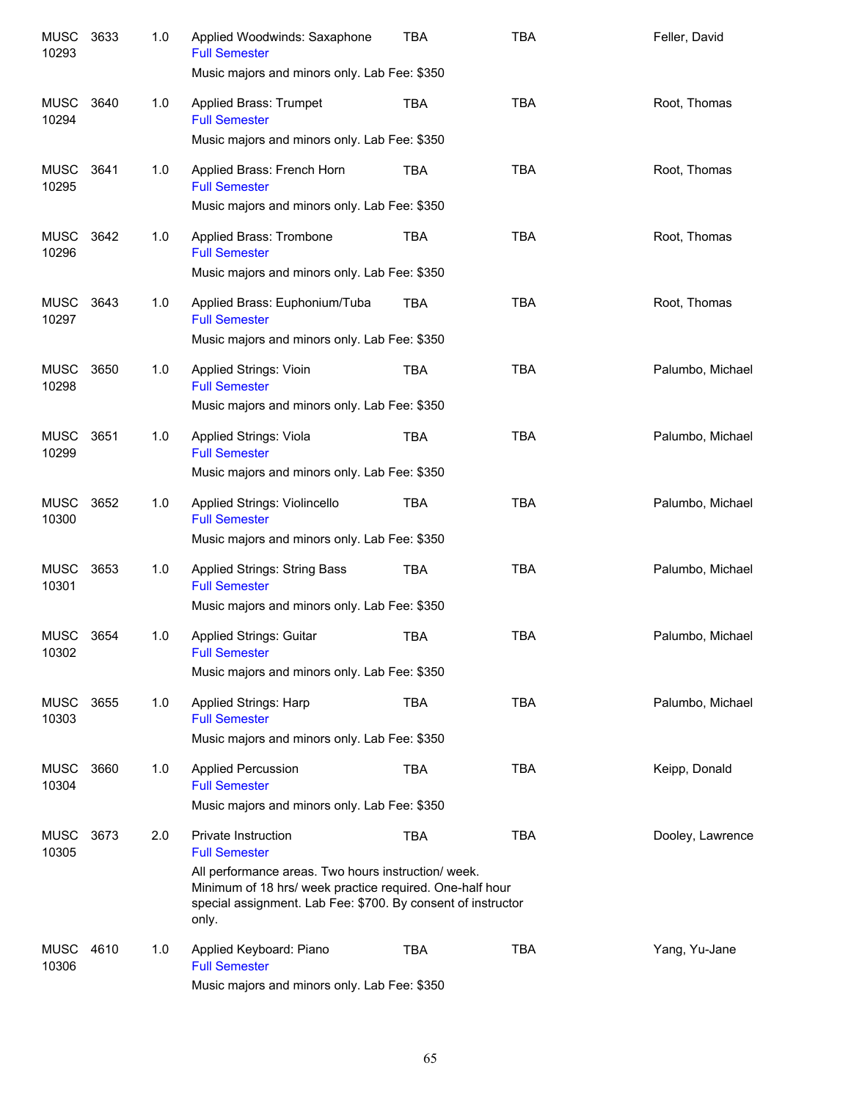| <b>MUSC</b><br>10293 | 3633 | 1.0 | Applied Woodwinds: Saxaphone<br><b>Full Semester</b><br>Music majors and minors only. Lab Fee: \$350                                                                                                                                    | <b>TBA</b> | <b>TBA</b> | Feller, David    |
|----------------------|------|-----|-----------------------------------------------------------------------------------------------------------------------------------------------------------------------------------------------------------------------------------------|------------|------------|------------------|
| MUSC<br>10294        | 3640 | 1.0 | Applied Brass: Trumpet<br><b>Full Semester</b><br>Music majors and minors only. Lab Fee: \$350                                                                                                                                          | TBA        | <b>TBA</b> | Root, Thomas     |
| MUSC<br>10295        | 3641 | 1.0 | Applied Brass: French Horn<br><b>Full Semester</b><br>Music majors and minors only. Lab Fee: \$350                                                                                                                                      | TBA        | <b>TBA</b> | Root, Thomas     |
| MUSC<br>10296        | 3642 | 1.0 | Applied Brass: Trombone<br><b>Full Semester</b><br>Music majors and minors only. Lab Fee: \$350                                                                                                                                         | TBA        | <b>TBA</b> | Root, Thomas     |
| MUSC<br>10297        | 3643 | 1.0 | Applied Brass: Euphonium/Tuba<br><b>Full Semester</b><br>Music majors and minors only. Lab Fee: \$350                                                                                                                                   | TBA        | <b>TBA</b> | Root, Thomas     |
| MUSC<br>10298        | 3650 | 1.0 | Applied Strings: Vioin<br><b>Full Semester</b><br>Music majors and minors only. Lab Fee: \$350                                                                                                                                          | TBA        | <b>TBA</b> | Palumbo, Michael |
| MUSC<br>10299        | 3651 | 1.0 | Applied Strings: Viola<br><b>Full Semester</b><br>Music majors and minors only. Lab Fee: \$350                                                                                                                                          | <b>TBA</b> | <b>TBA</b> | Palumbo, Michael |
| <b>MUSC</b><br>10300 | 3652 | 1.0 | Applied Strings: Violincello<br><b>Full Semester</b><br>Music majors and minors only. Lab Fee: \$350                                                                                                                                    | <b>TBA</b> | <b>TBA</b> | Palumbo, Michael |
| <b>MUSC</b><br>10301 | 3653 | 1.0 | <b>Applied Strings: String Bass</b><br><b>Full Semester</b><br>Music majors and minors only. Lab Fee: \$350                                                                                                                             | <b>TBA</b> | <b>TBA</b> | Palumbo, Michael |
| MUSC<br>10302        | 3654 | 1.0 | Applied Strings: Guitar<br><b>Full Semester</b><br>Music majors and minors only. Lab Fee: \$350                                                                                                                                         | <b>TBA</b> | <b>TBA</b> | Palumbo, Michael |
| <b>MUSC</b><br>10303 | 3655 | 1.0 | Applied Strings: Harp<br><b>Full Semester</b><br>Music majors and minors only. Lab Fee: \$350                                                                                                                                           | TBA        | <b>TBA</b> | Palumbo, Michael |
| <b>MUSC</b><br>10304 | 3660 | 1.0 | <b>Applied Percussion</b><br><b>Full Semester</b><br>Music majors and minors only. Lab Fee: \$350                                                                                                                                       | TBA        | <b>TBA</b> | Keipp, Donald    |
| <b>MUSC</b><br>10305 | 3673 | 2.0 | Private Instruction<br><b>Full Semester</b><br>All performance areas. Two hours instruction/ week.<br>Minimum of 18 hrs/ week practice required. One-half hour<br>special assignment. Lab Fee: \$700. By consent of instructor<br>only. | <b>TBA</b> | <b>TBA</b> | Dooley, Lawrence |
| <b>MUSC</b><br>10306 | 4610 | 1.0 | Applied Keyboard: Piano<br><b>Full Semester</b><br>Music majors and minors only. Lab Fee: \$350                                                                                                                                         | <b>TBA</b> | <b>TBA</b> | Yang, Yu-Jane    |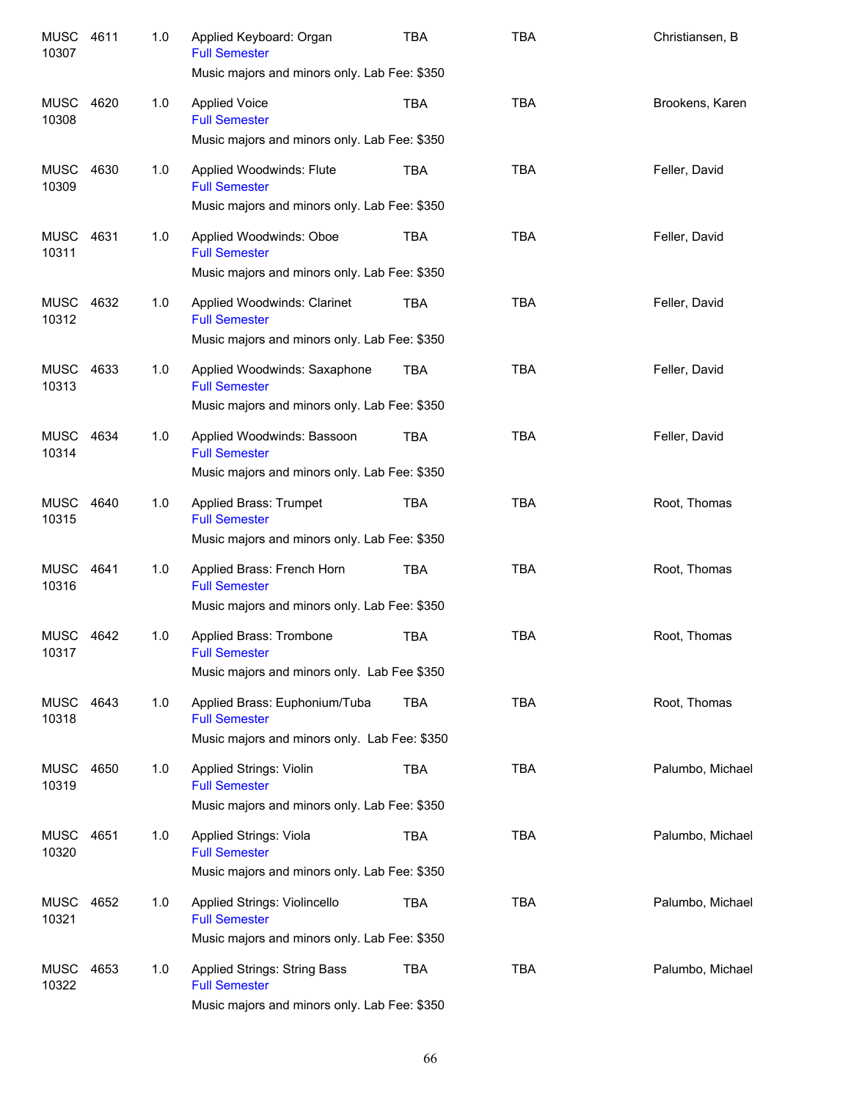| <b>MUSC</b><br>10307 | 4611 | 1.0 | Applied Keyboard: Organ<br><b>Full Semester</b><br>Music majors and minors only. Lab Fee: \$350        | TBA        | <b>TBA</b> | Christiansen, B  |
|----------------------|------|-----|--------------------------------------------------------------------------------------------------------|------------|------------|------------------|
| <b>MUSC</b><br>10308 | 4620 | 1.0 | <b>Applied Voice</b><br><b>Full Semester</b><br>Music majors and minors only. Lab Fee: \$350           | <b>TBA</b> | <b>TBA</b> | Brookens, Karen  |
| <b>MUSC</b><br>10309 | 4630 | 1.0 | Applied Woodwinds: Flute<br><b>Full Semester</b><br>Music majors and minors only. Lab Fee: \$350       | <b>TBA</b> | <b>TBA</b> | Feller, David    |
| <b>MUSC</b><br>10311 | 4631 | 1.0 | Applied Woodwinds: Oboe<br><b>Full Semester</b><br>Music majors and minors only. Lab Fee: \$350        | <b>TBA</b> | <b>TBA</b> | Feller, David    |
| <b>MUSC</b><br>10312 | 4632 | 1.0 | Applied Woodwinds: Clarinet<br><b>Full Semester</b><br>Music majors and minors only. Lab Fee: \$350    | <b>TBA</b> | <b>TBA</b> | Feller, David    |
| <b>MUSC</b><br>10313 | 4633 | 1.0 | Applied Woodwinds: Saxaphone<br><b>Full Semester</b><br>Music majors and minors only. Lab Fee: \$350   | <b>TBA</b> | <b>TBA</b> | Feller, David    |
| <b>MUSC</b><br>10314 | 4634 | 1.0 | Applied Woodwinds: Bassoon<br><b>Full Semester</b><br>Music majors and minors only. Lab Fee: \$350     | <b>TBA</b> | <b>TBA</b> | Feller, David    |
| <b>MUSC</b><br>10315 | 4640 | 1.0 | Applied Brass: Trumpet<br><b>Full Semester</b><br>Music majors and minors only. Lab Fee: \$350         | <b>TBA</b> | <b>TBA</b> | Root, Thomas     |
| <b>MUSC</b><br>10316 | 4641 | 1.0 | Applied Brass: French Horn<br><b>Full Semester</b><br>Music majors and minors only. Lab Fee: \$350     | <b>TBA</b> | <b>TBA</b> | Root, Thomas     |
| MUSC<br>10317        | 4642 | 1.0 | Applied Brass: Trombone<br><b>Full Semester</b><br>Music majors and minors only. Lab Fee \$350         | <b>TBA</b> | <b>TBA</b> | Root, Thomas     |
| MUSC<br>10318        | 4643 | 1.0 | Applied Brass: Euphonium/Tuba<br><b>Full Semester</b><br>Music majors and minors only. Lab Fee: \$350  | <b>TBA</b> | <b>TBA</b> | Root, Thomas     |
| MUSC<br>10319        | 4650 | 1.0 | <b>Applied Strings: Violin</b><br><b>Full Semester</b><br>Music majors and minors only. Lab Fee: \$350 | <b>TBA</b> | <b>TBA</b> | Palumbo, Michael |
| MUSC<br>10320        | 4651 | 1.0 | Applied Strings: Viola<br><b>Full Semester</b><br>Music majors and minors only. Lab Fee: \$350         | <b>TBA</b> | <b>TBA</b> | Palumbo, Michael |
| <b>MUSC</b><br>10321 | 4652 | 1.0 | Applied Strings: Violincello<br><b>Full Semester</b><br>Music majors and minors only. Lab Fee: \$350   | <b>TBA</b> | <b>TBA</b> | Palumbo, Michael |
| <b>MUSC</b><br>10322 | 4653 | 1.0 | Applied Strings: String Bass<br><b>Full Semester</b><br>Music majors and minors only. Lab Fee: \$350   | <b>TBA</b> | <b>TBA</b> | Palumbo, Michael |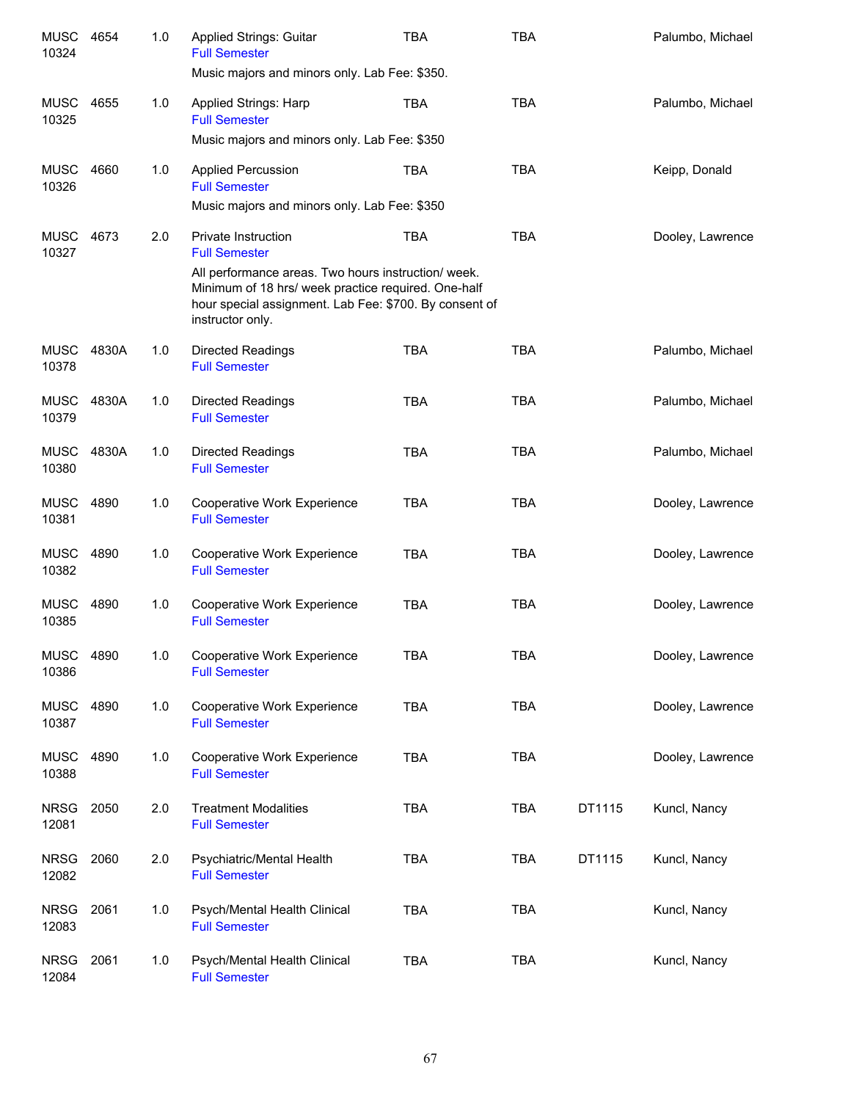| <b>MUSC</b><br>10324 | 4654  | 1.0 | Applied Strings: Guitar<br><b>Full Semester</b><br>Music majors and minors only. Lab Fee: \$350.                                                                                                                                               | <b>TBA</b> | <b>TBA</b> |        | Palumbo, Michael |
|----------------------|-------|-----|------------------------------------------------------------------------------------------------------------------------------------------------------------------------------------------------------------------------------------------------|------------|------------|--------|------------------|
| MUSC<br>10325        | 4655  | 1.0 | <b>Applied Strings: Harp</b><br><b>Full Semester</b><br>Music majors and minors only. Lab Fee: \$350                                                                                                                                           | <b>TBA</b> | <b>TBA</b> |        | Palumbo, Michael |
| MUSC<br>10326        | 4660  | 1.0 | <b>Applied Percussion</b><br><b>Full Semester</b><br>Music majors and minors only. Lab Fee: \$350                                                                                                                                              | <b>TBA</b> | <b>TBA</b> |        | Keipp, Donald    |
| MUSC<br>10327        | 4673  | 2.0 | <b>Private Instruction</b><br><b>Full Semester</b><br>All performance areas. Two hours instruction/ week.<br>Minimum of 18 hrs/ week practice required. One-half<br>hour special assignment. Lab Fee: \$700. By consent of<br>instructor only. | <b>TBA</b> | <b>TBA</b> |        | Dooley, Lawrence |
| MUSC<br>10378        | 4830A | 1.0 | <b>Directed Readings</b><br><b>Full Semester</b>                                                                                                                                                                                               | <b>TBA</b> | <b>TBA</b> |        | Palumbo, Michael |
| <b>MUSC</b><br>10379 | 4830A | 1.0 | <b>Directed Readings</b><br><b>Full Semester</b>                                                                                                                                                                                               | <b>TBA</b> | <b>TBA</b> |        | Palumbo, Michael |
| <b>MUSC</b><br>10380 | 4830A | 1.0 | <b>Directed Readings</b><br><b>Full Semester</b>                                                                                                                                                                                               | <b>TBA</b> | <b>TBA</b> |        | Palumbo, Michael |
| <b>MUSC</b><br>10381 | 4890  | 1.0 | Cooperative Work Experience<br><b>Full Semester</b>                                                                                                                                                                                            | <b>TBA</b> | <b>TBA</b> |        | Dooley, Lawrence |
| MUSC<br>10382        | 4890  | 1.0 | Cooperative Work Experience<br><b>Full Semester</b>                                                                                                                                                                                            | <b>TBA</b> | <b>TBA</b> |        | Dooley, Lawrence |
| MUSC 4890<br>10385   |       | 1.0 | Cooperative Work Experience<br><b>Full Semester</b>                                                                                                                                                                                            | <b>TBA</b> | <b>TBA</b> |        | Dooley, Lawrence |
| <b>MUSC</b><br>10386 | 4890  | 1.0 | Cooperative Work Experience<br><b>Full Semester</b>                                                                                                                                                                                            | TBA        | TBA        |        | Dooley, Lawrence |
| <b>MUSC</b><br>10387 | 4890  | 1.0 | Cooperative Work Experience<br><b>Full Semester</b>                                                                                                                                                                                            | <b>TBA</b> | <b>TBA</b> |        | Dooley, Lawrence |
| <b>MUSC</b><br>10388 | 4890  | 1.0 | Cooperative Work Experience<br><b>Full Semester</b>                                                                                                                                                                                            | <b>TBA</b> | <b>TBA</b> |        | Dooley, Lawrence |
| <b>NRSG</b><br>12081 | 2050  | 2.0 | <b>Treatment Modalities</b><br><b>Full Semester</b>                                                                                                                                                                                            | <b>TBA</b> | <b>TBA</b> | DT1115 | Kuncl, Nancy     |
| <b>NRSG</b><br>12082 | 2060  | 2.0 | Psychiatric/Mental Health<br><b>Full Semester</b>                                                                                                                                                                                              | <b>TBA</b> | <b>TBA</b> | DT1115 | Kuncl, Nancy     |
| <b>NRSG</b><br>12083 | 2061  | 1.0 | Psych/Mental Health Clinical<br><b>Full Semester</b>                                                                                                                                                                                           | <b>TBA</b> | <b>TBA</b> |        | Kuncl, Nancy     |
| <b>NRSG</b><br>12084 | 2061  | 1.0 | Psych/Mental Health Clinical<br><b>Full Semester</b>                                                                                                                                                                                           | <b>TBA</b> | <b>TBA</b> |        | Kuncl, Nancy     |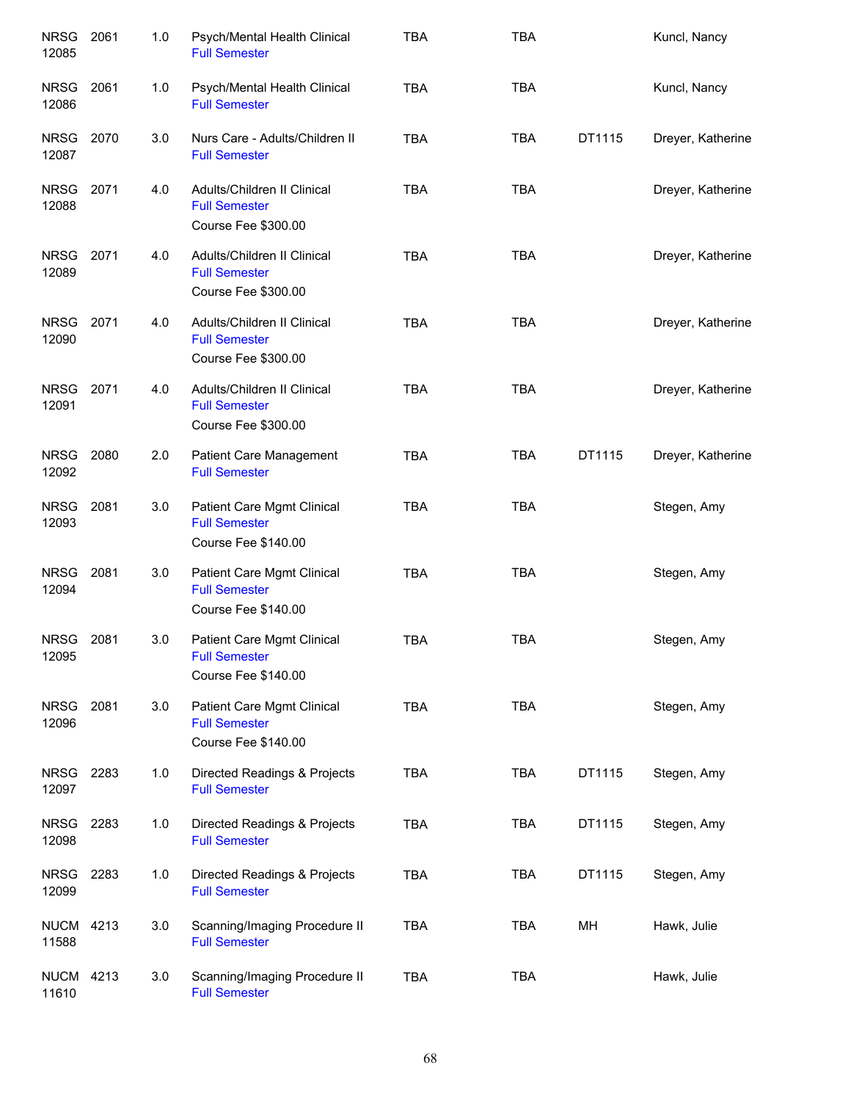| <b>NRSG</b><br>12085      | 2061 | 1.0 | Psych/Mental Health Clinical<br><b>Full Semester</b>                       | <b>TBA</b> | <b>TBA</b> |        | Kuncl, Nancy      |
|---------------------------|------|-----|----------------------------------------------------------------------------|------------|------------|--------|-------------------|
| <b>NRSG</b><br>12086      | 2061 | 1.0 | Psych/Mental Health Clinical<br><b>Full Semester</b>                       | <b>TBA</b> | <b>TBA</b> |        | Kuncl, Nancy      |
| <b>NRSG</b><br>12087      | 2070 | 3.0 | Nurs Care - Adults/Children II<br><b>Full Semester</b>                     | <b>TBA</b> | <b>TBA</b> | DT1115 | Dreyer, Katherine |
| <b>NRSG</b><br>12088      | 2071 | 4.0 | Adults/Children II Clinical<br><b>Full Semester</b><br>Course Fee \$300.00 | <b>TBA</b> | <b>TBA</b> |        | Dreyer, Katherine |
| <b>NRSG</b><br>12089      | 2071 | 4.0 | Adults/Children II Clinical<br><b>Full Semester</b><br>Course Fee \$300.00 | <b>TBA</b> | <b>TBA</b> |        | Dreyer, Katherine |
| <b>NRSG</b><br>12090      | 2071 | 4.0 | Adults/Children II Clinical<br><b>Full Semester</b><br>Course Fee \$300.00 | <b>TBA</b> | <b>TBA</b> |        | Dreyer, Katherine |
| <b>NRSG</b><br>12091      | 2071 | 4.0 | Adults/Children II Clinical<br><b>Full Semester</b><br>Course Fee \$300.00 | <b>TBA</b> | <b>TBA</b> |        | Dreyer, Katherine |
| <b>NRSG</b><br>12092      | 2080 | 2.0 | Patient Care Management<br><b>Full Semester</b>                            | <b>TBA</b> | <b>TBA</b> | DT1115 | Dreyer, Katherine |
| <b>NRSG</b><br>12093      | 2081 | 3.0 | Patient Care Mgmt Clinical<br><b>Full Semester</b><br>Course Fee \$140.00  | <b>TBA</b> | <b>TBA</b> |        | Stegen, Amy       |
| <b>NRSG</b><br>12094      | 2081 | 3.0 | Patient Care Mgmt Clinical<br><b>Full Semester</b><br>Course Fee \$140.00  | <b>TBA</b> | <b>TBA</b> |        | Stegen, Amy       |
| NRSG<br>12095             | 2081 | 3.0 | Patient Care Mgmt Clinical<br><b>Full Semester</b><br>Course Fee \$140.00  | <b>TBA</b> | <b>TBA</b> |        | Stegen, Amy       |
| <b>NRSG</b><br>12096      | 2081 | 3.0 | Patient Care Mgmt Clinical<br><b>Full Semester</b><br>Course Fee \$140.00  | <b>TBA</b> | <b>TBA</b> |        | Stegen, Amy       |
| <b>NRSG</b><br>12097      | 2283 | 1.0 | Directed Readings & Projects<br><b>Full Semester</b>                       | <b>TBA</b> | <b>TBA</b> | DT1115 | Stegen, Amy       |
| <b>NRSG</b><br>12098      | 2283 | 1.0 | Directed Readings & Projects<br><b>Full Semester</b>                       | <b>TBA</b> | <b>TBA</b> | DT1115 | Stegen, Amy       |
| <b>NRSG</b><br>12099      | 2283 | 1.0 | Directed Readings & Projects<br><b>Full Semester</b>                       | <b>TBA</b> | TBA        | DT1115 | Stegen, Amy       |
| <b>NUCM</b><br>11588      | 4213 | 3.0 | Scanning/Imaging Procedure II<br><b>Full Semester</b>                      | <b>TBA</b> | <b>TBA</b> | MH     | Hawk, Julie       |
| <b>NUCM 4213</b><br>11610 |      | 3.0 | Scanning/Imaging Procedure II<br><b>Full Semester</b>                      | <b>TBA</b> | <b>TBA</b> |        | Hawk, Julie       |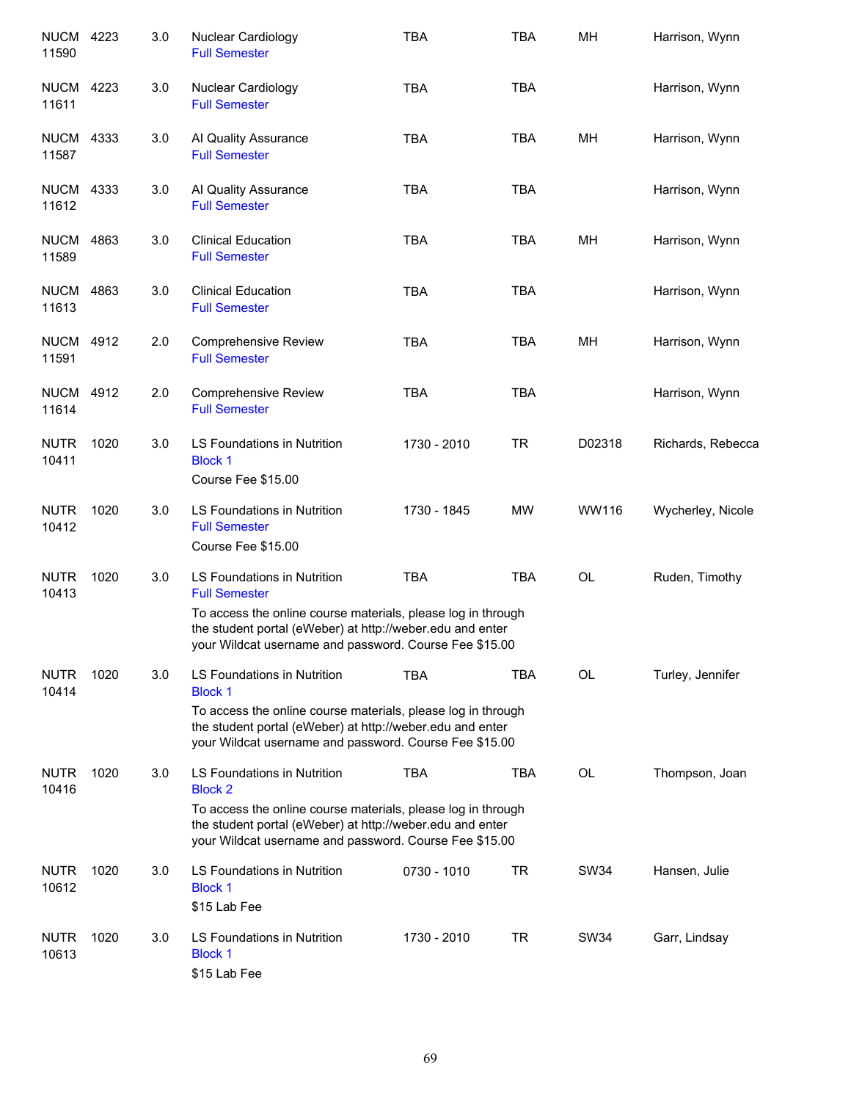| <b>NUCM 4223</b><br>11590 |      | 3.0 | Nuclear Cardiology<br><b>Full Semester</b>                                                                                                                                                                                                  | <b>TBA</b>  | <b>TBA</b> | MH        | Harrison, Wynn    |
|---------------------------|------|-----|---------------------------------------------------------------------------------------------------------------------------------------------------------------------------------------------------------------------------------------------|-------------|------------|-----------|-------------------|
| <b>NUCM</b><br>11611      | 4223 | 3.0 | Nuclear Cardiology<br><b>Full Semester</b>                                                                                                                                                                                                  | <b>TBA</b>  | <b>TBA</b> |           | Harrison, Wynn    |
| <b>NUCM 4333</b><br>11587 |      | 3.0 | Al Quality Assurance<br><b>Full Semester</b>                                                                                                                                                                                                | <b>TBA</b>  | <b>TBA</b> | MH        | Harrison, Wynn    |
| <b>NUCM 4333</b><br>11612 |      | 3.0 | Al Quality Assurance<br><b>Full Semester</b>                                                                                                                                                                                                | <b>TBA</b>  | <b>TBA</b> |           | Harrison, Wynn    |
| <b>NUCM 4863</b><br>11589 |      | 3.0 | <b>Clinical Education</b><br><b>Full Semester</b>                                                                                                                                                                                           | <b>TBA</b>  | <b>TBA</b> | MH        | Harrison, Wynn    |
| <b>NUCM</b><br>11613      | 4863 | 3.0 | <b>Clinical Education</b><br><b>Full Semester</b>                                                                                                                                                                                           | <b>TBA</b>  | <b>TBA</b> |           | Harrison, Wynn    |
| <b>NUCM 4912</b><br>11591 |      | 2.0 | <b>Comprehensive Review</b><br><b>Full Semester</b>                                                                                                                                                                                         | <b>TBA</b>  | <b>TBA</b> | MH        | Harrison, Wynn    |
| <b>NUCM 4912</b><br>11614 |      | 2.0 | <b>Comprehensive Review</b><br><b>Full Semester</b>                                                                                                                                                                                         | <b>TBA</b>  | <b>TBA</b> |           | Harrison, Wynn    |
| <b>NUTR</b><br>10411      | 1020 | 3.0 | LS Foundations in Nutrition<br><b>Block 1</b><br>Course Fee \$15.00                                                                                                                                                                         | 1730 - 2010 | <b>TR</b>  | D02318    | Richards, Rebecca |
| <b>NUTR</b><br>10412      | 1020 | 3.0 | LS Foundations in Nutrition<br><b>Full Semester</b><br>Course Fee \$15.00                                                                                                                                                                   | 1730 - 1845 | <b>MW</b>  | WW116     | Wycherley, Nicole |
| <b>NUTR</b><br>10413      | 1020 | 3.0 | LS Foundations in Nutrition<br><b>Full Semester</b><br>To access the online course materials, please log in through<br>the student portal (eWeber) at http://weber.edu and enter<br>your Wildcat username and password. Course Fee \$15.00  | <b>TBA</b>  | <b>TBA</b> | OL        | Ruden, Timothy    |
| <b>NUTR</b><br>10414      | 1020 | 3.0 | LS Foundations in Nutrition<br><b>Block 1</b><br>To access the online course materials, please log in through<br>the student portal (eWeber) at http://weber.edu and enter<br>your Wildcat username and password. Course Fee \$15.00        | <b>TBA</b>  | <b>TBA</b> | OL        | Turley, Jennifer  |
| <b>NUTR</b><br>10416      | 1020 | 3.0 | <b>LS Foundations in Nutrition</b><br><b>Block 2</b><br>To access the online course materials, please log in through<br>the student portal (eWeber) at http://weber.edu and enter<br>your Wildcat username and password. Course Fee \$15.00 | <b>TBA</b>  | <b>TBA</b> | <b>OL</b> | Thompson, Joan    |
| <b>NUTR</b><br>10612      | 1020 | 3.0 | LS Foundations in Nutrition<br><b>Block 1</b><br>\$15 Lab Fee                                                                                                                                                                               | 0730 - 1010 | <b>TR</b>  | SW34      | Hansen, Julie     |
| <b>NUTR</b><br>10613      | 1020 | 3.0 | LS Foundations in Nutrition<br><b>Block 1</b><br>\$15 Lab Fee                                                                                                                                                                               | 1730 - 2010 | <b>TR</b>  | SW34      | Garr, Lindsay     |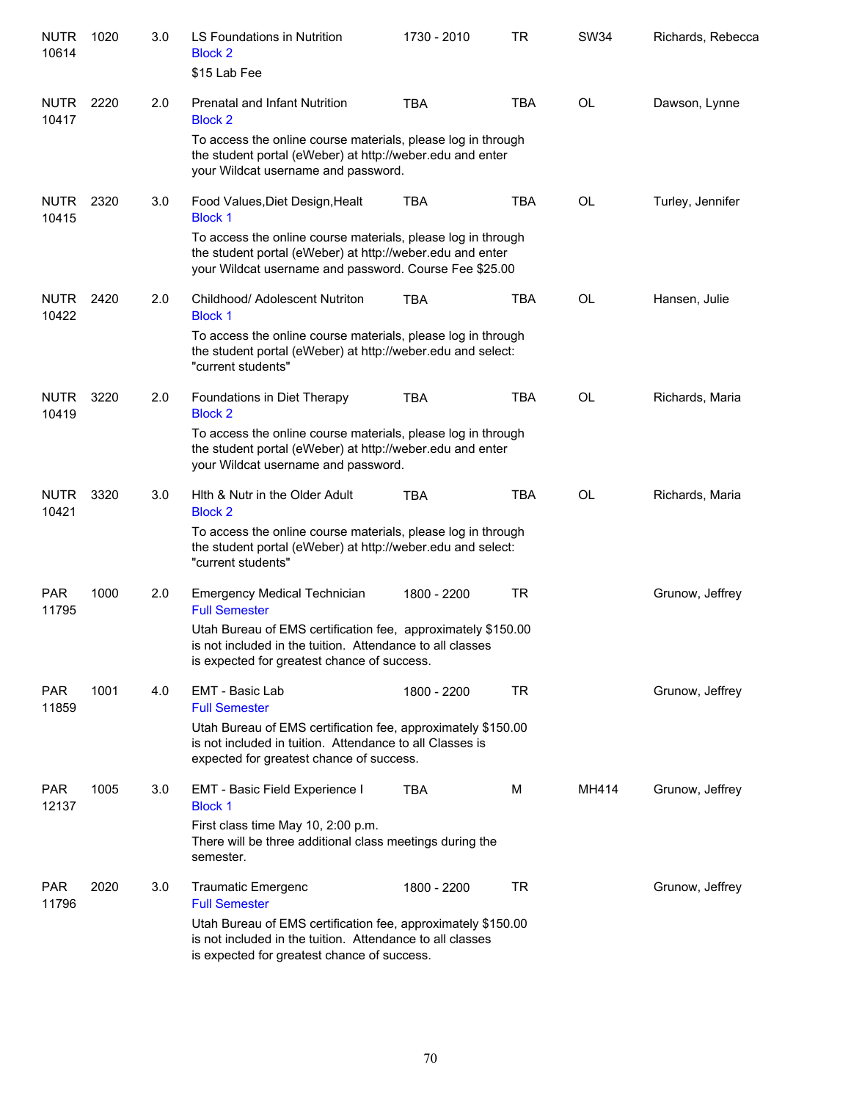| <b>NUTR</b><br>10614 | 1020 | 3.0 | LS Foundations in Nutrition<br><b>Block 2</b><br>\$15 Lab Fee                                                                                                                       | 1730 - 2010 | <b>TR</b>  | <b>SW34</b> | Richards, Rebecca |  |  |  |
|----------------------|------|-----|-------------------------------------------------------------------------------------------------------------------------------------------------------------------------------------|-------------|------------|-------------|-------------------|--|--|--|
| <b>NUTR</b><br>10417 | 2220 | 2.0 | <b>Prenatal and Infant Nutrition</b><br><b>Block 2</b>                                                                                                                              | <b>TBA</b>  | <b>TBA</b> | OL          | Dawson, Lynne     |  |  |  |
|                      |      |     | To access the online course materials, please log in through<br>the student portal (eWeber) at http://weber.edu and enter<br>your Wildcat username and password.                    |             |            |             |                   |  |  |  |
| <b>NUTR</b><br>10415 | 2320 | 3.0 | Food Values, Diet Design, Healt<br><b>Block 1</b>                                                                                                                                   | <b>TBA</b>  | <b>TBA</b> | <b>OL</b>   | Turley, Jennifer  |  |  |  |
|                      |      |     | To access the online course materials, please log in through<br>the student portal (eWeber) at http://weber.edu and enter<br>your Wildcat username and password. Course Fee \$25.00 |             |            |             |                   |  |  |  |
| <b>NUTR</b><br>10422 | 2420 | 2.0 | Childhood/ Adolescent Nutriton<br><b>Block 1</b>                                                                                                                                    | <b>TBA</b>  | <b>TBA</b> | <b>OL</b>   | Hansen, Julie     |  |  |  |
|                      |      |     | To access the online course materials, please log in through<br>the student portal (eWeber) at http://weber.edu and select:<br>"current students"                                   |             |            |             |                   |  |  |  |
| <b>NUTR</b><br>10419 | 3220 | 2.0 | Foundations in Diet Therapy<br><b>Block 2</b>                                                                                                                                       | <b>TBA</b>  | <b>TBA</b> | OL          | Richards, Maria   |  |  |  |
|                      |      |     | To access the online course materials, please log in through<br>the student portal (eWeber) at http://weber.edu and enter<br>your Wildcat username and password.                    |             |            |             |                   |  |  |  |
| <b>NUTR</b><br>10421 | 3320 | 3.0 | Hith & Nutr in the Older Adult<br><b>Block 2</b>                                                                                                                                    | <b>TBA</b>  | <b>TBA</b> | OL          | Richards, Maria   |  |  |  |
|                      |      |     | To access the online course materials, please log in through<br>the student portal (eWeber) at http://weber.edu and select:<br>"current students"                                   |             |            |             |                   |  |  |  |
| <b>PAR</b><br>11795  | 1000 | 2.0 | <b>Emergency Medical Technician</b><br><b>Full Semester</b>                                                                                                                         | 1800 - 2200 | <b>TR</b>  |             | Grunow, Jeffrey   |  |  |  |
|                      |      |     | Utah Bureau of EMS certification fee, approximately \$150.00<br>is not included in the tuition. Attendance to all classes<br>is expected for greatest chance of success.            |             |            |             |                   |  |  |  |
| <b>PAR</b><br>11859  | 1001 | 4.0 | EMT - Basic Lab<br><b>Full Semester</b>                                                                                                                                             | 1800 - 2200 | <b>TR</b>  |             | Grunow, Jeffrey   |  |  |  |
|                      |      |     | Utah Bureau of EMS certification fee, approximately \$150.00<br>is not included in tuition. Attendance to all Classes is<br>expected for greatest chance of success.                |             |            |             |                   |  |  |  |
| <b>PAR</b><br>12137  | 1005 | 3.0 | EMT - Basic Field Experience I<br><b>Block 1</b>                                                                                                                                    | <b>TBA</b>  | м          | MH414       | Grunow, Jeffrey   |  |  |  |
|                      |      |     | First class time May 10, 2:00 p.m.<br>There will be three additional class meetings during the<br>semester.                                                                         |             |            |             |                   |  |  |  |
| <b>PAR</b><br>11796  | 2020 | 3.0 | <b>Traumatic Emergenc</b><br><b>Full Semester</b>                                                                                                                                   | 1800 - 2200 | TR         |             | Grunow, Jeffrey   |  |  |  |
|                      |      |     | Utah Bureau of EMS certification fee, approximately \$150.00<br>is not included in the tuition. Attendance to all classes<br>is expected for greatest chance of success.            |             |            |             |                   |  |  |  |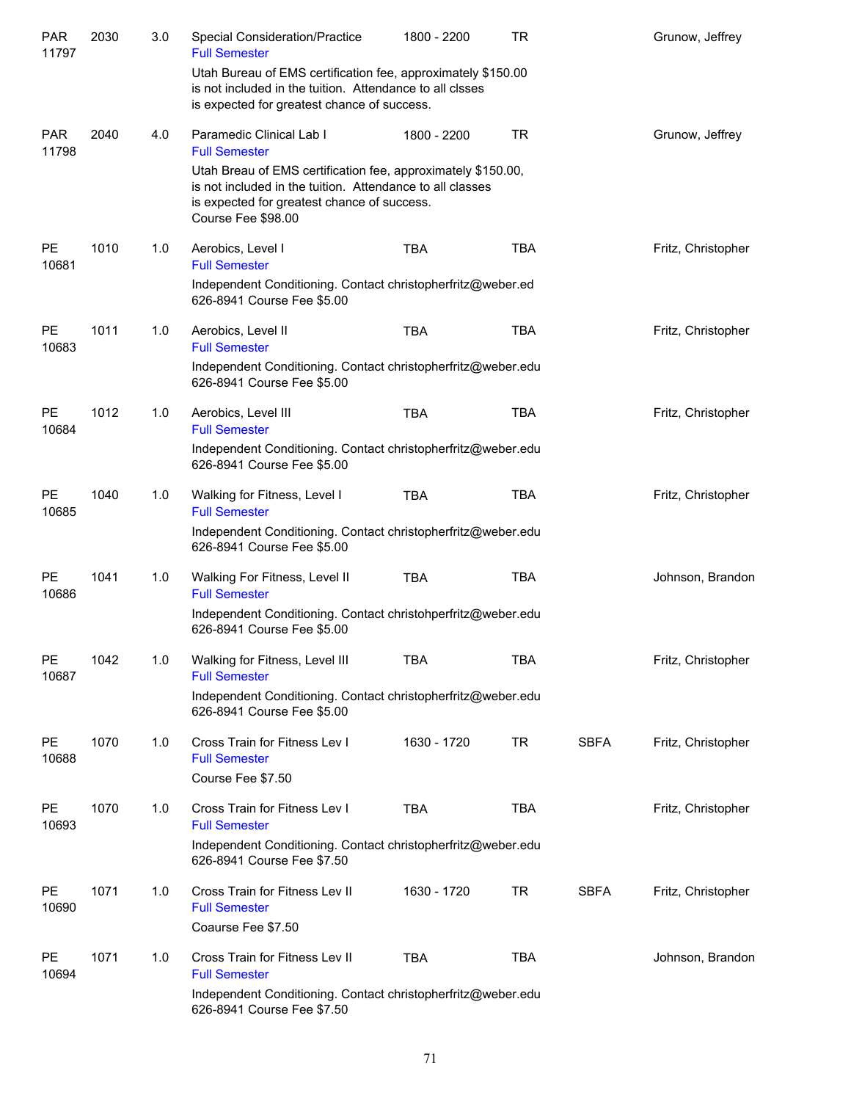| <b>PAR</b><br>11797 | 2030 | 3.0 | Special Consideration/Practice<br><b>Full Semester</b>                                                                                                                                         | 1800 - 2200 | <b>TR</b>  |             | Grunow, Jeffrey    |
|---------------------|------|-----|------------------------------------------------------------------------------------------------------------------------------------------------------------------------------------------------|-------------|------------|-------------|--------------------|
|                     |      |     | Utah Bureau of EMS certification fee, approximately \$150.00<br>is not included in the tuition. Attendance to all clsses<br>is expected for greatest chance of success.                        |             |            |             |                    |
| <b>PAR</b><br>11798 | 2040 | 4.0 | Paramedic Clinical Lab I<br><b>Full Semester</b>                                                                                                                                               | 1800 - 2200 | <b>TR</b>  |             | Grunow, Jeffrey    |
|                     |      |     | Utah Breau of EMS certification fee, approximately \$150.00,<br>is not included in the tuition. Attendance to all classes<br>is expected for greatest chance of success.<br>Course Fee \$98.00 |             |            |             |                    |
| PE<br>10681         | 1010 | 1.0 | Aerobics, Level I<br><b>Full Semester</b><br>Independent Conditioning. Contact christopherfritz@weber.ed                                                                                       | <b>TBA</b>  | <b>TBA</b> |             | Fritz, Christopher |
|                     |      |     | 626-8941 Course Fee \$5.00                                                                                                                                                                     |             |            |             |                    |
| <b>PE</b><br>10683  | 1011 | 1.0 | Aerobics, Level II<br><b>Full Semester</b>                                                                                                                                                     | <b>TBA</b>  | <b>TBA</b> |             | Fritz, Christopher |
|                     |      |     | Independent Conditioning. Contact christopherfritz@weber.edu<br>626-8941 Course Fee \$5.00                                                                                                     |             |            |             |                    |
| PE<br>10684         | 1012 | 1.0 | Aerobics, Level III<br><b>Full Semester</b>                                                                                                                                                    | <b>TBA</b>  | <b>TBA</b> |             | Fritz, Christopher |
|                     |      |     | Independent Conditioning. Contact christopherfritz@weber.edu<br>626-8941 Course Fee \$5.00                                                                                                     |             |            |             |                    |
| <b>PE</b><br>10685  | 1040 | 1.0 | Walking for Fitness, Level I<br><b>Full Semester</b>                                                                                                                                           | <b>TBA</b>  | <b>TBA</b> |             | Fritz, Christopher |
|                     |      |     | Independent Conditioning. Contact christopherfritz@weber.edu<br>626-8941 Course Fee \$5.00                                                                                                     |             |            |             |                    |
| <b>PE</b><br>10686  | 1041 | 1.0 | Walking For Fitness, Level II<br><b>Full Semester</b>                                                                                                                                          | <b>TBA</b>  | <b>TBA</b> |             | Johnson, Brandon   |
|                     |      |     | Independent Conditioning. Contact christohperfritz@weber.edu<br>626-8941 Course Fee \$5.00                                                                                                     |             |            |             |                    |
| PE<br>10687         | 1042 | 1.0 | Walking for Fitness, Level III<br><b>Full Semester</b>                                                                                                                                         | TBA         | TBA        |             | Fritz, Christopher |
|                     |      |     | Independent Conditioning. Contact christopherfritz@weber.edu<br>626-8941 Course Fee \$5.00                                                                                                     |             |            |             |                    |
| PE<br>10688         | 1070 | 1.0 | Cross Train for Fitness Lev I<br><b>Full Semester</b><br>Course Fee \$7.50                                                                                                                     | 1630 - 1720 | <b>TR</b>  | <b>SBFA</b> | Fritz, Christopher |
| PE<br>10693         | 1070 | 1.0 | Cross Train for Fitness Lev I<br><b>Full Semester</b><br>Independent Conditioning. Contact christopherfritz@weber.edu                                                                          | <b>TBA</b>  | <b>TBA</b> |             | Fritz, Christopher |
|                     |      |     | 626-8941 Course Fee \$7.50                                                                                                                                                                     |             |            |             |                    |
| PE<br>10690         | 1071 | 1.0 | Cross Train for Fitness Lev II<br><b>Full Semester</b><br>Coaurse Fee \$7.50                                                                                                                   | 1630 - 1720 | <b>TR</b>  | <b>SBFA</b> | Fritz, Christopher |
| PE<br>10694         | 1071 | 1.0 | Cross Train for Fitness Lev II<br><b>Full Semester</b>                                                                                                                                         | <b>TBA</b>  | <b>TBA</b> |             | Johnson, Brandon   |
|                     |      |     | Independent Conditioning. Contact christopherfritz@weber.edu<br>626-8941 Course Fee \$7.50                                                                                                     |             |            |             |                    |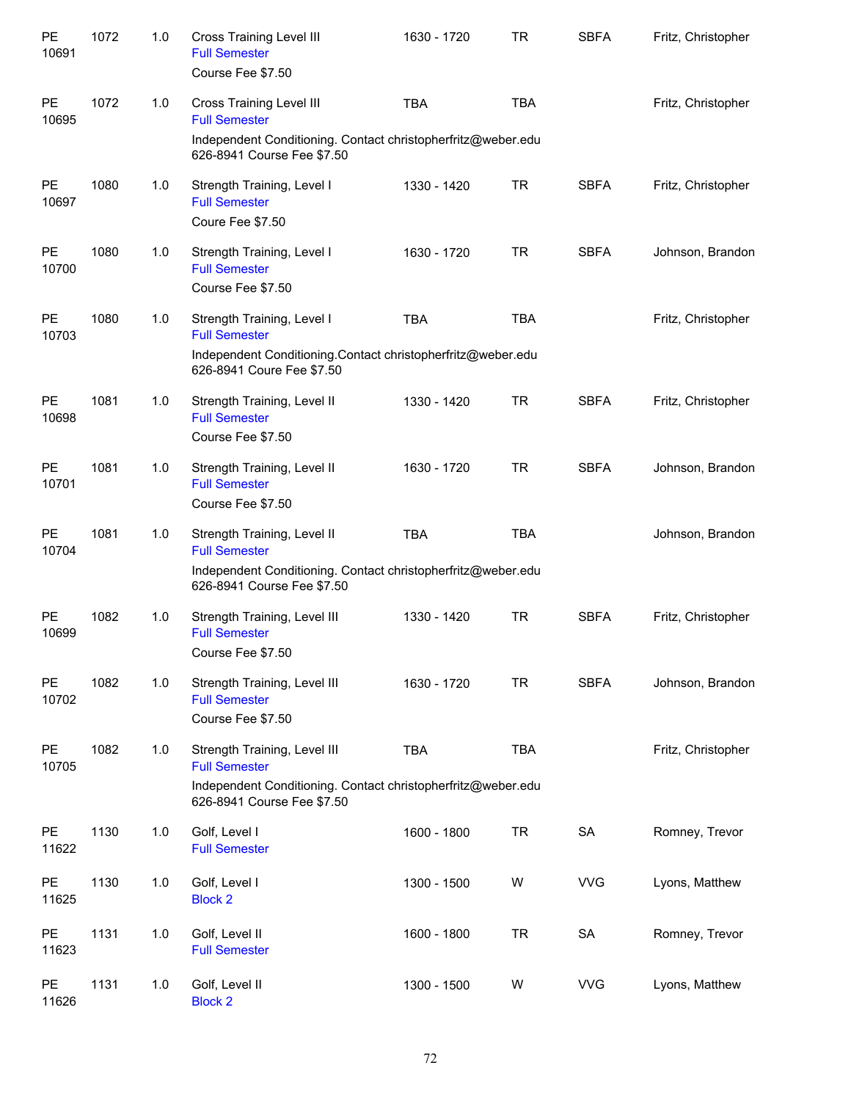| PE<br>10691        | 1072 | 1.0 | <b>Cross Training Level III</b><br><b>Full Semester</b><br>Course Fee \$7.50                                                                          | 1630 - 1720 | <b>TR</b>  | <b>SBFA</b> | Fritz, Christopher |
|--------------------|------|-----|-------------------------------------------------------------------------------------------------------------------------------------------------------|-------------|------------|-------------|--------------------|
| <b>PE</b><br>10695 | 1072 | 1.0 | <b>Cross Training Level III</b><br><b>Full Semester</b><br>Independent Conditioning. Contact christopherfritz@weber.edu<br>626-8941 Course Fee \$7.50 | <b>TBA</b>  | <b>TBA</b> |             | Fritz, Christopher |
| PE<br>10697        | 1080 | 1.0 | Strength Training, Level I<br><b>Full Semester</b><br>Coure Fee \$7.50                                                                                | 1330 - 1420 | <b>TR</b>  | <b>SBFA</b> | Fritz, Christopher |
| PE<br>10700        | 1080 | 1.0 | Strength Training, Level I<br><b>Full Semester</b><br>Course Fee \$7.50                                                                               | 1630 - 1720 | <b>TR</b>  | <b>SBFA</b> | Johnson, Brandon   |
| PE<br>10703        | 1080 | 1.0 | Strength Training, Level I<br><b>Full Semester</b><br>Independent Conditioning Contact christopherfritz@weber.edu<br>626-8941 Coure Fee \$7.50        | <b>TBA</b>  | <b>TBA</b> |             | Fritz, Christopher |
| <b>PE</b><br>10698 | 1081 | 1.0 | Strength Training, Level II<br><b>Full Semester</b><br>Course Fee \$7.50                                                                              | 1330 - 1420 | <b>TR</b>  | <b>SBFA</b> | Fritz, Christopher |
| <b>PE</b><br>10701 | 1081 | 1.0 | Strength Training, Level II<br><b>Full Semester</b><br>Course Fee \$7.50                                                                              | 1630 - 1720 | <b>TR</b>  | <b>SBFA</b> | Johnson, Brandon   |
| <b>PE</b><br>10704 | 1081 | 1.0 | Strength Training, Level II<br><b>Full Semester</b><br>Independent Conditioning. Contact christopherfritz@weber.edu<br>626-8941 Course Fee \$7.50     | <b>TBA</b>  | <b>TBA</b> |             | Johnson, Brandon   |
| <b>PE</b><br>10699 | 1082 | 1.0 | Strength Training, Level III<br><b>Full Semester</b><br>Course Fee \$7.50                                                                             | 1330 - 1420 | <b>TR</b>  | <b>SBFA</b> | Fritz, Christopher |
| <b>PE</b><br>10702 | 1082 | 1.0 | Strength Training, Level III<br><b>Full Semester</b><br>Course Fee \$7.50                                                                             | 1630 - 1720 | <b>TR</b>  | <b>SBFA</b> | Johnson, Brandon   |
| <b>PE</b><br>10705 | 1082 | 1.0 | Strength Training, Level III<br><b>Full Semester</b><br>Independent Conditioning. Contact christopherfritz@weber.edu<br>626-8941 Course Fee \$7.50    | <b>TBA</b>  | <b>TBA</b> |             | Fritz, Christopher |
| <b>PE</b><br>11622 | 1130 | 1.0 | Golf, Level I<br><b>Full Semester</b>                                                                                                                 | 1600 - 1800 | <b>TR</b>  | SA          | Romney, Trevor     |
| <b>PE</b><br>11625 | 1130 | 1.0 | Golf, Level I<br><b>Block 2</b>                                                                                                                       | 1300 - 1500 | W          | <b>VVG</b>  | Lyons, Matthew     |
| <b>PE</b><br>11623 | 1131 | 1.0 | Golf, Level II<br><b>Full Semester</b>                                                                                                                | 1600 - 1800 | <b>TR</b>  | SA          | Romney, Trevor     |
| PE<br>11626        | 1131 | 1.0 | Golf, Level II<br><b>Block 2</b>                                                                                                                      | 1300 - 1500 | W          | <b>VVG</b>  | Lyons, Matthew     |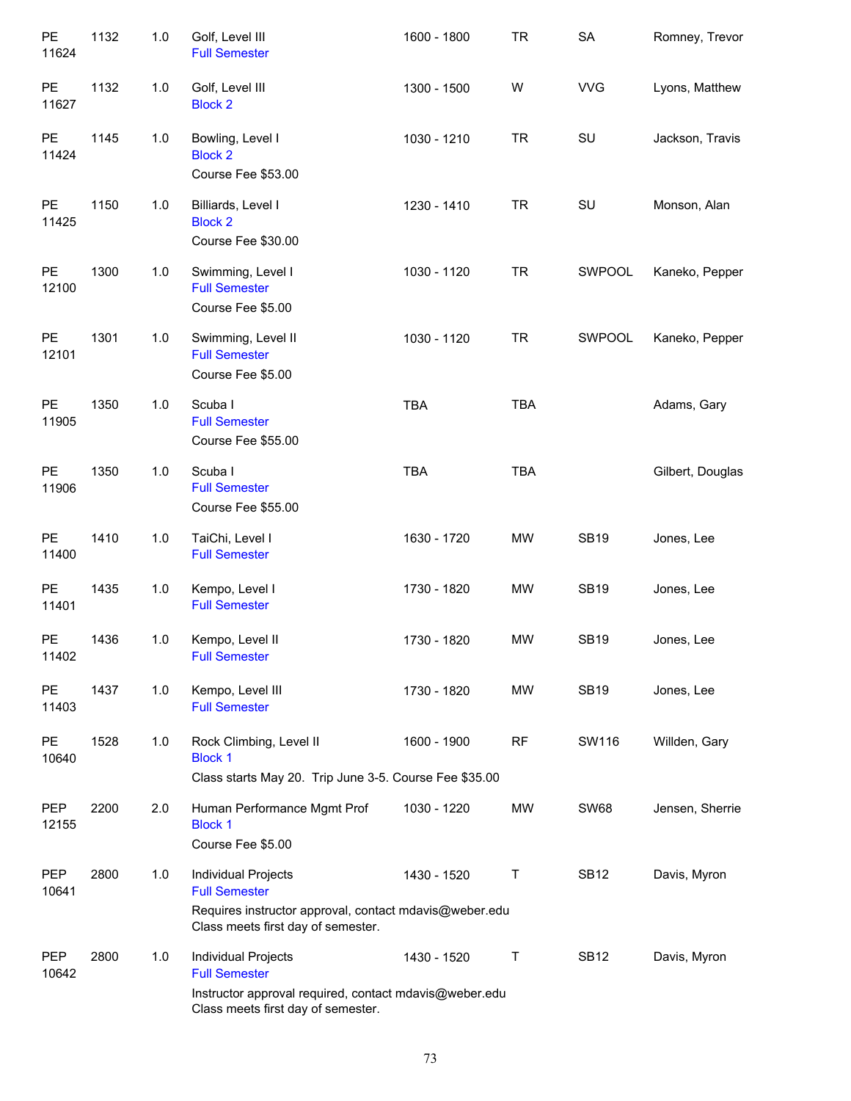| PE<br>11624         | 1132 | 1.0 | Golf, Level III<br><b>Full Semester</b>                                                                                                     | 1600 - 1800 | <b>TR</b>  | <b>SA</b>   | Romney, Trevor   |
|---------------------|------|-----|---------------------------------------------------------------------------------------------------------------------------------------------|-------------|------------|-------------|------------------|
| PE<br>11627         | 1132 | 1.0 | Golf, Level III<br><b>Block 2</b>                                                                                                           | 1300 - 1500 | W          | <b>VVG</b>  | Lyons, Matthew   |
| PE<br>11424         | 1145 | 1.0 | Bowling, Level I<br><b>Block 2</b><br>Course Fee \$53.00                                                                                    | 1030 - 1210 | <b>TR</b>  | SU          | Jackson, Travis  |
| PE<br>11425         | 1150 | 1.0 | Billiards, Level I<br><b>Block 2</b><br>Course Fee \$30.00                                                                                  | 1230 - 1410 | <b>TR</b>  | SU          | Monson, Alan     |
| PE<br>12100         | 1300 | 1.0 | Swimming, Level I<br><b>Full Semester</b><br>Course Fee \$5.00                                                                              | 1030 - 1120 | <b>TR</b>  | SWPOOL      | Kaneko, Pepper   |
| PE<br>12101         | 1301 | 1.0 | Swimming, Level II<br><b>Full Semester</b><br>Course Fee \$5.00                                                                             | 1030 - 1120 | <b>TR</b>  | SWPOOL      | Kaneko, Pepper   |
| PE<br>11905         | 1350 | 1.0 | Scuba I<br><b>Full Semester</b><br>Course Fee \$55.00                                                                                       | <b>TBA</b>  | <b>TBA</b> |             | Adams, Gary      |
| PE<br>11906         | 1350 | 1.0 | Scuba I<br><b>Full Semester</b><br>Course Fee \$55.00                                                                                       | <b>TBA</b>  | <b>TBA</b> |             | Gilbert, Douglas |
| PE<br>11400         | 1410 | 1.0 | TaiChi, Level I<br><b>Full Semester</b>                                                                                                     | 1630 - 1720 | <b>MW</b>  | <b>SB19</b> | Jones, Lee       |
| PE<br>11401         | 1435 | 1.0 | Kempo, Level I<br><b>Full Semester</b>                                                                                                      | 1730 - 1820 | <b>MW</b>  | <b>SB19</b> | Jones, Lee       |
| PE<br>11402         | 1436 | 1.0 | Kempo, Level II<br><b>Full Semester</b>                                                                                                     | 1730 - 1820 | <b>MW</b>  | <b>SB19</b> | Jones, Lee       |
| PE<br>11403         | 1437 | 1.0 | Kempo, Level III<br><b>Full Semester</b>                                                                                                    | 1730 - 1820 | <b>MW</b>  | <b>SB19</b> | Jones, Lee       |
| PE<br>10640         | 1528 | 1.0 | Rock Climbing, Level II<br><b>Block 1</b><br>Class starts May 20. Trip June 3-5. Course Fee \$35.00                                         | 1600 - 1900 | <b>RF</b>  | SW116       | Willden, Gary    |
| <b>PEP</b><br>12155 | 2200 | 2.0 | Human Performance Mgmt Prof<br><b>Block 1</b><br>Course Fee \$5.00                                                                          | 1030 - 1220 | MW         | <b>SW68</b> | Jensen, Sherrie  |
| <b>PEP</b><br>10641 | 2800 | 1.0 | Individual Projects<br><b>Full Semester</b><br>Requires instructor approval, contact mdavis@weber.edu<br>Class meets first day of semester. | 1430 - 1520 | Τ          | <b>SB12</b> | Davis, Myron     |
| <b>PEP</b><br>10642 | 2800 | 1.0 | Individual Projects<br><b>Full Semester</b><br>Instructor approval required, contact mdavis@weber.edu<br>Class meets first day of semester. | 1430 - 1520 | Τ          | <b>SB12</b> | Davis, Myron     |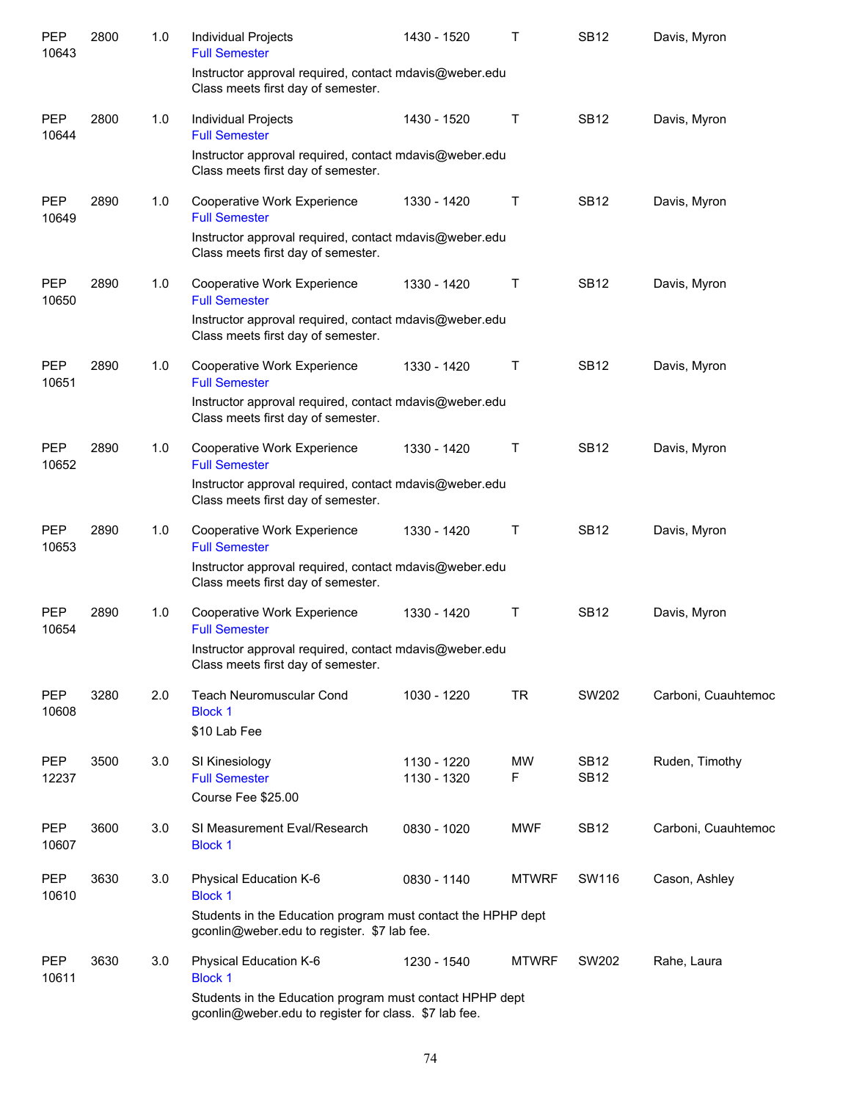| <b>PEP</b><br>10643 | 2800 | 1.0 | Individual Projects<br><b>Full Semester</b>                                                                       | 1430 - 1520                | Т              | <b>SB12</b>                | Davis, Myron        |
|---------------------|------|-----|-------------------------------------------------------------------------------------------------------------------|----------------------------|----------------|----------------------------|---------------------|
|                     |      |     | Instructor approval required, contact mdavis@weber.edu<br>Class meets first day of semester.                      |                            |                |                            |                     |
| <b>PEP</b><br>10644 | 2800 | 1.0 | Individual Projects<br><b>Full Semester</b>                                                                       | 1430 - 1520                | Т              | <b>SB12</b>                | Davis, Myron        |
|                     |      |     | Instructor approval required, contact mdavis@weber.edu<br>Class meets first day of semester.                      |                            |                |                            |                     |
| <b>PEP</b><br>10649 | 2890 | 1.0 | Cooperative Work Experience<br><b>Full Semester</b>                                                               | 1330 - 1420                | $\mathsf T$    | <b>SB12</b>                | Davis, Myron        |
|                     |      |     | Instructor approval required, contact mdavis@weber.edu<br>Class meets first day of semester.                      |                            |                |                            |                     |
| <b>PEP</b><br>10650 | 2890 | 1.0 | Cooperative Work Experience<br><b>Full Semester</b>                                                               | 1330 - 1420                | Т              | <b>SB12</b>                | Davis, Myron        |
|                     |      |     | Instructor approval required, contact mdavis@weber.edu<br>Class meets first day of semester.                      |                            |                |                            |                     |
| <b>PEP</b><br>10651 | 2890 | 1.0 | Cooperative Work Experience<br><b>Full Semester</b>                                                               | 1330 - 1420                | Т              | <b>SB12</b>                | Davis, Myron        |
|                     |      |     | Instructor approval required, contact mdavis@weber.edu<br>Class meets first day of semester.                      |                            |                |                            |                     |
| <b>PEP</b><br>10652 | 2890 | 1.0 | Cooperative Work Experience<br><b>Full Semester</b>                                                               | 1330 - 1420                | $\top$         | <b>SB12</b>                | Davis, Myron        |
|                     |      |     | Instructor approval required, contact mdavis@weber.edu<br>Class meets first day of semester.                      |                            |                |                            |                     |
| <b>PEP</b><br>10653 | 2890 | 1.0 | Cooperative Work Experience<br><b>Full Semester</b>                                                               | 1330 - 1420                | $\top$         | <b>SB12</b>                | Davis, Myron        |
|                     |      |     | Instructor approval required, contact mdavis@weber.edu<br>Class meets first day of semester.                      |                            |                |                            |                     |
| PEP<br>10654        | 2890 | 1.0 | Cooperative Work Experience<br><b>Full Semester</b>                                                               | 1330 - 1420                | $\top$         | <b>SB12</b>                | Davis, Myron        |
|                     |      |     | Instructor approval required, contact mdavis@weber.edu<br>Class meets first day of semester.                      |                            |                |                            |                     |
| <b>PEP</b><br>10608 | 3280 | 2.0 | <b>Teach Neuromuscular Cond</b><br><b>Block 1</b>                                                                 | 1030 - 1220                | <b>TR</b>      | SW202                      | Carboni, Cuauhtemoc |
|                     |      |     | \$10 Lab Fee                                                                                                      |                            |                |                            |                     |
| <b>PEP</b><br>12237 | 3500 | 3.0 | SI Kinesiology<br><b>Full Semester</b>                                                                            | 1130 - 1220<br>1130 - 1320 | <b>MW</b><br>F | <b>SB12</b><br><b>SB12</b> | Ruden, Timothy      |
|                     |      |     | Course Fee \$25.00                                                                                                |                            |                |                            |                     |
| <b>PEP</b><br>10607 | 3600 | 3.0 | SI Measurement Eval/Research<br><b>Block 1</b>                                                                    | 0830 - 1020                | <b>MWF</b>     | <b>SB12</b>                | Carboni, Cuauhtemoc |
| <b>PEP</b><br>10610 | 3630 | 3.0 | Physical Education K-6<br><b>Block 1</b>                                                                          | 0830 - 1140                | <b>MTWRF</b>   | SW116                      | Cason, Ashley       |
|                     |      |     | Students in the Education program must contact the HPHP dept<br>gconlin@weber.edu to register. \$7 lab fee.       |                            |                |                            |                     |
| <b>PEP</b><br>10611 | 3630 | 3.0 | Physical Education K-6<br><b>Block 1</b>                                                                          | 1230 - 1540                | <b>MTWRF</b>   | SW202                      | Rahe, Laura         |
|                     |      |     | Students in the Education program must contact HPHP dept<br>gconlin@weber.edu to register for class. \$7 lab fee. |                            |                |                            |                     |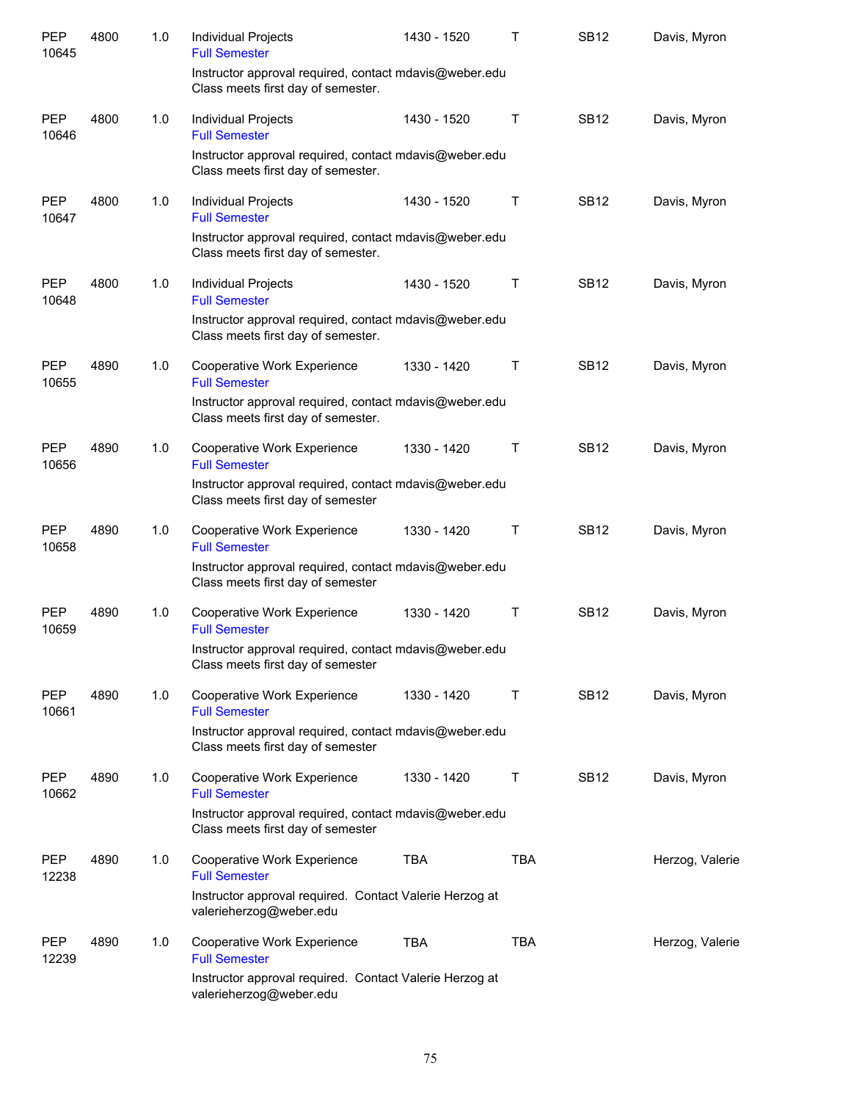| <b>PEP</b><br>10645 | 4800 | 1.0 | Individual Projects<br><b>Full Semester</b>                                                  | 1430 - 1520 | т          | <b>SB12</b> | Davis, Myron    |
|---------------------|------|-----|----------------------------------------------------------------------------------------------|-------------|------------|-------------|-----------------|
|                     |      |     | Instructor approval required, contact mdavis@weber.edu<br>Class meets first day of semester. |             |            |             |                 |
| <b>PEP</b><br>10646 | 4800 | 1.0 | Individual Projects<br><b>Full Semester</b>                                                  | 1430 - 1520 | Τ          | <b>SB12</b> | Davis, Myron    |
|                     |      |     | Instructor approval required, contact mdavis@weber.edu<br>Class meets first day of semester. |             |            |             |                 |
| <b>PEP</b><br>10647 | 4800 | 1.0 | Individual Projects<br><b>Full Semester</b>                                                  | 1430 - 1520 | Τ          | <b>SB12</b> | Davis, Myron    |
|                     |      |     | Instructor approval required, contact mdavis@weber.edu<br>Class meets first day of semester. |             |            |             |                 |
| <b>PEP</b><br>10648 | 4800 | 1.0 | Individual Projects<br><b>Full Semester</b>                                                  | 1430 - 1520 | Τ          | <b>SB12</b> | Davis, Myron    |
|                     |      |     | Instructor approval required, contact mdavis@weber.edu<br>Class meets first day of semester. |             |            |             |                 |
| <b>PEP</b><br>10655 | 4890 | 1.0 | Cooperative Work Experience<br><b>Full Semester</b>                                          | 1330 - 1420 | Τ          | <b>SB12</b> | Davis, Myron    |
|                     |      |     | Instructor approval required, contact mdavis@weber.edu<br>Class meets first day of semester. |             |            |             |                 |
| <b>PEP</b><br>10656 | 4890 | 1.0 | Cooperative Work Experience<br><b>Full Semester</b>                                          | 1330 - 1420 | Τ          | <b>SB12</b> | Davis, Myron    |
|                     |      |     | Instructor approval required, contact mdavis@weber.edu<br>Class meets first day of semester  |             |            |             |                 |
| <b>PEP</b><br>10658 | 4890 | 1.0 | Cooperative Work Experience<br><b>Full Semester</b>                                          | 1330 - 1420 | Τ          | <b>SB12</b> | Davis, Myron    |
|                     |      |     | Instructor approval required, contact mdavis@weber.edu<br>Class meets first day of semester  |             |            |             |                 |
| <b>PEP</b><br>10659 | 4890 | 1.0 | Cooperative Work Experience<br><b>Full Semester</b>                                          | 1330 - 1420 | Τ          | <b>SB12</b> | Davis, Myron    |
|                     |      |     | Instructor approval required, contact mdavis@weber.edu<br>Class meets first day of semester  |             |            |             |                 |
| PEP<br>10661        | 4890 | 1.0 | Cooperative Work Experience<br><b>Full Semester</b>                                          | 1330 - 1420 | Т          | <b>SB12</b> | Davis, Myron    |
|                     |      |     | Instructor approval required, contact mdavis@weber.edu<br>Class meets first day of semester  |             |            |             |                 |
| <b>PEP</b><br>10662 | 4890 | 1.0 | Cooperative Work Experience<br><b>Full Semester</b>                                          | 1330 - 1420 | Τ          | <b>SB12</b> | Davis, Myron    |
|                     |      |     | Instructor approval required, contact mdavis@weber.edu<br>Class meets first day of semester  |             |            |             |                 |
| <b>PEP</b><br>12238 | 4890 | 1.0 | Cooperative Work Experience<br><b>Full Semester</b>                                          | <b>TBA</b>  | <b>TBA</b> |             | Herzog, Valerie |
|                     |      |     | Instructor approval required. Contact Valerie Herzog at<br>valerieherzog@weber.edu           |             |            |             |                 |
| PEP<br>12239        | 4890 | 1.0 | Cooperative Work Experience<br><b>Full Semester</b>                                          | <b>TBA</b>  | <b>TBA</b> |             | Herzog, Valerie |
|                     |      |     | Instructor approval required. Contact Valerie Herzog at<br>valerieherzog@weber.edu           |             |            |             |                 |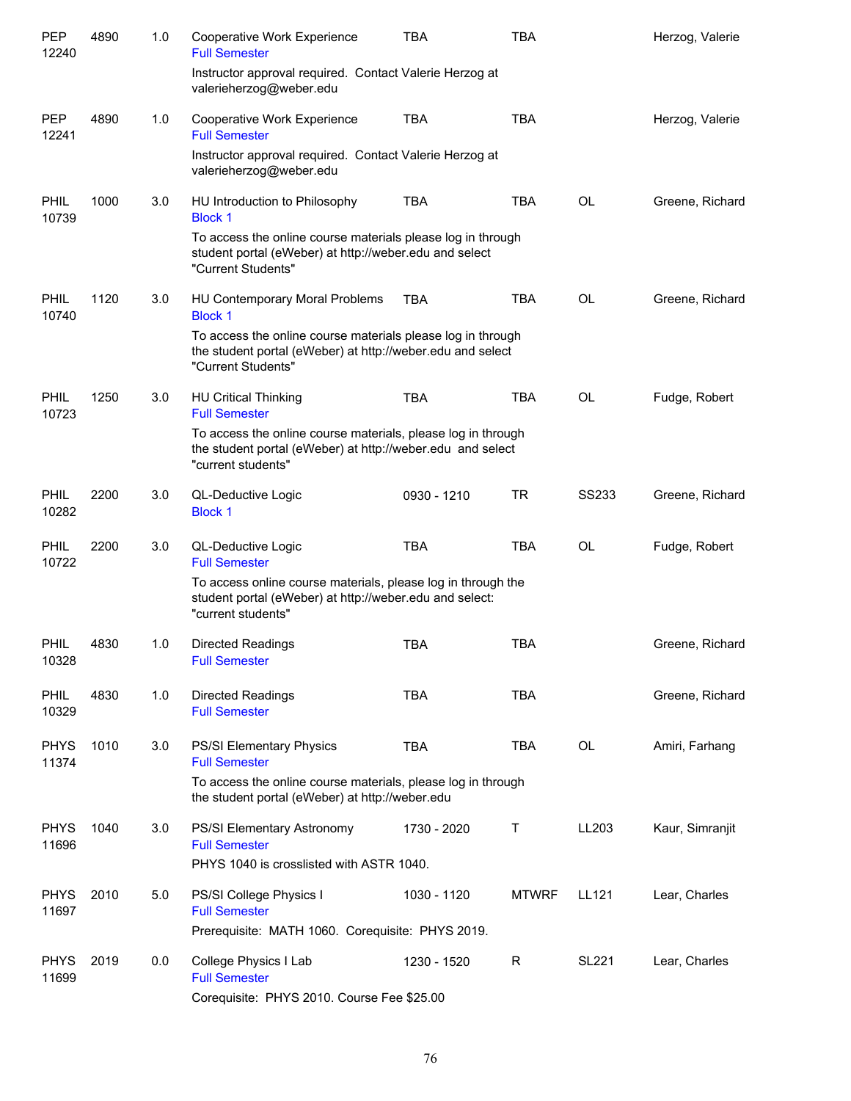| PEP<br>12240         | 4890 | 1.0 | Cooperative Work Experience<br><b>Full Semester</b>                                                                                              | TBA         | TBA          |              | Herzog, Valerie |
|----------------------|------|-----|--------------------------------------------------------------------------------------------------------------------------------------------------|-------------|--------------|--------------|-----------------|
|                      |      |     | Instructor approval required. Contact Valerie Herzog at<br>valerieherzog@weber.edu                                                               |             |              |              |                 |
| <b>PEP</b><br>12241  | 4890 | 1.0 | Cooperative Work Experience<br><b>Full Semester</b>                                                                                              | <b>TBA</b>  | <b>TBA</b>   |              | Herzog, Valerie |
|                      |      |     | Instructor approval required. Contact Valerie Herzog at<br>valerieherzog@weber.edu                                                               |             |              |              |                 |
| <b>PHIL</b><br>10739 | 1000 | 3.0 | HU Introduction to Philosophy<br><b>Block 1</b>                                                                                                  | <b>TBA</b>  | TBA          | <b>OL</b>    | Greene, Richard |
|                      |      |     | To access the online course materials please log in through<br>student portal (eWeber) at http://weber.edu and select<br>"Current Students"      |             |              |              |                 |
| <b>PHIL</b><br>10740 | 1120 | 3.0 | HU Contemporary Moral Problems<br><b>Block 1</b>                                                                                                 | <b>TBA</b>  | <b>TBA</b>   | <b>OL</b>    | Greene, Richard |
|                      |      |     | To access the online course materials please log in through<br>the student portal (eWeber) at http://weber.edu and select<br>"Current Students"  |             |              |              |                 |
| <b>PHIL</b><br>10723 | 1250 | 3.0 | <b>HU Critical Thinking</b><br><b>Full Semester</b>                                                                                              | <b>TBA</b>  | <b>TBA</b>   | <b>OL</b>    | Fudge, Robert   |
|                      |      |     | To access the online course materials, please log in through<br>the student portal (eWeber) at http://weber.edu and select<br>"current students" |             |              |              |                 |
| <b>PHIL</b><br>10282 | 2200 | 3.0 | QL-Deductive Logic<br><b>Block 1</b>                                                                                                             | 0930 - 1210 | <b>TR</b>    | <b>SS233</b> | Greene, Richard |
| PHIL<br>10722        | 2200 | 3.0 | QL-Deductive Logic<br><b>Full Semester</b>                                                                                                       | <b>TBA</b>  | <b>TBA</b>   | <b>OL</b>    | Fudge, Robert   |
|                      |      |     | To access online course materials, please log in through the<br>student portal (eWeber) at http://weber.edu and select:<br>"current students"    |             |              |              |                 |
| <b>PHIL</b><br>10328 | 4830 | 1.0 | <b>Directed Readings</b><br><b>Full Semester</b>                                                                                                 | <b>TBA</b>  | <b>TBA</b>   |              | Greene, Richard |
| <b>PHIL</b><br>10329 | 4830 | 1.0 | <b>Directed Readings</b><br><b>Full Semester</b>                                                                                                 | <b>TBA</b>  | <b>TBA</b>   |              | Greene, Richard |
| <b>PHYS</b><br>11374 | 1010 | 3.0 | PS/SI Elementary Physics<br><b>Full Semester</b>                                                                                                 | <b>TBA</b>  | <b>TBA</b>   | <b>OL</b>    | Amiri, Farhang  |
|                      |      |     | To access the online course materials, please log in through<br>the student portal (eWeber) at http://weber.edu                                  |             |              |              |                 |
| <b>PHYS</b><br>11696 | 1040 | 3.0 | PS/SI Elementary Astronomy<br><b>Full Semester</b>                                                                                               | 1730 - 2020 | Τ            | LL203        | Kaur, Simranjit |
|                      |      |     | PHYS 1040 is crosslisted with ASTR 1040.                                                                                                         |             |              |              |                 |
| <b>PHYS</b><br>11697 | 2010 | 5.0 | PS/SI College Physics I<br><b>Full Semester</b>                                                                                                  | 1030 - 1120 | <b>MTWRF</b> | LL121        | Lear, Charles   |
|                      |      |     | Prerequisite: MATH 1060. Corequisite: PHYS 2019.                                                                                                 |             |              |              |                 |
| <b>PHYS</b><br>11699 | 2019 | 0.0 | College Physics I Lab<br><b>Full Semester</b><br>Corequisite: PHYS 2010. Course Fee \$25.00                                                      | 1230 - 1520 | R            | <b>SL221</b> | Lear, Charles   |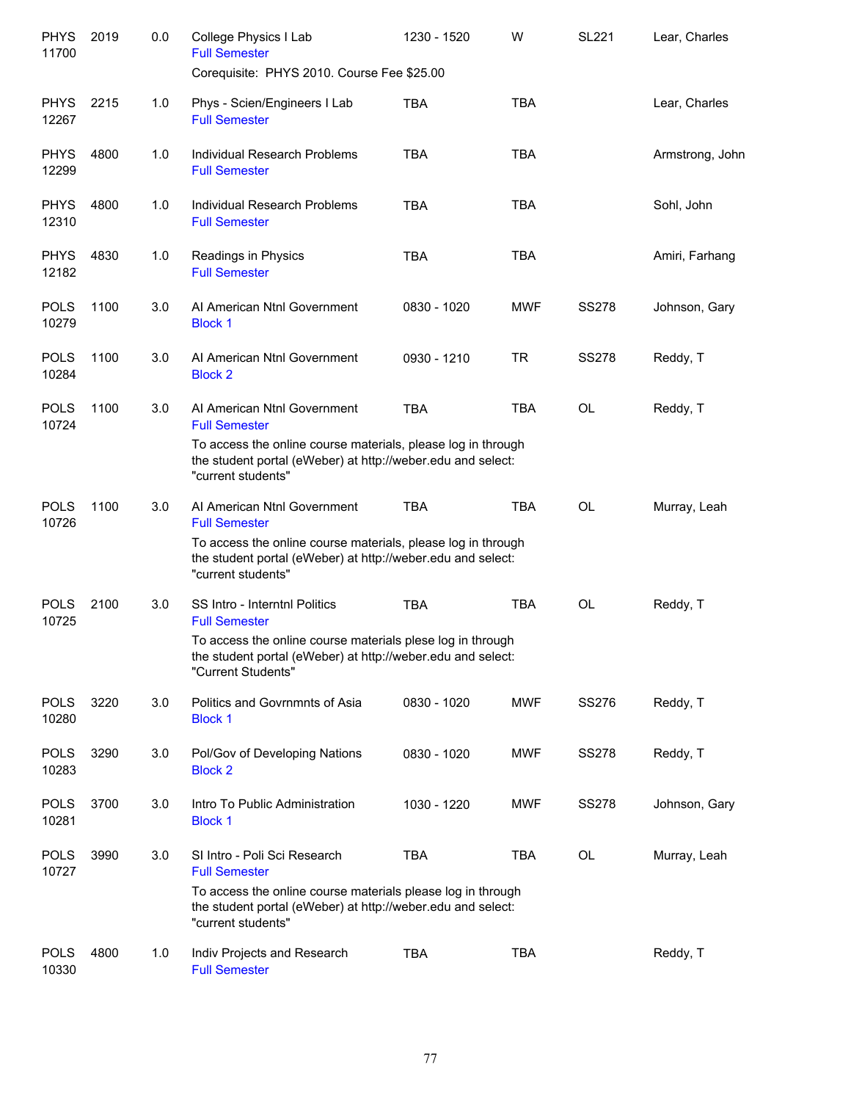| <b>PHYS</b><br>11700 | 2019 | 0.0 | College Physics I Lab<br><b>Full Semester</b><br>Corequisite: PHYS 2010. Course Fee \$25.00                                                       | 1230 - 1520 | W          | <b>SL221</b> | Lear, Charles   |
|----------------------|------|-----|---------------------------------------------------------------------------------------------------------------------------------------------------|-------------|------------|--------------|-----------------|
| <b>PHYS</b>          | 2215 | 1.0 | Phys - Scien/Engineers I Lab                                                                                                                      | <b>TBA</b>  | <b>TBA</b> |              | Lear, Charles   |
| 12267                |      |     | <b>Full Semester</b>                                                                                                                              |             |            |              |                 |
| <b>PHYS</b><br>12299 | 4800 | 1.0 | Individual Research Problems<br><b>Full Semester</b>                                                                                              | <b>TBA</b>  | <b>TBA</b> |              | Armstrong, John |
| <b>PHYS</b><br>12310 | 4800 | 1.0 | Individual Research Problems<br><b>Full Semester</b>                                                                                              | <b>TBA</b>  | <b>TBA</b> |              | Sohl, John      |
| <b>PHYS</b><br>12182 | 4830 | 1.0 | Readings in Physics<br><b>Full Semester</b>                                                                                                       | <b>TBA</b>  | <b>TBA</b> |              | Amiri, Farhang  |
| <b>POLS</b><br>10279 | 1100 | 3.0 | Al American Ntnl Government<br><b>Block 1</b>                                                                                                     | 0830 - 1020 | <b>MWF</b> | <b>SS278</b> | Johnson, Gary   |
| <b>POLS</b><br>10284 | 1100 | 3.0 | Al American Ntnl Government<br><b>Block 2</b>                                                                                                     | 0930 - 1210 | <b>TR</b>  | <b>SS278</b> | Reddy, T        |
| <b>POLS</b><br>10724 | 1100 | 3.0 | Al American Ntnl Government<br><b>Full Semester</b>                                                                                               | <b>TBA</b>  | <b>TBA</b> | <b>OL</b>    | Reddy, T        |
|                      |      |     | To access the online course materials, please log in through<br>the student portal (eWeber) at http://weber.edu and select:<br>"current students" |             |            |              |                 |
| <b>POLS</b><br>10726 | 1100 | 3.0 | Al American Ntnl Government<br><b>Full Semester</b>                                                                                               | <b>TBA</b>  | <b>TBA</b> | <b>OL</b>    | Murray, Leah    |
|                      |      |     | To access the online course materials, please log in through<br>the student portal (eWeber) at http://weber.edu and select:<br>"current students" |             |            |              |                 |
| <b>POLS</b><br>10725 | 2100 | 3.0 | SS Intro - Interntnl Politics<br><b>Full Semester</b>                                                                                             | <b>TBA</b>  | <b>TBA</b> | OL           | Reddy, T        |
|                      |      |     | To access the online course materials plese log in through<br>the student portal (eWeber) at http://weber.edu and select:<br>"Current Students"   |             |            |              |                 |
| <b>POLS</b><br>10280 | 3220 | 3.0 | Politics and Govrnmnts of Asia<br><b>Block 1</b>                                                                                                  | 0830 - 1020 | MWF        | SS276        | Reddy, T        |
| <b>POLS</b><br>10283 | 3290 | 3.0 | Pol/Gov of Developing Nations<br><b>Block 2</b>                                                                                                   | 0830 - 1020 | MWF        | <b>SS278</b> | Reddy, T        |
| <b>POLS</b><br>10281 | 3700 | 3.0 | Intro To Public Administration<br><b>Block 1</b>                                                                                                  | 1030 - 1220 | MWF        | <b>SS278</b> | Johnson, Gary   |
| <b>POLS</b><br>10727 | 3990 | 3.0 | SI Intro - Poli Sci Research<br><b>Full Semester</b>                                                                                              | <b>TBA</b>  | <b>TBA</b> | <b>OL</b>    | Murray, Leah    |
|                      |      |     | To access the online course materials please log in through<br>the student portal (eWeber) at http://weber.edu and select:<br>"current students"  |             |            |              |                 |
| <b>POLS</b><br>10330 | 4800 | 1.0 | Indiv Projects and Research<br><b>Full Semester</b>                                                                                               | TBA         | <b>TBA</b> |              | Reddy, T        |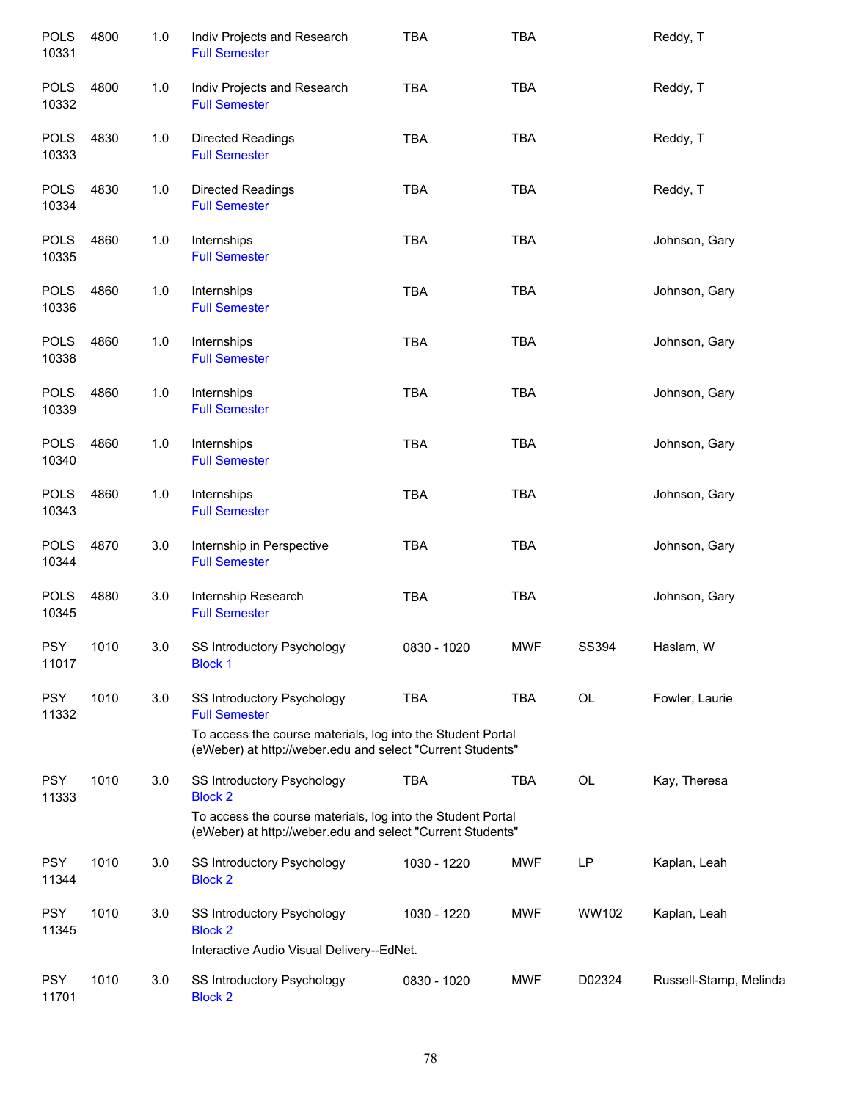| <b>POLS</b><br>10331 | 4800 | 1.0 | Indiv Projects and Research<br><b>Full Semester</b>                                                                       | <b>TBA</b>  | <b>TBA</b> |              | Reddy, T               |
|----------------------|------|-----|---------------------------------------------------------------------------------------------------------------------------|-------------|------------|--------------|------------------------|
| <b>POLS</b><br>10332 | 4800 | 1.0 | Indiv Projects and Research<br><b>Full Semester</b>                                                                       | <b>TBA</b>  | <b>TBA</b> |              | Reddy, T               |
| <b>POLS</b><br>10333 | 4830 | 1.0 | <b>Directed Readings</b><br><b>Full Semester</b>                                                                          | <b>TBA</b>  | <b>TBA</b> |              | Reddy, T               |
| <b>POLS</b><br>10334 | 4830 | 1.0 | <b>Directed Readings</b><br><b>Full Semester</b>                                                                          | <b>TBA</b>  | <b>TBA</b> |              | Reddy, T               |
| <b>POLS</b><br>10335 | 4860 | 1.0 | Internships<br><b>Full Semester</b>                                                                                       | TBA         | <b>TBA</b> |              | Johnson, Gary          |
| <b>POLS</b><br>10336 | 4860 | 1.0 | Internships<br><b>Full Semester</b>                                                                                       | TBA         | <b>TBA</b> |              | Johnson, Gary          |
| <b>POLS</b><br>10338 | 4860 | 1.0 | Internships<br><b>Full Semester</b>                                                                                       | <b>TBA</b>  | <b>TBA</b> |              | Johnson, Gary          |
| <b>POLS</b><br>10339 | 4860 | 1.0 | Internships<br><b>Full Semester</b>                                                                                       | <b>TBA</b>  | <b>TBA</b> |              | Johnson, Gary          |
| <b>POLS</b><br>10340 | 4860 | 1.0 | Internships<br><b>Full Semester</b>                                                                                       | <b>TBA</b>  | <b>TBA</b> |              | Johnson, Gary          |
| <b>POLS</b><br>10343 | 4860 | 1.0 | Internships<br><b>Full Semester</b>                                                                                       | <b>TBA</b>  | <b>TBA</b> |              | Johnson, Gary          |
| <b>POLS</b><br>10344 | 4870 | 3.0 | Internship in Perspective<br><b>Full Semester</b>                                                                         | <b>TBA</b>  | <b>TBA</b> |              | Johnson, Gary          |
| <b>POLS</b><br>10345 | 4880 | 3.0 | Internship Research<br><b>Full Semester</b>                                                                               | <b>TBA</b>  | <b>TBA</b> |              | Johnson, Gary          |
| <b>PSY</b><br>11017  | 1010 | 3.0 | SS Introductory Psychology<br><b>Block 1</b>                                                                              | 0830 - 1020 | <b>MWF</b> | <b>SS394</b> | Haslam, W              |
| <b>PSY</b><br>11332  | 1010 | 3.0 | SS Introductory Psychology<br><b>Full Semester</b>                                                                        | <b>TBA</b>  | <b>TBA</b> | OL           | Fowler, Laurie         |
|                      |      |     | To access the course materials, log into the Student Portal<br>(eWeber) at http://weber.edu and select "Current Students" |             |            |              |                        |
| <b>PSY</b><br>11333  | 1010 | 3.0 | SS Introductory Psychology<br><b>Block 2</b>                                                                              | <b>TBA</b>  | <b>TBA</b> | OL           | Kay, Theresa           |
|                      |      |     | To access the course materials, log into the Student Portal<br>(eWeber) at http://weber.edu and select "Current Students" |             |            |              |                        |
| <b>PSY</b><br>11344  | 1010 | 3.0 | SS Introductory Psychology<br><b>Block 2</b>                                                                              | 1030 - 1220 | <b>MWF</b> | LP           | Kaplan, Leah           |
| <b>PSY</b><br>11345  | 1010 | 3.0 | SS Introductory Psychology<br><b>Block 2</b>                                                                              | 1030 - 1220 | <b>MWF</b> | WW102        | Kaplan, Leah           |
|                      |      |     | Interactive Audio Visual Delivery--EdNet.                                                                                 |             |            |              |                        |
| <b>PSY</b><br>11701  | 1010 | 3.0 | SS Introductory Psychology<br><b>Block 2</b>                                                                              | 0830 - 1020 | <b>MWF</b> | D02324       | Russell-Stamp, Melinda |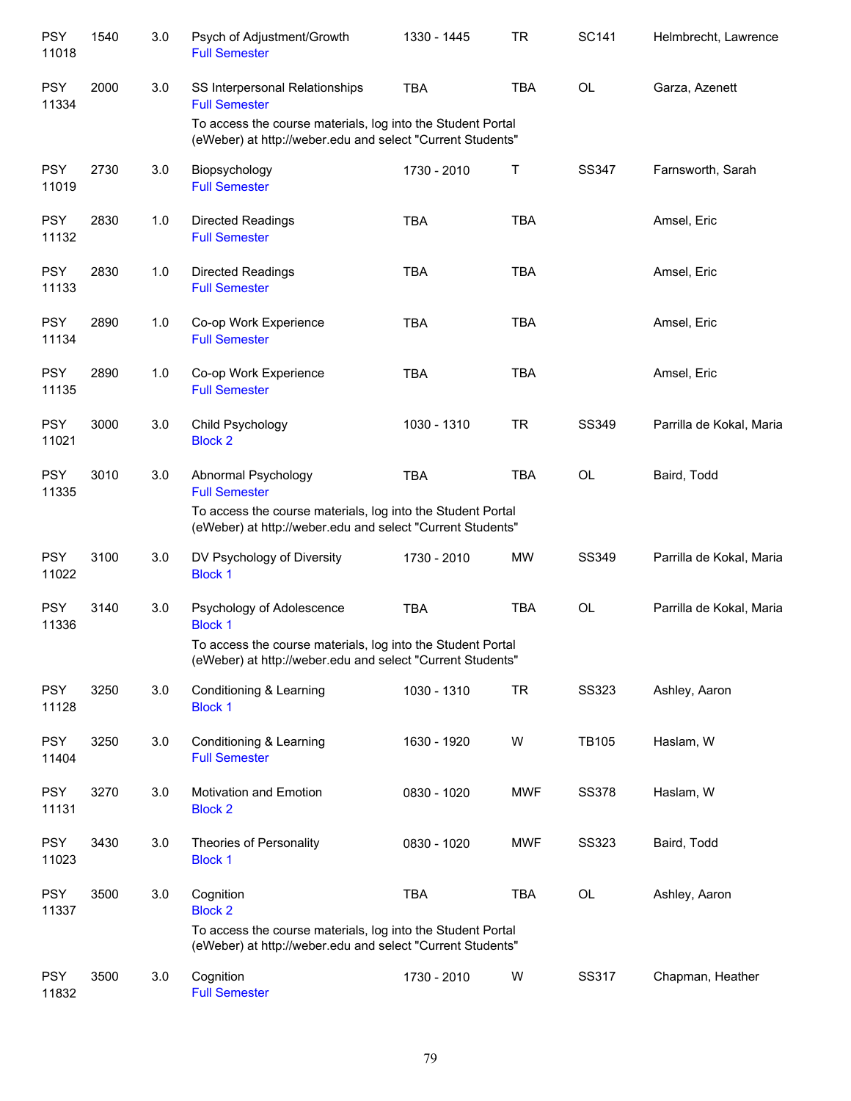| <b>PSY</b><br>11018 | 1540 | 3.0 | Psych of Adjustment/Growth<br><b>Full Semester</b>                                                                        | 1330 - 1445 | <b>TR</b>  | <b>SC141</b>   | Helmbrecht, Lawrence     |
|---------------------|------|-----|---------------------------------------------------------------------------------------------------------------------------|-------------|------------|----------------|--------------------------|
| <b>PSY</b><br>11334 | 2000 | 3.0 | SS Interpersonal Relationships<br><b>Full Semester</b>                                                                    | <b>TBA</b>  | <b>TBA</b> | OL             | Garza, Azenett           |
|                     |      |     | To access the course materials, log into the Student Portal<br>(eWeber) at http://weber.edu and select "Current Students" |             |            |                |                          |
| <b>PSY</b><br>11019 | 2730 | 3.0 | Biopsychology<br><b>Full Semester</b>                                                                                     | 1730 - 2010 | T          | SS347          | Farnsworth, Sarah        |
| <b>PSY</b><br>11132 | 2830 | 1.0 | Directed Readings<br><b>Full Semester</b>                                                                                 | <b>TBA</b>  | <b>TBA</b> |                | Amsel, Eric              |
| <b>PSY</b><br>11133 | 2830 | 1.0 | Directed Readings<br><b>Full Semester</b>                                                                                 | <b>TBA</b>  | <b>TBA</b> |                | Amsel, Eric              |
| <b>PSY</b><br>11134 | 2890 | 1.0 | Co-op Work Experience<br><b>Full Semester</b>                                                                             | <b>TBA</b>  | <b>TBA</b> |                | Amsel, Eric              |
| <b>PSY</b><br>11135 | 2890 | 1.0 | Co-op Work Experience<br><b>Full Semester</b>                                                                             | <b>TBA</b>  | <b>TBA</b> |                | Amsel, Eric              |
| <b>PSY</b><br>11021 | 3000 | 3.0 | Child Psychology<br><b>Block 2</b>                                                                                        | 1030 - 1310 | <b>TR</b>  | SS349          | Parrilla de Kokal, Maria |
| <b>PSY</b><br>11335 | 3010 | 3.0 | Abnormal Psychology<br><b>Full Semester</b>                                                                               | <b>TBA</b>  | <b>TBA</b> | OL             | Baird, Todd              |
|                     |      |     | To access the course materials, log into the Student Portal<br>(eWeber) at http://weber.edu and select "Current Students" |             |            |                |                          |
| <b>PSY</b><br>11022 | 3100 | 3.0 | DV Psychology of Diversity<br><b>Block 1</b>                                                                              | 1730 - 2010 | <b>MW</b>  | SS349          | Parrilla de Kokal, Maria |
| <b>PSY</b><br>11336 | 3140 | 3.0 | Psychology of Adolescence<br><b>Block 1</b>                                                                               | <b>TBA</b>  | <b>TBA</b> | OL             | Parrilla de Kokal, Maria |
|                     |      |     | To access the course materials, log into the Student Portal<br>(eWeber) at http://weber.edu and select "Current Students" |             |            |                |                          |
| <b>PSY</b><br>11128 | 3250 | 3.0 | Conditioning & Learning<br><b>Block 1</b>                                                                                 | 1030 - 1310 | <b>TR</b>  | <b>SS323</b>   | Ashley, Aaron            |
| <b>PSY</b><br>11404 | 3250 | 3.0 | Conditioning & Learning<br><b>Full Semester</b>                                                                           | 1630 - 1920 | W          | <b>TB105</b>   | Haslam, W                |
| <b>PSY</b><br>11131 | 3270 | 3.0 | Motivation and Emotion<br><b>Block 2</b>                                                                                  | 0830 - 1020 | <b>MWF</b> | <b>SS378</b>   | Haslam, W                |
| <b>PSY</b><br>11023 | 3430 | 3.0 | Theories of Personality<br><b>Block 1</b>                                                                                 | 0830 - 1020 | <b>MWF</b> | <b>SS323</b>   | Baird, Todd              |
| <b>PSY</b><br>11337 | 3500 | 3.0 | Cognition<br><b>Block 2</b>                                                                                               | <b>TBA</b>  | <b>TBA</b> | $\mathsf{OL}%$ | Ashley, Aaron            |
|                     |      |     | To access the course materials, log into the Student Portal<br>(eWeber) at http://weber.edu and select "Current Students" |             |            |                |                          |
| <b>PSY</b><br>11832 | 3500 | 3.0 | Cognition<br><b>Full Semester</b>                                                                                         | 1730 - 2010 | W          | SS317          | Chapman, Heather         |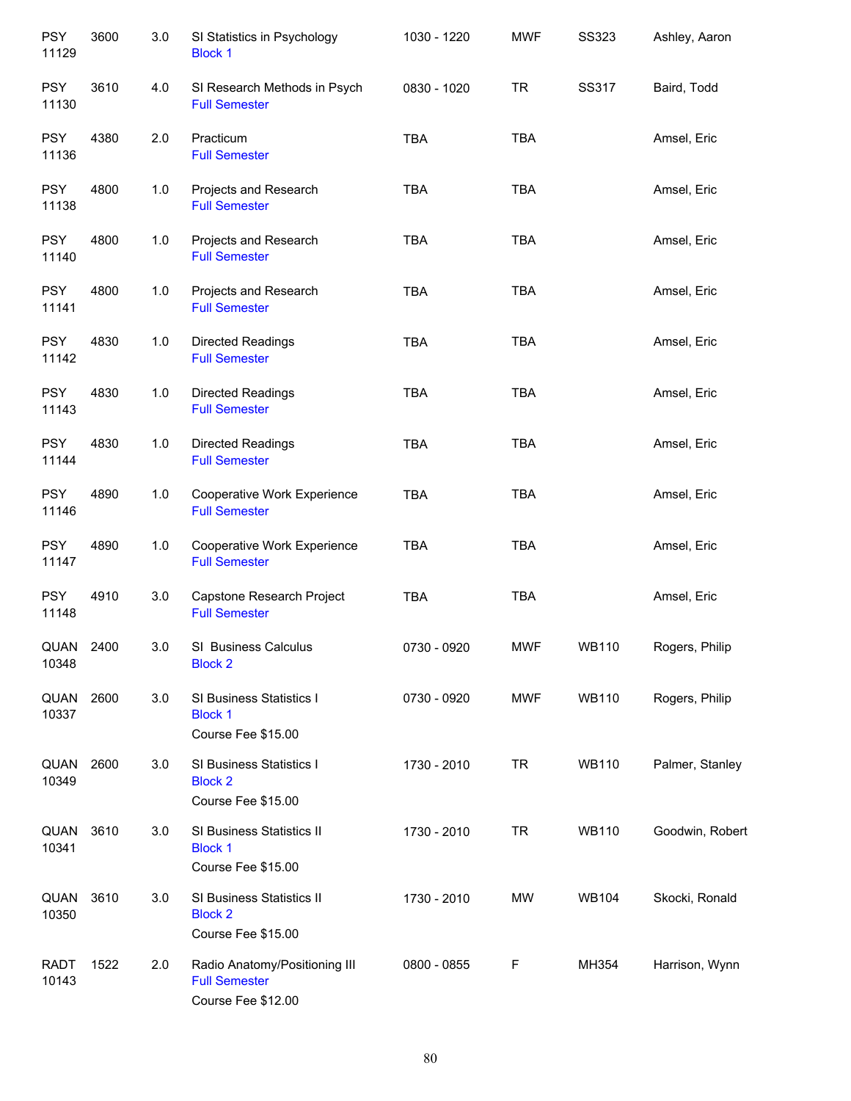| <b>PSY</b><br>11129  | 3600 | 3.0 | SI Statistics in Psychology<br><b>Block 1</b>                               | 1030 - 1220 | <b>MWF</b> | <b>SS323</b> | Ashley, Aaron   |
|----------------------|------|-----|-----------------------------------------------------------------------------|-------------|------------|--------------|-----------------|
| <b>PSY</b><br>11130  | 3610 | 4.0 | SI Research Methods in Psych<br><b>Full Semester</b>                        | 0830 - 1020 | <b>TR</b>  | SS317        | Baird, Todd     |
| <b>PSY</b><br>11136  | 4380 | 2.0 | Practicum<br><b>Full Semester</b>                                           | <b>TBA</b>  | <b>TBA</b> |              | Amsel, Eric     |
| <b>PSY</b><br>11138  | 4800 | 1.0 | Projects and Research<br><b>Full Semester</b>                               | <b>TBA</b>  | <b>TBA</b> |              | Amsel, Eric     |
| <b>PSY</b><br>11140  | 4800 | 1.0 | Projects and Research<br><b>Full Semester</b>                               | <b>TBA</b>  | <b>TBA</b> |              | Amsel, Eric     |
| <b>PSY</b><br>11141  | 4800 | 1.0 | Projects and Research<br><b>Full Semester</b>                               | <b>TBA</b>  | <b>TBA</b> |              | Amsel, Eric     |
| <b>PSY</b><br>11142  | 4830 | 1.0 | Directed Readings<br><b>Full Semester</b>                                   | <b>TBA</b>  | <b>TBA</b> |              | Amsel, Eric     |
| <b>PSY</b><br>11143  | 4830 | 1.0 | <b>Directed Readings</b><br><b>Full Semester</b>                            | <b>TBA</b>  | <b>TBA</b> |              | Amsel, Eric     |
| <b>PSY</b><br>11144  | 4830 | 1.0 | Directed Readings<br><b>Full Semester</b>                                   | <b>TBA</b>  | <b>TBA</b> |              | Amsel, Eric     |
| <b>PSY</b><br>11146  | 4890 | 1.0 | Cooperative Work Experience<br><b>Full Semester</b>                         | <b>TBA</b>  | <b>TBA</b> |              | Amsel, Eric     |
| <b>PSY</b><br>11147  | 4890 | 1.0 | Cooperative Work Experience<br><b>Full Semester</b>                         | <b>TBA</b>  | <b>TBA</b> |              | Amsel, Eric     |
| <b>PSY</b><br>11148  | 4910 | 3.0 | Capstone Research Project<br><b>Full Semester</b>                           | <b>TBA</b>  | <b>TBA</b> |              | Amsel, Eric     |
| QUAN<br>10348        | 2400 | 3.0 | SI Business Calculus<br><b>Block 2</b>                                      | 0730 - 0920 | <b>MWF</b> | <b>WB110</b> | Rogers, Philip  |
| QUAN<br>10337        | 2600 | 3.0 | SI Business Statistics I<br><b>Block 1</b><br>Course Fee \$15.00            | 0730 - 0920 | <b>MWF</b> | <b>WB110</b> | Rogers, Philip  |
| QUAN<br>10349        | 2600 | 3.0 | SI Business Statistics I<br><b>Block 2</b><br>Course Fee \$15.00            | 1730 - 2010 | <b>TR</b>  | <b>WB110</b> | Palmer, Stanley |
| QUAN<br>10341        | 3610 | 3.0 | SI Business Statistics II<br><b>Block 1</b><br>Course Fee \$15.00           | 1730 - 2010 | <b>TR</b>  | <b>WB110</b> | Goodwin, Robert |
| QUAN<br>10350        | 3610 | 3.0 | SI Business Statistics II<br><b>Block 2</b><br>Course Fee \$15.00           | 1730 - 2010 | MW         | <b>WB104</b> | Skocki, Ronald  |
| <b>RADT</b><br>10143 | 1522 | 2.0 | Radio Anatomy/Positioning III<br><b>Full Semester</b><br>Course Fee \$12.00 | 0800 - 0855 | F          | MH354        | Harrison, Wynn  |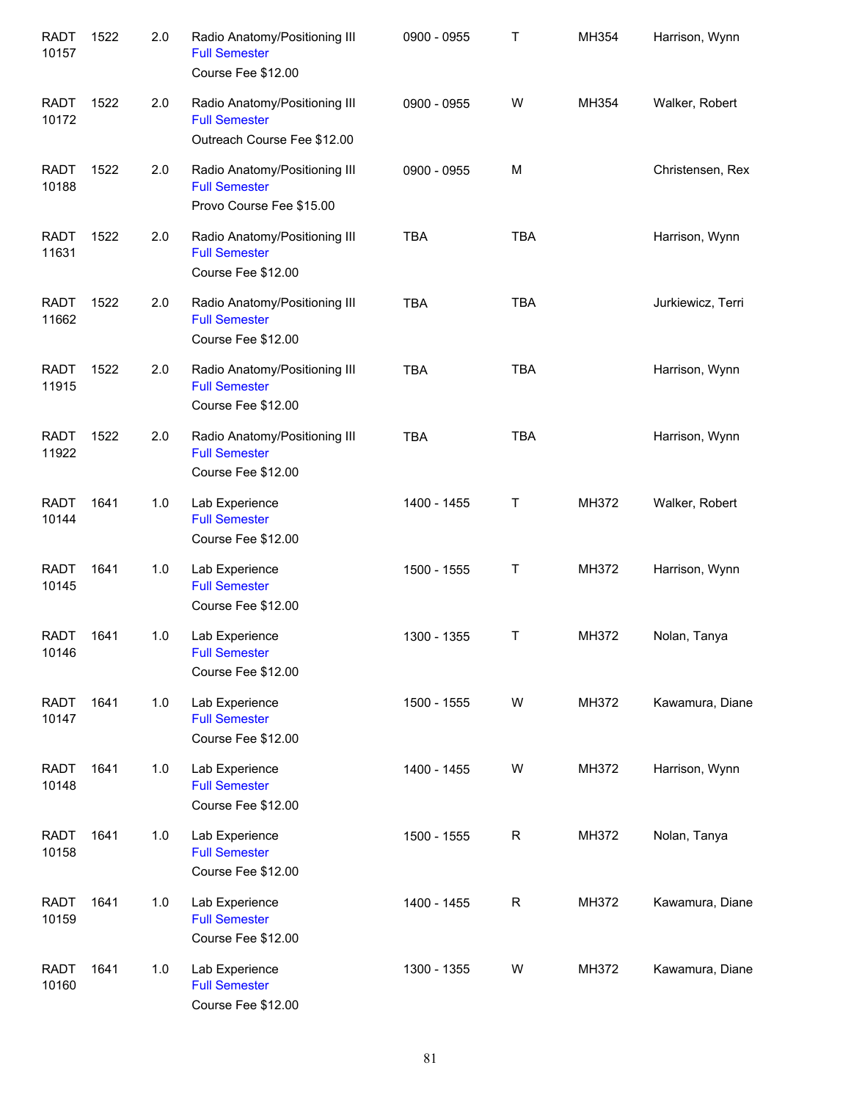| <b>RADT</b><br>10157 | 1522 | 2.0 | Radio Anatomy/Positioning III<br><b>Full Semester</b><br>Course Fee \$12.00          | 0900 - 0955 | $\top$      | MH354 | Harrison, Wynn    |
|----------------------|------|-----|--------------------------------------------------------------------------------------|-------------|-------------|-------|-------------------|
| <b>RADT</b><br>10172 | 1522 | 2.0 | Radio Anatomy/Positioning III<br><b>Full Semester</b><br>Outreach Course Fee \$12.00 | 0900 - 0955 | W           | MH354 | Walker, Robert    |
| <b>RADT</b><br>10188 | 1522 | 2.0 | Radio Anatomy/Positioning III<br><b>Full Semester</b><br>Provo Course Fee \$15.00    | 0900 - 0955 | M           |       | Christensen, Rex  |
| <b>RADT</b><br>11631 | 1522 | 2.0 | Radio Anatomy/Positioning III<br><b>Full Semester</b><br>Course Fee \$12.00          | <b>TBA</b>  | <b>TBA</b>  |       | Harrison, Wynn    |
| <b>RADT</b><br>11662 | 1522 | 2.0 | Radio Anatomy/Positioning III<br><b>Full Semester</b><br>Course Fee \$12.00          | <b>TBA</b>  | <b>TBA</b>  |       | Jurkiewicz, Terri |
| <b>RADT</b><br>11915 | 1522 | 2.0 | Radio Anatomy/Positioning III<br><b>Full Semester</b><br>Course Fee \$12.00          | <b>TBA</b>  | <b>TBA</b>  |       | Harrison, Wynn    |
| <b>RADT</b><br>11922 | 1522 | 2.0 | Radio Anatomy/Positioning III<br><b>Full Semester</b><br>Course Fee \$12.00          | <b>TBA</b>  | <b>TBA</b>  |       | Harrison, Wynn    |
| <b>RADT</b><br>10144 | 1641 | 1.0 | Lab Experience<br><b>Full Semester</b><br>Course Fee \$12.00                         | 1400 - 1455 | $\mathsf T$ | MH372 | Walker, Robert    |
| <b>RADT</b><br>10145 | 1641 | 1.0 | Lab Experience<br><b>Full Semester</b><br>Course Fee \$12.00                         | 1500 - 1555 | $\top$      | MH372 | Harrison, Wynn    |
| RADT<br>10146        | 1641 | 1.0 | Lab Experience<br><b>Full Semester</b><br>Course Fee \$12.00                         | 1300 - 1355 | $\top$      | MH372 | Nolan, Tanya      |
| <b>RADT</b><br>10147 | 1641 | 1.0 | Lab Experience<br><b>Full Semester</b><br>Course Fee \$12.00                         | 1500 - 1555 | W           | MH372 | Kawamura, Diane   |
| <b>RADT</b><br>10148 | 1641 | 1.0 | Lab Experience<br><b>Full Semester</b><br>Course Fee \$12.00                         | 1400 - 1455 | W           | MH372 | Harrison, Wynn    |
| <b>RADT</b><br>10158 | 1641 | 1.0 | Lab Experience<br><b>Full Semester</b><br>Course Fee \$12.00                         | 1500 - 1555 | $\mathsf R$ | MH372 | Nolan, Tanya      |
| <b>RADT</b><br>10159 | 1641 | 1.0 | Lab Experience<br><b>Full Semester</b><br>Course Fee \$12.00                         | 1400 - 1455 | $\mathsf R$ | MH372 | Kawamura, Diane   |
| <b>RADT</b><br>10160 | 1641 | 1.0 | Lab Experience<br><b>Full Semester</b><br>Course Fee \$12.00                         | 1300 - 1355 | W           | MH372 | Kawamura, Diane   |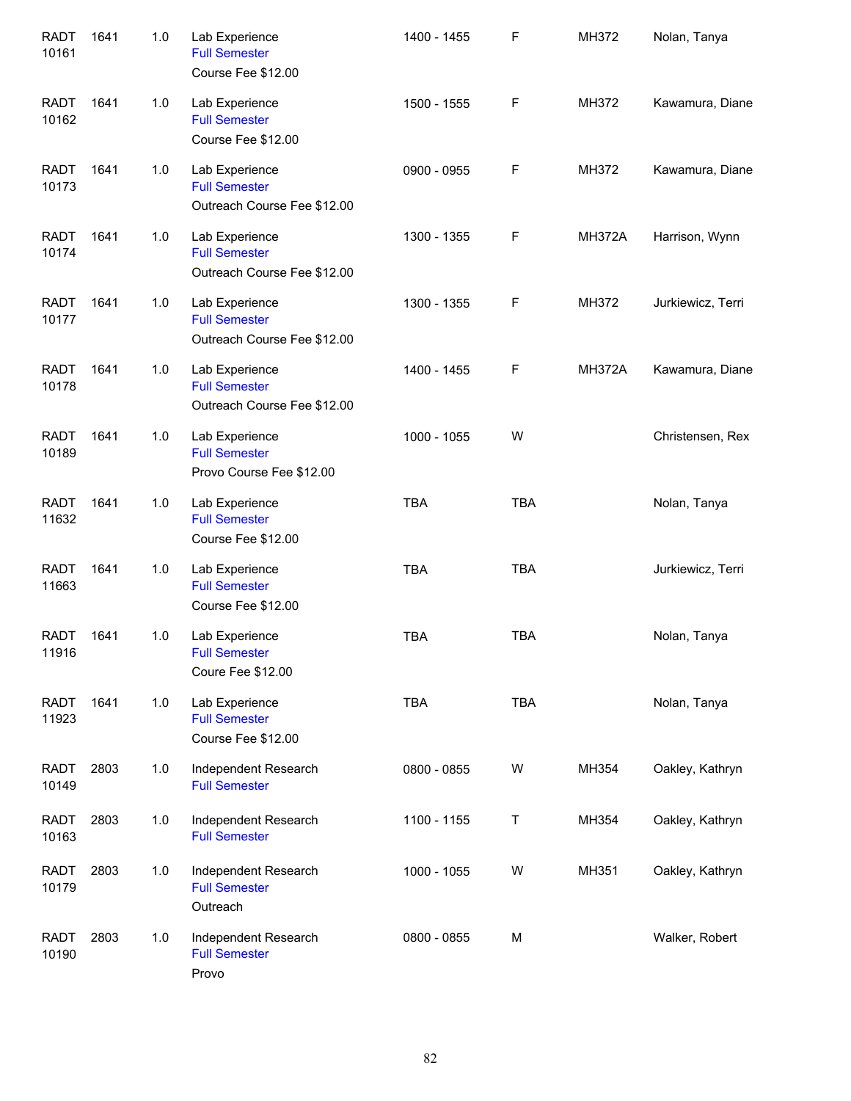| <b>RADT</b><br>10161 | 1641 | 1.0 | Lab Experience<br><b>Full Semester</b><br>Course Fee \$12.00          | 1400 - 1455 | F          | MH372         | Nolan, Tanya      |
|----------------------|------|-----|-----------------------------------------------------------------------|-------------|------------|---------------|-------------------|
| <b>RADT</b><br>10162 | 1641 | 1.0 | Lab Experience<br><b>Full Semester</b><br>Course Fee \$12.00          | 1500 - 1555 | F          | MH372         | Kawamura, Diane   |
| <b>RADT</b><br>10173 | 1641 | 1.0 | Lab Experience<br><b>Full Semester</b><br>Outreach Course Fee \$12.00 | 0900 - 0955 | F          | MH372         | Kawamura, Diane   |
| <b>RADT</b><br>10174 | 1641 | 1.0 | Lab Experience<br><b>Full Semester</b><br>Outreach Course Fee \$12.00 | 1300 - 1355 | F          | <b>MH372A</b> | Harrison, Wynn    |
| <b>RADT</b><br>10177 | 1641 | 1.0 | Lab Experience<br><b>Full Semester</b><br>Outreach Course Fee \$12.00 | 1300 - 1355 | F          | MH372         | Jurkiewicz, Terri |
| <b>RADT</b><br>10178 | 1641 | 1.0 | Lab Experience<br><b>Full Semester</b><br>Outreach Course Fee \$12.00 | 1400 - 1455 | F          | <b>MH372A</b> | Kawamura, Diane   |
| <b>RADT</b><br>10189 | 1641 | 1.0 | Lab Experience<br><b>Full Semester</b><br>Provo Course Fee \$12.00    | 1000 - 1055 | W          |               | Christensen, Rex  |
| <b>RADT</b><br>11632 | 1641 | 1.0 | Lab Experience<br><b>Full Semester</b><br>Course Fee \$12.00          | <b>TBA</b>  | <b>TBA</b> |               | Nolan, Tanya      |
| <b>RADT</b><br>11663 | 1641 | 1.0 | Lab Experience<br><b>Full Semester</b><br>Course Fee \$12.00          | <b>TBA</b>  | <b>TBA</b> |               | Jurkiewicz, Terri |
| <b>RADT</b><br>11916 | 1641 | 1.0 | Lab Experience<br><b>Full Semester</b><br>Coure Fee \$12.00           | <b>TBA</b>  | <b>TBA</b> |               | Nolan, Tanya      |
| <b>RADT</b><br>11923 | 1641 | 1.0 | Lab Experience<br><b>Full Semester</b><br>Course Fee \$12.00          | TBA         | TBA        |               | Nolan, Tanya      |
| RADT<br>10149        | 2803 | 1.0 | Independent Research<br><b>Full Semester</b>                          | 0800 - 0855 | W          | MH354         | Oakley, Kathryn   |
| <b>RADT</b><br>10163 | 2803 | 1.0 | Independent Research<br><b>Full Semester</b>                          | 1100 - 1155 | T          | MH354         | Oakley, Kathryn   |
| <b>RADT</b><br>10179 | 2803 | 1.0 | Independent Research<br><b>Full Semester</b><br>Outreach              | 1000 - 1055 | W          | MH351         | Oakley, Kathryn   |
| <b>RADT</b><br>10190 | 2803 | 1.0 | Independent Research<br><b>Full Semester</b><br>Provo                 | 0800 - 0855 | M          |               | Walker, Robert    |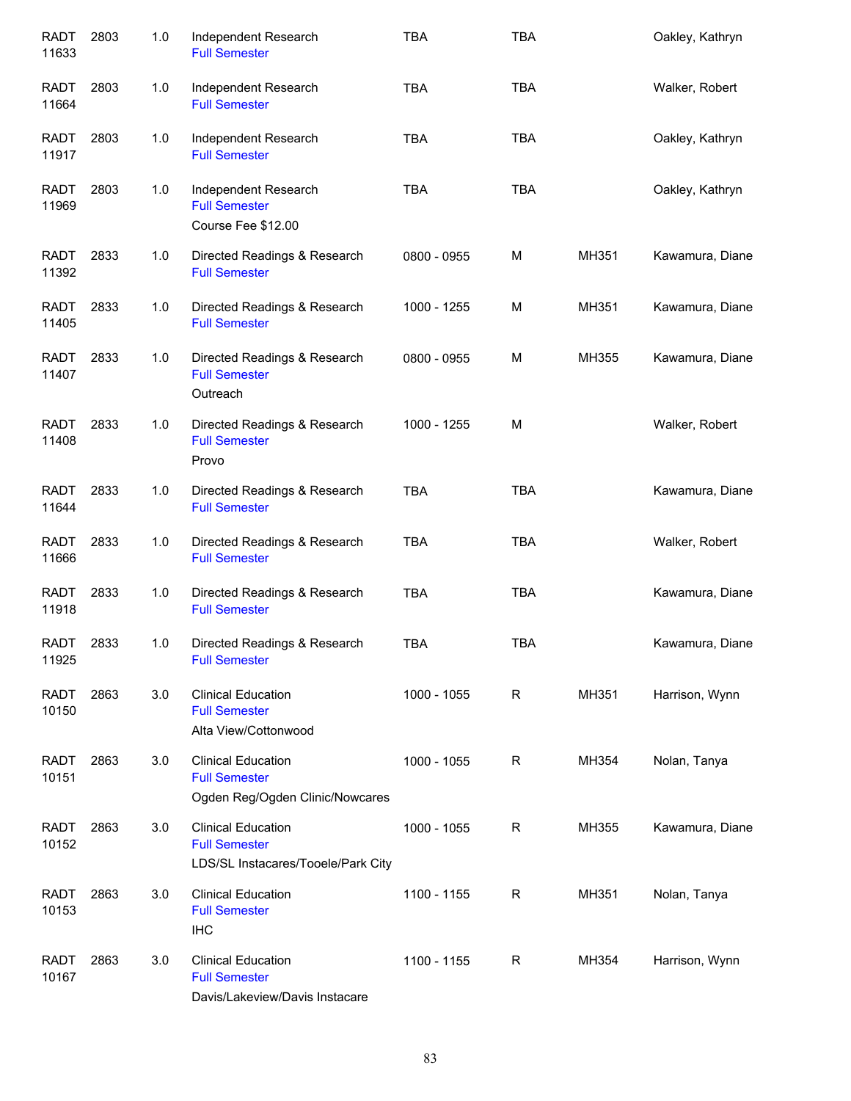| <b>RADT</b><br>11633 | 2803 | 1.0 | Independent Research<br><b>Full Semester</b>                                            | <b>TBA</b>  | <b>TBA</b>  |       | Oakley, Kathryn |
|----------------------|------|-----|-----------------------------------------------------------------------------------------|-------------|-------------|-------|-----------------|
| <b>RADT</b><br>11664 | 2803 | 1.0 | Independent Research<br><b>Full Semester</b>                                            | <b>TBA</b>  | <b>TBA</b>  |       | Walker, Robert  |
| <b>RADT</b><br>11917 | 2803 | 1.0 | Independent Research<br><b>Full Semester</b>                                            | <b>TBA</b>  | <b>TBA</b>  |       | Oakley, Kathryn |
| <b>RADT</b><br>11969 | 2803 | 1.0 | Independent Research<br><b>Full Semester</b><br>Course Fee \$12.00                      | <b>TBA</b>  | <b>TBA</b>  |       | Oakley, Kathryn |
| RADT<br>11392        | 2833 | 1.0 | Directed Readings & Research<br><b>Full Semester</b>                                    | 0800 - 0955 | M           | MH351 | Kawamura, Diane |
| RADT<br>11405        | 2833 | 1.0 | Directed Readings & Research<br><b>Full Semester</b>                                    | 1000 - 1255 | M           | MH351 | Kawamura, Diane |
| <b>RADT</b><br>11407 | 2833 | 1.0 | Directed Readings & Research<br><b>Full Semester</b><br>Outreach                        | 0800 - 0955 | M           | MH355 | Kawamura, Diane |
| <b>RADT</b><br>11408 | 2833 | 1.0 | Directed Readings & Research<br><b>Full Semester</b><br>Provo                           | 1000 - 1255 | M           |       | Walker, Robert  |
| <b>RADT</b><br>11644 | 2833 | 1.0 | Directed Readings & Research<br><b>Full Semester</b>                                    | <b>TBA</b>  | <b>TBA</b>  |       | Kawamura, Diane |
| <b>RADT</b><br>11666 | 2833 | 1.0 | Directed Readings & Research<br><b>Full Semester</b>                                    | <b>TBA</b>  | <b>TBA</b>  |       | Walker, Robert  |
| <b>RADT</b><br>11918 | 2833 | 1.0 | Directed Readings & Research<br><b>Full Semester</b>                                    | <b>TBA</b>  | <b>TBA</b>  |       | Kawamura, Diane |
| <b>RADT</b><br>11925 | 2833 | 1.0 | Directed Readings & Research<br><b>Full Semester</b>                                    | <b>TBA</b>  | <b>TBA</b>  |       | Kawamura, Diane |
| <b>RADT</b><br>10150 | 2863 | 3.0 | <b>Clinical Education</b><br><b>Full Semester</b><br>Alta View/Cottonwood               | 1000 - 1055 | $\mathsf R$ | MH351 | Harrison, Wynn  |
| <b>RADT</b><br>10151 | 2863 | 3.0 | <b>Clinical Education</b><br><b>Full Semester</b><br>Ogden Reg/Ogden Clinic/Nowcares    | 1000 - 1055 | R           | MH354 | Nolan, Tanya    |
| <b>RADT</b><br>10152 | 2863 | 3.0 | <b>Clinical Education</b><br><b>Full Semester</b><br>LDS/SL Instacares/Tooele/Park City | 1000 - 1055 | R           | MH355 | Kawamura, Diane |
| <b>RADT</b><br>10153 | 2863 | 3.0 | <b>Clinical Education</b><br><b>Full Semester</b><br><b>IHC</b>                         | 1100 - 1155 | R           | MH351 | Nolan, Tanya    |
| <b>RADT</b><br>10167 | 2863 | 3.0 | <b>Clinical Education</b><br><b>Full Semester</b><br>Davis/Lakeview/Davis Instacare     | 1100 - 1155 | $\mathsf R$ | MH354 | Harrison, Wynn  |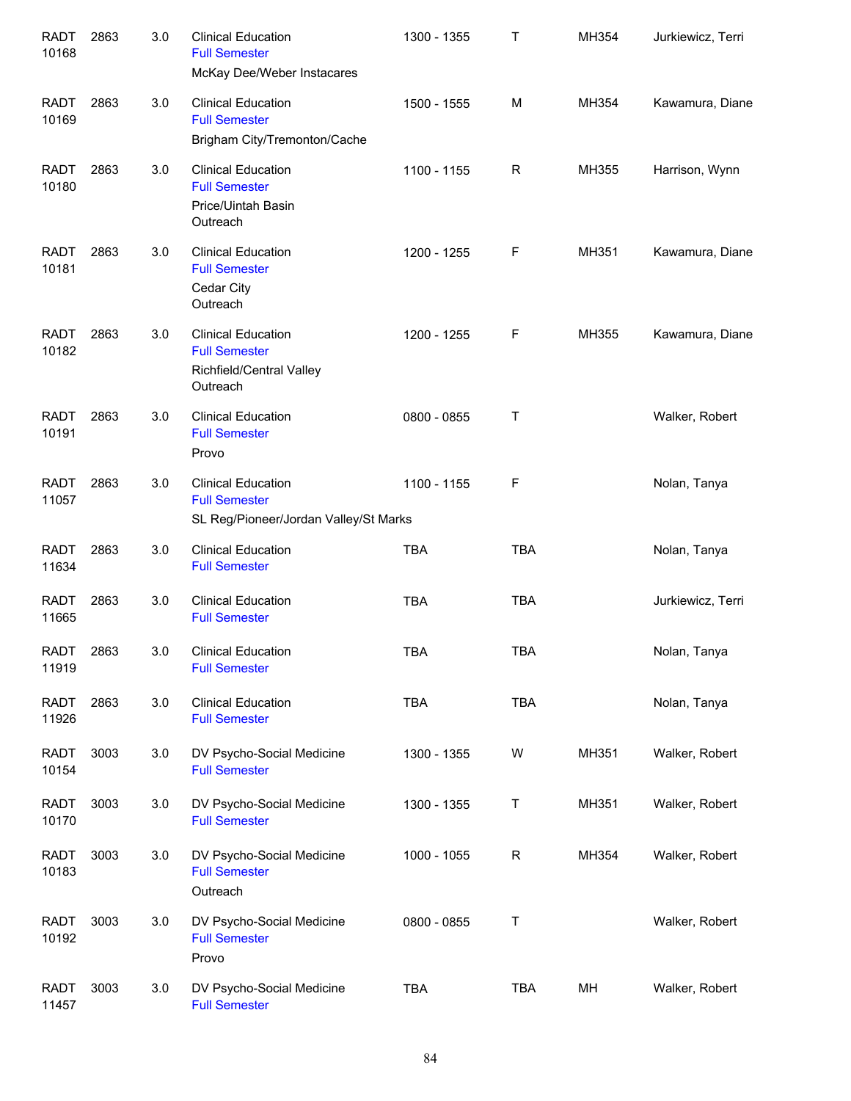| <b>RADT</b><br>10168 | 2863 | 3.0 | <b>Clinical Education</b><br><b>Full Semester</b><br>McKay Dee/Weber Instacares            | 1300 - 1355 | Т           | MH354 | Jurkiewicz, Terri |
|----------------------|------|-----|--------------------------------------------------------------------------------------------|-------------|-------------|-------|-------------------|
| <b>RADT</b><br>10169 | 2863 | 3.0 | <b>Clinical Education</b><br><b>Full Semester</b><br>Brigham City/Tremonton/Cache          | 1500 - 1555 | M           | MH354 | Kawamura, Diane   |
| <b>RADT</b><br>10180 | 2863 | 3.0 | <b>Clinical Education</b><br><b>Full Semester</b><br>Price/Uintah Basin<br>Outreach        | 1100 - 1155 | R           | MH355 | Harrison, Wynn    |
| <b>RADT</b><br>10181 | 2863 | 3.0 | <b>Clinical Education</b><br><b>Full Semester</b><br>Cedar City<br>Outreach                | 1200 - 1255 | F           | MH351 | Kawamura, Diane   |
| <b>RADT</b><br>10182 | 2863 | 3.0 | <b>Clinical Education</b><br><b>Full Semester</b><br>Richfield/Central Valley<br>Outreach  | 1200 - 1255 | F           | MH355 | Kawamura, Diane   |
| <b>RADT</b><br>10191 | 2863 | 3.0 | <b>Clinical Education</b><br><b>Full Semester</b><br>Provo                                 | 0800 - 0855 | Т           |       | Walker, Robert    |
| <b>RADT</b><br>11057 | 2863 | 3.0 | <b>Clinical Education</b><br><b>Full Semester</b><br>SL Reg/Pioneer/Jordan Valley/St Marks | 1100 - 1155 | F           |       | Nolan, Tanya      |
| <b>RADT</b><br>11634 | 2863 | 3.0 | <b>Clinical Education</b><br><b>Full Semester</b>                                          | <b>TBA</b>  | <b>TBA</b>  |       | Nolan, Tanya      |
| <b>RADT</b><br>11665 | 2863 | 3.0 | <b>Clinical Education</b><br><b>Full Semester</b>                                          | <b>TBA</b>  | <b>TBA</b>  |       | Jurkiewicz, Terri |
| <b>RADT</b><br>11919 | 2863 | 3.0 | <b>Clinical Education</b><br><b>Full Semester</b>                                          | <b>TBA</b>  | <b>TBA</b>  |       | Nolan, Tanya      |
| <b>RADT</b><br>11926 | 2863 | 3.0 | <b>Clinical Education</b><br><b>Full Semester</b>                                          | <b>TBA</b>  | <b>TBA</b>  |       | Nolan, Tanya      |
| <b>RADT</b><br>10154 | 3003 | 3.0 | DV Psycho-Social Medicine<br><b>Full Semester</b>                                          | 1300 - 1355 | W           | MH351 | Walker, Robert    |
| <b>RADT</b><br>10170 | 3003 | 3.0 | DV Psycho-Social Medicine<br><b>Full Semester</b>                                          | 1300 - 1355 | T           | MH351 | Walker, Robert    |
| <b>RADT</b><br>10183 | 3003 | 3.0 | DV Psycho-Social Medicine<br><b>Full Semester</b><br>Outreach                              | 1000 - 1055 | $\mathsf R$ | MH354 | Walker, Robert    |
| <b>RADT</b><br>10192 | 3003 | 3.0 | DV Psycho-Social Medicine<br><b>Full Semester</b><br>Provo                                 | 0800 - 0855 | Τ           |       | Walker, Robert    |
| <b>RADT</b><br>11457 | 3003 | 3.0 | DV Psycho-Social Medicine<br><b>Full Semester</b>                                          | <b>TBA</b>  | <b>TBA</b>  | MH    | Walker, Robert    |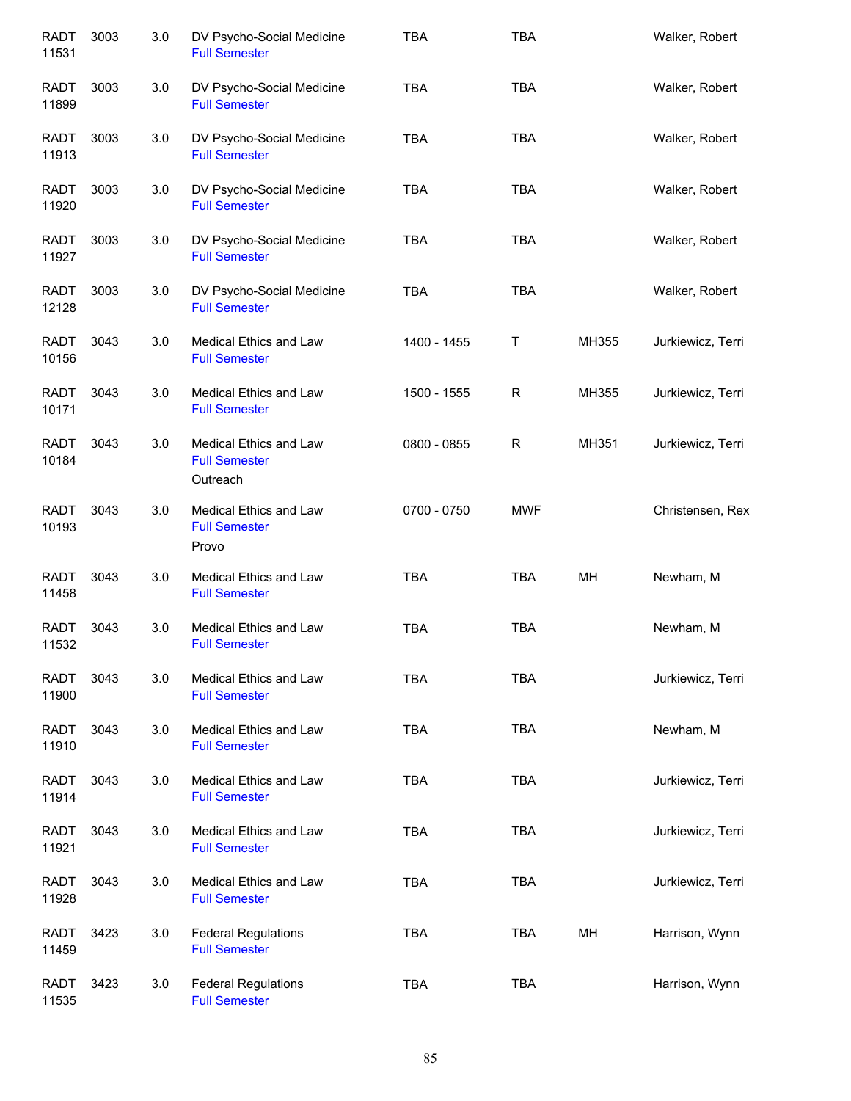| <b>RADT</b><br>11531 | 3003 | 3.0 | DV Psycho-Social Medicine<br><b>Full Semester</b>          | <b>TBA</b>  | <b>TBA</b> |       | Walker, Robert    |
|----------------------|------|-----|------------------------------------------------------------|-------------|------------|-------|-------------------|
| <b>RADT</b><br>11899 | 3003 | 3.0 | DV Psycho-Social Medicine<br><b>Full Semester</b>          | <b>TBA</b>  | <b>TBA</b> |       | Walker, Robert    |
| RADT<br>11913        | 3003 | 3.0 | DV Psycho-Social Medicine<br><b>Full Semester</b>          | <b>TBA</b>  | <b>TBA</b> |       | Walker, Robert    |
| RADT<br>11920        | 3003 | 3.0 | DV Psycho-Social Medicine<br><b>Full Semester</b>          | <b>TBA</b>  | <b>TBA</b> |       | Walker, Robert    |
| RADT<br>11927        | 3003 | 3.0 | DV Psycho-Social Medicine<br><b>Full Semester</b>          | <b>TBA</b>  | <b>TBA</b> |       | Walker, Robert    |
| RADT<br>12128        | 3003 | 3.0 | DV Psycho-Social Medicine<br><b>Full Semester</b>          | <b>TBA</b>  | <b>TBA</b> |       | Walker, Robert    |
| <b>RADT</b><br>10156 | 3043 | 3.0 | Medical Ethics and Law<br><b>Full Semester</b>             | 1400 - 1455 | Τ          | MH355 | Jurkiewicz, Terri |
| <b>RADT</b><br>10171 | 3043 | 3.0 | Medical Ethics and Law<br><b>Full Semester</b>             | 1500 - 1555 | R          | MH355 | Jurkiewicz, Terri |
| <b>RADT</b><br>10184 | 3043 | 3.0 | Medical Ethics and Law<br><b>Full Semester</b><br>Outreach | 0800 - 0855 | R          | MH351 | Jurkiewicz, Terri |
| <b>RADT</b><br>10193 | 3043 | 3.0 | Medical Ethics and Law<br><b>Full Semester</b><br>Provo    | 0700 - 0750 | <b>MWF</b> |       | Christensen, Rex  |
| <b>RADT</b><br>11458 | 3043 | 3.0 | Medical Ethics and Law<br><b>Full Semester</b>             | <b>TBA</b>  | <b>TBA</b> | MH    | Newham, M         |
| <b>RADT</b><br>11532 | 3043 | 3.0 | Medical Ethics and Law<br><b>Full Semester</b>             | <b>TBA</b>  | <b>TBA</b> |       | Newham, M         |
| <b>RADT</b><br>11900 | 3043 | 3.0 | <b>Medical Ethics and Law</b><br><b>Full Semester</b>      | <b>TBA</b>  | <b>TBA</b> |       | Jurkiewicz, Terri |
| <b>RADT</b><br>11910 | 3043 | 3.0 | Medical Ethics and Law<br><b>Full Semester</b>             | <b>TBA</b>  | <b>TBA</b> |       | Newham, M         |
| <b>RADT</b><br>11914 | 3043 | 3.0 | <b>Medical Ethics and Law</b><br><b>Full Semester</b>      | <b>TBA</b>  | <b>TBA</b> |       | Jurkiewicz, Terri |
| <b>RADT</b><br>11921 | 3043 | 3.0 | Medical Ethics and Law<br><b>Full Semester</b>             | <b>TBA</b>  | <b>TBA</b> |       | Jurkiewicz, Terri |
| <b>RADT</b><br>11928 | 3043 | 3.0 | Medical Ethics and Law<br><b>Full Semester</b>             | <b>TBA</b>  | <b>TBA</b> |       | Jurkiewicz, Terri |
| RADT<br>11459        | 3423 | 3.0 | <b>Federal Regulations</b><br><b>Full Semester</b>         | <b>TBA</b>  | <b>TBA</b> | MH    | Harrison, Wynn    |
| RADT<br>11535        | 3423 | 3.0 | <b>Federal Regulations</b><br><b>Full Semester</b>         | <b>TBA</b>  | <b>TBA</b> |       | Harrison, Wynn    |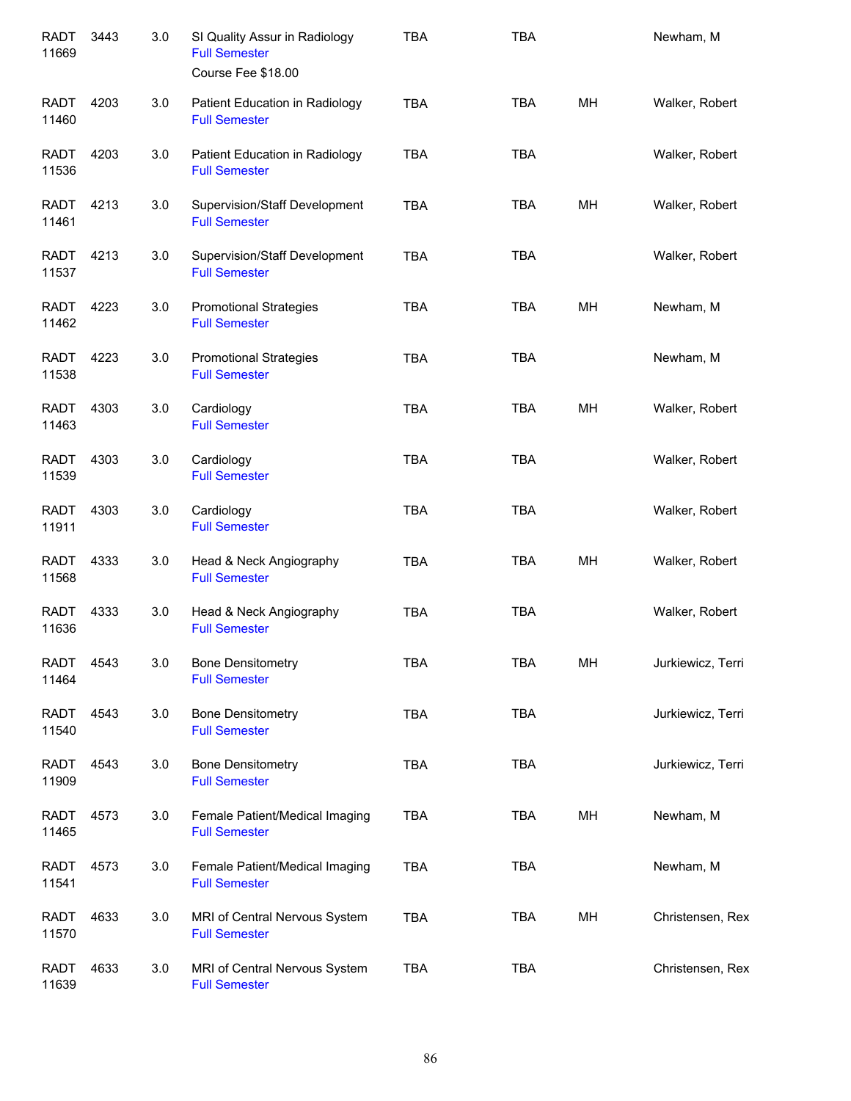| <b>RADT</b><br>11669 | 3443 | 3.0 | SI Quality Assur in Radiology<br><b>Full Semester</b><br>Course Fee \$18.00 | <b>TBA</b> | <b>TBA</b> |    | Newham, M         |
|----------------------|------|-----|-----------------------------------------------------------------------------|------------|------------|----|-------------------|
| <b>RADT</b><br>11460 | 4203 | 3.0 | Patient Education in Radiology<br><b>Full Semester</b>                      | <b>TBA</b> | <b>TBA</b> | MН | Walker, Robert    |
| RADT<br>11536        | 4203 | 3.0 | Patient Education in Radiology<br><b>Full Semester</b>                      | <b>TBA</b> | <b>TBA</b> |    | Walker, Robert    |
| <b>RADT</b><br>11461 | 4213 | 3.0 | Supervision/Staff Development<br><b>Full Semester</b>                       | <b>TBA</b> | <b>TBA</b> | MН | Walker, Robert    |
| RADT<br>11537        | 4213 | 3.0 | <b>Supervision/Staff Development</b><br><b>Full Semester</b>                | <b>TBA</b> | <b>TBA</b> |    | Walker, Robert    |
| <b>RADT</b><br>11462 | 4223 | 3.0 | <b>Promotional Strategies</b><br><b>Full Semester</b>                       | <b>TBA</b> | <b>TBA</b> | MН | Newham, M         |
| <b>RADT</b><br>11538 | 4223 | 3.0 | <b>Promotional Strategies</b><br><b>Full Semester</b>                       | <b>TBA</b> | <b>TBA</b> |    | Newham, M         |
| <b>RADT</b><br>11463 | 4303 | 3.0 | Cardiology<br><b>Full Semester</b>                                          | <b>TBA</b> | <b>TBA</b> | MH | Walker, Robert    |
| <b>RADT</b><br>11539 | 4303 | 3.0 | Cardiology<br><b>Full Semester</b>                                          | <b>TBA</b> | <b>TBA</b> |    | Walker, Robert    |
| <b>RADT</b><br>11911 | 4303 | 3.0 | Cardiology<br><b>Full Semester</b>                                          | <b>TBA</b> | <b>TBA</b> |    | Walker, Robert    |
| <b>RADT</b><br>11568 | 4333 | 3.0 | Head & Neck Angiography<br><b>Full Semester</b>                             | <b>TBA</b> | <b>TBA</b> | MH | Walker, Robert    |
| <b>RADT</b><br>11636 | 4333 | 3.0 | Head & Neck Angiography<br><b>Full Semester</b>                             | <b>TBA</b> | <b>TBA</b> |    | Walker, Robert    |
| <b>RADT</b><br>11464 | 4543 | 3.0 | <b>Bone Densitometry</b><br><b>Full Semester</b>                            | <b>TBA</b> | <b>TBA</b> | MH | Jurkiewicz, Terri |
| RADT<br>11540        | 4543 | 3.0 | <b>Bone Densitometry</b><br><b>Full Semester</b>                            | <b>TBA</b> | <b>TBA</b> |    | Jurkiewicz, Terri |
| RADT<br>11909        | 4543 | 3.0 | <b>Bone Densitometry</b><br><b>Full Semester</b>                            | <b>TBA</b> | <b>TBA</b> |    | Jurkiewicz, Terri |
| RADT<br>11465        | 4573 | 3.0 | Female Patient/Medical Imaging<br><b>Full Semester</b>                      | <b>TBA</b> | TBA        | MH | Newham, M         |
| RADT<br>11541        | 4573 | 3.0 | Female Patient/Medical Imaging<br><b>Full Semester</b>                      | <b>TBA</b> | <b>TBA</b> |    | Newham, M         |
| <b>RADT</b><br>11570 | 4633 | 3.0 | MRI of Central Nervous System<br><b>Full Semester</b>                       | <b>TBA</b> | <b>TBA</b> | MН | Christensen, Rex  |
| <b>RADT</b><br>11639 | 4633 | 3.0 | MRI of Central Nervous System<br><b>Full Semester</b>                       | <b>TBA</b> | <b>TBA</b> |    | Christensen, Rex  |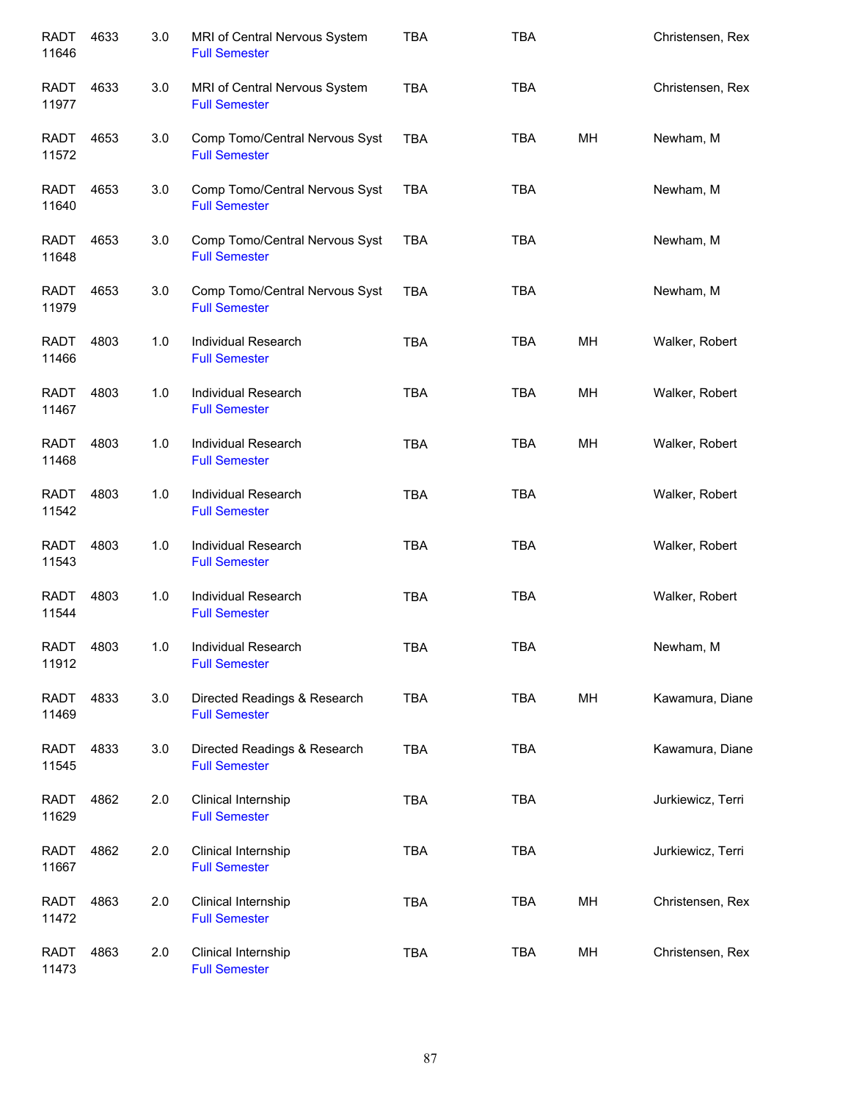| <b>RADT</b><br>11646 | 4633 | 3.0 | MRI of Central Nervous System<br><b>Full Semester</b>  | <b>TBA</b> | <b>TBA</b> |    | Christensen, Rex  |
|----------------------|------|-----|--------------------------------------------------------|------------|------------|----|-------------------|
| RADT<br>11977        | 4633 | 3.0 | MRI of Central Nervous System<br><b>Full Semester</b>  | <b>TBA</b> | <b>TBA</b> |    | Christensen, Rex  |
| RADT<br>11572        | 4653 | 3.0 | Comp Tomo/Central Nervous Syst<br><b>Full Semester</b> | <b>TBA</b> | <b>TBA</b> | MH | Newham, M         |
| <b>RADT</b><br>11640 | 4653 | 3.0 | Comp Tomo/Central Nervous Syst<br><b>Full Semester</b> | <b>TBA</b> | <b>TBA</b> |    | Newham, M         |
| <b>RADT</b><br>11648 | 4653 | 3.0 | Comp Tomo/Central Nervous Syst<br><b>Full Semester</b> | <b>TBA</b> | <b>TBA</b> |    | Newham, M         |
| <b>RADT</b><br>11979 | 4653 | 3.0 | Comp Tomo/Central Nervous Syst<br><b>Full Semester</b> | <b>TBA</b> | <b>TBA</b> |    | Newham, M         |
| <b>RADT</b><br>11466 | 4803 | 1.0 | Individual Research<br><b>Full Semester</b>            | <b>TBA</b> | <b>TBA</b> | MH | Walker, Robert    |
| <b>RADT</b><br>11467 | 4803 | 1.0 | Individual Research<br><b>Full Semester</b>            | <b>TBA</b> | <b>TBA</b> | MН | Walker, Robert    |
| <b>RADT</b><br>11468 | 4803 | 1.0 | Individual Research<br><b>Full Semester</b>            | <b>TBA</b> | <b>TBA</b> | MН | Walker, Robert    |
| <b>RADT</b><br>11542 | 4803 | 1.0 | Individual Research<br><b>Full Semester</b>            | <b>TBA</b> | <b>TBA</b> |    | Walker, Robert    |
| <b>RADT</b><br>11543 | 4803 | 1.0 | Individual Research<br><b>Full Semester</b>            | <b>TBA</b> | <b>TBA</b> |    | Walker, Robert    |
| <b>RADT</b><br>11544 | 4803 | 1.0 | Individual Research<br><b>Full Semester</b>            | <b>TBA</b> | <b>TBA</b> |    | Walker, Robert    |
| RADT<br>11912        | 4803 | 1.0 | Individual Research<br><b>Full Semester</b>            | <b>TBA</b> | <b>TBA</b> |    | Newham, M         |
| RADT<br>11469        | 4833 | 3.0 | Directed Readings & Research<br><b>Full Semester</b>   | <b>TBA</b> | <b>TBA</b> | MH | Kawamura, Diane   |
| RADT<br>11545        | 4833 | 3.0 | Directed Readings & Research<br><b>Full Semester</b>   | <b>TBA</b> | <b>TBA</b> |    | Kawamura, Diane   |
| <b>RADT</b><br>11629 | 4862 | 2.0 | Clinical Internship<br><b>Full Semester</b>            | TBA        | <b>TBA</b> |    | Jurkiewicz, Terri |
| <b>RADT</b><br>11667 | 4862 | 2.0 | Clinical Internship<br><b>Full Semester</b>            | <b>TBA</b> | <b>TBA</b> |    | Jurkiewicz, Terri |
| <b>RADT</b><br>11472 | 4863 | 2.0 | Clinical Internship<br><b>Full Semester</b>            | <b>TBA</b> | <b>TBA</b> | MH | Christensen, Rex  |
| <b>RADT</b><br>11473 | 4863 | 2.0 | Clinical Internship<br><b>Full Semester</b>            | <b>TBA</b> | <b>TBA</b> | MH | Christensen, Rex  |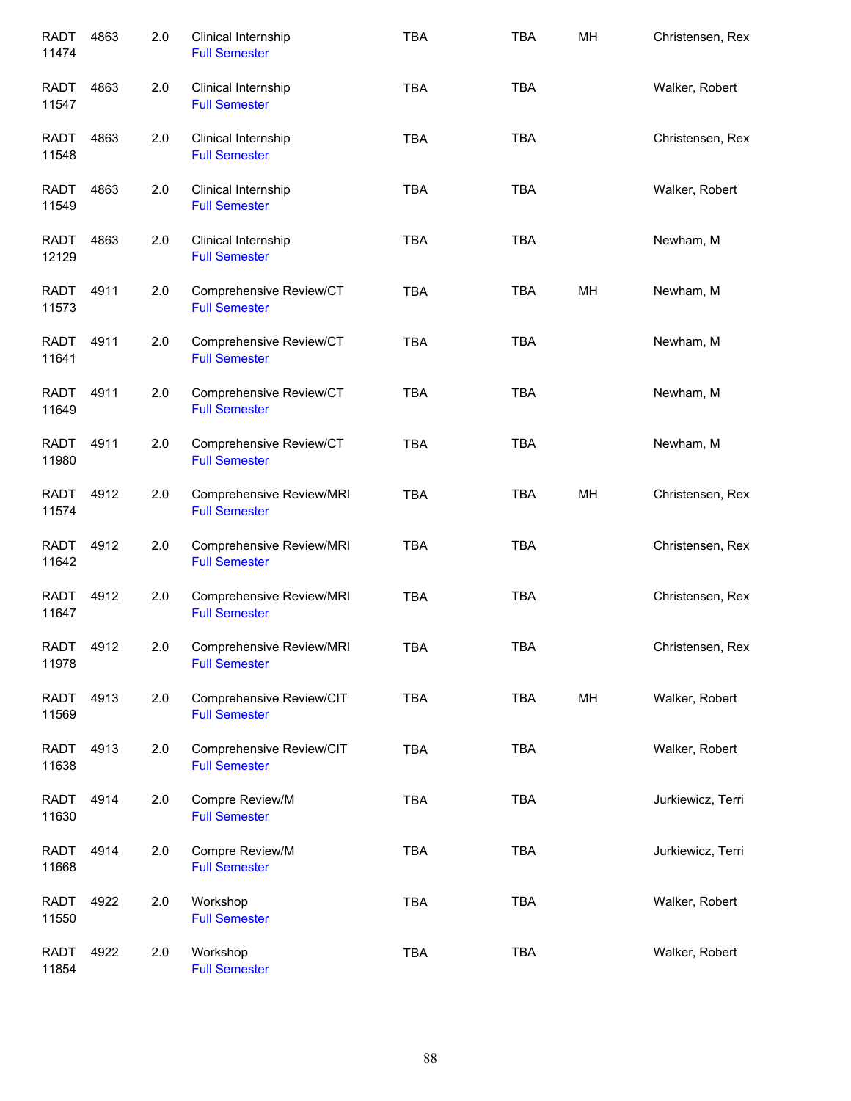| <b>RADT</b><br>11474 | 4863 | 2.0 | Clinical Internship<br><b>Full Semester</b>      | <b>TBA</b> | <b>TBA</b> | MH | Christensen, Rex  |
|----------------------|------|-----|--------------------------------------------------|------------|------------|----|-------------------|
| RADT<br>11547        | 4863 | 2.0 | Clinical Internship<br><b>Full Semester</b>      | <b>TBA</b> | <b>TBA</b> |    | Walker, Robert    |
| <b>RADT</b><br>11548 | 4863 | 2.0 | Clinical Internship<br><b>Full Semester</b>      | <b>TBA</b> | <b>TBA</b> |    | Christensen, Rex  |
| <b>RADT</b><br>11549 | 4863 | 2.0 | Clinical Internship<br><b>Full Semester</b>      | <b>TBA</b> | <b>TBA</b> |    | Walker, Robert    |
| RADT<br>12129        | 4863 | 2.0 | Clinical Internship<br><b>Full Semester</b>      | <b>TBA</b> | <b>TBA</b> |    | Newham, M         |
| <b>RADT</b><br>11573 | 4911 | 2.0 | Comprehensive Review/CT<br><b>Full Semester</b>  | <b>TBA</b> | <b>TBA</b> | MH | Newham, M         |
| <b>RADT</b><br>11641 | 4911 | 2.0 | Comprehensive Review/CT<br><b>Full Semester</b>  | <b>TBA</b> | <b>TBA</b> |    | Newham, M         |
| <b>RADT</b><br>11649 | 4911 | 2.0 | Comprehensive Review/CT<br><b>Full Semester</b>  | <b>TBA</b> | <b>TBA</b> |    | Newham, M         |
| <b>RADT</b><br>11980 | 4911 | 2.0 | Comprehensive Review/CT<br><b>Full Semester</b>  | <b>TBA</b> | <b>TBA</b> |    | Newham, M         |
| <b>RADT</b><br>11574 | 4912 | 2.0 | Comprehensive Review/MRI<br><b>Full Semester</b> | <b>TBA</b> | <b>TBA</b> | MH | Christensen, Rex  |
| <b>RADT</b><br>11642 | 4912 | 2.0 | Comprehensive Review/MRI<br><b>Full Semester</b> | <b>TBA</b> | <b>TBA</b> |    | Christensen, Rex  |
| <b>RADT</b><br>11647 | 4912 | 2.0 | Comprehensive Review/MRI<br><b>Full Semester</b> | <b>TBA</b> | <b>TBA</b> |    | Christensen, Rex  |
| <b>RADT</b><br>11978 | 4912 | 2.0 | Comprehensive Review/MRI<br><b>Full Semester</b> | <b>TBA</b> | <b>TBA</b> |    | Christensen, Rex  |
| <b>RADT</b><br>11569 | 4913 | 2.0 | Comprehensive Review/CIT<br><b>Full Semester</b> | <b>TBA</b> | <b>TBA</b> | MH | Walker, Robert    |
| <b>RADT</b><br>11638 | 4913 | 2.0 | Comprehensive Review/CIT<br><b>Full Semester</b> | <b>TBA</b> | <b>TBA</b> |    | Walker, Robert    |
| <b>RADT</b><br>11630 | 4914 | 2.0 | Compre Review/M<br><b>Full Semester</b>          | TBA        | <b>TBA</b> |    | Jurkiewicz, Terri |
| <b>RADT</b><br>11668 | 4914 | 2.0 | Compre Review/M<br><b>Full Semester</b>          | TBA        | <b>TBA</b> |    | Jurkiewicz, Terri |
| <b>RADT</b><br>11550 | 4922 | 2.0 | Workshop<br><b>Full Semester</b>                 | <b>TBA</b> | <b>TBA</b> |    | Walker, Robert    |
| <b>RADT</b><br>11854 | 4922 | 2.0 | Workshop<br><b>Full Semester</b>                 | <b>TBA</b> | <b>TBA</b> |    | Walker, Robert    |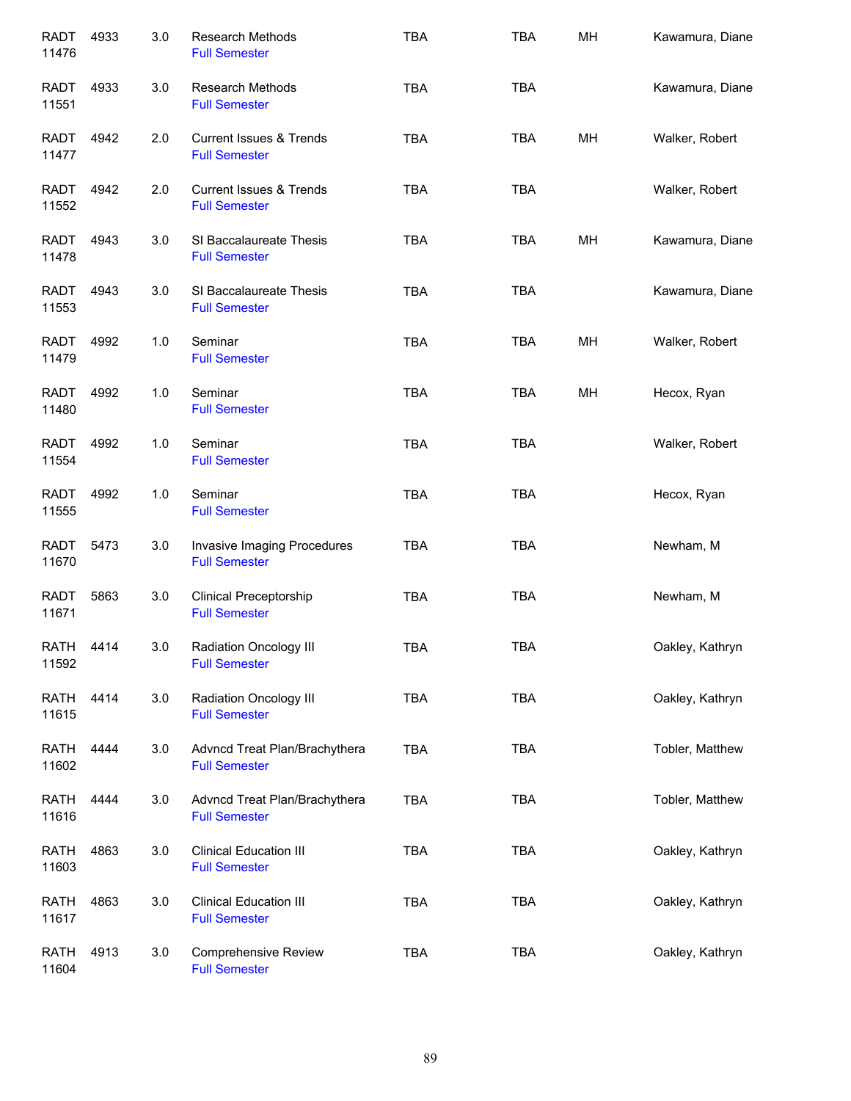| <b>RADT</b><br>11476 | 4933 | 3.0 | Research Methods<br><b>Full Semester</b>                   | <b>TBA</b> | <b>TBA</b> | MH | Kawamura, Diane |
|----------------------|------|-----|------------------------------------------------------------|------------|------------|----|-----------------|
| <b>RADT</b><br>11551 | 4933 | 3.0 | <b>Research Methods</b><br><b>Full Semester</b>            | <b>TBA</b> | <b>TBA</b> |    | Kawamura, Diane |
| RADT<br>11477        | 4942 | 2.0 | <b>Current Issues &amp; Trends</b><br><b>Full Semester</b> | <b>TBA</b> | <b>TBA</b> | MН | Walker, Robert  |
| RADT<br>11552        | 4942 | 2.0 | <b>Current Issues &amp; Trends</b><br><b>Full Semester</b> | <b>TBA</b> | <b>TBA</b> |    | Walker, Robert  |
| RADT<br>11478        | 4943 | 3.0 | SI Baccalaureate Thesis<br><b>Full Semester</b>            | <b>TBA</b> | <b>TBA</b> | MH | Kawamura, Diane |
| RADT<br>11553        | 4943 | 3.0 | SI Baccalaureate Thesis<br><b>Full Semester</b>            | <b>TBA</b> | <b>TBA</b> |    | Kawamura, Diane |
| RADT<br>11479        | 4992 | 1.0 | Seminar<br><b>Full Semester</b>                            | <b>TBA</b> | <b>TBA</b> | MН | Walker, Robert  |
| <b>RADT</b><br>11480 | 4992 | 1.0 | Seminar<br><b>Full Semester</b>                            | <b>TBA</b> | <b>TBA</b> | MН | Hecox, Ryan     |
| <b>RADT</b><br>11554 | 4992 | 1.0 | Seminar<br><b>Full Semester</b>                            | <b>TBA</b> | <b>TBA</b> |    | Walker, Robert  |
| <b>RADT</b><br>11555 | 4992 | 1.0 | Seminar<br><b>Full Semester</b>                            | <b>TBA</b> | <b>TBA</b> |    | Hecox, Ryan     |
| <b>RADT</b><br>11670 | 5473 | 3.0 | Invasive Imaging Procedures<br><b>Full Semester</b>        | <b>TBA</b> | <b>TBA</b> |    | Newham, M       |
| <b>RADT</b><br>11671 | 5863 | 3.0 | <b>Clinical Preceptorship</b><br><b>Full Semester</b>      | <b>TBA</b> | <b>TBA</b> |    | Newham, M       |
| <b>RATH</b><br>11592 | 4414 | 3.0 | Radiation Oncology III<br><b>Full Semester</b>             | <b>TBA</b> | <b>TBA</b> |    | Oakley, Kathryn |
| RATH<br>11615        | 4414 | 3.0 | <b>Radiation Oncology III</b><br><b>Full Semester</b>      | <b>TBA</b> | <b>TBA</b> |    | Oakley, Kathryn |
| RATH<br>11602        | 4444 | 3.0 | Advncd Treat Plan/Brachythera<br><b>Full Semester</b>      | <b>TBA</b> | <b>TBA</b> |    | Tobler, Matthew |
| RATH<br>11616        | 4444 | 3.0 | Advncd Treat Plan/Brachythera<br><b>Full Semester</b>      | <b>TBA</b> | <b>TBA</b> |    | Tobler, Matthew |
| <b>RATH</b><br>11603 | 4863 | 3.0 | <b>Clinical Education III</b><br><b>Full Semester</b>      | <b>TBA</b> | <b>TBA</b> |    | Oakley, Kathryn |
| <b>RATH</b><br>11617 | 4863 | 3.0 | <b>Clinical Education III</b><br><b>Full Semester</b>      | <b>TBA</b> | <b>TBA</b> |    | Oakley, Kathryn |
| <b>RATH</b><br>11604 | 4913 | 3.0 | Comprehensive Review<br><b>Full Semester</b>               | <b>TBA</b> | <b>TBA</b> |    | Oakley, Kathryn |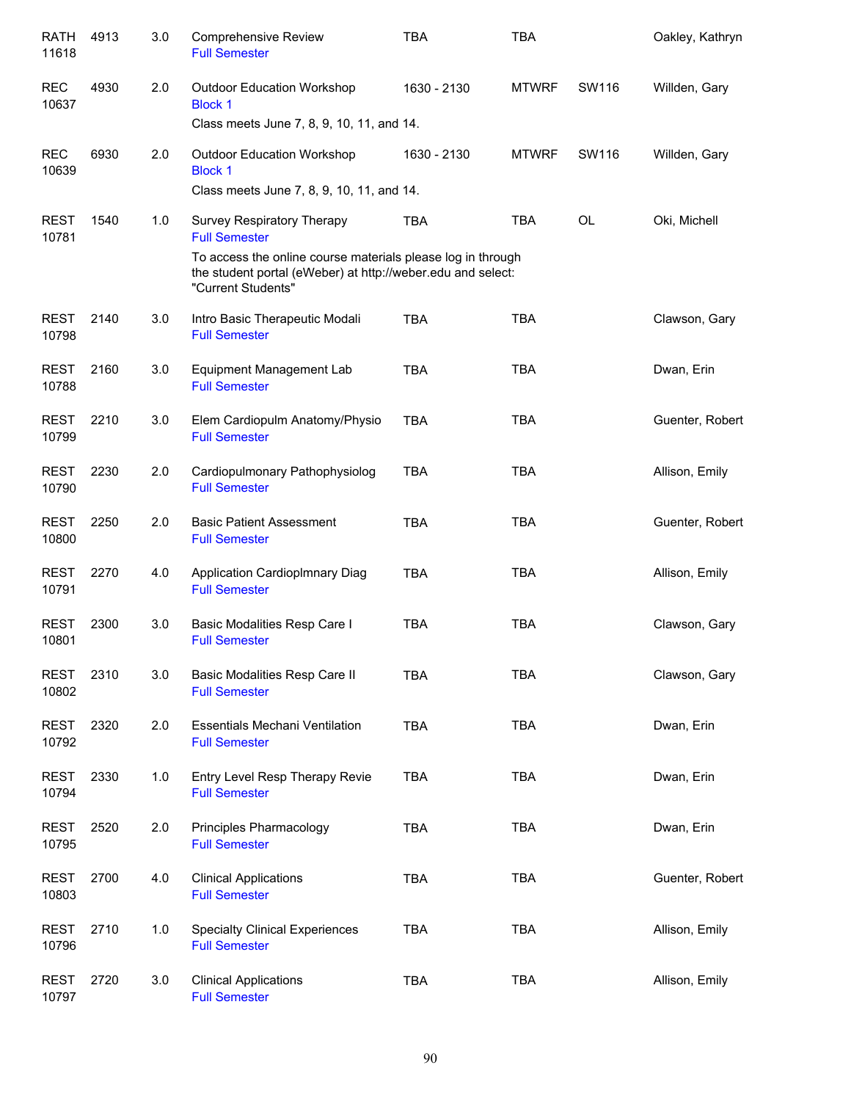| <b>RATH</b><br>11618 | 4913 | 3.0 | <b>Comprehensive Review</b><br><b>Full Semester</b>                                                                                              | <b>TBA</b>  | TBA          |           | Oakley, Kathryn |
|----------------------|------|-----|--------------------------------------------------------------------------------------------------------------------------------------------------|-------------|--------------|-----------|-----------------|
| <b>REC</b><br>10637  | 4930 | 2.0 | <b>Outdoor Education Workshop</b><br><b>Block 1</b>                                                                                              | 1630 - 2130 | <b>MTWRF</b> | SW116     | Willden, Gary   |
|                      |      |     | Class meets June 7, 8, 9, 10, 11, and 14.                                                                                                        |             |              |           |                 |
| <b>REC</b><br>10639  | 6930 | 2.0 | <b>Outdoor Education Workshop</b><br><b>Block 1</b>                                                                                              | 1630 - 2130 | <b>MTWRF</b> | SW116     | Willden, Gary   |
|                      |      |     | Class meets June 7, 8, 9, 10, 11, and 14.                                                                                                        |             |              |           |                 |
| <b>REST</b><br>10781 | 1540 | 1.0 | Survey Respiratory Therapy<br><b>Full Semester</b>                                                                                               | <b>TBA</b>  | <b>TBA</b>   | <b>OL</b> | Oki, Michell    |
|                      |      |     | To access the online course materials please log in through<br>the student portal (eWeber) at http://weber.edu and select:<br>"Current Students" |             |              |           |                 |
| <b>REST</b><br>10798 | 2140 | 3.0 | Intro Basic Therapeutic Modali<br><b>Full Semester</b>                                                                                           | <b>TBA</b>  | <b>TBA</b>   |           | Clawson, Gary   |
| <b>REST</b><br>10788 | 2160 | 3.0 | Equipment Management Lab<br><b>Full Semester</b>                                                                                                 | <b>TBA</b>  | <b>TBA</b>   |           | Dwan, Erin      |
| <b>REST</b><br>10799 | 2210 | 3.0 | Elem Cardiopulm Anatomy/Physio<br><b>Full Semester</b>                                                                                           | <b>TBA</b>  | <b>TBA</b>   |           | Guenter, Robert |
| <b>REST</b><br>10790 | 2230 | 2.0 | Cardiopulmonary Pathophysiolog<br><b>Full Semester</b>                                                                                           | <b>TBA</b>  | <b>TBA</b>   |           | Allison, Emily  |
| <b>REST</b><br>10800 | 2250 | 2.0 | <b>Basic Patient Assessment</b><br><b>Full Semester</b>                                                                                          | <b>TBA</b>  | <b>TBA</b>   |           | Guenter, Robert |
| <b>REST</b><br>10791 | 2270 | 4.0 | <b>Application Cardioplmnary Diag</b><br><b>Full Semester</b>                                                                                    | <b>TBA</b>  | <b>TBA</b>   |           | Allison, Emily  |
| <b>REST</b><br>10801 | 2300 | 3.0 | Basic Modalities Resp Care I<br><b>Full Semester</b>                                                                                             | <b>TBA</b>  | <b>TBA</b>   |           | Clawson, Gary   |
| <b>REST</b><br>10802 | 2310 | 3.0 | Basic Modalities Resp Care II<br><b>Full Semester</b>                                                                                            | <b>TBA</b>  | <b>TBA</b>   |           | Clawson, Gary   |
| <b>REST</b><br>10792 | 2320 | 2.0 | <b>Essentials Mechani Ventilation</b><br><b>Full Semester</b>                                                                                    | <b>TBA</b>  | <b>TBA</b>   |           | Dwan, Erin      |
| <b>REST</b><br>10794 | 2330 | 1.0 | Entry Level Resp Therapy Revie<br><b>Full Semester</b>                                                                                           | <b>TBA</b>  | <b>TBA</b>   |           | Dwan, Erin      |
| <b>REST</b><br>10795 | 2520 | 2.0 | Principles Pharmacology<br><b>Full Semester</b>                                                                                                  | <b>TBA</b>  | <b>TBA</b>   |           | Dwan, Erin      |
| <b>REST</b><br>10803 | 2700 | 4.0 | <b>Clinical Applications</b><br><b>Full Semester</b>                                                                                             | <b>TBA</b>  | <b>TBA</b>   |           | Guenter, Robert |
| <b>REST</b><br>10796 | 2710 | 1.0 | <b>Specialty Clinical Experiences</b><br><b>Full Semester</b>                                                                                    | <b>TBA</b>  | <b>TBA</b>   |           | Allison, Emily  |
| <b>REST</b><br>10797 | 2720 | 3.0 | <b>Clinical Applications</b><br><b>Full Semester</b>                                                                                             | <b>TBA</b>  | <b>TBA</b>   |           | Allison, Emily  |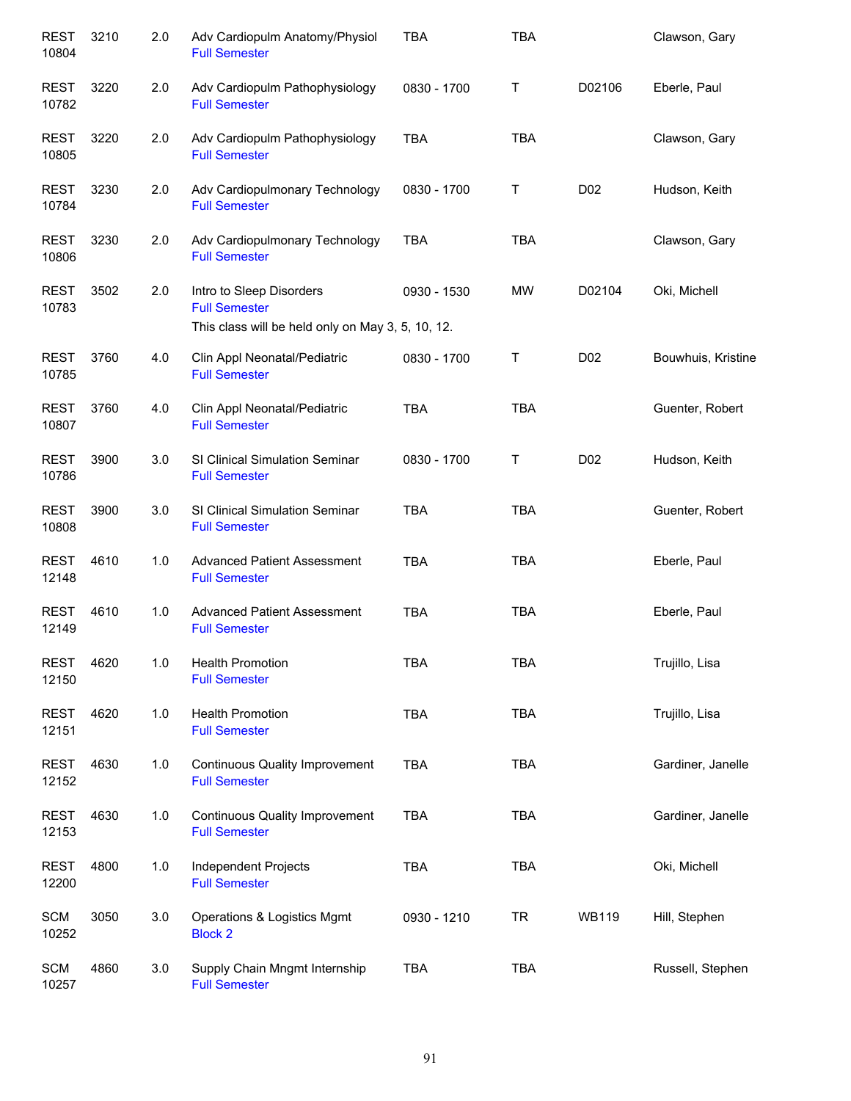| <b>REST</b><br>10804 | 3210 | 2.0 | Adv Cardiopulm Anatomy/Physiol<br><b>Full Semester</b>                                                | <b>TBA</b>  | <b>TBA</b> |                  | Clawson, Gary      |
|----------------------|------|-----|-------------------------------------------------------------------------------------------------------|-------------|------------|------------------|--------------------|
| <b>REST</b><br>10782 | 3220 | 2.0 | Adv Cardiopulm Pathophysiology<br><b>Full Semester</b>                                                | 0830 - 1700 | Τ          | D02106           | Eberle, Paul       |
| <b>REST</b><br>10805 | 3220 | 2.0 | Adv Cardiopulm Pathophysiology<br><b>Full Semester</b>                                                | <b>TBA</b>  | <b>TBA</b> |                  | Clawson, Gary      |
| <b>REST</b><br>10784 | 3230 | 2.0 | Adv Cardiopulmonary Technology<br><b>Full Semester</b>                                                | 0830 - 1700 | Τ          | D <sub>0</sub> 2 | Hudson, Keith      |
| <b>REST</b><br>10806 | 3230 | 2.0 | Adv Cardiopulmonary Technology<br><b>Full Semester</b>                                                | <b>TBA</b>  | <b>TBA</b> |                  | Clawson, Gary      |
| <b>REST</b><br>10783 | 3502 | 2.0 | Intro to Sleep Disorders<br><b>Full Semester</b><br>This class will be held only on May 3, 5, 10, 12. | 0930 - 1530 | <b>MW</b>  | D02104           | Oki, Michell       |
| <b>REST</b><br>10785 | 3760 | 4.0 | Clin Appl Neonatal/Pediatric<br><b>Full Semester</b>                                                  | 0830 - 1700 | Τ          | D02              | Bouwhuis, Kristine |
| <b>REST</b><br>10807 | 3760 | 4.0 | Clin Appl Neonatal/Pediatric<br><b>Full Semester</b>                                                  | <b>TBA</b>  | <b>TBA</b> |                  | Guenter, Robert    |
| <b>REST</b><br>10786 | 3900 | 3.0 | SI Clinical Simulation Seminar<br><b>Full Semester</b>                                                | 0830 - 1700 | Τ          | D02              | Hudson, Keith      |
| <b>REST</b><br>10808 | 3900 | 3.0 | SI Clinical Simulation Seminar<br><b>Full Semester</b>                                                | <b>TBA</b>  | <b>TBA</b> |                  | Guenter, Robert    |
| <b>REST</b><br>12148 | 4610 | 1.0 | <b>Advanced Patient Assessment</b><br><b>Full Semester</b>                                            | <b>TBA</b>  | <b>TBA</b> |                  | Eberle, Paul       |
| <b>REST</b><br>12149 | 4610 | 1.0 | <b>Advanced Patient Assessment</b><br><b>Full Semester</b>                                            | <b>TBA</b>  | <b>TBA</b> |                  | Eberle, Paul       |
| <b>REST</b><br>12150 | 4620 | 1.0 | <b>Health Promotion</b><br><b>Full Semester</b>                                                       | <b>TBA</b>  | <b>TBA</b> |                  | Trujillo, Lisa     |
| <b>REST</b><br>12151 | 4620 | 1.0 | <b>Health Promotion</b><br><b>Full Semester</b>                                                       | <b>TBA</b>  | <b>TBA</b> |                  | Trujillo, Lisa     |
| <b>REST</b><br>12152 | 4630 | 1.0 | <b>Continuous Quality Improvement</b><br><b>Full Semester</b>                                         | <b>TBA</b>  | <b>TBA</b> |                  | Gardiner, Janelle  |
| <b>REST</b><br>12153 | 4630 | 1.0 | <b>Continuous Quality Improvement</b><br><b>Full Semester</b>                                         | <b>TBA</b>  | <b>TBA</b> |                  | Gardiner, Janelle  |
| <b>REST</b><br>12200 | 4800 | 1.0 | Independent Projects<br><b>Full Semester</b>                                                          | <b>TBA</b>  | <b>TBA</b> |                  | Oki, Michell       |
| <b>SCM</b><br>10252  | 3050 | 3.0 | Operations & Logistics Mgmt<br><b>Block 2</b>                                                         | 0930 - 1210 | <b>TR</b>  | <b>WB119</b>     | Hill, Stephen      |
| <b>SCM</b><br>10257  | 4860 | 3.0 | Supply Chain Mngmt Internship<br><b>Full Semester</b>                                                 | TBA         | <b>TBA</b> |                  | Russell, Stephen   |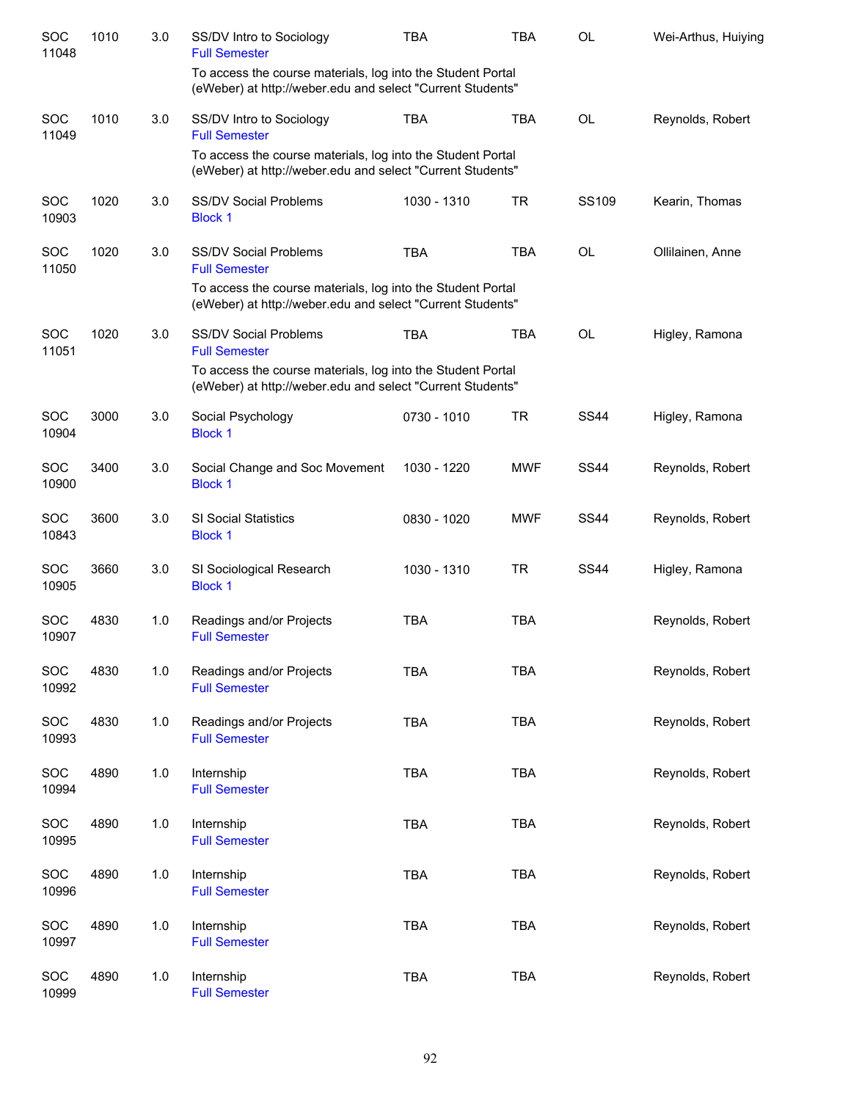| SOC<br>11048        | 1010 | 3.0 | SS/DV Intro to Sociology<br><b>Full Semester</b>                                                                          | <b>TBA</b>  | <b>TBA</b> | <b>OL</b>   | Wei-Arthus, Huiying |
|---------------------|------|-----|---------------------------------------------------------------------------------------------------------------------------|-------------|------------|-------------|---------------------|
|                     |      |     | To access the course materials, log into the Student Portal<br>(eWeber) at http://weber.edu and select "Current Students" |             |            |             |                     |
| SOC<br>11049        | 1010 | 3.0 | SS/DV Intro to Sociology<br><b>Full Semester</b>                                                                          | <b>TBA</b>  | <b>TBA</b> | <b>OL</b>   | Reynolds, Robert    |
|                     |      |     | To access the course materials, log into the Student Portal<br>(eWeber) at http://weber.edu and select "Current Students" |             |            |             |                     |
| <b>SOC</b><br>10903 | 1020 | 3.0 | <b>SS/DV Social Problems</b><br><b>Block 1</b>                                                                            | 1030 - 1310 | <b>TR</b>  | SS109       | Kearin, Thomas      |
| SOC<br>11050        | 1020 | 3.0 | <b>SS/DV Social Problems</b><br><b>Full Semester</b>                                                                      | <b>TBA</b>  | <b>TBA</b> | OL          | Ollilainen, Anne    |
|                     |      |     | To access the course materials, log into the Student Portal<br>(eWeber) at http://weber.edu and select "Current Students" |             |            |             |                     |
| <b>SOC</b><br>11051 | 1020 | 3.0 | <b>SS/DV Social Problems</b><br><b>Full Semester</b>                                                                      | <b>TBA</b>  | <b>TBA</b> | OL          | Higley, Ramona      |
|                     |      |     | To access the course materials, log into the Student Portal<br>(eWeber) at http://weber.edu and select "Current Students" |             |            |             |                     |
| <b>SOC</b><br>10904 | 3000 | 3.0 | Social Psychology<br><b>Block 1</b>                                                                                       | 0730 - 1010 | <b>TR</b>  | <b>SS44</b> | Higley, Ramona      |
| <b>SOC</b><br>10900 | 3400 | 3.0 | Social Change and Soc Movement<br><b>Block 1</b>                                                                          | 1030 - 1220 | <b>MWF</b> | <b>SS44</b> | Reynolds, Robert    |
| <b>SOC</b><br>10843 | 3600 | 3.0 | <b>SI Social Statistics</b><br><b>Block 1</b>                                                                             | 0830 - 1020 | <b>MWF</b> | <b>SS44</b> | Reynolds, Robert    |
| SOC<br>10905        | 3660 | 3.0 | SI Sociological Research<br><b>Block 1</b>                                                                                | 1030 - 1310 | <b>TR</b>  | <b>SS44</b> | Higley, Ramona      |
| SOC<br>10907        | 4830 | 1.0 | Readings and/or Projects<br><b>Full Semester</b>                                                                          | <b>TBA</b>  | <b>TBA</b> |             | Reynolds, Robert    |
| SOC<br>10992        | 4830 | 1.0 | Readings and/or Projects<br><b>Full Semester</b>                                                                          | <b>TBA</b>  | <b>TBA</b> |             | Reynolds, Robert    |
| SOC<br>10993        | 4830 | 1.0 | Readings and/or Projects<br><b>Full Semester</b>                                                                          | <b>TBA</b>  | <b>TBA</b> |             | Reynolds, Robert    |
| SOC<br>10994        | 4890 | 1.0 | Internship<br><b>Full Semester</b>                                                                                        | <b>TBA</b>  | <b>TBA</b> |             | Reynolds, Robert    |
| SOC<br>10995        | 4890 | 1.0 | Internship<br><b>Full Semester</b>                                                                                        | <b>TBA</b>  | <b>TBA</b> |             | Reynolds, Robert    |
| SOC<br>10996        | 4890 | 1.0 | Internship<br><b>Full Semester</b>                                                                                        | <b>TBA</b>  | <b>TBA</b> |             | Reynolds, Robert    |
| SOC<br>10997        | 4890 | 1.0 | Internship<br><b>Full Semester</b>                                                                                        | <b>TBA</b>  | <b>TBA</b> |             | Reynolds, Robert    |
| SOC<br>10999        | 4890 | 1.0 | Internship<br><b>Full Semester</b>                                                                                        | <b>TBA</b>  | <b>TBA</b> |             | Reynolds, Robert    |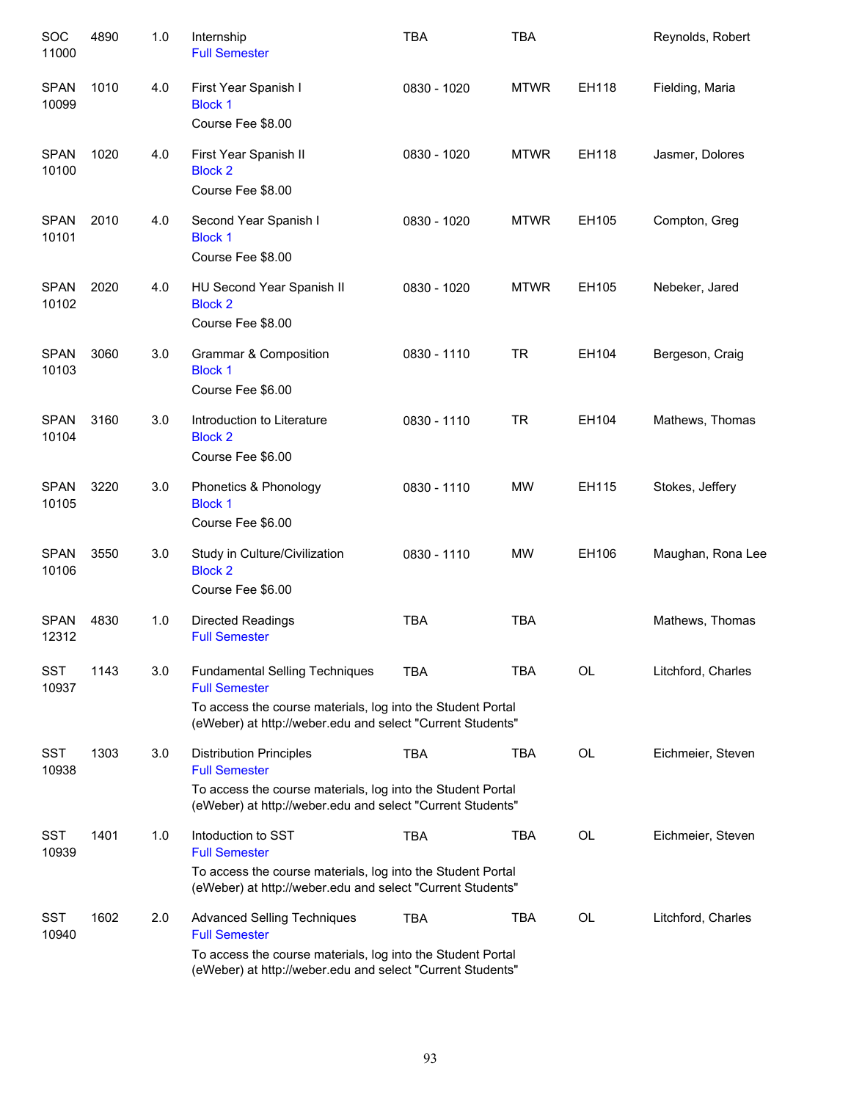| SOC<br>11000         | 4890 | 1.0 | Internship<br><b>Full Semester</b>                                                                                                                                                         | <b>TBA</b>  | <b>TBA</b>  |           | Reynolds, Robert   |
|----------------------|------|-----|--------------------------------------------------------------------------------------------------------------------------------------------------------------------------------------------|-------------|-------------|-----------|--------------------|
| <b>SPAN</b><br>10099 | 1010 | 4.0 | First Year Spanish I<br><b>Block 1</b><br>Course Fee \$8.00                                                                                                                                | 0830 - 1020 | <b>MTWR</b> | EH118     | Fielding, Maria    |
| <b>SPAN</b><br>10100 | 1020 | 4.0 | First Year Spanish II<br><b>Block 2</b><br>Course Fee \$8.00                                                                                                                               | 0830 - 1020 | <b>MTWR</b> | EH118     | Jasmer, Dolores    |
| <b>SPAN</b><br>10101 | 2010 | 4.0 | Second Year Spanish I<br><b>Block 1</b><br>Course Fee \$8.00                                                                                                                               | 0830 - 1020 | <b>MTWR</b> | EH105     | Compton, Greg      |
| <b>SPAN</b><br>10102 | 2020 | 4.0 | HU Second Year Spanish II<br><b>Block 2</b><br>Course Fee \$8.00                                                                                                                           | 0830 - 1020 | <b>MTWR</b> | EH105     | Nebeker, Jared     |
| <b>SPAN</b><br>10103 | 3060 | 3.0 | Grammar & Composition<br><b>Block 1</b><br>Course Fee \$6.00                                                                                                                               | 0830 - 1110 | TR          | EH104     | Bergeson, Craig    |
| <b>SPAN</b><br>10104 | 3160 | 3.0 | Introduction to Literature<br><b>Block 2</b><br>Course Fee \$6.00                                                                                                                          | 0830 - 1110 | TR          | EH104     | Mathews, Thomas    |
| <b>SPAN</b><br>10105 | 3220 | 3.0 | Phonetics & Phonology<br><b>Block 1</b><br>Course Fee \$6.00                                                                                                                               | 0830 - 1110 | <b>MW</b>   | EH115     | Stokes, Jeffery    |
| <b>SPAN</b><br>10106 | 3550 | 3.0 | Study in Culture/Civilization<br><b>Block 2</b><br>Course Fee \$6.00                                                                                                                       | 0830 - 1110 | <b>MW</b>   | EH106     | Maughan, Rona Lee  |
| <b>SPAN</b><br>12312 | 4830 | 1.0 | <b>Directed Readings</b><br><b>Full Semester</b>                                                                                                                                           | <b>TBA</b>  | <b>TBA</b>  |           | Mathews, Thomas    |
| <b>SST</b><br>10937  | 1143 | 3.0 | <b>Fundamental Selling Techniques</b><br><b>Full Semester</b><br>To access the course materials, log into the Student Portal<br>(eWeber) at http://weber.edu and select "Current Students" | <b>TBA</b>  | <b>TBA</b>  | <b>OL</b> | Litchford, Charles |
| SST<br>10938         | 1303 | 3.0 | <b>Distribution Principles</b><br><b>Full Semester</b><br>To access the course materials, log into the Student Portal<br>(eWeber) at http://weber.edu and select "Current Students"        | <b>TBA</b>  | TBA         | <b>OL</b> | Eichmeier, Steven  |
| SST<br>10939         | 1401 | 1.0 | Intoduction to SST<br><b>Full Semester</b><br>To access the course materials, log into the Student Portal<br>(eWeber) at http://weber.edu and select "Current Students"                    | <b>TBA</b>  | TBA         | <b>OL</b> | Eichmeier, Steven  |
| SST<br>10940         | 1602 | 2.0 | <b>Advanced Selling Techniques</b><br><b>Full Semester</b><br>To access the course materials, log into the Student Portal<br>(eWeber) at http://weber.edu and select "Current Students"    | <b>TBA</b>  | TBA         | <b>OL</b> | Litchford, Charles |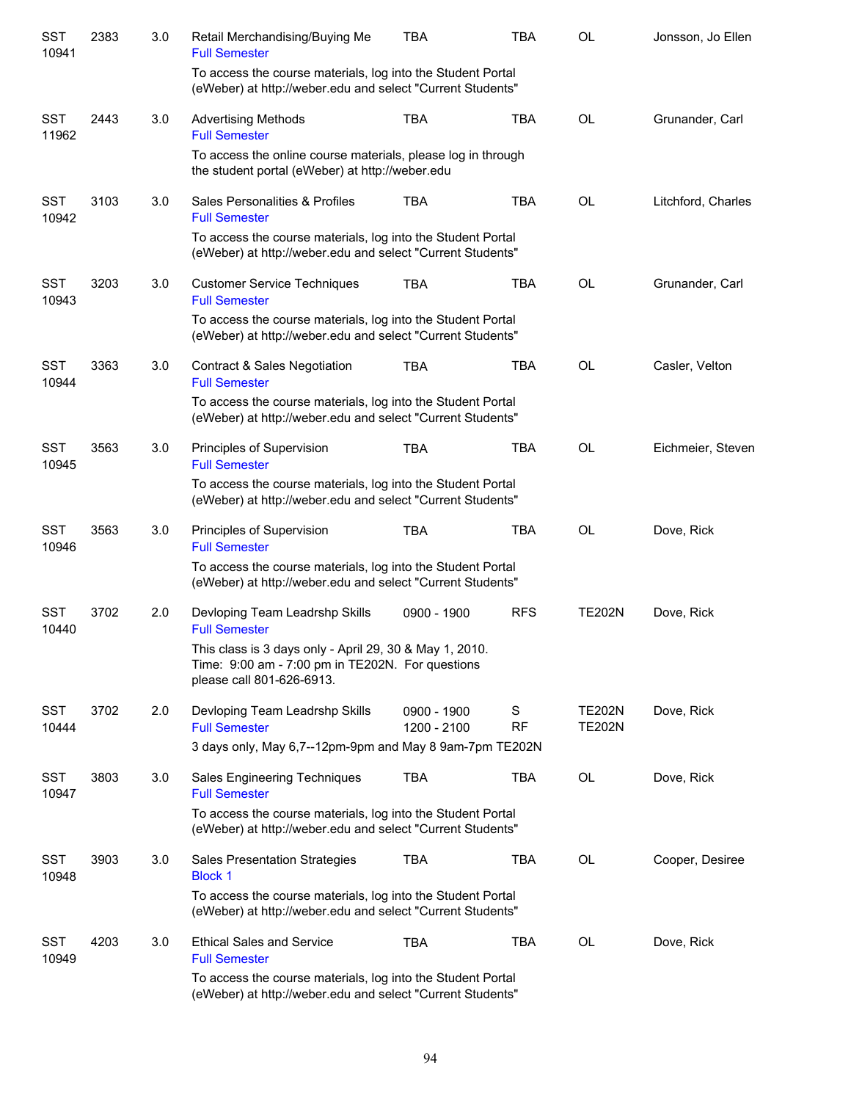| <b>SST</b><br>10941 | 2383 | 3.0 | Retail Merchandising/Buying Me<br><b>Full Semester</b>                                                                                   | <b>TBA</b>                 | <b>TBA</b>     | <b>OL</b>                      | Jonsson, Jo Ellen  |
|---------------------|------|-----|------------------------------------------------------------------------------------------------------------------------------------------|----------------------------|----------------|--------------------------------|--------------------|
|                     |      |     | To access the course materials, log into the Student Portal<br>(eWeber) at http://weber.edu and select "Current Students"                |                            |                |                                |                    |
| <b>SST</b><br>11962 | 2443 | 3.0 | <b>Advertising Methods</b><br><b>Full Semester</b>                                                                                       | <b>TBA</b>                 | <b>TBA</b>     | <b>OL</b>                      | Grunander, Carl    |
|                     |      |     | To access the online course materials, please log in through<br>the student portal (eWeber) at http://weber.edu                          |                            |                |                                |                    |
| <b>SST</b><br>10942 | 3103 | 3.0 | Sales Personalities & Profiles<br><b>Full Semester</b>                                                                                   | <b>TBA</b>                 | <b>TBA</b>     | <b>OL</b>                      | Litchford, Charles |
|                     |      |     | To access the course materials, log into the Student Portal<br>(eWeber) at http://weber.edu and select "Current Students"                |                            |                |                                |                    |
| <b>SST</b><br>10943 | 3203 | 3.0 | <b>Customer Service Techniques</b><br><b>Full Semester</b>                                                                               | <b>TBA</b>                 | <b>TBA</b>     | OL                             | Grunander, Carl    |
|                     |      |     | To access the course materials, log into the Student Portal<br>(eWeber) at http://weber.edu and select "Current Students"                |                            |                |                                |                    |
| <b>SST</b><br>10944 | 3363 | 3.0 | Contract & Sales Negotiation<br><b>Full Semester</b>                                                                                     | <b>TBA</b>                 | <b>TBA</b>     | <b>OL</b>                      | Casler, Velton     |
|                     |      |     | To access the course materials, log into the Student Portal<br>(eWeber) at http://weber.edu and select "Current Students"                |                            |                |                                |                    |
| <b>SST</b><br>10945 | 3563 | 3.0 | Principles of Supervision<br><b>Full Semester</b>                                                                                        | <b>TBA</b>                 | <b>TBA</b>     | <b>OL</b>                      | Eichmeier, Steven  |
|                     |      |     | To access the course materials, log into the Student Portal<br>(eWeber) at http://weber.edu and select "Current Students"                |                            |                |                                |                    |
| <b>SST</b><br>10946 | 3563 | 3.0 | Principles of Supervision<br><b>Full Semester</b>                                                                                        | <b>TBA</b>                 | <b>TBA</b>     | <b>OL</b>                      | Dove, Rick         |
|                     |      |     | To access the course materials, log into the Student Portal<br>(eWeber) at http://weber.edu and select "Current Students"                |                            |                |                                |                    |
| <b>SST</b><br>10440 | 3702 | 2.0 | Devloping Team Leadrshp Skills<br><b>Full Semester</b>                                                                                   | 0900 - 1900                | <b>RFS</b>     | <b>TE202N</b>                  | Dove, Rick         |
|                     |      |     | This class is 3 days only - April 29, 30 & May 1, 2010.<br>Time: 9:00 am - 7:00 pm in TE202N. For questions<br>please call 801-626-6913. |                            |                |                                |                    |
| <b>SST</b><br>10444 | 3702 | 2.0 | Devloping Team Leadrshp Skills<br><b>Full Semester</b><br>3 days only, May 6,7--12pm-9pm and May 8 9am-7pm TE202N                        | 0900 - 1900<br>1200 - 2100 | S<br><b>RF</b> | <b>TE202N</b><br><b>TE202N</b> | Dove, Rick         |
| <b>SST</b>          | 3803 | 3.0 | <b>Sales Engineering Techniques</b>                                                                                                      | TBA                        | <b>TBA</b>     | OL                             | Dove, Rick         |
| 10947               |      |     | <b>Full Semester</b><br>To access the course materials, log into the Student Portal                                                      |                            |                |                                |                    |
|                     |      |     | (eWeber) at http://weber.edu and select "Current Students"                                                                               |                            |                |                                |                    |
| <b>SST</b><br>10948 | 3903 | 3.0 | <b>Sales Presentation Strategies</b><br><b>Block 1</b>                                                                                   | <b>TBA</b>                 | <b>TBA</b>     | OL                             | Cooper, Desiree    |
|                     |      |     | To access the course materials, log into the Student Portal<br>(eWeber) at http://weber.edu and select "Current Students"                |                            |                |                                |                    |
| <b>SST</b><br>10949 | 4203 | 3.0 | <b>Ethical Sales and Service</b><br><b>Full Semester</b>                                                                                 | <b>TBA</b>                 | <b>TBA</b>     | OL                             | Dove, Rick         |
|                     |      |     | To access the course materials, log into the Student Portal<br>(eWeber) at http://weber.edu and select "Current Students"                |                            |                |                                |                    |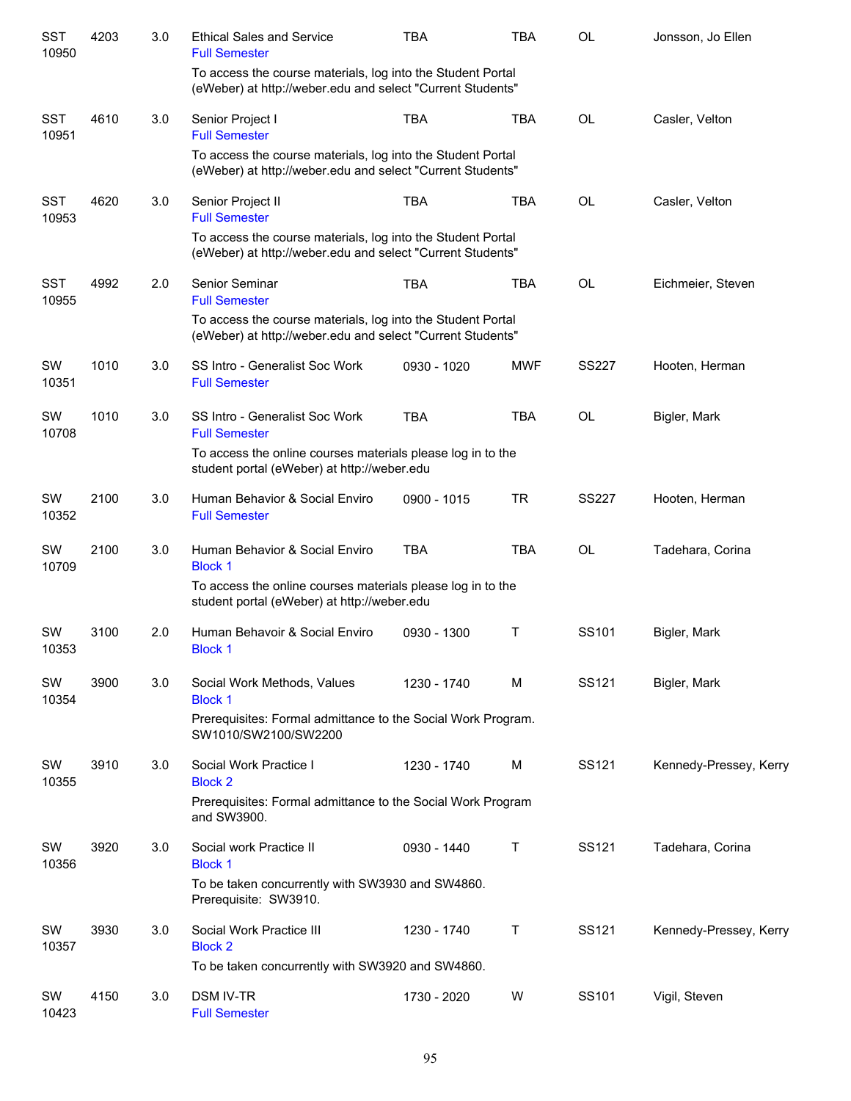| <b>SST</b><br>10950 | 4203 | 3.0 | <b>Ethical Sales and Service</b><br><b>Full Semester</b>                                                                  | <b>TBA</b>  | <b>TBA</b> | OL           | Jonsson, Jo Ellen      |
|---------------------|------|-----|---------------------------------------------------------------------------------------------------------------------------|-------------|------------|--------------|------------------------|
|                     |      |     | To access the course materials, log into the Student Portal<br>(eWeber) at http://weber.edu and select "Current Students" |             |            |              |                        |
| <b>SST</b><br>10951 | 4610 | 3.0 | Senior Project I<br><b>Full Semester</b>                                                                                  | <b>TBA</b>  | <b>TBA</b> | <b>OL</b>    | Casler, Velton         |
|                     |      |     | To access the course materials, log into the Student Portal<br>(eWeber) at http://weber.edu and select "Current Students" |             |            |              |                        |
| <b>SST</b><br>10953 | 4620 | 3.0 | Senior Project II<br><b>Full Semester</b>                                                                                 | <b>TBA</b>  | <b>TBA</b> | <b>OL</b>    | Casler, Velton         |
|                     |      |     | To access the course materials, log into the Student Portal<br>(eWeber) at http://weber.edu and select "Current Students" |             |            |              |                        |
| <b>SST</b><br>10955 | 4992 | 2.0 | Senior Seminar<br><b>Full Semester</b>                                                                                    | <b>TBA</b>  | <b>TBA</b> | <b>OL</b>    | Eichmeier, Steven      |
|                     |      |     | To access the course materials, log into the Student Portal<br>(eWeber) at http://weber.edu and select "Current Students" |             |            |              |                        |
| <b>SW</b><br>10351  | 1010 | 3.0 | SS Intro - Generalist Soc Work<br><b>Full Semester</b>                                                                    | 0930 - 1020 | <b>MWF</b> | <b>SS227</b> | Hooten, Herman         |
| SW<br>10708         | 1010 | 3.0 | SS Intro - Generalist Soc Work<br><b>Full Semester</b>                                                                    | <b>TBA</b>  | <b>TBA</b> | <b>OL</b>    | Bigler, Mark           |
|                     |      |     | To access the online courses materials please log in to the<br>student portal (eWeber) at http://weber.edu                |             |            |              |                        |
| SW<br>10352         | 2100 | 3.0 | Human Behavior & Social Enviro<br><b>Full Semester</b>                                                                    | 0900 - 1015 | <b>TR</b>  | <b>SS227</b> | Hooten, Herman         |
| SW<br>10709         | 2100 | 3.0 | Human Behavior & Social Enviro<br><b>Block 1</b>                                                                          | <b>TBA</b>  | <b>TBA</b> | <b>OL</b>    | Tadehara, Corina       |
|                     |      |     | To access the online courses materials please log in to the<br>student portal (eWeber) at http://weber.edu                |             |            |              |                        |
| SW<br>10353         | 3100 | 2.0 | Human Behavoir & Social Enviro<br><b>Block 1</b>                                                                          | 0930 - 1300 | Т          | SS101        | Bigler, Mark           |
| SW<br>10354         | 3900 | 3.0 | Social Work Methods, Values<br><b>Block 1</b>                                                                             | 1230 - 1740 | M          | SS121        | Bigler, Mark           |
|                     |      |     | Prerequisites: Formal admittance to the Social Work Program.<br>SW1010/SW2100/SW2200                                      |             |            |              |                        |
| SW<br>10355         | 3910 | 3.0 | Social Work Practice I<br><b>Block 2</b>                                                                                  | 1230 - 1740 | M          | SS121        | Kennedy-Pressey, Kerry |
|                     |      |     | Prerequisites: Formal admittance to the Social Work Program<br>and SW3900.                                                |             |            |              |                        |
| SW<br>10356         | 3920 | 3.0 | Social work Practice II<br><b>Block 1</b>                                                                                 | 0930 - 1440 | Τ          | SS121        | Tadehara, Corina       |
|                     |      |     | To be taken concurrently with SW3930 and SW4860.<br>Prerequisite: SW3910.                                                 |             |            |              |                        |
| SW<br>10357         | 3930 | 3.0 | Social Work Practice III<br><b>Block 2</b>                                                                                | 1230 - 1740 | Τ          | SS121        | Kennedy-Pressey, Kerry |
|                     |      |     | To be taken concurrently with SW3920 and SW4860.                                                                          |             |            |              |                        |
| SW<br>10423         | 4150 | 3.0 | <b>DSM IV-TR</b><br><b>Full Semester</b>                                                                                  | 1730 - 2020 | W          | SS101        | Vigil, Steven          |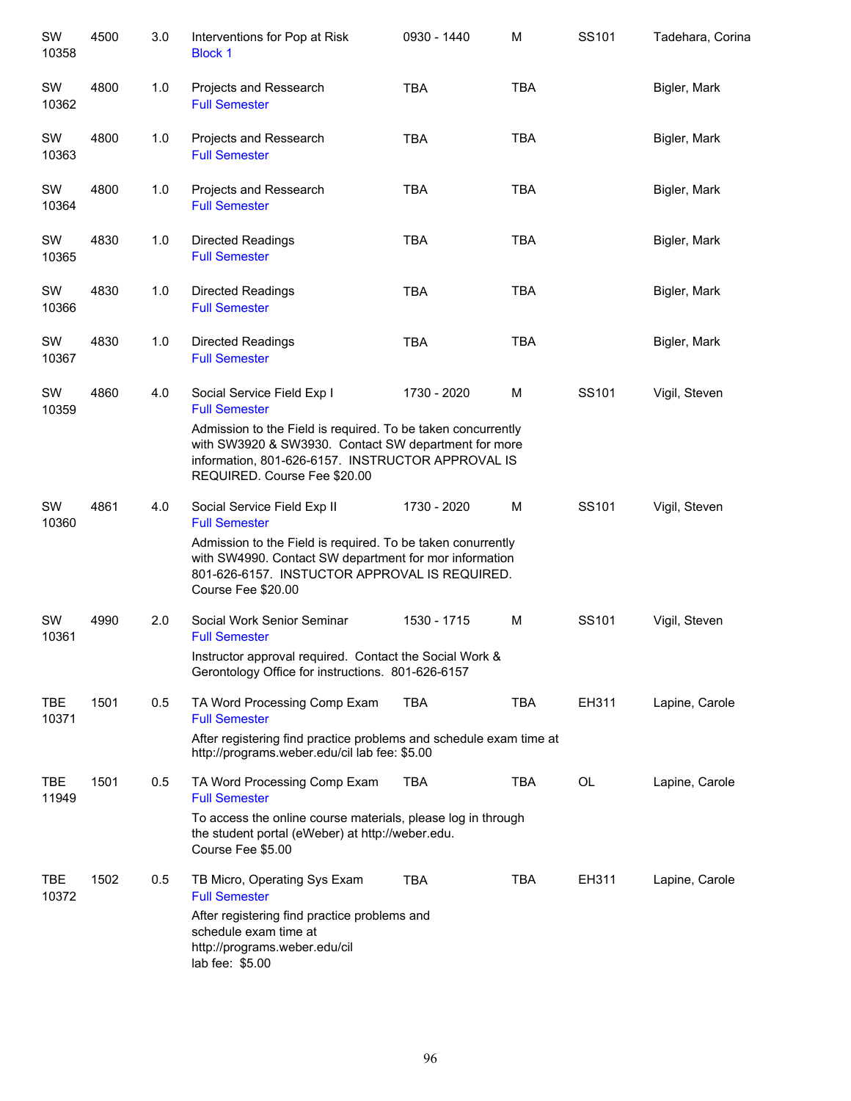| SW<br>10358         | 4500 | 3.0 | Interventions for Pop at Risk<br><b>Block 1</b>                                                                                                                                                                                                                 | 0930 - 1440 | M          | SS101 | Tadehara, Corina |
|---------------------|------|-----|-----------------------------------------------------------------------------------------------------------------------------------------------------------------------------------------------------------------------------------------------------------------|-------------|------------|-------|------------------|
| SW<br>10362         | 4800 | 1.0 | Projects and Ressearch<br><b>Full Semester</b>                                                                                                                                                                                                                  | <b>TBA</b>  | <b>TBA</b> |       | Bigler, Mark     |
| SW<br>10363         | 4800 | 1.0 | Projects and Ressearch<br><b>Full Semester</b>                                                                                                                                                                                                                  | <b>TBA</b>  | <b>TBA</b> |       | Bigler, Mark     |
| SW<br>10364         | 4800 | 1.0 | Projects and Ressearch<br><b>Full Semester</b>                                                                                                                                                                                                                  | <b>TBA</b>  | <b>TBA</b> |       | Bigler, Mark     |
| SW<br>10365         | 4830 | 1.0 | <b>Directed Readings</b><br><b>Full Semester</b>                                                                                                                                                                                                                | <b>TBA</b>  | <b>TBA</b> |       | Bigler, Mark     |
| SW<br>10366         | 4830 | 1.0 | <b>Directed Readings</b><br><b>Full Semester</b>                                                                                                                                                                                                                | <b>TBA</b>  | <b>TBA</b> |       | Bigler, Mark     |
| SW<br>10367         | 4830 | 1.0 | <b>Directed Readings</b><br><b>Full Semester</b>                                                                                                                                                                                                                | <b>TBA</b>  | <b>TBA</b> |       | Bigler, Mark     |
| SW<br>10359         | 4860 | 4.0 | Social Service Field Exp I<br><b>Full Semester</b><br>Admission to the Field is required. To be taken concurrently<br>with SW3920 & SW3930. Contact SW department for more<br>information, 801-626-6157. INSTRUCTOR APPROVAL IS<br>REQUIRED. Course Fee \$20.00 | 1730 - 2020 | M          | SS101 | Vigil, Steven    |
| SW<br>10360         | 4861 | 4.0 | Social Service Field Exp II<br><b>Full Semester</b><br>Admission to the Field is required. To be taken conurrently<br>with SW4990. Contact SW department for mor information<br>801-626-6157. INSTUCTOR APPROVAL IS REQUIRED.<br>Course Fee \$20.00             | 1730 - 2020 | M          | SS101 | Vigil, Steven    |
| SW<br>10361         | 4990 | 2.0 | Social Work Senior Seminar<br><b>Full Semester</b>                                                                                                                                                                                                              | 1530 - 1715 | M          | SS101 | Vigil, Steven    |
|                     |      |     | Instructor approval required. Contact the Social Work &<br>Gerontology Office for instructions. 801-626-6157                                                                                                                                                    |             |            |       |                  |
| <b>TBE</b><br>10371 | 1501 | 0.5 | TA Word Processing Comp Exam<br><b>Full Semester</b><br>After registering find practice problems and schedule exam time at<br>http://programs.weber.edu/cil lab fee: \$5.00                                                                                     | <b>TBA</b>  | <b>TBA</b> | EH311 | Lapine, Carole   |
| <b>TBE</b><br>11949 | 1501 | 0.5 | TA Word Processing Comp Exam<br><b>Full Semester</b><br>To access the online course materials, please log in through<br>the student portal (eWeber) at http://weber.edu.                                                                                        | <b>TBA</b>  | TBA        | OL    | Lapine, Carole   |
| TBE<br>10372        | 1502 | 0.5 | Course Fee \$5.00<br>TB Micro, Operating Sys Exam<br><b>Full Semester</b><br>After registering find practice problems and<br>schedule exam time at<br>http://programs.weber.edu/cil<br>lab fee: \$5.00                                                          | <b>TBA</b>  | <b>TBA</b> | EH311 | Lapine, Carole   |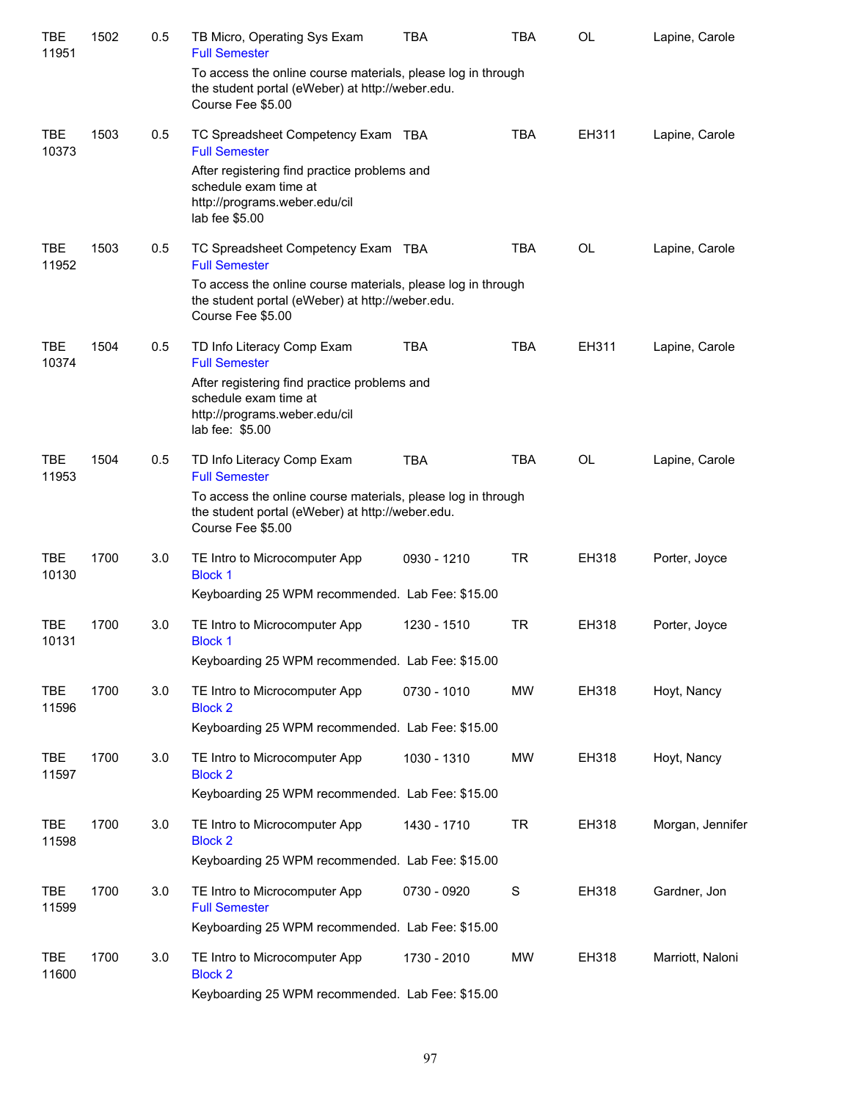| TBE<br>11951        | 1502 | 0.5 | TB Micro, Operating Sys Exam<br><b>Full Semester</b>                                                                                  | <b>TBA</b>  | <b>TBA</b>  | <b>OL</b> | Lapine, Carole   |
|---------------------|------|-----|---------------------------------------------------------------------------------------------------------------------------------------|-------------|-------------|-----------|------------------|
|                     |      |     | To access the online course materials, please log in through<br>the student portal (eWeber) at http://weber.edu.<br>Course Fee \$5.00 |             |             |           |                  |
| <b>TBE</b><br>10373 | 1503 | 0.5 | TC Spreadsheet Competency Exam TBA<br><b>Full Semester</b>                                                                            |             | <b>TBA</b>  | EH311     | Lapine, Carole   |
|                     |      |     | After registering find practice problems and<br>schedule exam time at<br>http://programs.weber.edu/cil<br>lab fee \$5.00              |             |             |           |                  |
| TBE<br>11952        | 1503 | 0.5 | TC Spreadsheet Competency Exam TBA<br><b>Full Semester</b>                                                                            |             | <b>TBA</b>  | OL        | Lapine, Carole   |
|                     |      |     | To access the online course materials, please log in through<br>the student portal (eWeber) at http://weber.edu.<br>Course Fee \$5.00 |             |             |           |                  |
| TBE<br>10374        | 1504 | 0.5 | TD Info Literacy Comp Exam<br><b>Full Semester</b>                                                                                    | <b>TBA</b>  | <b>TBA</b>  | EH311     | Lapine, Carole   |
|                     |      |     | After registering find practice problems and<br>schedule exam time at<br>http://programs.weber.edu/cil<br>lab fee: \$5.00             |             |             |           |                  |
| <b>TBE</b><br>11953 | 1504 | 0.5 | TD Info Literacy Comp Exam<br><b>Full Semester</b>                                                                                    | <b>TBA</b>  | <b>TBA</b>  | <b>OL</b> | Lapine, Carole   |
|                     |      |     | To access the online course materials, please log in through<br>the student portal (eWeber) at http://weber.edu.<br>Course Fee \$5.00 |             |             |           |                  |
| TBE<br>10130        | 1700 | 3.0 | TE Intro to Microcomputer App<br><b>Block 1</b>                                                                                       | 0930 - 1210 | <b>TR</b>   | EH318     | Porter, Joyce    |
|                     |      |     | Keyboarding 25 WPM recommended. Lab Fee: \$15.00                                                                                      |             |             |           |                  |
| TBE<br>10131        | 1700 | 3.0 | TE Intro to Microcomputer App<br><b>Block 1</b>                                                                                       | 1230 - 1510 | TR          | EH318     | Porter, Joyce    |
|                     |      |     | Keyboarding 25 WPM recommended. Lab Fee: \$15.00                                                                                      |             |             |           |                  |
| <b>TBE</b><br>11596 | 1700 | 3.0 | TE Intro to Microcomputer App<br><b>Block 2</b>                                                                                       | 0730 - 1010 | MW          | EH318     | Hoyt, Nancy      |
|                     |      |     | Keyboarding 25 WPM recommended. Lab Fee: \$15.00                                                                                      |             |             |           |                  |
| <b>TBE</b><br>11597 | 1700 | 3.0 | TE Intro to Microcomputer App<br><b>Block 2</b>                                                                                       | 1030 - 1310 | MW          | EH318     | Hoyt, Nancy      |
|                     |      |     | Keyboarding 25 WPM recommended. Lab Fee: \$15.00                                                                                      |             |             |           |                  |
| <b>TBE</b><br>11598 | 1700 | 3.0 | TE Intro to Microcomputer App<br><b>Block 2</b>                                                                                       | 1430 - 1710 | <b>TR</b>   | EH318     | Morgan, Jennifer |
|                     |      |     | Keyboarding 25 WPM recommended. Lab Fee: \$15.00                                                                                      |             |             |           |                  |
| <b>TBE</b><br>11599 | 1700 | 3.0 | TE Intro to Microcomputer App<br><b>Full Semester</b>                                                                                 | 0730 - 0920 | $\mathbf S$ | EH318     | Gardner, Jon     |
|                     |      |     | Keyboarding 25 WPM recommended. Lab Fee: \$15.00                                                                                      |             |             |           |                  |
| <b>TBE</b><br>11600 | 1700 | 3.0 | TE Intro to Microcomputer App<br><b>Block 2</b>                                                                                       | 1730 - 2010 | MW          | EH318     | Marriott, Naloni |
|                     |      |     | Keyboarding 25 WPM recommended. Lab Fee: \$15.00                                                                                      |             |             |           |                  |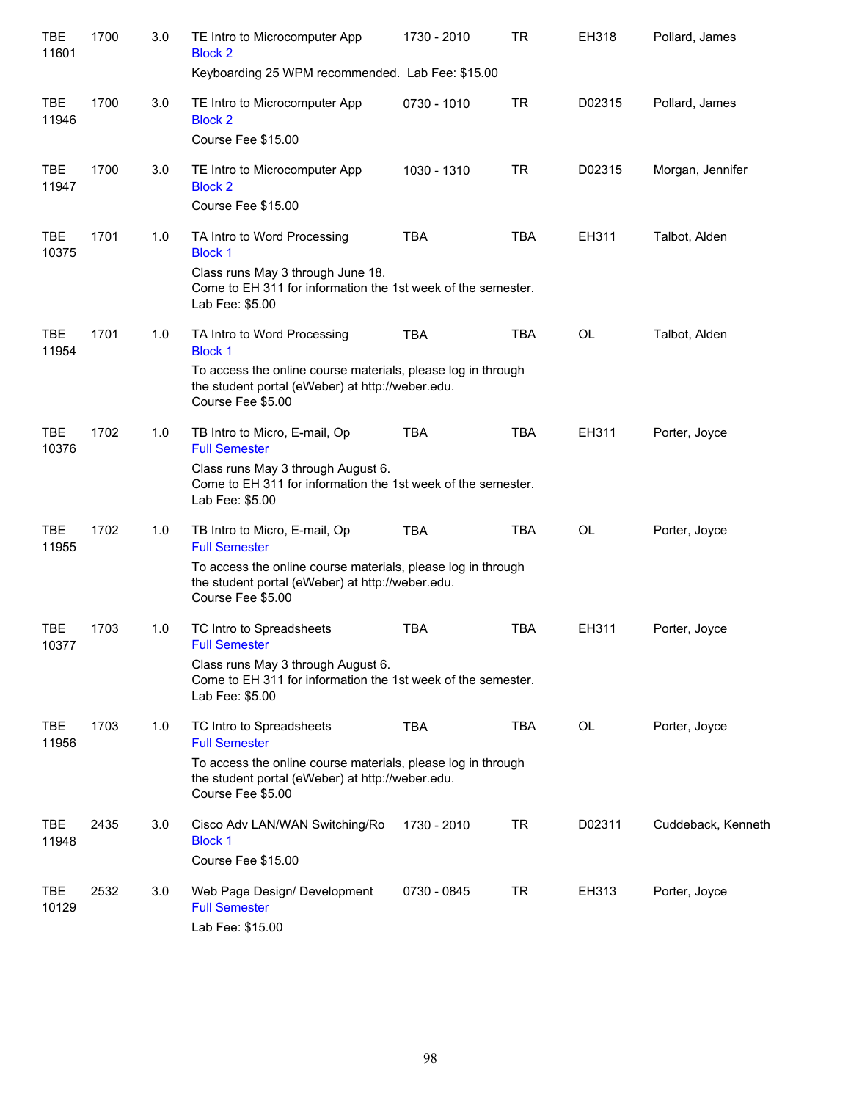| <b>TBE</b><br>11601 | 1700 | 3.0 | TE Intro to Microcomputer App<br><b>Block 2</b><br>Keyboarding 25 WPM recommended. Lab Fee: \$15.00                                                                                            | 1730 - 2010 | <b>TR</b>  | EH318     | Pollard, James     |
|---------------------|------|-----|------------------------------------------------------------------------------------------------------------------------------------------------------------------------------------------------|-------------|------------|-----------|--------------------|
| <b>TBE</b><br>11946 | 1700 | 3.0 | TE Intro to Microcomputer App<br><b>Block 2</b><br>Course Fee \$15.00                                                                                                                          | 0730 - 1010 | TR         | D02315    | Pollard, James     |
| <b>TBE</b><br>11947 | 1700 | 3.0 | TE Intro to Microcomputer App<br><b>Block 2</b><br>Course Fee \$15.00                                                                                                                          | 1030 - 1310 | TR         | D02315    | Morgan, Jennifer   |
| <b>TBE</b><br>10375 | 1701 | 1.0 | TA Intro to Word Processing<br><b>Block 1</b><br>Class runs May 3 through June 18.<br>Come to EH 311 for information the 1st week of the semester.<br>Lab Fee: \$5.00                          | <b>TBA</b>  | <b>TBA</b> | EH311     | Talbot, Alden      |
| <b>TBE</b><br>11954 | 1701 | 1.0 | TA Intro to Word Processing<br><b>Block 1</b><br>To access the online course materials, please log in through<br>the student portal (eWeber) at http://weber.edu.<br>Course Fee \$5.00         | <b>TBA</b>  | <b>TBA</b> | <b>OL</b> | Talbot, Alden      |
| <b>TBE</b><br>10376 | 1702 | 1.0 | TB Intro to Micro, E-mail, Op<br><b>Full Semester</b><br>Class runs May 3 through August 6.<br>Come to EH 311 for information the 1st week of the semester.<br>Lab Fee: \$5.00                 | <b>TBA</b>  | <b>TBA</b> | EH311     | Porter, Joyce      |
| <b>TBE</b><br>11955 | 1702 | 1.0 | TB Intro to Micro, E-mail, Op<br><b>Full Semester</b><br>To access the online course materials, please log in through<br>the student portal (eWeber) at http://weber.edu.<br>Course Fee \$5.00 | <b>TBA</b>  | <b>TBA</b> | <b>OL</b> | Porter, Joyce      |
| <b>TBE</b><br>10377 | 1703 | 1.0 | TC Intro to Spreadsheets<br><b>Full Semester</b><br>Class runs May 3 through August 6.<br>Come to EH 311 for information the 1st week of the semester.<br>Lab Fee: \$5.00                      | <b>TBA</b>  | <b>TBA</b> | EH311     | Porter, Joyce      |
| <b>TBE</b><br>11956 | 1703 | 1.0 | TC Intro to Spreadsheets<br><b>Full Semester</b><br>To access the online course materials, please log in through<br>the student portal (eWeber) at http://weber.edu.<br>Course Fee \$5.00      | <b>TBA</b>  | <b>TBA</b> | <b>OL</b> | Porter, Joyce      |
| <b>TBE</b><br>11948 | 2435 | 3.0 | Cisco Adv LAN/WAN Switching/Ro<br><b>Block 1</b><br>Course Fee \$15.00                                                                                                                         | 1730 - 2010 | TR         | D02311    | Cuddeback, Kenneth |
| TBE<br>10129        | 2532 | 3.0 | Web Page Design/ Development<br><b>Full Semester</b><br>Lab Fee: \$15.00                                                                                                                       | 0730 - 0845 | TR         | EH313     | Porter, Joyce      |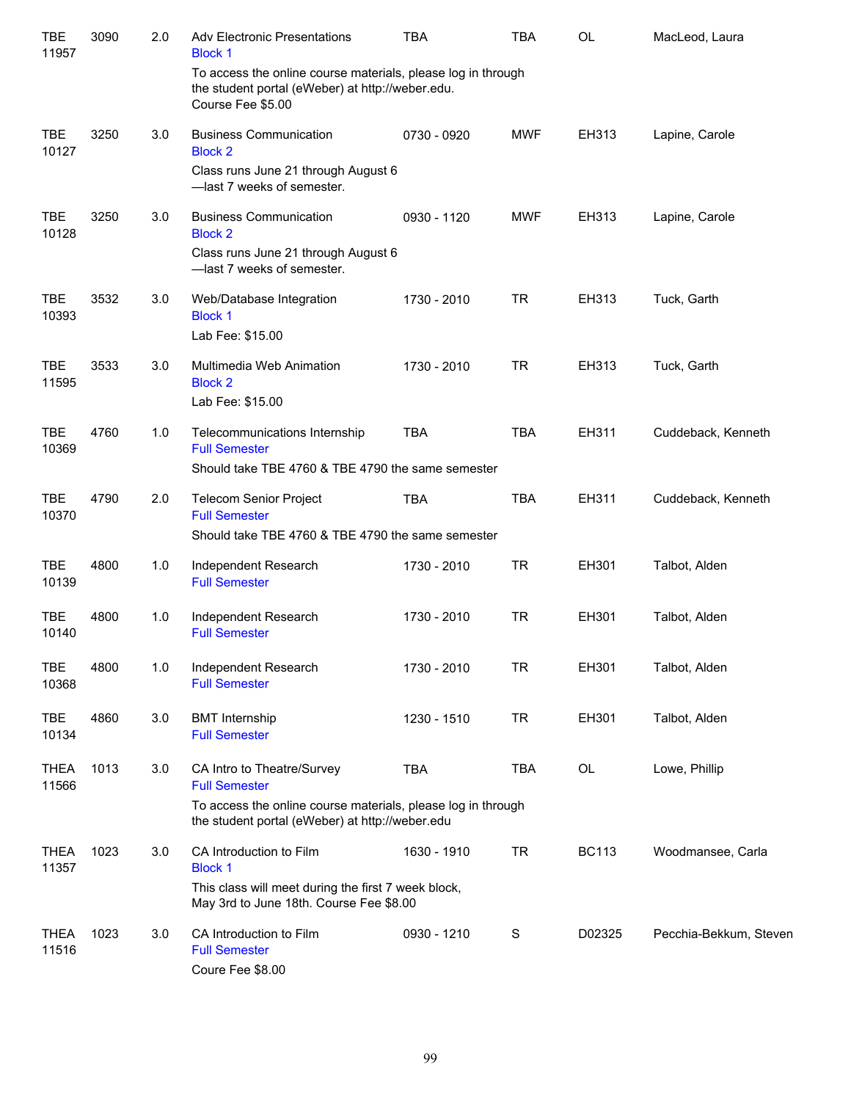| <b>TBE</b><br>11957  | 3090 | 2.0 | <b>Adv Electronic Presentations</b><br><b>Block 1</b>                                                                                 | <b>TBA</b>  | <b>TBA</b> | OL           | MacLeod, Laura         |
|----------------------|------|-----|---------------------------------------------------------------------------------------------------------------------------------------|-------------|------------|--------------|------------------------|
|                      |      |     | To access the online course materials, please log in through<br>the student portal (eWeber) at http://weber.edu.<br>Course Fee \$5.00 |             |            |              |                        |
| <b>TBE</b><br>10127  | 3250 | 3.0 | <b>Business Communication</b><br><b>Block 2</b>                                                                                       | 0730 - 0920 | <b>MWF</b> | EH313        | Lapine, Carole         |
|                      |      |     | Class runs June 21 through August 6<br>-last 7 weeks of semester.                                                                     |             |            |              |                        |
| <b>TBE</b><br>10128  | 3250 | 3.0 | <b>Business Communication</b><br><b>Block 2</b>                                                                                       | 0930 - 1120 | <b>MWF</b> | EH313        | Lapine, Carole         |
|                      |      |     | Class runs June 21 through August 6<br>-last 7 weeks of semester.                                                                     |             |            |              |                        |
| <b>TBE</b><br>10393  | 3532 | 3.0 | Web/Database Integration<br><b>Block 1</b><br>Lab Fee: \$15.00                                                                        | 1730 - 2010 | <b>TR</b>  | EH313        | Tuck, Garth            |
| <b>TBE</b><br>11595  | 3533 | 3.0 | Multimedia Web Animation<br><b>Block 2</b><br>Lab Fee: \$15.00                                                                        | 1730 - 2010 | <b>TR</b>  | EH313        | Tuck, Garth            |
| <b>TBE</b><br>10369  | 4760 | 1.0 | Telecommunications Internship<br><b>Full Semester</b><br>Should take TBE 4760 & TBE 4790 the same semester                            | <b>TBA</b>  | <b>TBA</b> | EH311        | Cuddeback, Kenneth     |
| <b>TBE</b><br>10370  | 4790 | 2.0 | <b>Telecom Senior Project</b><br><b>Full Semester</b><br>Should take TBE 4760 & TBE 4790 the same semester                            | <b>TBA</b>  | <b>TBA</b> | EH311        | Cuddeback, Kenneth     |
| <b>TBE</b><br>10139  | 4800 | 1.0 | Independent Research<br><b>Full Semester</b>                                                                                          | 1730 - 2010 | <b>TR</b>  | EH301        | Talbot, Alden          |
| <b>TBE</b><br>10140  | 4800 | 1.0 | Independent Research<br><b>Full Semester</b>                                                                                          | 1730 - 2010 | <b>TR</b>  | EH301        | Talbot, Alden          |
| <b>TBE</b><br>10368  | 4800 | 1.0 | Independent Research<br><b>Full Semester</b>                                                                                          | 1730 - 2010 | <b>TR</b>  | EH301        | Talbot, Alden          |
| <b>TBE</b><br>10134  | 4860 | 3.0 | <b>BMT</b> Internship<br><b>Full Semester</b>                                                                                         | 1230 - 1510 | <b>TR</b>  | EH301        | Talbot, Alden          |
| <b>THEA</b><br>11566 | 1013 | 3.0 | CA Intro to Theatre/Survey<br><b>Full Semester</b>                                                                                    | <b>TBA</b>  | TBA        | OL           | Lowe, Phillip          |
|                      |      |     | To access the online course materials, please log in through<br>the student portal (eWeber) at http://weber.edu                       |             |            |              |                        |
| <b>THEA</b><br>11357 | 1023 | 3.0 | CA Introduction to Film<br><b>Block 1</b>                                                                                             | 1630 - 1910 | <b>TR</b>  | <b>BC113</b> | Woodmansee, Carla      |
|                      |      |     | This class will meet during the first 7 week block,<br>May 3rd to June 18th. Course Fee \$8.00                                        |             |            |              |                        |
| <b>THEA</b><br>11516 | 1023 | 3.0 | CA Introduction to Film<br><b>Full Semester</b><br>Coure Fee \$8.00                                                                   | 0930 - 1210 | S          | D02325       | Pecchia-Bekkum, Steven |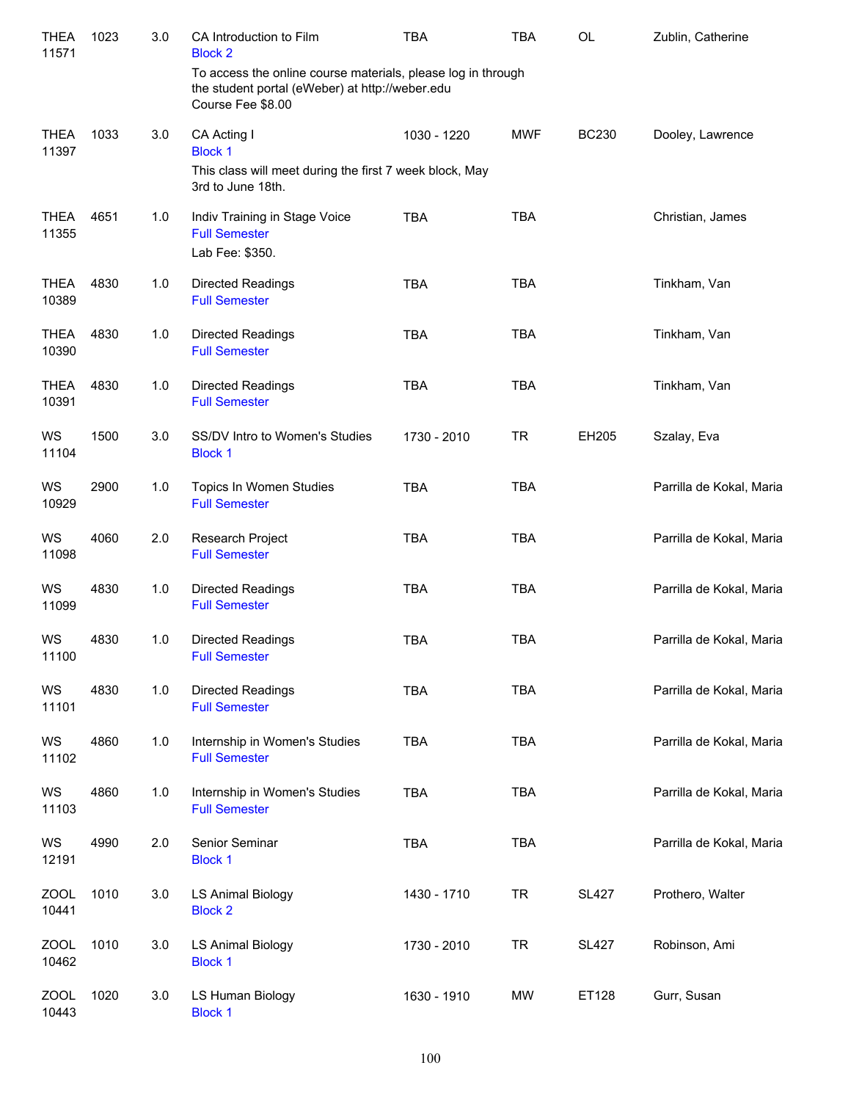| <b>THEA</b><br>11571 | 1023 | 3.0 | CA Introduction to Film<br><b>Block 2</b>                                                                                            | <b>TBA</b>  | <b>TBA</b> | OL           | Zublin, Catherine        |
|----------------------|------|-----|--------------------------------------------------------------------------------------------------------------------------------------|-------------|------------|--------------|--------------------------|
|                      |      |     | To access the online course materials, please log in through<br>the student portal (eWeber) at http://weber.edu<br>Course Fee \$8.00 |             |            |              |                          |
| <b>THEA</b><br>11397 | 1033 | 3.0 | CA Acting I<br><b>Block 1</b>                                                                                                        | 1030 - 1220 | <b>MWF</b> | <b>BC230</b> | Dooley, Lawrence         |
|                      |      |     | This class will meet during the first 7 week block, May<br>3rd to June 18th.                                                         |             |            |              |                          |
| <b>THEA</b><br>11355 | 4651 | 1.0 | Indiv Training in Stage Voice<br><b>Full Semester</b><br>Lab Fee: \$350.                                                             | <b>TBA</b>  | <b>TBA</b> |              | Christian, James         |
| <b>THEA</b><br>10389 | 4830 | 1.0 | <b>Directed Readings</b><br><b>Full Semester</b>                                                                                     | <b>TBA</b>  | <b>TBA</b> |              | Tinkham, Van             |
| <b>THEA</b><br>10390 | 4830 | 1.0 | <b>Directed Readings</b><br><b>Full Semester</b>                                                                                     | <b>TBA</b>  | <b>TBA</b> |              | Tinkham, Van             |
| <b>THEA</b><br>10391 | 4830 | 1.0 | Directed Readings<br><b>Full Semester</b>                                                                                            | <b>TBA</b>  | <b>TBA</b> |              | Tinkham, Van             |
| WS<br>11104          | 1500 | 3.0 | SS/DV Intro to Women's Studies<br><b>Block 1</b>                                                                                     | 1730 - 2010 | <b>TR</b>  | EH205        | Szalay, Eva              |
| WS<br>10929          | 2900 | 1.0 | Topics In Women Studies<br><b>Full Semester</b>                                                                                      | <b>TBA</b>  | <b>TBA</b> |              | Parrilla de Kokal, Maria |
| WS<br>11098          | 4060 | 2.0 | Research Project<br><b>Full Semester</b>                                                                                             | <b>TBA</b>  | <b>TBA</b> |              | Parrilla de Kokal, Maria |
| WS<br>11099          | 4830 | 1.0 | Directed Readings<br><b>Full Semester</b>                                                                                            | <b>TBA</b>  | <b>TBA</b> |              | Parrilla de Kokal, Maria |
| WS<br>11100          | 4830 | 1.0 | Directed Readings<br><b>Full Semester</b>                                                                                            | <b>TBA</b>  | <b>TBA</b> |              | Parrilla de Kokal, Maria |
| WS<br>11101          | 4830 | 1.0 | Directed Readings<br><b>Full Semester</b>                                                                                            | TBA         | <b>TBA</b> |              | Parrilla de Kokal, Maria |
| WS<br>11102          | 4860 | 1.0 | Internship in Women's Studies<br><b>Full Semester</b>                                                                                | <b>TBA</b>  | <b>TBA</b> |              | Parrilla de Kokal, Maria |
| WS<br>11103          | 4860 | 1.0 | Internship in Women's Studies<br><b>Full Semester</b>                                                                                | <b>TBA</b>  | <b>TBA</b> |              | Parrilla de Kokal, Maria |
| WS<br>12191          | 4990 | 2.0 | Senior Seminar<br><b>Block 1</b>                                                                                                     | <b>TBA</b>  | <b>TBA</b> |              | Parrilla de Kokal, Maria |
| <b>ZOOL</b><br>10441 | 1010 | 3.0 | <b>LS Animal Biology</b><br><b>Block 2</b>                                                                                           | 1430 - 1710 | <b>TR</b>  | <b>SL427</b> | Prothero, Walter         |
| <b>ZOOL</b><br>10462 | 1010 | 3.0 | <b>LS Animal Biology</b><br><b>Block 1</b>                                                                                           | 1730 - 2010 | <b>TR</b>  | <b>SL427</b> | Robinson, Ami            |
| <b>ZOOL</b><br>10443 | 1020 | 3.0 | LS Human Biology<br><b>Block 1</b>                                                                                                   | 1630 - 1910 | MW         | ET128        | Gurr, Susan              |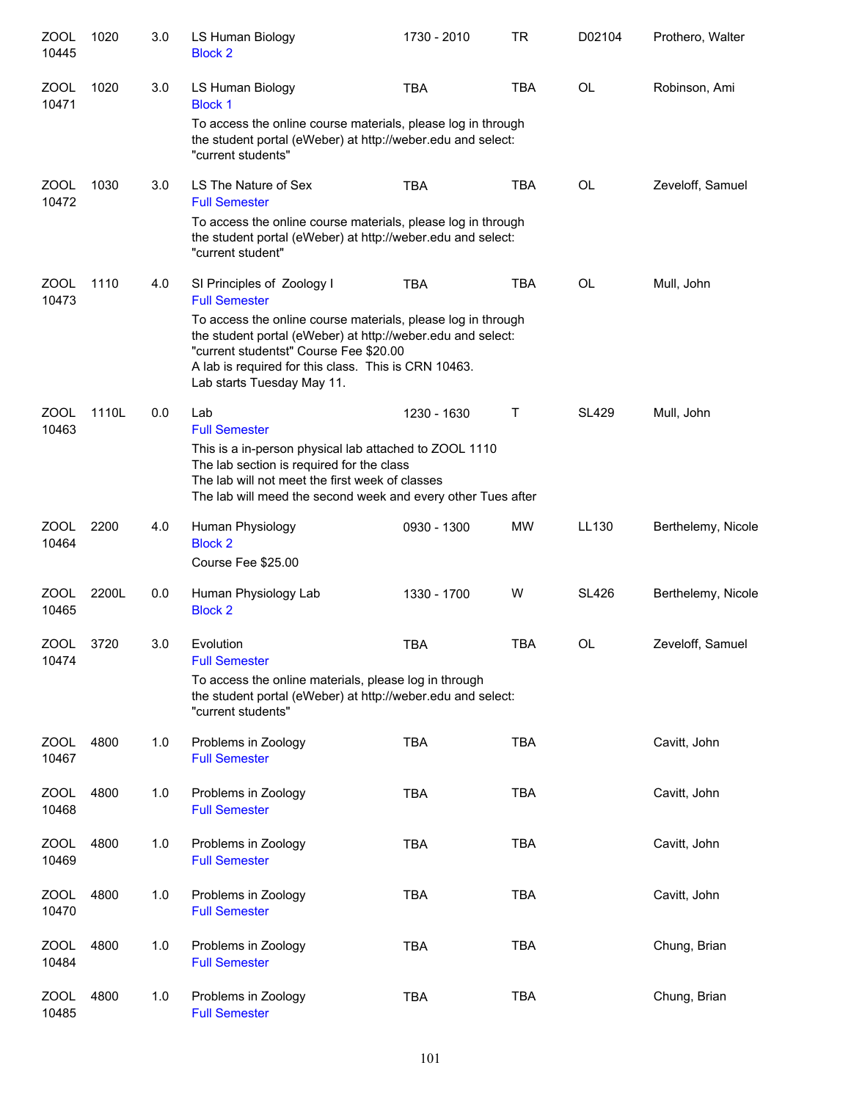| ZOOL<br>10445        | 1020  | 3.0 | LS Human Biology<br><b>Block 2</b>                                                                                                                                                                                     | 1730 - 2010                                                                                                                                                                                                                   | <b>TR</b>    | D02104       | Prothero, Walter   |  |  |  |  |
|----------------------|-------|-----|------------------------------------------------------------------------------------------------------------------------------------------------------------------------------------------------------------------------|-------------------------------------------------------------------------------------------------------------------------------------------------------------------------------------------------------------------------------|--------------|--------------|--------------------|--|--|--|--|
| ZOOL<br>10471        | 1020  | 3.0 | LS Human Biology<br><b>Block 1</b>                                                                                                                                                                                     | <b>TBA</b>                                                                                                                                                                                                                    | <b>TBA</b>   | <b>OL</b>    | Robinson, Ami      |  |  |  |  |
|                      |       |     | To access the online course materials, please log in through<br>the student portal (eWeber) at http://weber.edu and select:<br>"current students"                                                                      |                                                                                                                                                                                                                               |              |              |                    |  |  |  |  |
| <b>ZOOL</b><br>10472 | 1030  | 3.0 | LS The Nature of Sex<br><b>Full Semester</b>                                                                                                                                                                           | <b>TBA</b>                                                                                                                                                                                                                    | <b>TBA</b>   | <b>OL</b>    | Zeveloff, Samuel   |  |  |  |  |
|                      |       |     | To access the online course materials, please log in through<br>the student portal (eWeber) at http://weber.edu and select:<br>"current student"                                                                       |                                                                                                                                                                                                                               |              |              |                    |  |  |  |  |
| <b>ZOOL</b><br>10473 | 1110  | 4.0 | SI Principles of Zoology I<br><b>Full Semester</b>                                                                                                                                                                     | <b>TBA</b>                                                                                                                                                                                                                    | <b>TBA</b>   | <b>OL</b>    | Mull, John         |  |  |  |  |
|                      |       |     | Lab starts Tuesday May 11.                                                                                                                                                                                             | To access the online course materials, please log in through<br>the student portal (eWeber) at http://weber.edu and select:<br>"current studentst" Course Fee \$20.00<br>A lab is required for this class. This is CRN 10463. |              |              |                    |  |  |  |  |
| <b>ZOOL</b><br>10463 | 1110L | 0.0 | Lab<br><b>Full Semester</b>                                                                                                                                                                                            | 1230 - 1630                                                                                                                                                                                                                   | $\mathsf{T}$ | <b>SL429</b> | Mull, John         |  |  |  |  |
|                      |       |     | This is a in-person physical lab attached to ZOOL 1110<br>The lab section is required for the class<br>The lab will not meet the first week of classes<br>The lab will meed the second week and every other Tues after |                                                                                                                                                                                                                               |              |              |                    |  |  |  |  |
| <b>ZOOL</b><br>10464 | 2200  | 4.0 | Human Physiology<br><b>Block 2</b><br>Course Fee \$25.00                                                                                                                                                               | 0930 - 1300                                                                                                                                                                                                                   | <b>MW</b>    | LL130        | Berthelemy, Nicole |  |  |  |  |
| <b>ZOOL</b><br>10465 | 2200L | 0.0 | Human Physiology Lab<br><b>Block 2</b>                                                                                                                                                                                 | 1330 - 1700                                                                                                                                                                                                                   | W            | <b>SL426</b> | Berthelemy, Nicole |  |  |  |  |
| <b>ZOOL</b><br>10474 | 3720  | 3.0 | Evolution<br><b>Full Semester</b>                                                                                                                                                                                      | <b>TBA</b>                                                                                                                                                                                                                    | <b>TBA</b>   | OL           | Zeveloff, Samuel   |  |  |  |  |
|                      |       |     | To access the online materials, please log in through<br>the student portal (eWeber) at http://weber.edu and select:<br>"current students"                                                                             |                                                                                                                                                                                                                               |              |              |                    |  |  |  |  |
| <b>ZOOL</b><br>10467 | 4800  | 1.0 | Problems in Zoology<br><b>Full Semester</b>                                                                                                                                                                            | <b>TBA</b>                                                                                                                                                                                                                    | <b>TBA</b>   |              | Cavitt, John       |  |  |  |  |
| <b>ZOOL</b><br>10468 | 4800  | 1.0 | Problems in Zoology<br><b>Full Semester</b>                                                                                                                                                                            | <b>TBA</b>                                                                                                                                                                                                                    | <b>TBA</b>   |              | Cavitt, John       |  |  |  |  |
| <b>ZOOL</b><br>10469 | 4800  | 1.0 | Problems in Zoology<br><b>Full Semester</b>                                                                                                                                                                            | <b>TBA</b>                                                                                                                                                                                                                    | <b>TBA</b>   |              | Cavitt, John       |  |  |  |  |
| <b>ZOOL</b><br>10470 | 4800  | 1.0 | Problems in Zoology<br><b>Full Semester</b>                                                                                                                                                                            | <b>TBA</b>                                                                                                                                                                                                                    | <b>TBA</b>   |              | Cavitt, John       |  |  |  |  |
| ZOOL<br>10484        | 4800  | 1.0 | Problems in Zoology<br><b>Full Semester</b>                                                                                                                                                                            | <b>TBA</b>                                                                                                                                                                                                                    | <b>TBA</b>   |              | Chung, Brian       |  |  |  |  |
| ZOOL<br>10485        | 4800  | 1.0 | Problems in Zoology<br><b>Full Semester</b>                                                                                                                                                                            | <b>TBA</b>                                                                                                                                                                                                                    | <b>TBA</b>   |              | Chung, Brian       |  |  |  |  |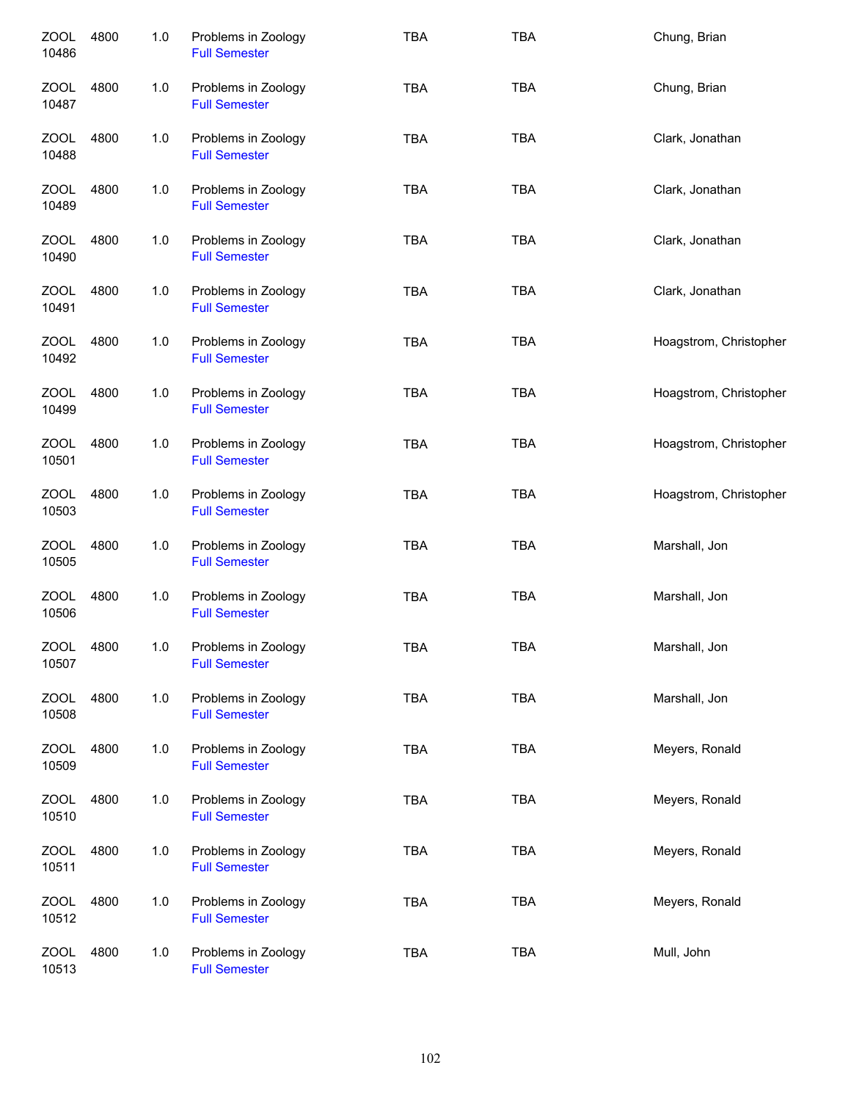| <b>ZOOL</b><br>10486 | 4800 | 1.0 | Problems in Zoology<br><b>Full Semester</b> | <b>TBA</b> | <b>TBA</b> | Chung, Brian           |
|----------------------|------|-----|---------------------------------------------|------------|------------|------------------------|
| ZOOL<br>10487        | 4800 | 1.0 | Problems in Zoology<br><b>Full Semester</b> | <b>TBA</b> | <b>TBA</b> | Chung, Brian           |
| ZOOL<br>10488        | 4800 | 1.0 | Problems in Zoology<br><b>Full Semester</b> | <b>TBA</b> | <b>TBA</b> | Clark, Jonathan        |
| ZOOL<br>10489        | 4800 | 1.0 | Problems in Zoology<br><b>Full Semester</b> | <b>TBA</b> | <b>TBA</b> | Clark, Jonathan        |
| ZOOL<br>10490        | 4800 | 1.0 | Problems in Zoology<br><b>Full Semester</b> | <b>TBA</b> | <b>TBA</b> | Clark, Jonathan        |
| ZOOL<br>10491        | 4800 | 1.0 | Problems in Zoology<br><b>Full Semester</b> | <b>TBA</b> | <b>TBA</b> | Clark, Jonathan        |
| <b>ZOOL</b><br>10492 | 4800 | 1.0 | Problems in Zoology<br><b>Full Semester</b> | <b>TBA</b> | <b>TBA</b> | Hoagstrom, Christopher |
| <b>ZOOL</b><br>10499 | 4800 | 1.0 | Problems in Zoology<br><b>Full Semester</b> | <b>TBA</b> | <b>TBA</b> | Hoagstrom, Christopher |
| ZOOL<br>10501        | 4800 | 1.0 | Problems in Zoology<br><b>Full Semester</b> | <b>TBA</b> | <b>TBA</b> | Hoagstrom, Christopher |
| <b>ZOOL</b><br>10503 | 4800 | 1.0 | Problems in Zoology<br><b>Full Semester</b> | <b>TBA</b> | <b>TBA</b> | Hoagstrom, Christopher |
| <b>ZOOL</b><br>10505 | 4800 | 1.0 | Problems in Zoology<br><b>Full Semester</b> | <b>TBA</b> | <b>TBA</b> | Marshall, Jon          |
| <b>ZOOL</b><br>10506 | 4800 | 1.0 | Problems in Zoology<br><b>Full Semester</b> | <b>TBA</b> | <b>TBA</b> | Marshall, Jon          |
| <b>ZOOL</b><br>10507 | 4800 | 1.0 | Problems in Zoology<br><b>Full Semester</b> | <b>TBA</b> | <b>TBA</b> | Marshall, Jon          |
| <b>ZOOL</b><br>10508 | 4800 | 1.0 | Problems in Zoology<br><b>Full Semester</b> | <b>TBA</b> | <b>TBA</b> | Marshall, Jon          |
| <b>ZOOL</b><br>10509 | 4800 | 1.0 | Problems in Zoology<br><b>Full Semester</b> | <b>TBA</b> | <b>TBA</b> | Meyers, Ronald         |
| ZOOL<br>10510        | 4800 | 1.0 | Problems in Zoology<br><b>Full Semester</b> | <b>TBA</b> | <b>TBA</b> | Meyers, Ronald         |
| <b>ZOOL</b><br>10511 | 4800 | 1.0 | Problems in Zoology<br><b>Full Semester</b> | <b>TBA</b> | <b>TBA</b> | Meyers, Ronald         |
| <b>ZOOL</b><br>10512 | 4800 | 1.0 | Problems in Zoology<br><b>Full Semester</b> | <b>TBA</b> | <b>TBA</b> | Meyers, Ronald         |
| <b>ZOOL</b><br>10513 | 4800 | 1.0 | Problems in Zoology<br><b>Full Semester</b> | <b>TBA</b> | TBA        | Mull, John             |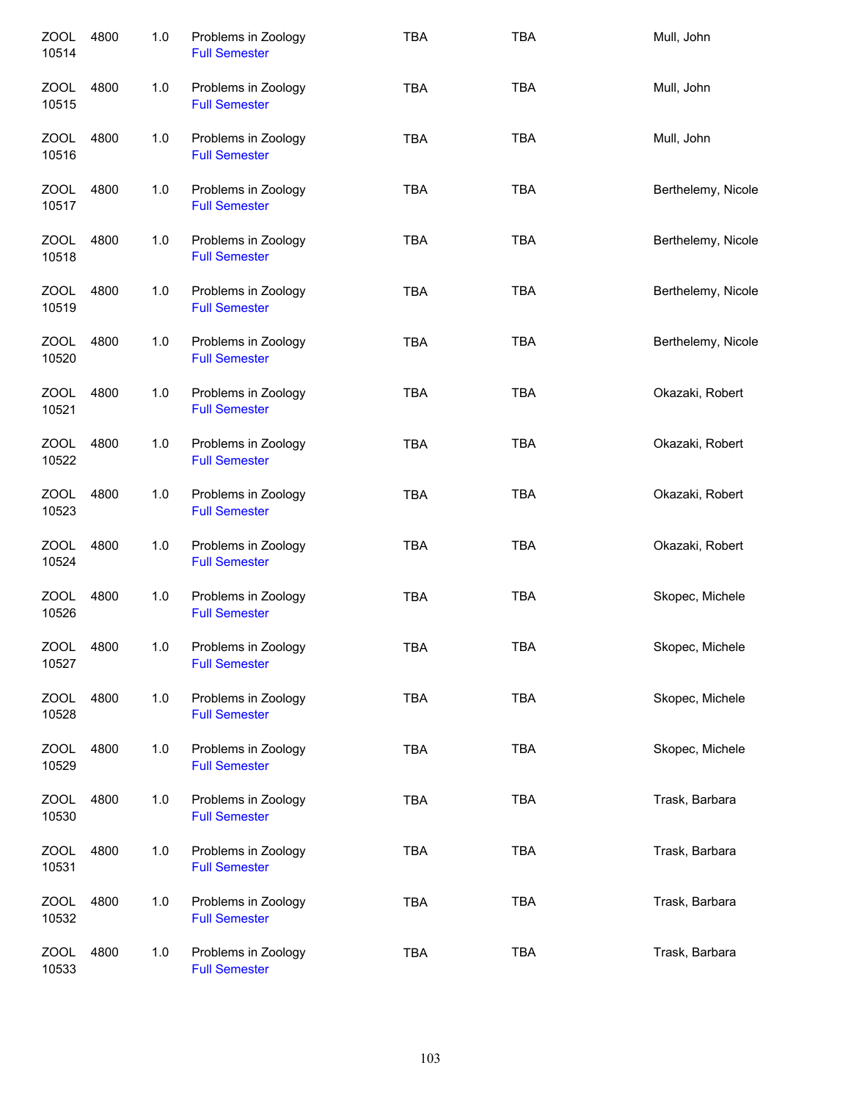| <b>ZOOL</b><br>10514 | 4800 | 1.0   | Problems in Zoology<br><b>Full Semester</b> | <b>TBA</b> | <b>TBA</b> | Mull, John         |
|----------------------|------|-------|---------------------------------------------|------------|------------|--------------------|
| ZOOL<br>10515        | 4800 | 1.0   | Problems in Zoology<br><b>Full Semester</b> | <b>TBA</b> | <b>TBA</b> | Mull, John         |
| ZOOL<br>10516        | 4800 | 1.0   | Problems in Zoology<br><b>Full Semester</b> | <b>TBA</b> | <b>TBA</b> | Mull, John         |
| ZOOL<br>10517        | 4800 | 1.0   | Problems in Zoology<br><b>Full Semester</b> | <b>TBA</b> | <b>TBA</b> | Berthelemy, Nicole |
| ZOOL<br>10518        | 4800 | 1.0   | Problems in Zoology<br><b>Full Semester</b> | <b>TBA</b> | <b>TBA</b> | Berthelemy, Nicole |
| ZOOL<br>10519        | 4800 | 1.0   | Problems in Zoology<br><b>Full Semester</b> | <b>TBA</b> | <b>TBA</b> | Berthelemy, Nicole |
| <b>ZOOL</b><br>10520 | 4800 | 1.0   | Problems in Zoology<br><b>Full Semester</b> | <b>TBA</b> | <b>TBA</b> | Berthelemy, Nicole |
| <b>ZOOL</b><br>10521 | 4800 | 1.0   | Problems in Zoology<br><b>Full Semester</b> | <b>TBA</b> | <b>TBA</b> | Okazaki, Robert    |
| <b>ZOOL</b><br>10522 | 4800 | 1.0   | Problems in Zoology<br><b>Full Semester</b> | <b>TBA</b> | <b>TBA</b> | Okazaki, Robert    |
| <b>ZOOL</b><br>10523 | 4800 | 1.0   | Problems in Zoology<br><b>Full Semester</b> | <b>TBA</b> | <b>TBA</b> | Okazaki, Robert    |
| <b>ZOOL</b><br>10524 | 4800 | 1.0   | Problems in Zoology<br><b>Full Semester</b> | <b>TBA</b> | <b>TBA</b> | Okazaki, Robert    |
| <b>ZOOL</b><br>10526 | 4800 | 1.0   | Problems in Zoology<br><b>Full Semester</b> | <b>TBA</b> | <b>TBA</b> | Skopec, Michele    |
| <b>ZOOL</b><br>10527 | 4800 | 1.0   | Problems in Zoology<br><b>Full Semester</b> | TBA        | <b>TBA</b> | Skopec, Michele    |
| <b>ZOOL</b><br>10528 | 4800 | $1.0$ | Problems in Zoology<br><b>Full Semester</b> | <b>TBA</b> | <b>TBA</b> | Skopec, Michele    |
| <b>ZOOL</b><br>10529 | 4800 | $1.0$ | Problems in Zoology<br><b>Full Semester</b> | <b>TBA</b> | <b>TBA</b> | Skopec, Michele    |
| ZOOL<br>10530        | 4800 | 1.0   | Problems in Zoology<br><b>Full Semester</b> | <b>TBA</b> | <b>TBA</b> | Trask, Barbara     |
| <b>ZOOL</b><br>10531 | 4800 | 1.0   | Problems in Zoology<br><b>Full Semester</b> | <b>TBA</b> | <b>TBA</b> | Trask, Barbara     |
| <b>ZOOL</b><br>10532 | 4800 | 1.0   | Problems in Zoology<br><b>Full Semester</b> | <b>TBA</b> | <b>TBA</b> | Trask, Barbara     |
| <b>ZOOL</b><br>10533 | 4800 | 1.0   | Problems in Zoology<br><b>Full Semester</b> | <b>TBA</b> | <b>TBA</b> | Trask, Barbara     |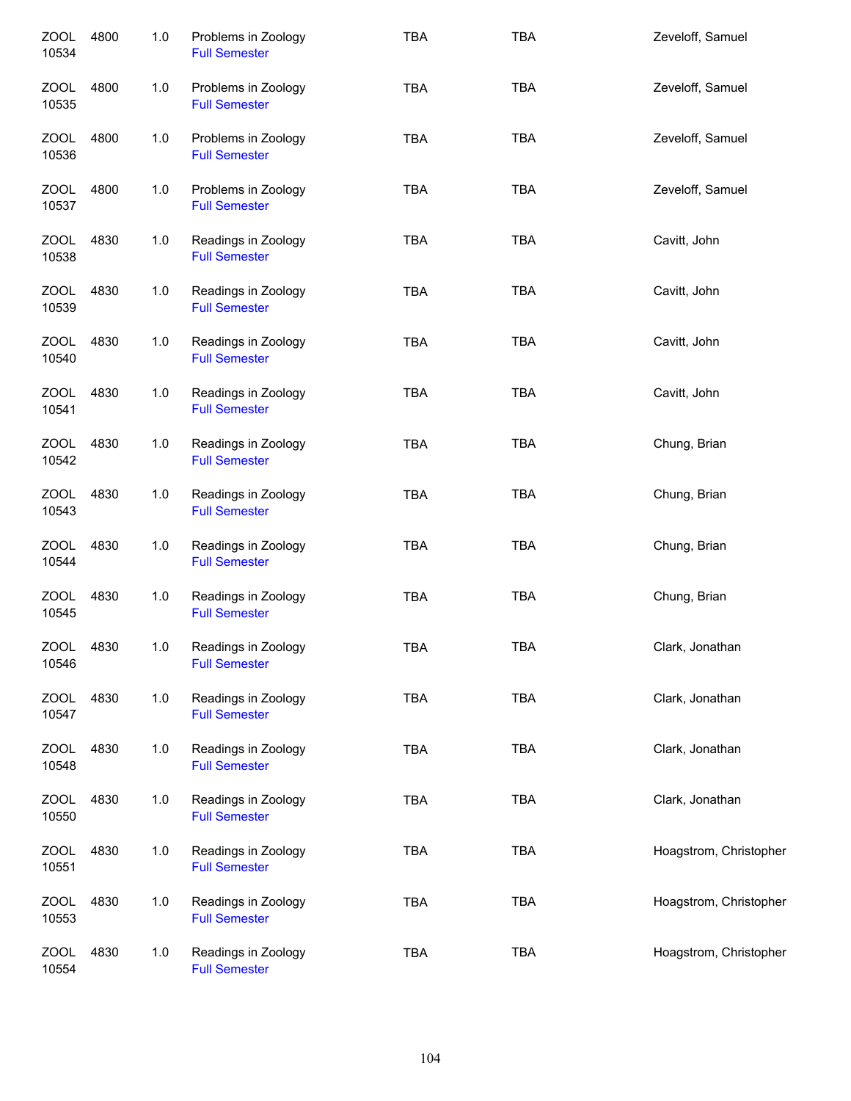| <b>ZOOL</b><br>10534 | 4800 | 1.0   | Problems in Zoology<br><b>Full Semester</b> | <b>TBA</b> | <b>TBA</b> | Zeveloff, Samuel       |
|----------------------|------|-------|---------------------------------------------|------------|------------|------------------------|
| ZOOL<br>10535        | 4800 | 1.0   | Problems in Zoology<br><b>Full Semester</b> | <b>TBA</b> | <b>TBA</b> | Zeveloff, Samuel       |
| ZOOL<br>10536        | 4800 | 1.0   | Problems in Zoology<br><b>Full Semester</b> | <b>TBA</b> | <b>TBA</b> | Zeveloff, Samuel       |
| ZOOL<br>10537        | 4800 | 1.0   | Problems in Zoology<br><b>Full Semester</b> | <b>TBA</b> | <b>TBA</b> | Zeveloff, Samuel       |
| ZOOL<br>10538        | 4830 | 1.0   | Readings in Zoology<br><b>Full Semester</b> | <b>TBA</b> | <b>TBA</b> | Cavitt, John           |
| <b>ZOOL</b><br>10539 | 4830 | 1.0   | Readings in Zoology<br><b>Full Semester</b> | <b>TBA</b> | <b>TBA</b> | Cavitt, John           |
| <b>ZOOL</b><br>10540 | 4830 | 1.0   | Readings in Zoology<br><b>Full Semester</b> | <b>TBA</b> | <b>TBA</b> | Cavitt, John           |
| <b>ZOOL</b><br>10541 | 4830 | 1.0   | Readings in Zoology<br><b>Full Semester</b> | <b>TBA</b> | <b>TBA</b> | Cavitt, John           |
| <b>ZOOL</b><br>10542 | 4830 | 1.0   | Readings in Zoology<br><b>Full Semester</b> | <b>TBA</b> | <b>TBA</b> | Chung, Brian           |
| <b>ZOOL</b><br>10543 | 4830 | 1.0   | Readings in Zoology<br><b>Full Semester</b> | <b>TBA</b> | <b>TBA</b> | Chung, Brian           |
| <b>ZOOL</b><br>10544 | 4830 | 1.0   | Readings in Zoology<br><b>Full Semester</b> | <b>TBA</b> | <b>TBA</b> | Chung, Brian           |
| <b>ZOOL</b><br>10545 | 4830 | $1.0$ | Readings in Zoology<br><b>Full Semester</b> | <b>TBA</b> | <b>TBA</b> | Chung, Brian           |
| <b>ZOOL</b><br>10546 | 4830 | 1.0   | Readings in Zoology<br><b>Full Semester</b> | <b>TBA</b> | <b>TBA</b> | Clark, Jonathan        |
| ZOOL<br>10547        | 4830 | 1.0   | Readings in Zoology<br><b>Full Semester</b> | <b>TBA</b> | <b>TBA</b> | Clark, Jonathan        |
| ZOOL<br>10548        | 4830 | 1.0   | Readings in Zoology<br><b>Full Semester</b> | <b>TBA</b> | <b>TBA</b> | Clark, Jonathan        |
| <b>ZOOL</b><br>10550 | 4830 | 1.0   | Readings in Zoology<br><b>Full Semester</b> | TBA        | <b>TBA</b> | Clark, Jonathan        |
| <b>ZOOL</b><br>10551 | 4830 | 1.0   | Readings in Zoology<br><b>Full Semester</b> | <b>TBA</b> | <b>TBA</b> | Hoagstrom, Christopher |
| <b>ZOOL</b><br>10553 | 4830 | 1.0   | Readings in Zoology<br><b>Full Semester</b> | <b>TBA</b> | <b>TBA</b> | Hoagstrom, Christopher |
| <b>ZOOL</b><br>10554 | 4830 | 1.0   | Readings in Zoology<br><b>Full Semester</b> | <b>TBA</b> | <b>TBA</b> | Hoagstrom, Christopher |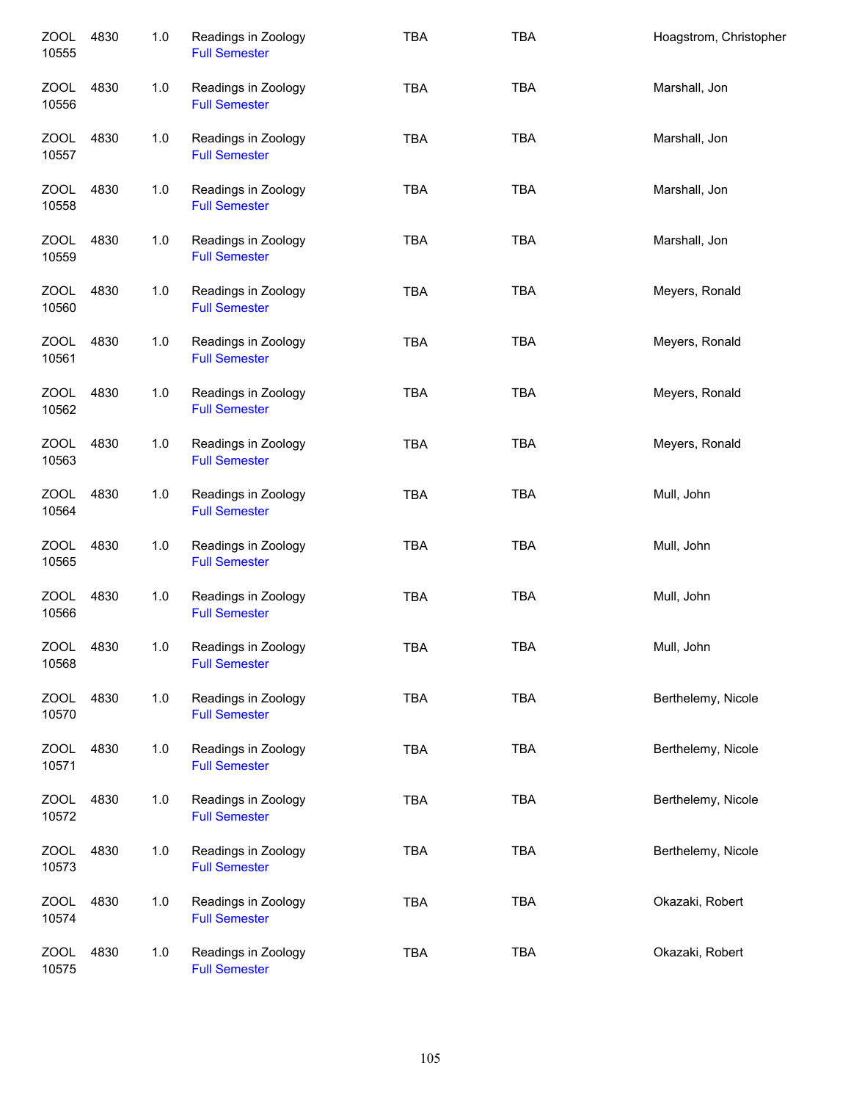| <b>ZOOL</b><br>10555 | 4830 | 1.0 | Readings in Zoology<br><b>Full Semester</b> | <b>TBA</b> | <b>TBA</b> | Hoagstrom, Christopher |
|----------------------|------|-----|---------------------------------------------|------------|------------|------------------------|
| <b>ZOOL</b><br>10556 | 4830 | 1.0 | Readings in Zoology<br><b>Full Semester</b> | <b>TBA</b> | <b>TBA</b> | Marshall, Jon          |
| ZOOL<br>10557        | 4830 | 1.0 | Readings in Zoology<br><b>Full Semester</b> | <b>TBA</b> | <b>TBA</b> | Marshall, Jon          |
| ZOOL<br>10558        | 4830 | 1.0 | Readings in Zoology<br><b>Full Semester</b> | <b>TBA</b> | <b>TBA</b> | Marshall, Jon          |
| ZOOL<br>10559        | 4830 | 1.0 | Readings in Zoology<br><b>Full Semester</b> | <b>TBA</b> | <b>TBA</b> | Marshall, Jon          |
| ZOOL<br>10560        | 4830 | 1.0 | Readings in Zoology<br><b>Full Semester</b> | <b>TBA</b> | <b>TBA</b> | Meyers, Ronald         |
| <b>ZOOL</b><br>10561 | 4830 | 1.0 | Readings in Zoology<br><b>Full Semester</b> | <b>TBA</b> | <b>TBA</b> | Meyers, Ronald         |
| <b>ZOOL</b><br>10562 | 4830 | 1.0 | Readings in Zoology<br><b>Full Semester</b> | <b>TBA</b> | <b>TBA</b> | Meyers, Ronald         |
| <b>ZOOL</b><br>10563 | 4830 | 1.0 | Readings in Zoology<br><b>Full Semester</b> | <b>TBA</b> | <b>TBA</b> | Meyers, Ronald         |
| <b>ZOOL</b><br>10564 | 4830 | 1.0 | Readings in Zoology<br><b>Full Semester</b> | <b>TBA</b> | <b>TBA</b> | Mull, John             |
| <b>ZOOL</b><br>10565 | 4830 | 1.0 | Readings in Zoology<br><b>Full Semester</b> | <b>TBA</b> | <b>TBA</b> | Mull, John             |
| <b>ZOOL</b><br>10566 | 4830 | 1.0 | Readings in Zoology<br><b>Full Semester</b> | <b>TBA</b> | <b>TBA</b> | Mull, John             |
| <b>ZOOL</b><br>10568 | 4830 | 1.0 | Readings in Zoology<br><b>Full Semester</b> | <b>TBA</b> | <b>TBA</b> | Mull, John             |
| ZOOL<br>10570        | 4830 | 1.0 | Readings in Zoology<br><b>Full Semester</b> | TBA        | <b>TBA</b> | Berthelemy, Nicole     |
| ZOOL<br>10571        | 4830 | 1.0 | Readings in Zoology<br><b>Full Semester</b> | TBA        | <b>TBA</b> | Berthelemy, Nicole     |
| ZOOL<br>10572        | 4830 | 1.0 | Readings in Zoology<br><b>Full Semester</b> | <b>TBA</b> | <b>TBA</b> | Berthelemy, Nicole     |
| <b>ZOOL</b><br>10573 | 4830 | 1.0 | Readings in Zoology<br><b>Full Semester</b> | <b>TBA</b> | <b>TBA</b> | Berthelemy, Nicole     |
| <b>ZOOL</b><br>10574 | 4830 | 1.0 | Readings in Zoology<br><b>Full Semester</b> | <b>TBA</b> | <b>TBA</b> | Okazaki, Robert        |
| <b>ZOOL</b><br>10575 | 4830 | 1.0 | Readings in Zoology<br><b>Full Semester</b> | <b>TBA</b> | <b>TBA</b> | Okazaki, Robert        |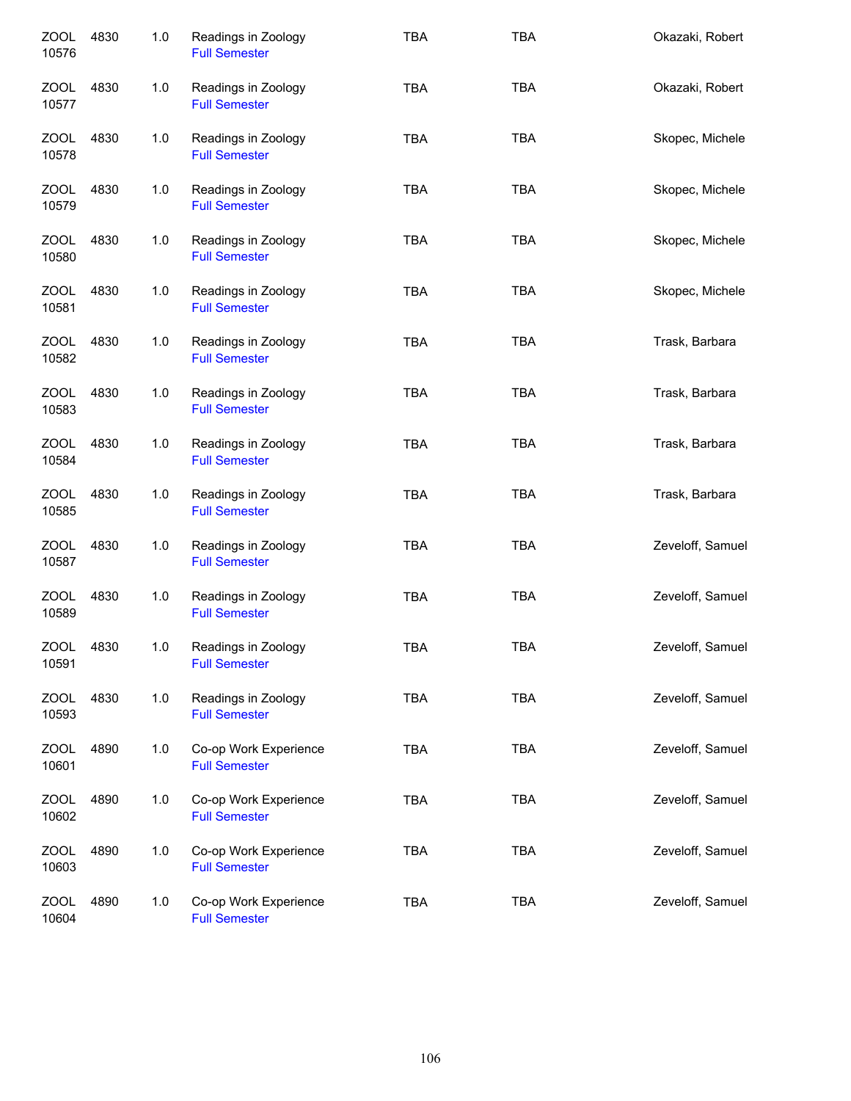| <b>ZOOL</b><br>10576 | 4830 | 1.0 | Readings in Zoology<br><b>Full Semester</b>   | <b>TBA</b> | <b>TBA</b> | Okazaki, Robert  |
|----------------------|------|-----|-----------------------------------------------|------------|------------|------------------|
| ZOOL<br>10577        | 4830 | 1.0 | Readings in Zoology<br><b>Full Semester</b>   | <b>TBA</b> | <b>TBA</b> | Okazaki, Robert  |
| ZOOL<br>10578        | 4830 | 1.0 | Readings in Zoology<br><b>Full Semester</b>   | <b>TBA</b> | <b>TBA</b> | Skopec, Michele  |
| ZOOL<br>10579        | 4830 | 1.0 | Readings in Zoology<br><b>Full Semester</b>   | <b>TBA</b> | <b>TBA</b> | Skopec, Michele  |
| ZOOL<br>10580        | 4830 | 1.0 | Readings in Zoology<br><b>Full Semester</b>   | <b>TBA</b> | <b>TBA</b> | Skopec, Michele  |
| <b>ZOOL</b><br>10581 | 4830 | 1.0 | Readings in Zoology<br><b>Full Semester</b>   | <b>TBA</b> | <b>TBA</b> | Skopec, Michele  |
| ZOOL<br>10582        | 4830 | 1.0 | Readings in Zoology<br><b>Full Semester</b>   | <b>TBA</b> | <b>TBA</b> | Trask, Barbara   |
| <b>ZOOL</b><br>10583 | 4830 | 1.0 | Readings in Zoology<br><b>Full Semester</b>   | <b>TBA</b> | <b>TBA</b> | Trask, Barbara   |
| <b>ZOOL</b><br>10584 | 4830 | 1.0 | Readings in Zoology<br><b>Full Semester</b>   | <b>TBA</b> | <b>TBA</b> | Trask, Barbara   |
| <b>ZOOL</b><br>10585 | 4830 | 1.0 | Readings in Zoology<br><b>Full Semester</b>   | <b>TBA</b> | <b>TBA</b> | Trask, Barbara   |
| <b>ZOOL</b><br>10587 | 4830 | 1.0 | Readings in Zoology<br><b>Full Semester</b>   | <b>TBA</b> | <b>TBA</b> | Zeveloff, Samuel |
| <b>ZOOL</b><br>10589 | 4830 | 1.0 | Readings in Zoology<br><b>Full Semester</b>   | <b>TBA</b> | <b>TBA</b> | Zeveloff, Samuel |
| <b>ZOOL</b><br>10591 | 4830 | 1.0 | Readings in Zoology<br><b>Full Semester</b>   | <b>TBA</b> | TBA        | Zeveloff, Samuel |
| <b>ZOOL</b><br>10593 | 4830 | 1.0 | Readings in Zoology<br><b>Full Semester</b>   | <b>TBA</b> | <b>TBA</b> | Zeveloff, Samuel |
| ZOOL<br>10601        | 4890 | 1.0 | Co-op Work Experience<br><b>Full Semester</b> | <b>TBA</b> | <b>TBA</b> | Zeveloff, Samuel |
| <b>ZOOL</b><br>10602 | 4890 | 1.0 | Co-op Work Experience<br><b>Full Semester</b> | <b>TBA</b> | <b>TBA</b> | Zeveloff, Samuel |
| <b>ZOOL</b><br>10603 | 4890 | 1.0 | Co-op Work Experience<br><b>Full Semester</b> | <b>TBA</b> | <b>TBA</b> | Zeveloff, Samuel |
| <b>ZOOL</b><br>10604 | 4890 | 1.0 | Co-op Work Experience<br><b>Full Semester</b> | <b>TBA</b> | <b>TBA</b> | Zeveloff, Samuel |